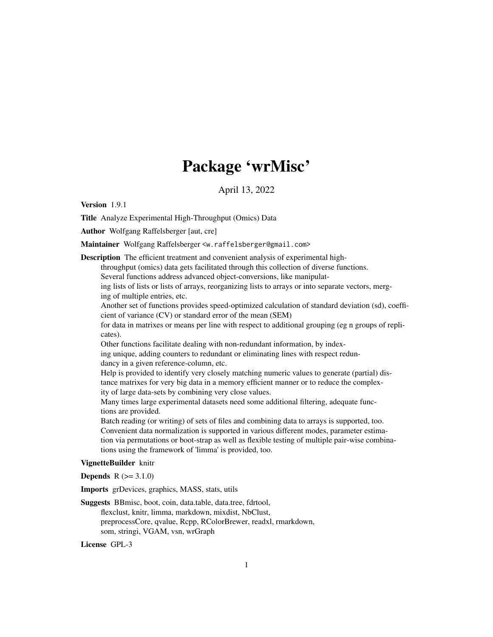# Package 'wrMisc'

April 13, 2022

<span id="page-0-0"></span>Version 1.9.1

Title Analyze Experimental High-Throughput (Omics) Data

Author Wolfgang Raffelsberger [aut, cre]

Maintainer Wolfgang Raffelsberger <w.raffelsberger@gmail.com>

Description The efficient treatment and convenient analysis of experimental high-

throughput (omics) data gets facilitated through this collection of diverse functions.

Several functions address advanced object-conversions, like manipulat-

ing lists of lists or lists of arrays, reorganizing lists to arrays or into separate vectors, merging of multiple entries, etc.

Another set of functions provides speed-optimized calculation of standard deviation (sd), coefficient of variance (CV) or standard error of the mean (SEM)

for data in matrixes or means per line with respect to additional grouping (eg n groups of replicates).

Other functions facilitate dealing with non-redundant information, by index-

ing unique, adding counters to redundant or eliminating lines with respect redundancy in a given reference-column, etc.

Help is provided to identify very closely matching numeric values to generate (partial) distance matrixes for very big data in a memory efficient manner or to reduce the complexity of large data-sets by combining very close values.

Many times large experimental datasets need some additional filtering, adequate functions are provided.

Batch reading (or writing) of sets of files and combining data to arrays is supported, too. Convenient data normalization is supported in various different modes, parameter estimation via permutations or boot-strap as well as flexible testing of multiple pair-wise combinations using the framework of 'limma' is provided, too.

### VignetteBuilder knitr

**Depends**  $R (= 3.1.0)$ 

Imports grDevices, graphics, MASS, stats, utils

Suggests BBmisc, boot, coin, data.table, data.tree, fdrtool, flexclust, knitr, limma, markdown, mixdist, NbClust,

preprocessCore, qvalue, Rcpp, RColorBrewer, readxl, rmarkdown, som, stringi, VGAM, vsn, wrGraph

License GPL-3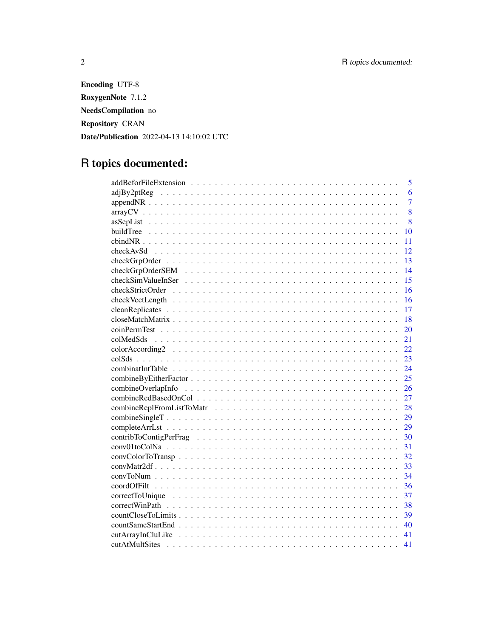Encoding UTF-8 RoxygenNote 7.1.2 NeedsCompilation no Repository CRAN Date/Publication 2022-04-13 14:10:02 UTC

# R topics documented:

| 5              |
|----------------|
| 6              |
| $\overline{7}$ |
| 8              |
| 8              |
| 10             |
| 11             |
| 12             |
| 13             |
| 14             |
| 15             |
| 16             |
| 16             |
| 17             |
| $-18$          |
| 20             |
| 21             |
| 22             |
| 23             |
| 24             |
| 25             |
| 26             |
| 27             |
| 28             |
| 29             |
| 29             |
| 30             |
| 31             |
| 32             |
| 33             |
| 34             |
| 36             |
| 37             |
| 38             |
| 39             |
| 40             |
| 41             |
| 41             |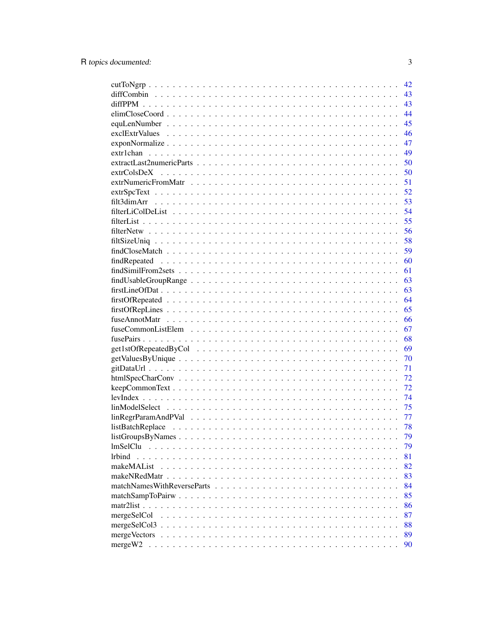|                                                                                                                  | 42 |
|------------------------------------------------------------------------------------------------------------------|----|
|                                                                                                                  | 43 |
|                                                                                                                  | 43 |
|                                                                                                                  | 44 |
|                                                                                                                  | 45 |
|                                                                                                                  | 46 |
| $exponNormalize \dots \dots \dots \dots \dots \dots \dots \dots \dots \dots \dots \dots \dots \dots \dots \dots$ | 47 |
|                                                                                                                  | 49 |
|                                                                                                                  | 50 |
|                                                                                                                  | 50 |
|                                                                                                                  | 51 |
|                                                                                                                  | 52 |
|                                                                                                                  | 53 |
|                                                                                                                  | 54 |
|                                                                                                                  | 55 |
|                                                                                                                  | 56 |
|                                                                                                                  | 58 |
|                                                                                                                  | 59 |
|                                                                                                                  |    |
|                                                                                                                  | 60 |
|                                                                                                                  | 61 |
|                                                                                                                  | 63 |
|                                                                                                                  | 63 |
|                                                                                                                  | 64 |
|                                                                                                                  | 65 |
|                                                                                                                  | 66 |
|                                                                                                                  | 67 |
|                                                                                                                  | 68 |
|                                                                                                                  | 69 |
|                                                                                                                  | 70 |
|                                                                                                                  | 71 |
|                                                                                                                  | 72 |
|                                                                                                                  | 72 |
|                                                                                                                  | 74 |
|                                                                                                                  | 75 |
|                                                                                                                  | 77 |
|                                                                                                                  | 78 |
|                                                                                                                  | 79 |
| <i>lmSelClu</i>                                                                                                  | 79 |
| <i>lrbind</i>                                                                                                    | 81 |
| makeMAList                                                                                                       | 82 |
|                                                                                                                  | 83 |
|                                                                                                                  | 84 |
|                                                                                                                  | 85 |
|                                                                                                                  | 86 |
| mergeSelCol                                                                                                      | 87 |
|                                                                                                                  | 88 |
| mergeVectors                                                                                                     | 89 |
| mergeW2                                                                                                          | 90 |
|                                                                                                                  |    |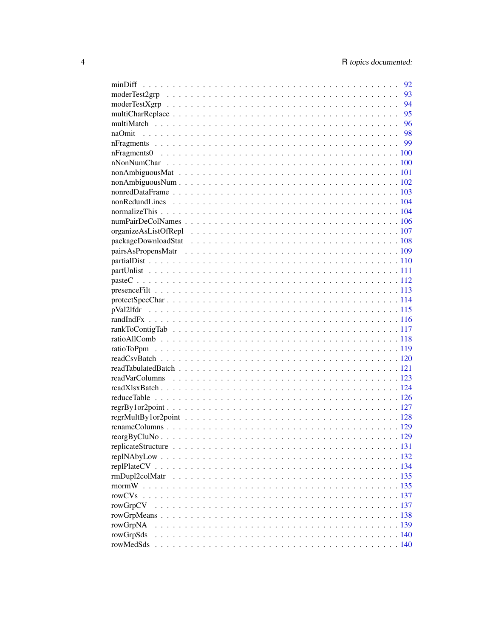|           | 92           |
|-----------|--------------|
|           | 93           |
|           | 94           |
|           | 95           |
|           |              |
|           |              |
|           |              |
|           |              |
|           |              |
|           |              |
|           |              |
|           |              |
|           |              |
|           |              |
|           |              |
|           |              |
|           |              |
|           |              |
|           |              |
|           |              |
|           |              |
|           |              |
|           |              |
|           |              |
|           |              |
|           |              |
|           |              |
|           |              |
|           |              |
|           |              |
|           |              |
|           |              |
|           |              |
|           |              |
|           |              |
|           |              |
|           |              |
|           |              |
|           |              |
|           |              |
|           |              |
|           |              |
| rowCVs    |              |
| rowGrpCV  |              |
|           |              |
| rowGrpNA  |              |
| rowGrpSds |              |
| rowMedSds | $\ldots$ 140 |
|           |              |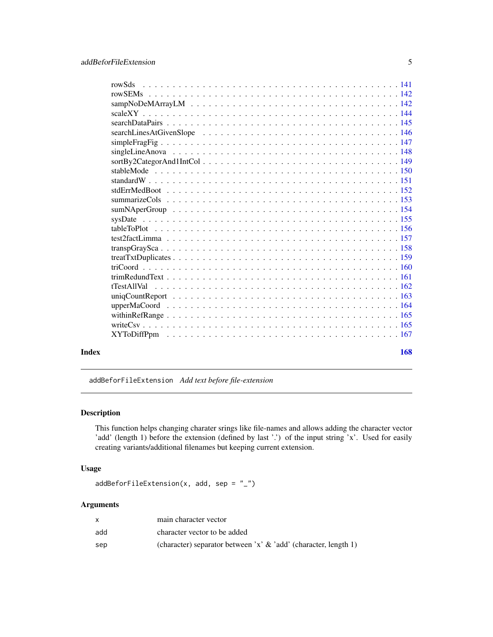<span id="page-4-0"></span>

| rowSds                        |
|-------------------------------|
|                               |
|                               |
|                               |
|                               |
|                               |
|                               |
|                               |
| $sortBy2CategorAnd1IntCol149$ |
|                               |
|                               |
|                               |
|                               |
|                               |
|                               |
|                               |
|                               |
|                               |
|                               |
|                               |
|                               |
|                               |
|                               |
|                               |
|                               |
|                               |
|                               |
|                               |

#### $\blacksquare$  Index  $\blacksquare$

addBeforFileExtension *Add text before file-extension*

# Description

This function helps changing charater srings like file-names and allows adding the character vector 'add' (length 1) before the extension (defined by last '.') of the input string 'x'. Used for easily creating variants/additional filenames but keeping current extension.

# Usage

```
addBeforFileExtension(x, add, sep = "_")
```
# Arguments

|     | main character vector                                              |
|-----|--------------------------------------------------------------------|
| add | character vector to be added                                       |
| sep | (character) separator between 'x' $\&$ 'add' (character, length 1) |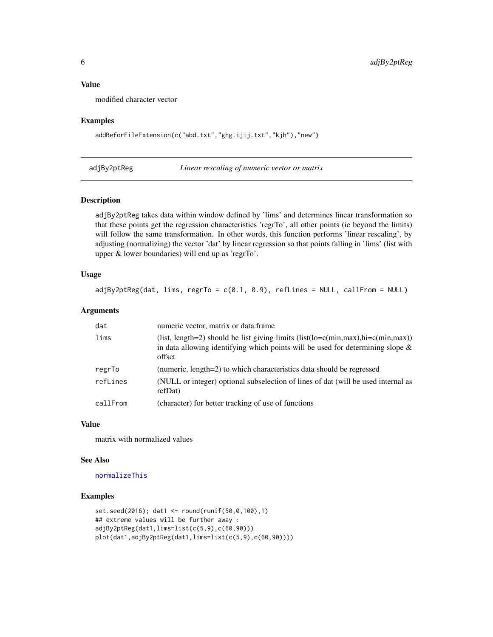### <span id="page-5-0"></span>Value

modified character vector

#### Examples

addBeforFileExtension(c("abd.txt","ghg.ijij.txt","kjh"),"new")

adjBy2ptReg *Linear rescaling of numeric vertor or matrix*

### Description

adjBy2ptReg takes data within window defined by 'lims' and determines linear transformation so that these points get the regression characteristics 'regrTo', all other points (ie beyond the limits) will follow the same transformation. In other words, this function performs 'linear rescaling', by adjusting (normalizing) the vector 'dat' by linear regression so that points falling in 'lims' (list with upper & lower boundaries) will end up as 'regrTo'.

# Usage

 $adjBy2ptReg(data, *lims*,  $regrTo = c(0.1, 0.9)$ , refLines = NULL, callFrom = NULL)$ 

# Arguments

| dat      | numeric vector, matrix or data.frame                                                                                                                                              |
|----------|-----------------------------------------------------------------------------------------------------------------------------------------------------------------------------------|
| lims     | (list, length=2) should be list giving limits $(list(lo=c(min,max),hi=c(min,max))$<br>in data allowing identifying which points will be used for determining slope $\&$<br>offset |
| regrTo   | (numeric, length=2) to which characteristics data should be regressed                                                                                                             |
| refLines | (NULL or integer) optional subselection of lines of dat (will be used internal as<br>refDat)                                                                                      |
| callFrom | (character) for better tracking of use of functions                                                                                                                               |

# Value

matrix with normalized values

#### See Also

#### [normalizeThis](#page-103-1)

```
set.seed(2016); dat1 <- round(runif(50,0,100),1)
## extreme values will be further away :
adjBy2ptReg(dat1,lims=list(c(5,9),c(60,90)))
plot(dat1,adjBy2ptReg(dat1,lims=list(c(5,9),c(60,90))))
```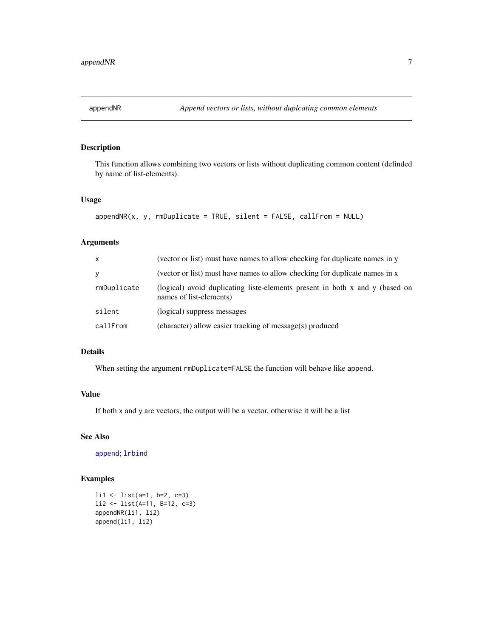<span id="page-6-0"></span>

This function allows combining two vectors or lists without duplicating common content (definded by name of list-elements).

# Usage

```
appendNR(x, y, rmDuplicate = TRUE, silent = FALSE, callFrom = NULL)
```
### Arguments

| $\mathsf{x}$ | (vector or list) must have names to allow checking for duplicate names in y                             |
|--------------|---------------------------------------------------------------------------------------------------------|
| y            | (vector or list) must have names to allow checking for duplicate names in x                             |
| rmDuplicate  | (logical) avoid duplicating liste-elements present in both x and y (based on<br>names of list-elements) |
| silent       | (logical) suppress messages                                                                             |
| callFrom     | (character) allow easier tracking of message(s) produced                                                |

#### Details

When setting the argument rmDuplicate=FALSE the function will behave like append.

# Value

If both x and y are vectors, the output will be a vector, otherwise it will be a list

# See Also

[append](#page-0-0); [lrbind](#page-80-1)

```
li1 <- list(a=1, b=2, c=3)
li2 <- list(A=11, B=12, c=3)
appendNR(li1, li2)
append(li1, li2)
```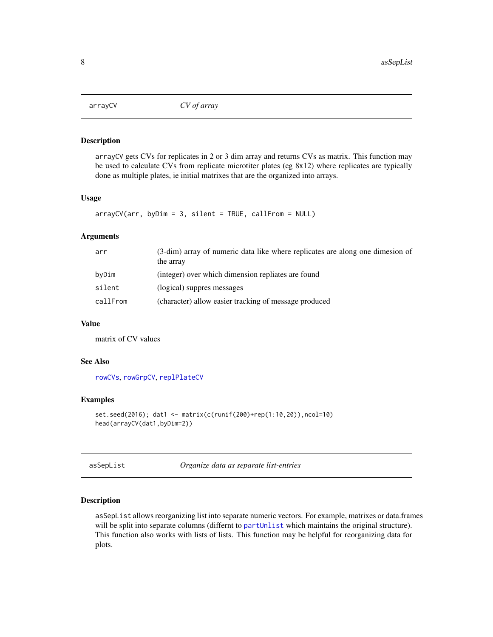<span id="page-7-0"></span>

arrayCV gets CVs for replicates in 2 or 3 dim array and returns CVs as matrix. This function may be used to calculate CVs from replicate microtiter plates (eg 8x12) where replicates are typically done as multiple plates, ie initial matrixes that are the organized into arrays.

### Usage

```
arrayCV(arr, byDim = 3, silent = TRUE, callFrom = NULL)
```
# Arguments

| arr      | (3-dim) array of numeric data like where replicates are along one dimesion of<br>the array |
|----------|--------------------------------------------------------------------------------------------|
| byDim    | (integer) over which dimension repliates are found                                         |
| silent   | (logical) suppres messages                                                                 |
| callFrom | (character) allow easier tracking of message produced                                      |

# Value

matrix of CV values

### See Also

[rowCVs](#page-136-1), [rowGrpCV](#page-136-2), [replPlateCV](#page-133-1)

### Examples

```
set.seed(2016); dat1 <- matrix(c(runif(200)+rep(1:10,20)),ncol=10)
head(arrayCV(dat1,byDim=2))
```
asSepList *Organize data as separate list-entries*

# Description

asSepList allows reorganizing list into separate numeric vectors. For example, matrixes or data.frames will be split into separate columns (differnt to [partUnlist](#page-110-1) which maintains the original structure). This function also works with lists of lists. This function may be helpful for reorganizing data for plots.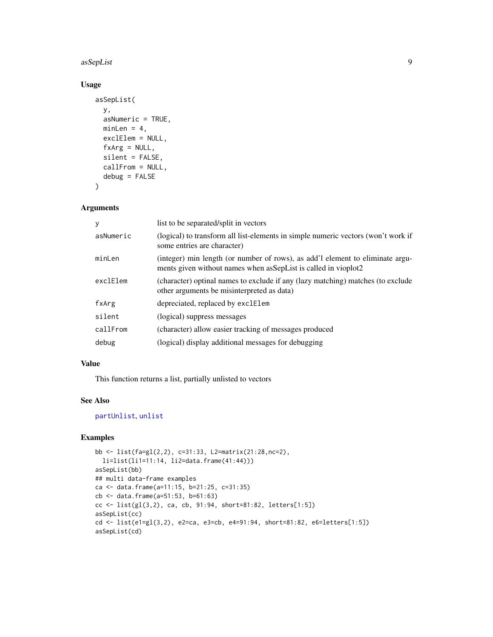### asSepList 9

# Usage

```
asSepList(
  y,
  asNumeric = TRUE,
 minLen = 4,exclElem = NULL,
  fxArg = NULL,
  silent = FALSE,
 callFrom = NULL,
 debug = FALSE
)
```
### Arguments

| y         | list to be separated/split in vectors                                                                                                              |
|-----------|----------------------------------------------------------------------------------------------------------------------------------------------------|
| asNumeric | (logical) to transform all list-elements in simple numeric vectors (won't work if<br>some entries are character)                                   |
| minLen    | (integer) min length (or number of rows), as add'l element to eliminate argu-<br>ments given without names when as Sep List is called in vioplot 2 |
| exclElem  | (character) optinal names to exclude if any (lazy matching) matches (to exclude<br>other arguments be misinterpreted as data)                      |
| fxArg     | depreciated, replaced by exclElem                                                                                                                  |
| silent    | (logical) suppress messages                                                                                                                        |
| callFrom  | (character) allow easier tracking of messages produced                                                                                             |
| debug     | (logical) display additional messages for debugging                                                                                                |

# Value

This function returns a list, partially unlisted to vectors

### See Also

# [partUnlist](#page-110-1), [unlist](#page-0-0)

```
bb <- list(fa=gl(2,2), c=31:33, L2=matrix(21:28,nc=2),
 li=list(li1=11:14, li2=data.frame(41:44)))
asSepList(bb)
## multi data-frame examples
ca <- data.frame(a=11:15, b=21:25, c=31:35)
cb <- data.frame(a=51:53, b=61:63)
cc <- list(gl(3,2), ca, cb, 91:94, short=81:82, letters[1:5])
asSepList(cc)
cd <- list(e1=gl(3,2), e2=ca, e3=cb, e4=91:94, short=81:82, e6=letters[1:5])
asSepList(cd)
```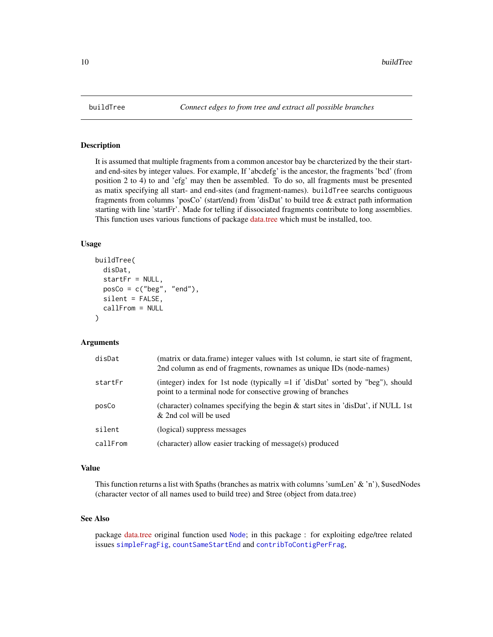It is assumed that multiple fragments from a common ancestor bay be charcterized by the their startand end-sites by integer values. For example, If 'abcdefg' is the ancestor, the fragments 'bcd' (from position 2 to 4) to and 'efg' may then be assembled. To do so, all fragments must be presented as matix specifying all start- and end-sites (and fragment-names). buildTree searchs contiguous fragments from columns 'posCo' (start/end) from 'disDat' to build tree & extract path information starting with line 'startFr'. Made for telling if dissociated fragments contribute to long assemblies. This function uses various functions of package [data.tree](https://CRAN.R-project.org/package=data.tree) which must be installed, too.

#### Usage

```
buildTree(
  disDat,
  startFr = NULL,
  posCo = c("beg", "end"),
  silent = FALSE,
  callFrom = NULL
)
```
### Arguments

| disDat   | (matrix or data.frame) integer values with 1st column, ie start site of fragment,<br>2nd column as end of fragments, rownames as unique IDs (node-names) |
|----------|----------------------------------------------------------------------------------------------------------------------------------------------------------|
| startFr  | (integer) index for 1st node (typically $=1$ if 'disDat' sorted by "beg"), should<br>point to a terminal node for consective growing of branches         |
| posCo    | (character) colnames specifying the begin & start sites in 'disDat', if NULL 1st<br>& 2nd col will be used                                               |
| silent   | (logical) suppress messages                                                                                                                              |
| callFrom | (character) allow easier tracking of message(s) produced                                                                                                 |

#### Value

This function returns a list with \$paths (branches as matrix with columns 'sumLen' & 'n'), \$usedNodes (character vector of all names used to build tree) and \$tree (object from data.tree)

### See Also

package [data.tree](https://CRAN.R-project.org/package=data.tree) original function used [Node](#page-0-0); in this package : for exploiting edge/tree related issues [simpleFragFig](#page-146-1), [countSameStartEnd](#page-39-1) and [contribToContigPerFrag](#page-29-1),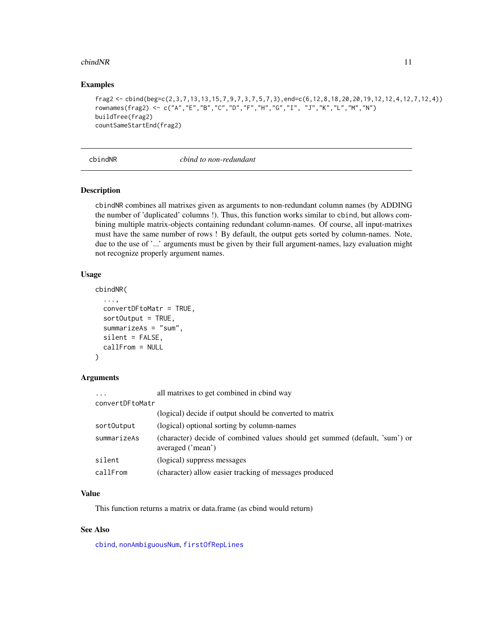### <span id="page-10-0"></span> $\epsilon$ bindNR 11

### Examples

```
frag2 <- cbind(beg=c(2,3,7,13,13,15,7,9,7,3,7,5,7,3),end=c(6,12,8,18,20,20,19,12,12,4,12,7,12,4))
rownames(frag2) <- c("A","E","B","C","D","F","H","G","I", "J","K","L","M","N")
buildTree(frag2)
countSameStartEnd(frag2)
```
# cbindNR *cbind to non-redundant*

### Description

cbindNR combines all matrixes given as arguments to non-redundant column names (by ADDING the number of 'duplicated' columns !). Thus, this function works similar to cbind, but allows combining multiple matrix-objects containing redundant column-names. Of course, all input-matrixes must have the same number of rows ! By default, the output gets sorted by column-names. Note, due to the use of '...' arguments must be given by their full argument-names, lazy evaluation might not recognize properly argument names.

### Usage

```
cbindNR(
  ...,
  convertDFtoMatr = TRUE,
  sortOutput = TRUE,
  summarizeAs = "sum",
  silent = FALSE,
  callFrom = NULL
)
```
### Arguments

| $\cdots$        | all matrixes to get combined in cbind way                                                        |
|-----------------|--------------------------------------------------------------------------------------------------|
| convertDFtoMatr |                                                                                                  |
|                 | (logical) decide if output should be converted to matrix                                         |
| sort0utput      | (logical) optional sorting by column-names                                                       |
| summarizeAs     | (character) decide of combined values should get summed (default, 'sum') or<br>averaged ('mean') |
| silent          | (logical) suppress messages                                                                      |
| callFrom        | (character) allow easier tracking of messages produced                                           |

# Value

This function returns a matrix or data.frame (as cbind would return)

### See Also

[cbind](#page-0-0), [nonAmbiguousNum](#page-101-1), [firstOfRepLines](#page-64-1)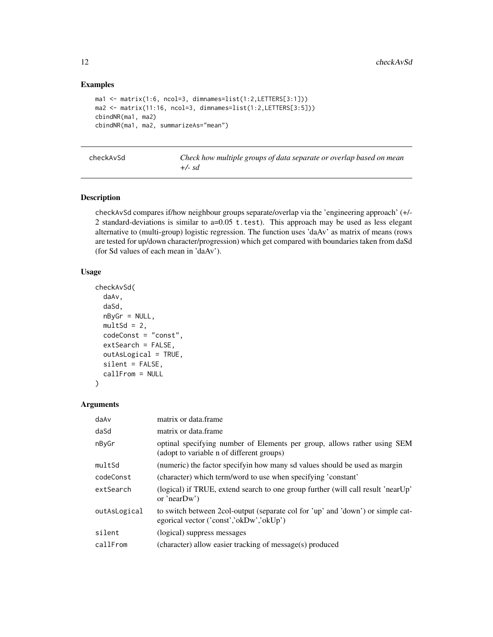# Examples

```
ma1 <- matrix(1:6, ncol=3, dimnames=list(1:2,LETTERS[3:1]))
ma2 <- matrix(11:16, ncol=3, dimnames=list(1:2,LETTERS[3:5]))
cbindNR(ma1, ma2)
cbindNR(ma1, ma2, summarizeAs="mean")
```
Check how multiple groups of data separate or overlap based on mean *+/- sd*

## Description

checkAvSd compares if/how neighbour groups separate/overlap via the 'engineering approach' (+/- 2 standard-deviations is similar to  $a=0.05$  t.test). This approach may be used as less elegant alternative to (multi-group) logistic regression. The function uses 'daAv' as matrix of means (rows are tested for up/down character/progression) which get compared with boundaries taken from daSd (for Sd values of each mean in 'daAv').

#### Usage

```
checkAvSd(
  daAv,
  daSd,
  nByGr = NULL,multSd = 2,
  codeConst = "const",
  extSearch = FALSE,
  outAsLogical = TRUE,
  silent = FALSE,
  callFrom = NULL
)
```
# Arguments

| daAv         | matrix or data frame                                                                                                       |
|--------------|----------------------------------------------------------------------------------------------------------------------------|
| daSd         | matrix or data frame                                                                                                       |
| nByGr        | optinal specifying number of Elements per group, allows rather using SEM<br>(adopt to variable n of different groups)      |
| multSd       | (numeric) the factor specifyin how many sd values should be used as margin                                                 |
| codeConst    | (character) which term/word to use when specifying 'constant'                                                              |
| extSearch    | (logical) if TRUE, extend search to one group further (will call result 'nearUp'<br>or 'near $Dw$ ')                       |
| outAsLogical | to switch between 2col-output (separate col for 'up' and 'down') or simple cat-<br>egorical vector ('const','okDw','okUp') |
| silent       | (logical) suppress messages                                                                                                |
| callFrom     | (character) allow easier tracking of message(s) produced                                                                   |

<span id="page-11-0"></span>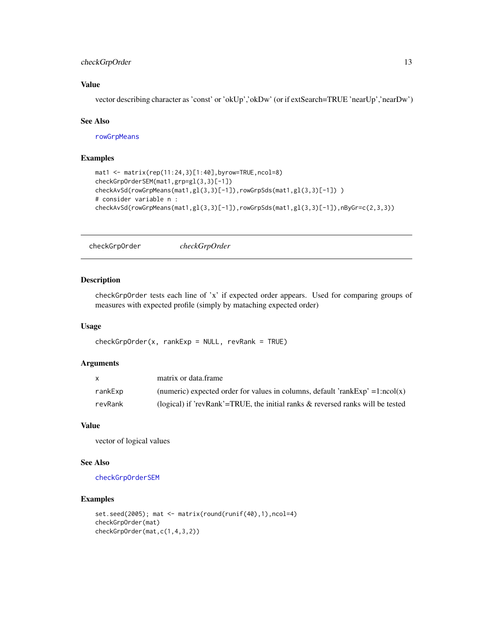# <span id="page-12-0"></span>checkGrpOrder 13

### Value

vector describing character as 'const' or 'okUp','okDw' (or if extSearch=TRUE 'nearUp','nearDw')

#### See Also

[rowGrpMeans](#page-137-1)

### Examples

```
mat1 <- matrix(rep(11:24,3)[1:40],byrow=TRUE,ncol=8)
checkGrpOrderSEM(mat1,grp=gl(3,3)[-1])
checkAvSd(rowGrpMeans(mat1,gl(3,3)[-1]),rowGrpSds(mat1,gl(3,3)[-1]))
# consider variable n :
checkAvSd(rowGrpMeans(mat1,gl(3,3)[-1]),rowGrpSds(mat1,gl(3,3)[-1]),nByGr=c(2,3,3))
```
checkGrpOrder *checkGrpOrder*

#### Description

checkGrpOrder tests each line of 'x' if expected order appears. Used for comparing groups of measures with expected profile (simply by mataching expected order)

#### Usage

 $checkGrpOrder(x, rankExp = NULL, revRank = TRUE)$ 

# Arguments

|         | matrix or data frame                                                              |
|---------|-----------------------------------------------------------------------------------|
| rankExp | (numeric) expected order for values in columns, default 'rankExp' = $1:ncol(x)$   |
| revRank | (logical) if 'revRank'=TRUE, the initial ranks $\&$ reversed ranks will be tested |

### Value

vector of logical values

#### See Also

[checkGrpOrderSEM](#page-13-1)

```
set.seed(2005); mat <- matrix(round(runif(40),1),ncol=4)
checkGrpOrder(mat)
checkGrpOrder(mat,c(1,4,3,2))
```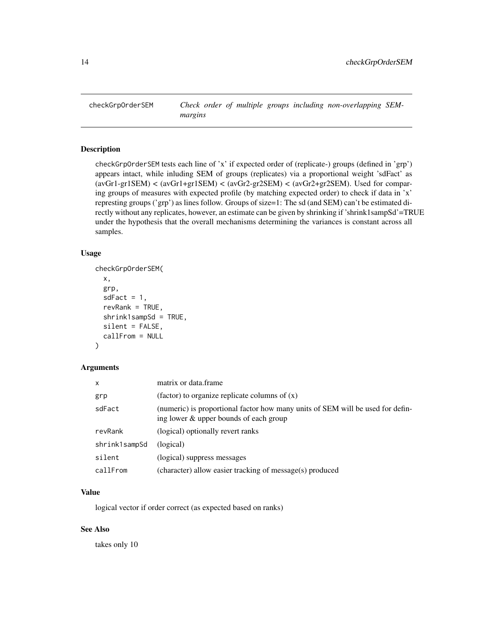<span id="page-13-1"></span><span id="page-13-0"></span>

checkGrpOrderSEM tests each line of 'x' if expected order of (replicate-) groups (defined in 'grp') appears intact, while inluding SEM of groups (replicates) via a proportional weight 'sdFact' as (avGr1-gr1SEM) < (avGr1+gr1SEM) < (avGr2-gr2SEM) < (avGr2+gr2SEM). Used for comparing groups of measures with expected profile (by matching expected order) to check if data in 'x' represting groups ('grp') as lines follow. Groups of size=1: The sd (and SEM) can't be estimated directly without any replicates, however, an estimate can be given by shrinking if 'shrink1sampSd'=TRUE under the hypothesis that the overall mechanisms determining the variances is constant across all samples.

# Usage

```
checkGrpOrderSEM(
  x,
  grp,
  sdFact = 1,revRank = TRUE,
  shrink1sampSd = TRUE,
  silent = FALSE,
  callFrom = NULL
```
# )

#### Arguments

| x             | matrix or data.frame                                                                                                     |
|---------------|--------------------------------------------------------------------------------------------------------------------------|
| grp           | (factor) to organize replicate columns of $(x)$                                                                          |
| sdFact        | (numeric) is proportional factor how many units of SEM will be used for defin-<br>ing lower & upper bounds of each group |
| revRank       | (logical) optionally revert ranks                                                                                        |
| shrink1sampSd | (logical)                                                                                                                |
| silent        | (logical) suppress messages                                                                                              |
| callFrom      | (character) allow easier tracking of message(s) produced                                                                 |

# Value

logical vector if order correct (as expected based on ranks)

# See Also

takes only 10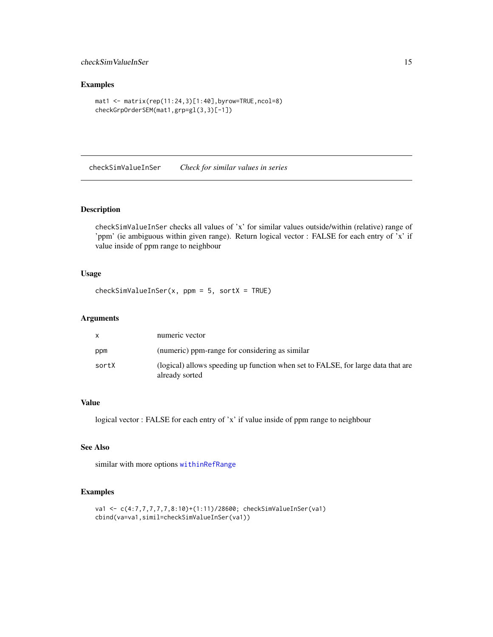# <span id="page-14-0"></span>checkSimValueInSer 15

# Examples

```
mat1 <- matrix(rep(11:24,3)[1:40],byrow=TRUE,ncol=8)
checkGrpOrderSEM(mat1,grp=gl(3,3)[-1])
```
<span id="page-14-1"></span>checkSimValueInSer *Check for similar values in series*

# Description

checkSimValueInSer checks all values of 'x' for similar values outside/within (relative) range of 'ppm' (ie ambiguous within given range). Return logical vector : FALSE for each entry of 'x' if value inside of ppm range to neighbour

# Usage

 $checkSimValueInSer(x, ppm = 5, sortX = TRUE)$ 

# Arguments

|       | numeric vector                                                                                     |
|-------|----------------------------------------------------------------------------------------------------|
| ppm   | (numeric) ppm-range for considering as similar                                                     |
| sortX | (logical) allows speeding up function when set to FALSE, for large data that are<br>already sorted |

# Value

logical vector : FALSE for each entry of 'x' if value inside of ppm range to neighbour

# See Also

similar with more options [withinRefRange](#page-164-1)

```
va1 <- c(4:7,7,7,7,7,8:10)+(1:11)/28600; checkSimValueInSer(va1)
cbind(va=va1,simil=checkSimValueInSer(va1))
```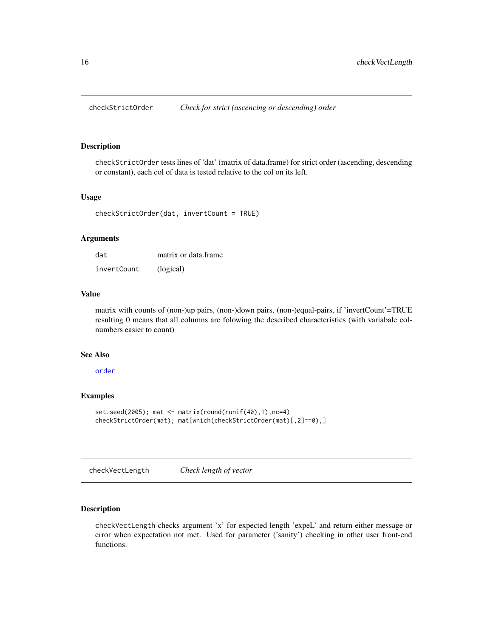<span id="page-15-0"></span>

checkStrictOrder tests lines of 'dat' (matrix of data.frame) for strict order (ascending, descending or constant), each col of data is tested relative to the col on its left.

#### Usage

```
checkStrictOrder(dat, invertCount = TRUE)
```
### Arguments

| dat         | matrix or data frame |
|-------------|----------------------|
| invertCount | (logical)            |

# Value

matrix with counts of (non-)up pairs, (non-)down pairs, (non-)equal-pairs, if 'invertCount'=TRUE resulting 0 means that all columns are folowing the described characteristics (with variabale colnumbers easier to count)

# See Also

[order](#page-0-0)

# Examples

```
set.seed(2005); mat <- matrix(round(runif(40),1),nc=4)
checkStrictOrder(mat); mat[which(checkStrictOrder(mat)[,2]==0),]
```
checkVectLength *Check length of vector*

### Description

checkVectLength checks argument 'x' for expected length 'expeL' and return either message or error when expectation not met. Used for parameter ('sanity') checking in other user front-end functions.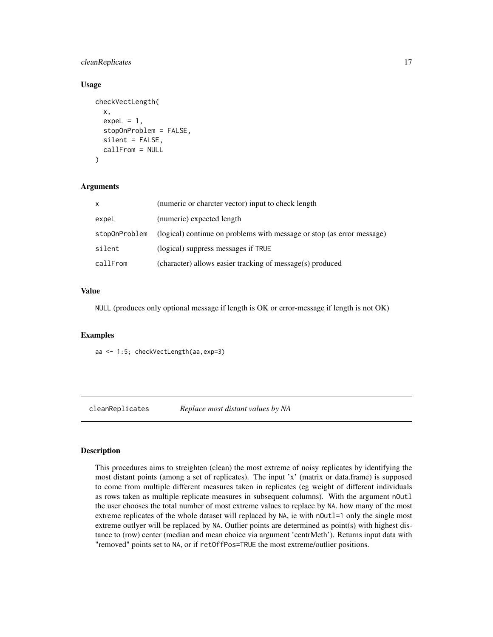# <span id="page-16-0"></span>cleanReplicates 17

### Usage

```
checkVectLength(
  x,
  expeL = 1,
  stopOnProblem = FALSE,
  silent = FALSE,
  callFrom = NULL
\lambda
```
### Arguments

| X             | (numeric or charcter vector) input to check length                     |
|---------------|------------------------------------------------------------------------|
| expeL         | (numeric) expected length                                              |
| stopOnProblem | (logical) continue on problems with message or stop (as error message) |
| silent        | (logical) suppress messages if TRUE                                    |
| callFrom      | (character) allows easier tracking of message(s) produced              |

# Value

NULL (produces only optional message if length is OK or error-message if length is not OK)

### Examples

aa <- 1:5; checkVectLength(aa,exp=3)

cleanReplicates *Replace most distant values by NA*

### Description

This procedures aims to streighten (clean) the most extreme of noisy replicates by identifying the most distant points (among a set of replicates). The input 'x' (matrix or data.frame) is supposed to come from multiple different measures taken in replicates (eg weight of different individuals as rows taken as multiple replicate measures in subsequent columns). With the argument nOutl the user chooses the total number of most extreme values to replace by NA. how many of the most extreme replicates of the whole dataset will replaced by NA, ie with noutl=1 only the single most extreme outlyer will be replaced by NA. Outlier points are determined as point(s) with highest distance to (row) center (median and mean choice via argument 'centrMeth'). Returns input data with "removed" points set to NA, or if retOffPos=TRUE the most extreme/outlier positions.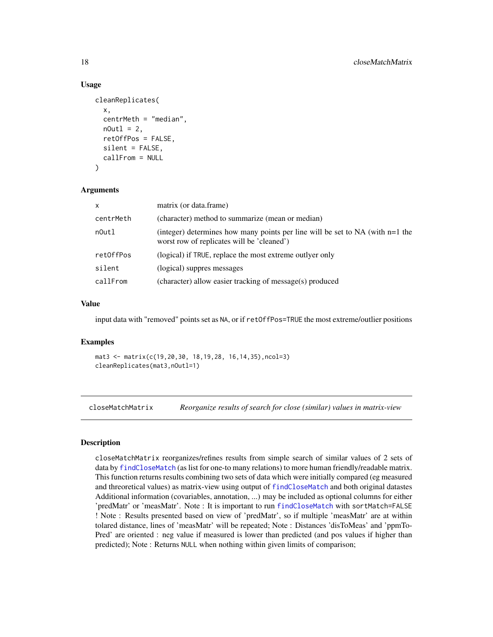### Usage

```
cleanReplicates(
  x,
  centrMeth = "median",
 nOut1 = 2,
  retOffPos = FALSE,
  silent = FALSE,callFrom = NULL
)
```
### Arguments

| $\mathsf{x}$ | matrix (or data.frame)                                                                                                          |
|--------------|---------------------------------------------------------------------------------------------------------------------------------|
| centrMeth    | (character) method to summarize (mean or median)                                                                                |
| n0utl        | (integer) determines how many points per line will be set to $NA$ (with $n=1$ the<br>worst row of replicates will be 'cleaned') |
| ret0ffPos    | (logical) if TRUE, replace the most extreme outly er only                                                                       |
| silent       | (logical) suppres messages                                                                                                      |
| callFrom     | (character) allow easier tracking of message(s) produced                                                                        |

### Value

input data with "removed" points set as NA, or if retOffPos=TRUE the most extreme/outlier positions

#### Examples

```
mat3 <- matrix(c(19,20,30, 18,19,28, 16,14,35),ncol=3)
cleanReplicates(mat3,nOutl=1)
```
closeMatchMatrix *Reorganize results of search for close (similar) values in matrix-view*

### Description

closeMatchMatrix reorganizes/refines results from simple search of similar values of 2 sets of data by [findCloseMatch](#page-58-1) (as list for one-to many relations) to more human friendly/readable matrix. This function returns results combining two sets of data which were initially compared (eg measured and threoretical values) as matrix-view using output of [findCloseMatch](#page-58-1) and both original datastes Additional information (covariables, annotation, ...) may be included as optional columns for either 'predMatr' or 'measMatr'. Note : It is important to run [findCloseMatch](#page-58-1) with sortMatch=FALSE ! Note : Results presented based on view of 'predMatr', so if multiple 'measMatr' are at within tolared distance, lines of 'measMatr' will be repeated; Note : Distances 'disToMeas' and 'ppmTo-Pred' are oriented : neg value if measured is lower than predicted (and pos values if higher than predicted); Note : Returns NULL when nothing within given limits of comparison;

<span id="page-17-0"></span>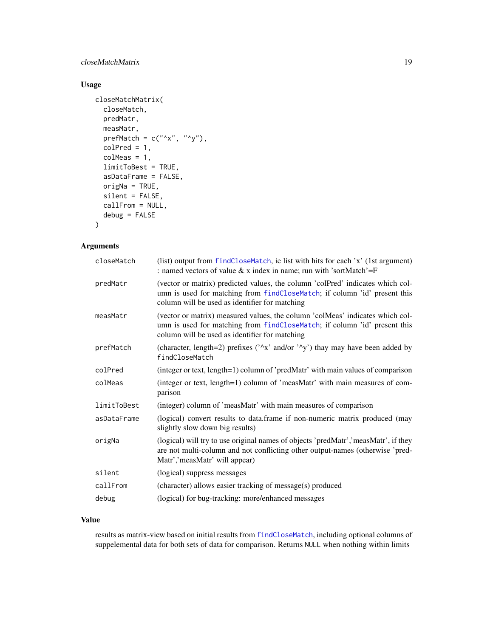# closeMatchMatrix 19

# Usage

```
closeMatchMatrix(
 closeMatch,
 predMatr,
 measMatr,
 prefMatch = c("^x x", "^y",colPred = 1,
  colMeas = 1,
  limitToBest = TRUE,
  asDataFrame = FALSE,
  origNa = TRUE,
  silent = FALSE,
  callFrom = NULL,
  debug = FALSE
```
# )

# Arguments

| closeMatch  | (list) output from findCloseMatch, ie list with hits for each 'x' (1st argument)<br>: named vectors of value $& x$ index in name; run with 'sortMatch'=F                                                      |
|-------------|---------------------------------------------------------------------------------------------------------------------------------------------------------------------------------------------------------------|
| predMatr    | (vector or matrix) predicted values, the column 'colPred' indicates which col-<br>umn is used for matching from findCloseMatch; if column 'id' present this<br>column will be used as identifier for matching |
| measMatr    | (vector or matrix) measured values, the column 'colMeas' indicates which col-<br>umn is used for matching from findCloseMatch; if column 'id' present this<br>column will be used as identifier for matching  |
| prefMatch   | (character, length=2) prefixes ( $\lambda x$ ' and/or $\lambda y$ ) thay may have been added by<br>findCloseMatch                                                                                             |
| colPred     | (integer or text, length=1) column of 'predMatr' with main values of comparison                                                                                                                               |
| colMeas     | (integer or text, length=1) column of 'measMatr' with main measures of com-<br>parison                                                                                                                        |
| limitToBest | (integer) column of 'measMatr' with main measures of comparison                                                                                                                                               |
| asDataFrame | (logical) convert results to data.frame if non-numeric matrix produced (may<br>slightly slow down big results)                                                                                                |
| origNa      | (logical) will try to use original names of objects 'predMatr', 'measMatr', if they<br>are not multi-column and not conflicting other output-names (otherwise 'pred-<br>Matr','measMatr' will appear)         |
| silent      | (logical) suppress messages                                                                                                                                                                                   |
| callFrom    | (character) allows easier tracking of message(s) produced                                                                                                                                                     |
| debug       | (logical) for bug-tracking: more/enhanced messages                                                                                                                                                            |

# Value

results as matrix-view based on initial results from [findCloseMatch](#page-58-1), including optional columns of suppelemental data for both sets of data for comparison. Returns NULL when nothing within limits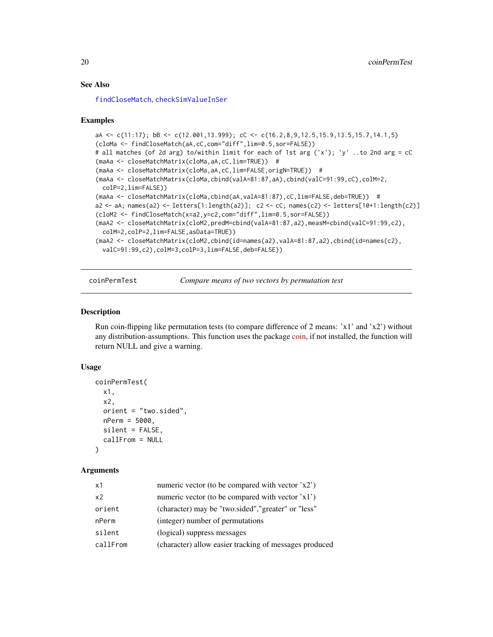### See Also

[findCloseMatch](#page-58-1), [checkSimValueInSer](#page-14-1)

### Examples

```
aA <- c(11:17); bB <- c(12.001,13.999); cC <- c(16.2,8,9,12.5,15.9,13.5,15.7,14.1,5)
(cloMa <- findCloseMatch(aA,cC,com="diff",lim=0.5,sor=FALSE))
# all matches (of 2d arg) to/within limit for each of 1st arg ('x'); 'y' ..to 2nd arg = cC
(maAa <- closeMatchMatrix(cloMa,aA,cC,lim=TRUE)) #
(maAa <- closeMatchMatrix(cloMa,aA,cC,lim=FALSE,origN=TRUE)) #
(maAa <- closeMatchMatrix(cloMa,cbind(valA=81:87,aA),cbind(valC=91:99,cC),colM=2,
 colP=2,lim=FALSE))
(maAa <- closeMatchMatrix(cloMa,cbind(aA,valA=81:87),cC,lim=FALSE,deb=TRUE)) #
a2 <- aA; names(a2) <- letters[1:length(a2)]; c2 <- cC; names(c2) <- letters[10+1:length(c2)]
(cloM2 <- findCloseMatch(x=a2,y=c2,com="diff",lim=0.5,sor=FALSE))
(maA2 <- closeMatchMatrix(cloM2,predM=cbind(valA=81:87,a2),measM=cbind(valC=91:99,c2),
 colM=2,colP=2,lim=FALSE,asData=TRUE))
(maA2 <- closeMatchMatrix(cloM2,cbind(id=names(a2),valA=81:87,a2),cbind(id=names(c2),
 valC=91:99,c2),colM=3,colP=3,lim=FALSE,deb=FALSE))
```
coinPermTest *Compare means of two vectors by permutation test*

#### **Description**

Run coin-flipping like permutation tests (to compare difference of 2 means:  $x1'$  and  $x2'$ ) without any distribution-assumptions. This function uses the package [coin,](https://CRAN.R-project.org/package=coin) if not installed, the function will return NULL and give a warning.

#### Usage

```
coinPermTest(
  x1,
  x2,
  orient = "two.sided",
  nPerm = 5000,
  silent = FALSE,
  callFrom = NULL
)
```
#### Arguments

| numeric vector (to be compared with vector 'x2')<br>x1             |  |
|--------------------------------------------------------------------|--|
| numeric vector (to be compared with vector 'x1')<br>x <sub>2</sub> |  |
| (character) may be "two.sided", "greater" or "less"<br>orient      |  |
| (integer) number of permutations<br>nPerm                          |  |
| silent<br>(logical) suppress messages                              |  |
| (character) allow easier tracking of messages produced<br>callFrom |  |

<span id="page-19-0"></span>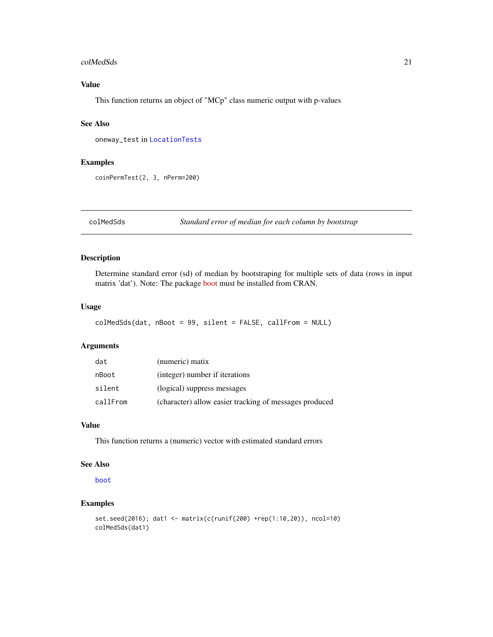#### <span id="page-20-0"></span>colMedSds 21

# Value

This function returns an object of "MCp" class numeric output with p-values

# See Also

oneway\_test in [LocationTests](#page-0-0)

#### Examples

coinPermTest(2, 3, nPerm=200)

colMedSds *Standard error of median for each column by bootstrap*

# Description

Determine standard error (sd) of median by bootstraping for multiple sets of data (rows in input matrix 'dat'). Note: The package [boot](https://CRAN.R-project.org/package=boot) must be installed from CRAN.

#### Usage

```
colMedSds(dat, nBoot = 99, silent = FALSE, callFrom = NULL)
```
# Arguments

| dat      | (numeric) matix                                        |
|----------|--------------------------------------------------------|
| nBoot    | (integer) number if iterations                         |
| silent   | (logical) suppress messages                            |
| callFrom | (character) allow easier tracking of messages produced |

# Value

This function returns a (numeric) vector with estimated standard errors

# See Also

[boot](#page-0-0)

```
set.seed(2016); dat1 <- matrix(c(runif(200) +rep(1:10,20)), ncol=10)
colMedSds(dat1)
```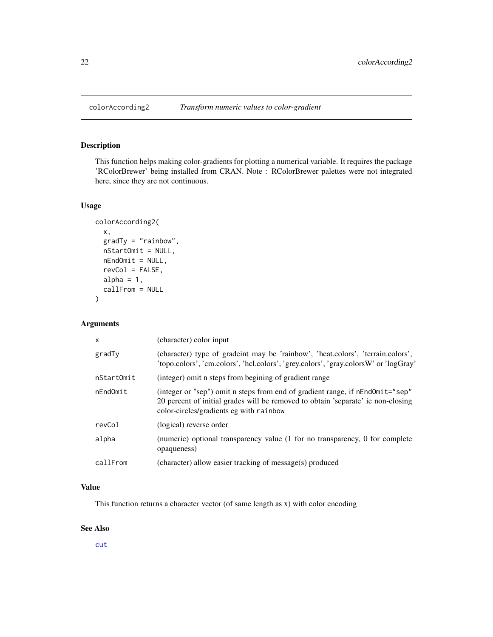<span id="page-21-0"></span>This function helps making color-gradients for plotting a numerical variable. It requires the package 'RColorBrewer' being installed from CRAN. Note : RColorBrewer palettes were not integrated here, since they are not continuous.

#### Usage

```
colorAccording2(
  x,
  gradTy = "rainbow",
  nStartOmit = NULL,
  nEndOmit = NULL,
  revCol = FALSE,
  alpha = 1,
  callFrom = NULL
)
```
# Arguments

| X          | (character) color input                                                                                                                                                                                      |
|------------|--------------------------------------------------------------------------------------------------------------------------------------------------------------------------------------------------------------|
| gradTy     | (character) type of gradeint may be 'rainbow', 'heat.colors', 'terrain.colors',<br>'topo.colors', 'cm.colors', 'hcl.colors', 'grey.colors', 'gray.colorsW' or 'logGray'                                      |
| nStartOmit | (integer) omit n steps from begining of gradient range                                                                                                                                                       |
| nEndOmit   | (integer or "sep") omit n steps from end of gradient range, if nEndOmit="sep"<br>20 percent of initial grades will be removed to obtain 'separate' ie non-closing<br>color-circles/gradients eg with rainbow |
| revCol     | (logical) reverse order                                                                                                                                                                                      |
| alpha      | (numeric) optional transparency value (1 for no transparency, 0 for complete<br>opaqueness)                                                                                                                  |
| callFrom   | (character) allow easier tracking of message(s) produced                                                                                                                                                     |

# Value

This function returns a character vector (of same length as x) with color encoding

### See Also

[cut](#page-0-0)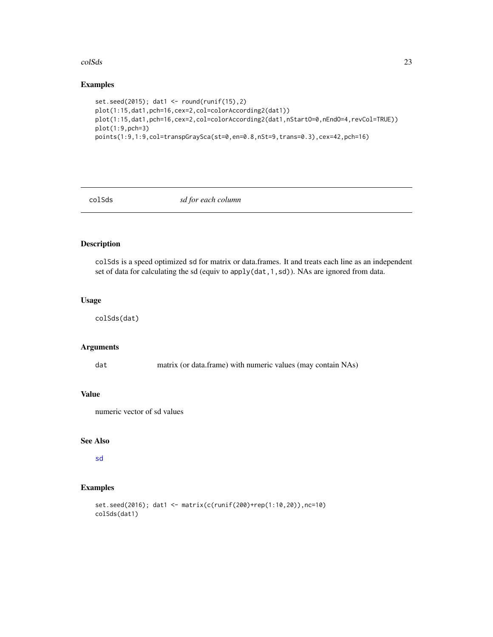#### <span id="page-22-0"></span>colSds 23

# Examples

```
set.seed(2015); dat1 <- round(runif(15),2)
plot(1:15,dat1,pch=16,cex=2,col=colorAccording2(dat1))
plot(1:15,dat1,pch=16,cex=2,col=colorAccording2(dat1,nStartO=0,nEndO=4,revCol=TRUE))
plot(1:9,pch=3)
points(1:9,1:9,col=transpGraySca(st=0,en=0.8,nSt=9,trans=0.3),cex=42,pch=16)
```
colSds *sd for each column*

# Description

colSds is a speed optimized sd for matrix or data.frames. It and treats each line as an independent set of data for calculating the sd (equiv to apply(dat,1,sd)). NAs are ignored from data.

# Usage

colSds(dat)

# Arguments

dat matrix (or data.frame) with numeric values (may contain NAs)

# Value

numeric vector of sd values

# See Also

[sd](#page-0-0)

```
set.seed(2016); dat1 <- matrix(c(runif(200)+rep(1:10,20)),nc=10)
colSds(dat1)
```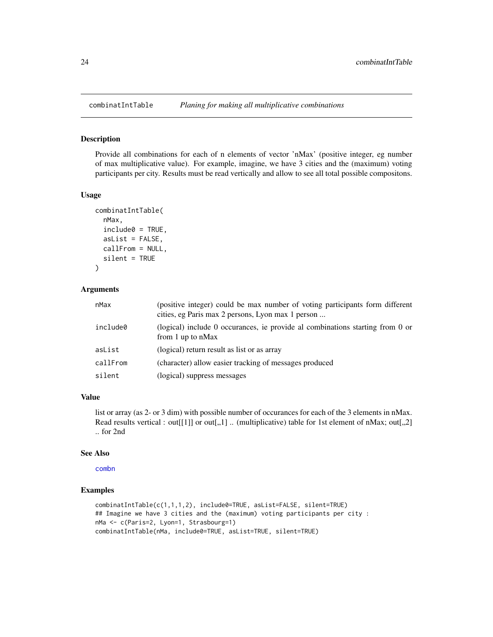<span id="page-23-0"></span>

Provide all combinations for each of n elements of vector 'nMax' (positive integer, eg number of max multiplicative value). For example, imagine, we have 3 cities and the (maximum) voting participants per city. Results must be read vertically and allow to see all total possible compositons.

### Usage

```
combinatIntTable(
  nMax,
  include0 = TRUE,asList = FALSE,callFrom = NULL,
  silent = TRUE
\lambda
```
### Arguments

| nMax     | (positive integer) could be max number of voting participants form different<br>cities, eg Paris max 2 persons, Lyon max 1 person |
|----------|-----------------------------------------------------------------------------------------------------------------------------------|
| include0 | (logical) include 0 occurances, ie provide al combinations starting from 0 or<br>from 1 up to $nMax$                              |
| asList   | (logical) return result as list or as array                                                                                       |
| callFrom | (character) allow easier tracking of messages produced                                                                            |
| silent   | (logical) suppress messages                                                                                                       |

# Value

list or array (as 2- or 3 dim) with possible number of occurances for each of the 3 elements in nMax. Read results vertical : out[[1]] or out[,,1] .. (multiplicative) table for 1st element of nMax; out[,,2] .. for 2nd

#### See Also

[combn](#page-0-0)

```
combinatIntTable(c(1,1,1,2), include0=TRUE, asList=FALSE, silent=TRUE)
## Imagine we have 3 cities and the (maximum) voting participants per city :
nMa <- c(Paris=2, Lyon=1, Strasbourg=1)
combinatIntTable(nMa, include0=TRUE, asList=TRUE, silent=TRUE)
```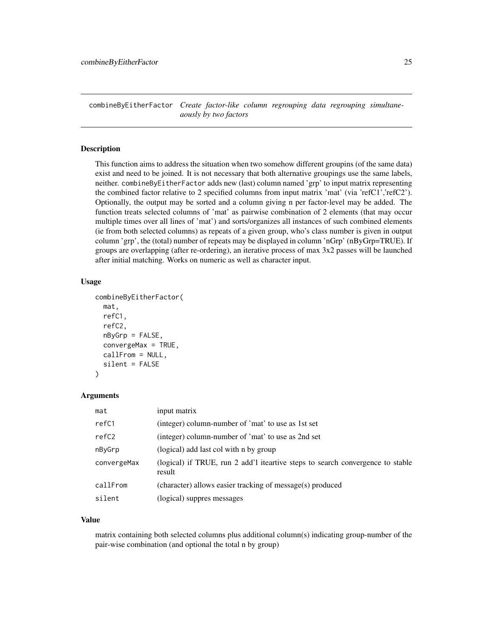<span id="page-24-0"></span>combineByEitherFactor *Create factor-like column regrouping data regrouping simultaneaously by two factors*

### Description

This function aims to address the situation when two somehow different groupins (of the same data) exist and need to be joined. It is not necessary that both alternative groupings use the same labels, neither. combineByEitherFactor adds new (last) column named 'grp' to input matrix representing the combined factor relative to 2 specified columns from input matrix 'mat' (via 'refC1','refC2'). Optionally, the output may be sorted and a column giving n per factor-level may be added. The function treats selected columns of 'mat' as pairwise combination of 2 elements (that may occur multiple times over all lines of 'mat') and sorts/organizes all instances of such combined elements (ie from both selected columns) as repeats of a given group, who's class number is given in output column 'grp', the (total) number of repeats may be displayed in column 'nGrp' (nByGrp=TRUE). If groups are overlapping (after re-ordering), an iterative process of max 3x2 passes will be launched after initial matching. Works on numeric as well as character input.

#### Usage

```
combineByEitherFactor(
 mat,
  refC1,
  refC2,
  nByGrp = FALSE,
  convergeMax = TRUE,
  callFrom = NULL,
  silent = FALSE
)
```
### Arguments

| mat         | input matrix                                                                             |
|-------------|------------------------------------------------------------------------------------------|
| refC1       | (integer) column-number of 'mat' to use as 1st set                                       |
| refC2       | (integer) column-number of 'mat' to use as 2nd set                                       |
| nByGrp      | (logical) add last col with n by group                                                   |
| convergeMax | (logical) if TRUE, run 2 add'l iteartive steps to search convergence to stable<br>result |
| callFrom    | (character) allows easier tracking of message(s) produced                                |
| silent      | (logical) suppres messages                                                               |

#### Value

matrix containing both selected columns plus additional column(s) indicating group-number of the pair-wise combination (and optional the total n by group)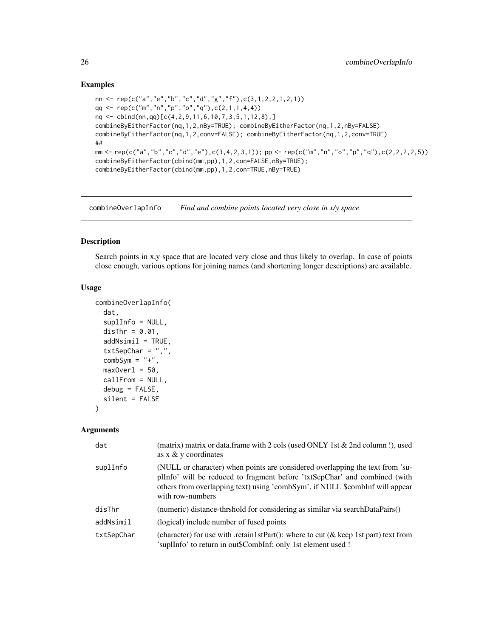### Examples

```
nn <- rep(c("a","e","b","c","d","g","f"),c(3,1,2,2,1,2,1))
qq \leftarrow rep(c("m", "n", "p", "o", "q"), c(2,1,1,4,4))nq <- cbind(nn,qq)[c(4,2,9,11,6,10,7,3,5,1,12,8),]
combineByEitherFactor(nq,1,2,nBy=TRUE); combineByEitherFactor(nq,1,2,nBy=FALSE)
combineByEitherFactor(nq,1,2,conv=FALSE); combineByEitherFactor(nq,1,2,conv=TRUE)
##
mm <- rep(c("a","b","c","d","e"),c(3,4,2,3,1)); pp <- rep(c("m","n","o","p","q"),c(2,2,2,2,5))
combineByEitherFactor(cbind(mm,pp),1,2,con=FALSE,nBy=TRUE);
combineByEitherFactor(cbind(mm,pp),1,2,con=TRUE,nBy=TRUE)
```
combineOverlapInfo *Find and combine points located very close in x/y space*

### Description

Search points in x,y space that are located very close and thus likely to overlap. In case of points close enough, various options for joining names (and shortening longer descriptions) are available.

### Usage

```
combineOverlapInfo(
  dat,
  suplInfo = NULL,
 disThr = 0.01,addNsimi1 = TRUE,txtSepChar = ",",combSym = "+',
 maxOver1 = 50,
 callFrom = NULL,
 debug = FALSE,
  silent = FALSE
)
```
### Arguments

| dat        | (matrix) matrix or data.frame with 2 cols (used ONLY 1st $&$ 2nd column!), used<br>as $x \& y$ coordinates                                                                                                                                                      |
|------------|-----------------------------------------------------------------------------------------------------------------------------------------------------------------------------------------------------------------------------------------------------------------|
| suplInfo   | (NULL or character) when points are considered overlapping the text from 'su-<br>plInfo' will be reduced to fragment before 'txtSepChar' and combined (with<br>others from overlapping text) using 'combSym', if NULL \$combInf will appear<br>with row-numbers |
| disThr     | (numeric) distance-thrshold for considering as similar via searchDataPairs()                                                                                                                                                                                    |
| addNsimil  | (logical) include number of fused points                                                                                                                                                                                                                        |
| txtSepChar | (character) for use with .retain 1stPart(): where to cut ( $\&$ keep 1st part) text from<br>'suplInfo' to return in out\$CombInf; only 1st element used !                                                                                                       |

<span id="page-25-0"></span>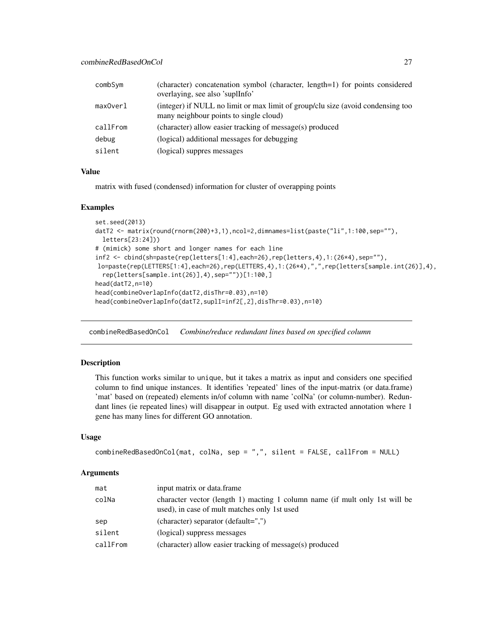<span id="page-26-0"></span>

| combSym  | (character) concatenation symbol (character, length=1) for points considered<br>overlaying, see also 'suplInfo'           |
|----------|---------------------------------------------------------------------------------------------------------------------------|
| maxOverl | (integer) if NULL no limit or max limit of group/clu size (avoid condensing too<br>many neighbour points to single cloud) |
| callFrom | (character) allow easier tracking of message(s) produced                                                                  |
| debug    | (logical) additional messages for debugging                                                                               |
| silent   | (logical) suppres messages                                                                                                |

#### Value

matrix with fused (condensed) information for cluster of overapping points

#### Examples

```
set.seed(2013)
datT2 <- matrix(round(rnorm(200)+3,1),ncol=2,dimnames=list(paste("li",1:100,sep=""),
  letters[23:24]))
# (mimick) some short and longer names for each line
inf2 <- cbind(sh=paste(rep(letters[1:4],each=26),rep(letters,4),1:(26*4),sep=""),
lo=paste(rep(LETTERS[1:4],each=26),rep(LETTERS,4),1:(26*4),",",rep(letters[sample.int(26)],4),
  rep(letters[sample.int(26)],4),sep=""))[1:100,]
head(datT2,n=10)
head(combineOverlapInfo(datT2,disThr=0.03),n=10)
head(combineOverlapInfo(datT2,suplI=inf2[,2],disThr=0.03),n=10)
```
combineRedBasedOnCol *Combine/reduce redundant lines based on specified column*

### Description

This function works similar to unique, but it takes a matrix as input and considers one specified column to find unique instances. It identifies 'repeated' lines of the input-matrix (or data.frame) 'mat' based on (repeated) elements in/of column with name 'colNa' (or column-number). Redundant lines (ie repeated lines) will disappear in output. Eg used with extracted annotation where 1 gene has many lines for different GO annotation.

### Usage

```
combineRedBasedOnCol(mat, colNa, sep = ",", silent = FALSE, callFrom = NULL)
```
#### **Arguments**

| mat      | input matrix or data.frame                                                                                                  |
|----------|-----------------------------------------------------------------------------------------------------------------------------|
| colNa    | character vector (length 1) macting 1 column name (if mult only 1st will be<br>used), in case of mult matches only 1st used |
| sep      | (character) separator (default=",")                                                                                         |
| silent   | (logical) suppress messages                                                                                                 |
| callFrom | (character) allow easier tracking of message(s) produced                                                                    |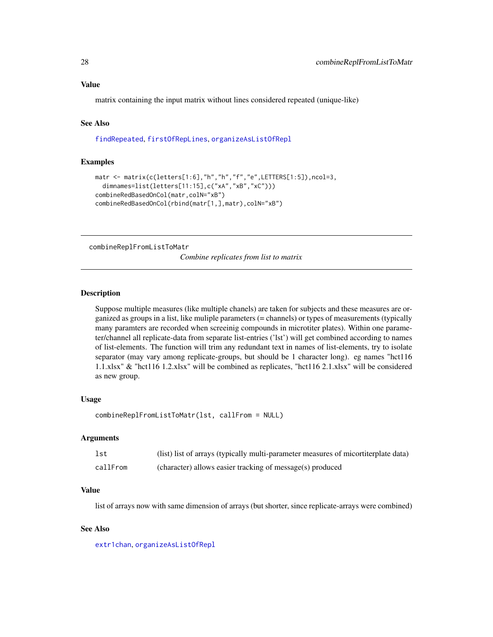### <span id="page-27-0"></span>Value

matrix containing the input matrix without lines considered repeated (unique-like)

# See Also

[findRepeated](#page-59-1), [firstOfRepLines](#page-64-1), [organizeAsListOfRepl](#page-106-1)

### Examples

```
matr <- matrix(c(letters[1:6],"h","h","f","e",LETTERS[1:5]),ncol=3,
 dimnames=list(letters[11:15],c("xA","xB","xC")))
combineRedBasedOnCol(matr,colN="xB")
combineRedBasedOnCol(rbind(matr[1,],matr),colN="xB")
```
combineReplFromListToMatr

*Combine replicates from list to matrix*

#### **Description**

Suppose multiple measures (like multiple chanels) are taken for subjects and these measures are organized as groups in a list, like muliple parameters (= channels) or types of measurements (typically many paramters are recorded when screeinig compounds in microtiter plates). Within one parameter/channel all replicate-data from separate list-entries ('lst') will get combined according to names of list-elements. The function will trim any redundant text in names of list-elements, try to isolate separator (may vary among replicate-groups, but should be 1 character long). eg names "hct116 1.1.xlsx" & "hct116 1.2.xlsx" will be combined as replicates, "hct116 2.1.xlsx" will be considered as new group.

#### Usage

```
combineReplFromListToMatr(lst, callFrom = NULL)
```
# Arguments

| lst      | (list) list of arrays (typically multi-parameter measures of micortiterplate data) |
|----------|------------------------------------------------------------------------------------|
| callFrom | (character) allows easier tracking of message(s) produced                          |

#### Value

list of arrays now with same dimension of arrays (but shorter, since replicate-arrays were combined)

### See Also

[extr1chan](#page-48-1), [organizeAsListOfRepl](#page-106-1)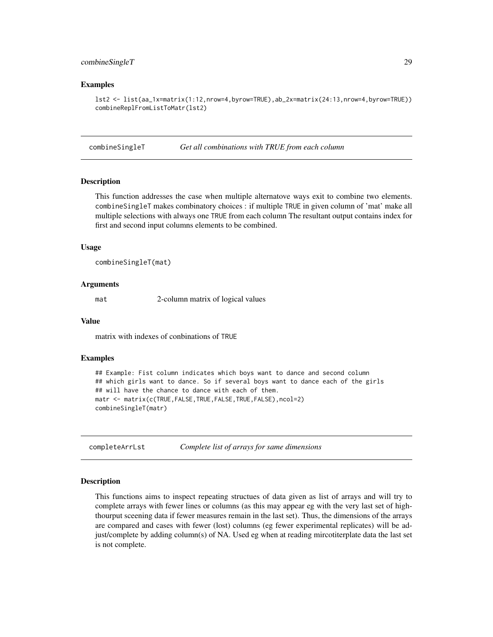# <span id="page-28-0"></span>combineSingleT 29

### Examples

```
lst2 <- list(aa_1x=matrix(1:12,nrow=4,byrow=TRUE),ab_2x=matrix(24:13,nrow=4,byrow=TRUE))
combineReplFromListToMatr(lst2)
```
combineSingleT *Get all combinations with TRUE from each column*

### **Description**

This function addresses the case when multiple alternatove ways exit to combine two elements. combineSingleT makes combinatory choices : if multiple TRUE in given column of 'mat' make all multiple selections with always one TRUE from each column The resultant output contains index for first and second input columns elements to be combined.

### Usage

combineSingleT(mat)

#### Arguments

mat 2-column matrix of logical values

#### Value

matrix with indexes of conbinations of TRUE

#### Examples

```
## Example: Fist column indicates which boys want to dance and second column
## which girls want to dance. So if several boys want to dance each of the girls
## will have the chance to dance with each of them.
matr <- matrix(c(TRUE,FALSE,TRUE,FALSE,TRUE,FALSE),ncol=2)
combineSingleT(matr)
```
completeArrLst *Complete list of arrays for same dimensions*

#### Description

This functions aims to inspect repeating structues of data given as list of arrays and will try to complete arrays with fewer lines or columns (as this may appear eg with the very last set of highthourput sceening data if fewer measures remain in the last set). Thus, the dimensions of the arrays are compared and cases with fewer (lost) columns (eg fewer experimental replicates) will be adjust/complete by adding column(s) of NA. Used eg when at reading mircotiterplate data the last set is not complete.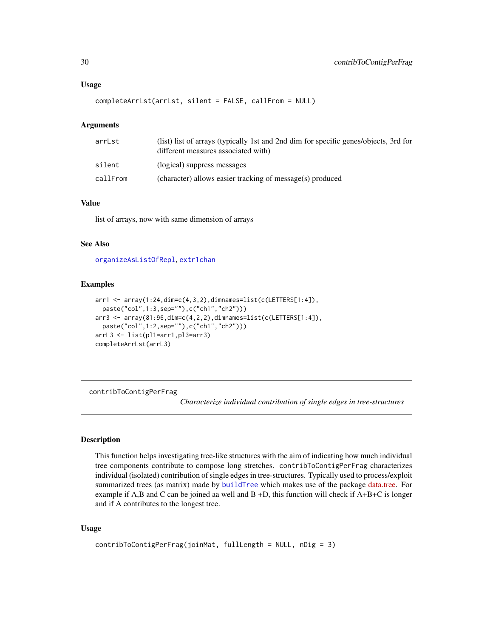```
completeArrLst(arrLst, silent = FALSE, callFrom = NULL)
```
#### Arguments

| (list) list of arrays (typically 1st and 2nd dim for specific genes/objects, 3rd for<br>different measures associated with) |
|-----------------------------------------------------------------------------------------------------------------------------|
| (logical) suppress messages                                                                                                 |
| (character) allows easier tracking of message(s) produced                                                                   |
|                                                                                                                             |

# Value

list of arrays, now with same dimension of arrays

# See Also

[organizeAsListOfRepl](#page-106-1), [extr1chan](#page-48-1)

#### Examples

```
arr1 <- array(1:24,dim=c(4,3,2),dimnames=list(c(LETTERS[1:4]),
 paste("col",1:3,sep=""),c("ch1","ch2")))
arr3 <- array(81:96,dim=c(4,2,2),dimnames=list(c(LETTERS[1:4]),
 paste("col",1:2,sep=""),c("ch1","ch2")))
arrL3 <- list(pl1=arr1,pl3=arr3)
completeArrLst(arrL3)
```
<span id="page-29-1"></span>contribToContigPerFrag

*Characterize individual contribution of single edges in tree-structures*

### Description

This function helps investigating tree-like structures with the aim of indicating how much individual tree components contribute to compose long stretches. contribToContigPerFrag characterizes individual (isolated) contribution of single edges in tree-structures. Typically used to process/exploit summarized trees (as matrix) made by [buildTree](#page-9-1) which makes use of the package [data.tree.](https://CRAN.R-project.org/package=data.tree) For example if A,B and C can be joined aa well and B +D, this function will check if A+B+C is longer and if A contributes to the longest tree.

#### Usage

```
contribToContigPerFrag(joinMat, fullLength = NULL, nDig = 3)
```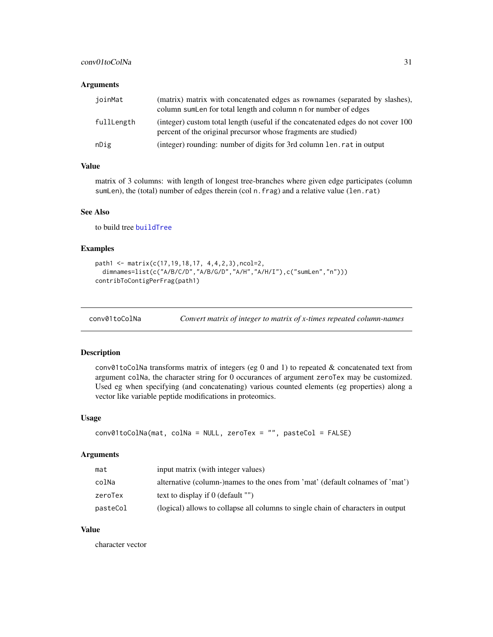# <span id="page-30-0"></span>conv01toColNa 31

# Arguments

| ioinMat    | (matrix) matrix with concatenated edges as rownames (separated by slashes),<br>column sum Len for total length and column n for number of edges    |
|------------|----------------------------------------------------------------------------------------------------------------------------------------------------|
| fullLength | (integer) custom total length (useful if the concatenated edges do not cover 100<br>percent of the original precursor whose fragments are studied) |
| nDig       | (integer) rounding: number of digits for 3rd column len. rat in output                                                                             |

# Value

matrix of 3 columns: with length of longest tree-branches where given edge participates (column sumLen), the (total) number of edges therein (col n.frag) and a relative value (len.rat)

### See Also

to build tree [buildTree](#page-9-1)

# Examples

```
path1 <- matrix(c(17,19,18,17, 4,4,2,3),ncol=2,
 dimnames=list(c("A/B/C/D","A/B/G/D","A/H","A/H/I"),c("sumLen","n")))
contribToContigPerFrag(path1)
```

| conv01toColNa | Convert matrix of integer to matrix of x-times repeated column-names |  |  |
|---------------|----------------------------------------------------------------------|--|--|
|---------------|----------------------------------------------------------------------|--|--|

### Description

conv01toColNa transforms matrix of integers (eg 0 and 1) to repeated & concatenated text from argument colNa, the character string for 0 occurances of argument zeroTex may be customized. Used eg when specifying (and concatenating) various counted elements (eg properties) along a vector like variable peptide modifications in proteomics.

#### Usage

```
conv01toColNa(mat, colNa = NULL, zeroTex = "", pasteCol = FALSE)
```
#### Arguments

| mat      | input matrix (with integer values)                                               |
|----------|----------------------------------------------------------------------------------|
| colNa    | alternative (column-)names to the ones from 'mat' (default colnames of 'mat')    |
| zeroTex  | text to display if $\theta$ (default "")                                         |
| pasteCol | (logical) allows to collapse all columns to single chain of characters in output |

# Value

character vector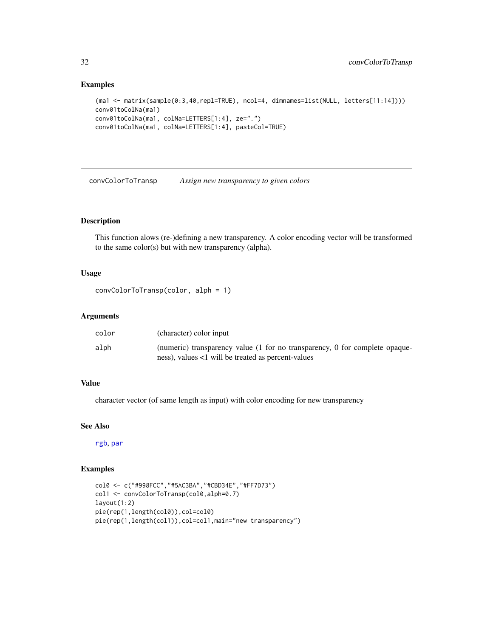### Examples

```
(ma1 <- matrix(sample(0:3,40,repl=TRUE), ncol=4, dimnames=list(NULL, letters[11:14])))
conv01toColNa(ma1)
conv01toColNa(ma1, colNa=LETTERS[1:4], ze=".")
conv01toColNa(ma1, colNa=LETTERS[1:4], pasteCol=TRUE)
```
convColorToTransp *Assign new transparency to given colors*

# Description

This function alows (re-)defining a new transparency. A color encoding vector will be transformed to the same color(s) but with new transparency (alpha).

### Usage

```
convColorToTransp(color, alph = 1)
```
#### Arguments

| color | (character) color input                                                     |
|-------|-----------------------------------------------------------------------------|
| alph  | (numeric) transparency value (1 for no transparency, 0 for complete opaque- |
|       | ness), values <1 will be treated as percent-values                          |

# Value

character vector (of same length as input) with color encoding for new transparency

#### See Also

[rgb](#page-0-0), [par](#page-0-0)

```
col0 <- c("#998FCC","#5AC3BA","#CBD34E","#FF7D73")
col1 <- convColorToTransp(col0,alph=0.7)
layout(1:2)
pie(rep(1,length(col0)),col=col0)
pie(rep(1,length(col1)),col=col1,main="new transparency")
```
<span id="page-31-0"></span>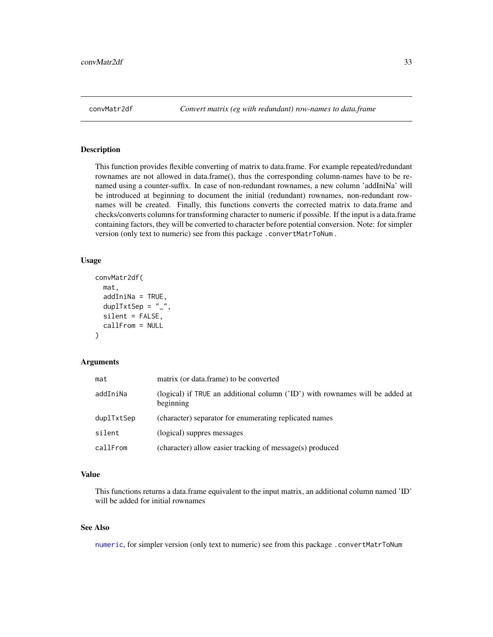<span id="page-32-0"></span>

This function provides flexible converting of matrix to data.frame. For example repeated/redundant rownames are not allowed in data.frame(), thus the corresponding column-names have to be renamed using a counter-suffix. In case of non-redundant rownames, a new column 'addIniNa' will be introduced at beginning to document the initial (redundant) rownames, non-redundant rownames will be created. Finally, this functions converts the corrected matrix to data.frame and checks/converts columns for transforming character to numeric if possible. If the input is a data.frame containing factors, they will be converted to character before potential conversion. Note: for simpler version (only text to numeric) see from this package .convertMatrToNum .

# Usage

```
convMatr2df(
 mat,
  addIniNa = TRUE,duplTxtSep = "_",
  silent = FALSE,
  callFrom = NULL
)
```
### Arguments

| mat        | matrix (or data.frame) to be converted                                                    |
|------------|-------------------------------------------------------------------------------------------|
| addIniNa   | (logical) if TRUE an additional column ('ID') with rownames will be added at<br>beginning |
| duplTxtSep | (character) separator for enumerating replicated names                                    |
| silent     | (logical) suppres messages                                                                |
| callFrom   | (character) allow easier tracking of message(s) produced                                  |

# Value

This functions returns a data.frame equivalent to the input matrix, an additional column named 'ID' will be added for initial rownames

# See Also

[numeric](#page-0-0), for simpler version (only text to numeric) see from this package .convertMatrToNum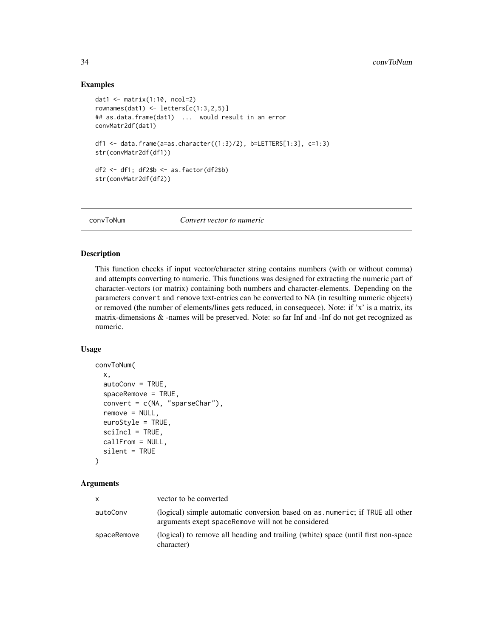### Examples

```
dat1 <- matrix(1:10, ncol=2)
rownames(dat1) <- letters[c(1:3,2,5)]## as.data.frame(dat1) ... would result in an error
convMatr2df(dat1)
df1 <- data.frame(a=as.character((1:3)/2), b=LETTERS[1:3], c=1:3)
str(convMatr2df(df1))
df2 <- df1; df2$b <- as.factor(df2$b)
str(convMatr2df(df2))
```
convToNum *Convert vector to numeric*

#### Description

This function checks if input vector/character string contains numbers (with or without comma) and attempts converting to numeric. This functions was designed for extracting the numeric part of character-vectors (or matrix) containing both numbers and character-elements. Depending on the parameters convert and remove text-entries can be converted to NA (in resulting numeric objects) or removed (the number of elements/lines gets reduced, in consequece). Note: if 'x' is a matrix, its matrix-dimensions & -names will be preserved. Note: so far Inf and -Inf do not get recognized as numeric.

### Usage

```
convToNum(
  x,
  autoConv = TRUE,spaceRemove = TRUE,
  convert = c(NA, "sparseChar"),
  remove = NULL,euroStyle = TRUE,
  scilnc1 = TRUE,callFrom = NULL,
  silent = TRUE
\lambda
```
#### Arguments

| X           | vector to be converted                                                                                                             |
|-------------|------------------------------------------------------------------------------------------------------------------------------------|
| autoConv    | (logical) simple automatic conversion based on as numeric; if TRUE all other<br>arguments exept spaceRemove will not be considered |
| spaceRemove | (logical) to remove all heading and trailing (white) space (until first non-space<br>character)                                    |

<span id="page-33-0"></span>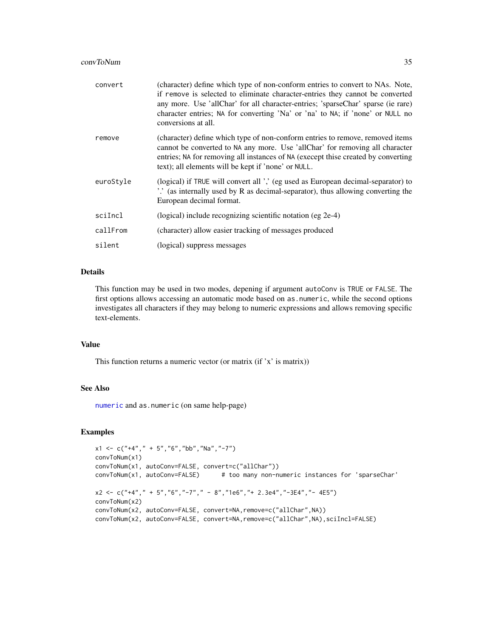| convert   | (character) define which type of non-conform entries to convert to NAs. Note,<br>if remove is selected to eliminate character-entries they cannot be converted<br>any more. Use 'allChar' for all character-entries; 'sparseChar' sparse (ie rare)<br>character entries; NA for converting 'Na' or 'na' to NA; if 'none' or NULL no<br>conversions at all. |
|-----------|------------------------------------------------------------------------------------------------------------------------------------------------------------------------------------------------------------------------------------------------------------------------------------------------------------------------------------------------------------|
| remove    | (character) define which type of non-conform entries to remove, removed items<br>cannot be converted to NA any more. Use 'allChar' for removing all character<br>entries; NA for removing all instances of NA (execept thise created by converting<br>text); all elements will be kept if 'none' or NULL.                                                  |
| euroStyle | (logical) if TRUE will convert all ',' (eg used as European decimal-separator) to<br>".' (as internally used by R as decimal-separator), thus allowing converting the<br>European decimal format.                                                                                                                                                          |
| sciIncl   | (logical) include recognizing scientific notation (eg 2e-4)                                                                                                                                                                                                                                                                                                |
| callFrom  | (character) allow easier tracking of messages produced                                                                                                                                                                                                                                                                                                     |
| silent    | (logical) suppress messages                                                                                                                                                                                                                                                                                                                                |

#### Details

This function may be used in two modes, depening if argument autoConv is TRUE or FALSE. The first options allows accessing an automatic mode based on as.numeric, while the second options investigates all characters if they may belong to numeric expressions and allows removing specific text-elements.

# Value

This function returns a numeric vector (or matrix (if 'x' is matrix))

#### See Also

[numeric](#page-0-0) and as.numeric (on same help-page)

```
x1 \leq -c("+4", " + 5", "6", "bb", "Na", "-7")convToNum(x1)
convToNum(x1, autoConv=FALSE, convert=c("allChar"))
convToNum(x1, autoConv=FALSE) # too many non-numeric instances for 'sparseChar'
x2 < -c("+4", " + 5", "6", "-7", " - 8", "1e6", " + 2.3e4", "-3E4", " - 4E5")convToNum(x2)
convToNum(x2, autoConv=FALSE, convert=NA,remove=c("allChar",NA))
convToNum(x2, autoConv=FALSE, convert=NA,remove=c("allChar",NA),sciIncl=FALSE)
```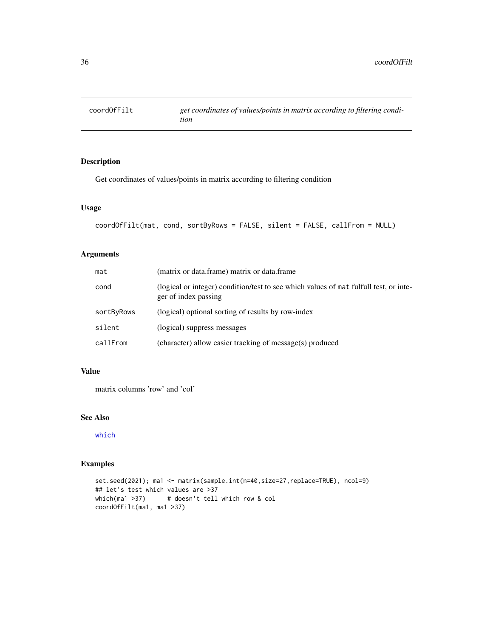<span id="page-35-0"></span>

Get coordinates of values/points in matrix according to filtering condition

# Usage

```
coordOfFilt(mat, cond, sortByRows = FALSE, silent = FALSE, callFrom = NULL)
```
# Arguments

| mat        | (matrix or data.frame) matrix or data.frame                                                                   |
|------------|---------------------------------------------------------------------------------------------------------------|
| cond       | (logical or integer) condition/test to see which values of mat fulfull test, or inte-<br>ger of index passing |
| sortByRows | (logical) optional sorting of results by row-index                                                            |
| silent     | (logical) suppress messages                                                                                   |
| callFrom   | (character) allow easier tracking of message(s) produced                                                      |

### Value

matrix columns 'row' and 'col'

# See Also

[which](#page-0-0)

```
set.seed(2021); ma1 <- matrix(sample.int(n=40,size=27,replace=TRUE), ncol=9)
## let's test which values are >37
which(ma1 >37) # doesn't tell which row & col
coordOfFilt(ma1, ma1 >37)
```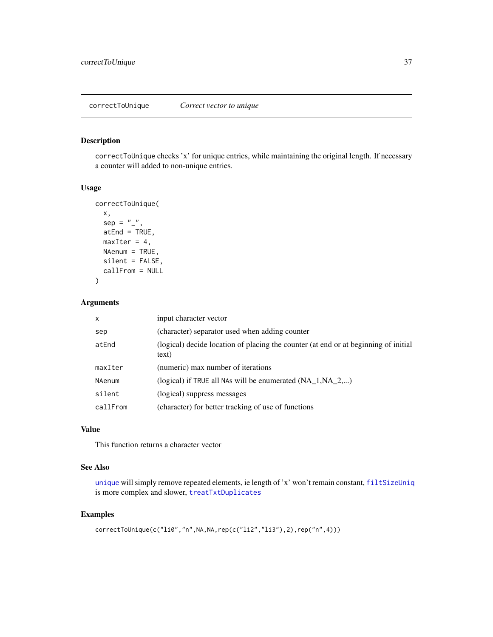<span id="page-36-0"></span>correctToUnique checks 'x' for unique entries, while maintaining the original length. If necessary a counter will added to non-unique entries.

#### Usage

```
correctToUnique(
  x,
  sep = "".
 atEnd = TRUE,
 maxIter = 4,NAenum = TRUE,
  silent = FALSE,
  callFrom = NULL
)
```
# Arguments

| X        | input character vector                                                                       |
|----------|----------------------------------------------------------------------------------------------|
| sep      | (character) separator used when adding counter                                               |
| atEnd    | (logical) decide location of placing the counter (at end or at beginning of initial<br>text) |
| maxIter  | (numeric) max number of iterations                                                           |
| NAenum   | (logical) if TRUE all NAs will be enumerated $(NA \ 1, NA \ 2,)$                             |
| silent   | (logical) suppress messages                                                                  |
| callFrom | (character) for better tracking of use of functions                                          |

# Value

This function returns a character vector

#### See Also

[unique](#page-0-0) will simply remove repeated elements, ie length of 'x' won't remain constant, [filtSizeUniq](#page-57-0) is more complex and slower, [treatTxtDuplicates](#page-158-0)

```
correctToUnique(c("li0","n",NA,NA,rep(c("li2","li3"),2),rep("n",4)))
```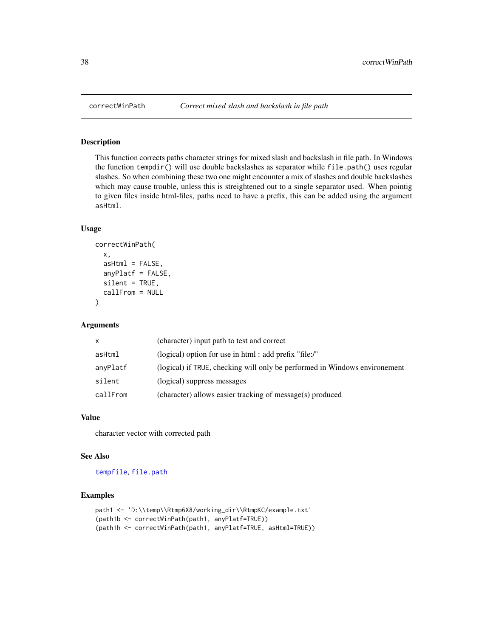This function corrects paths character strings for mixed slash and backslash in file path. In Windows the function tempdir() will use double backslashes as separator while file.path() uses regular slashes. So when combining these two one might encounter a mix of slashes and double backslashes which may cause trouble, unless this is streightened out to a single separator used. When pointig to given files inside html-files, paths need to have a prefix, this can be added using the argument asHtml.

## Usage

```
correctWinPath(
  x,
  asHtm1 = FALSE,anyPlatf = FALSE,
  silent = TRUE,
  callFrom = NULL
)
```
#### **Arguments**

| X        | (character) input path to test and correct                                 |
|----------|----------------------------------------------------------------------------|
| asHtml   | (logical) option for use in html: add prefix "file:/"                      |
| anyPlatf | (logical) if TRUE, checking will only be performed in Windows environement |
| silent   | (logical) suppress messages                                                |
| callFrom | (character) allows easier tracking of message(s) produced                  |

#### Value

character vector with corrected path

## See Also

[tempfile](#page-0-0), [file.path](#page-0-0)

```
path1 <- 'D:\\temp\\Rtmp6X8/working_dir\\RtmpKC/example.txt'
(path1b <- correctWinPath(path1, anyPlatf=TRUE))
(path1h <- correctWinPath(path1, anyPlatf=TRUE, asHtml=TRUE))
```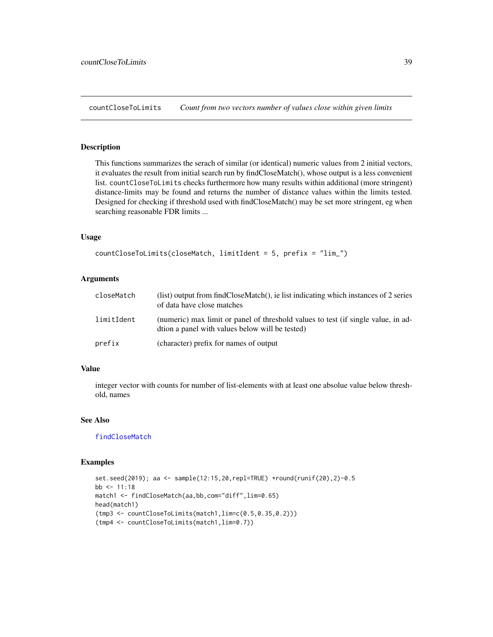<span id="page-38-0"></span>countCloseToLimits *Count from two vectors number of values close within given limits*

# Description

This functions summarizes the serach of similar (or identical) numeric values from 2 initial vectors, it evaluates the result from initial search run by findCloseMatch(), whose output is a less convenient list. countCloseToLimits checks furthermore how many results within additional (more stringent) distance-limits may be found and returns the number of distance values within the limits tested. Designed for checking if threshold used with findCloseMatch() may be set more stringent, eg when searching reasonable FDR limits ...

#### Usage

```
countCloseToLimits(closeMatch, limitIdent = 5, prefix = "lim_")
```
# Arguments

| closeMatch | (list) output from findCloseMatch(), ie list indicating which instances of 2 series<br>of data have close matches                    |
|------------|--------------------------------------------------------------------------------------------------------------------------------------|
| limitIdent | (numeric) max limit or panel of threshold values to test (if single value, in ad-<br>dtion a panel with values below will be tested) |
| prefix     | (character) prefix for names of output                                                                                               |

#### Value

integer vector with counts for number of list-elements with at least one absolue value below threshold, names

# See Also

[findCloseMatch](#page-58-0)

```
set.seed(2019); aa <- sample(12:15,20,repl=TRUE) +round(runif(20),2)-0.5
bb <-11:18match1 <- findCloseMatch(aa,bb,com="diff",lim=0.65)
head(match1)
(tmp3 <- countCloseToLimits(match1,lim=c(0.5,0.35,0.2)))
(tmp4 <- countCloseToLimits(match1,lim=0.7))
```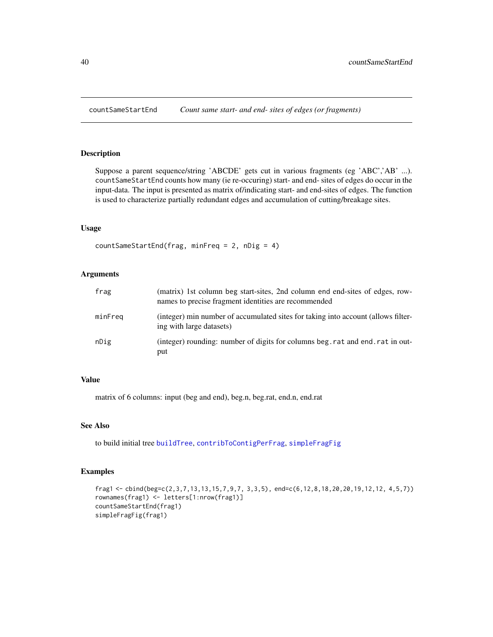Suppose a parent sequence/string 'ABCDE' gets cut in various fragments (eg 'ABC','AB' ...). countSameStartEnd counts how many (ie re-occuring) start- and end- sites of edges do occur in the input-data. The input is presented as matrix of/indicating start- and end-sites of edges. The function is used to characterize partially redundant edges and accumulation of cutting/breakage sites.

# Usage

countSameStartEnd(frag, minFreq = 2, nDig = 4)

# Arguments

| frag    | (matrix) 1st column beg start-sites, 2nd column end end-sites of edges, row-<br>names to precise fragment identities are recommended |
|---------|--------------------------------------------------------------------------------------------------------------------------------------|
| minFreg | (integer) min number of accumulated sites for taking into account (allows filter-<br>ing with large datasets)                        |
| nDig    | (integer) rounding: number of digits for columns beg. rat and end. rat in out-<br>put                                                |

# Value

matrix of 6 columns: input (beg and end), beg.n, beg.rat, end.n, end.rat

#### See Also

to build initial tree [buildTree](#page-9-0), [contribToContigPerFrag](#page-29-0), [simpleFragFig](#page-146-0)

```
frag1 <- cbind(beg=c(2,3,7,13,13,15,7,9,7, 3,3,5), end=c(6,12,8,18,20,20,19,12,12, 4,5,7))
rownames(frag1) <- letters[1:nrow(frag1)]
countSameStartEnd(frag1)
simpleFragFig(frag1)
```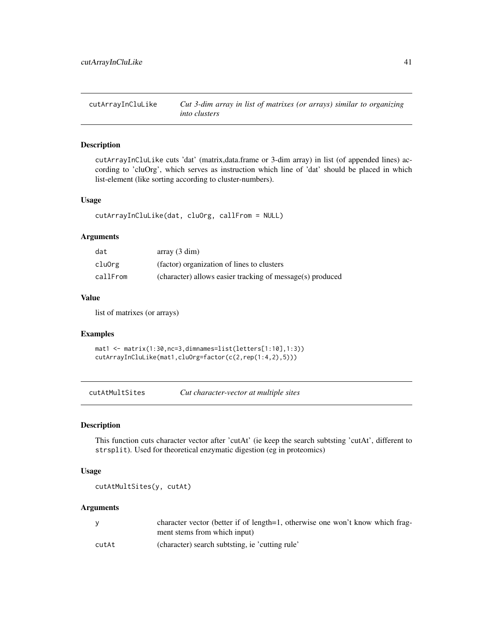cutArrayInCluLike *Cut 3-dim array in list of matrixes (or arrays) similar to organizing into clusters*

# Description

cutArrayInCluLike cuts 'dat' (matrix,data.frame or 3-dim array) in list (of appended lines) according to 'cluOrg', which serves as instruction which line of 'dat' should be placed in which list-element (like sorting according to cluster-numbers).

#### Usage

```
cutArrayInCluLike(dat, cluOrg, callFrom = NULL)
```
## Arguments

| dat      | array(3 dim)                                              |
|----------|-----------------------------------------------------------|
| cluOrg   | (factor) organization of lines to clusters                |
| callFrom | (character) allows easier tracking of message(s) produced |

## Value

list of matrixes (or arrays)

## Examples

mat1 <- matrix(1:30,nc=3,dimnames=list(letters[1:10],1:3)) cutArrayInCluLike(mat1,cluOrg=factor(c(2,rep(1:4,2),5)))

cutAtMultSites *Cut character-vector at multiple sites*

## Description

This function cuts character vector after 'cutAt' (ie keep the search subtsting 'cutAt', different to strsplit). Used for theoretical enzymatic digestion (eg in proteomics)

#### Usage

cutAtMultSites(y, cutAt)

#### Arguments

|       | character vector (better if of length=1, otherwise one won't know which frag-<br>ment stems from which input) |
|-------|---------------------------------------------------------------------------------------------------------------|
| cutAt | (character) search subtsting, ie 'cutting rule'                                                               |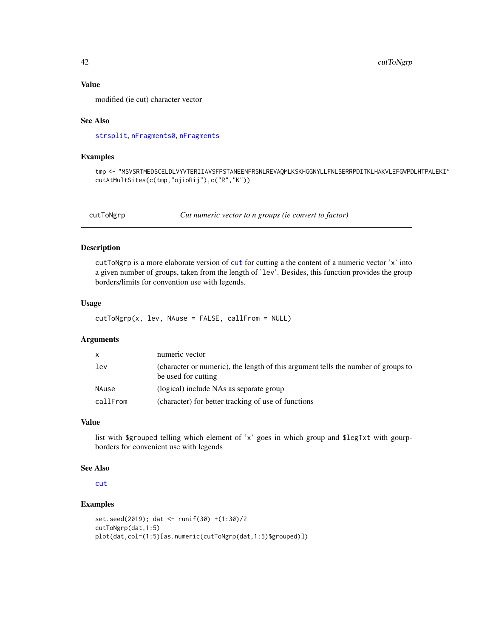# Value

modified (ie cut) character vector

#### See Also

[strsplit](#page-0-0), [nFragments0](#page-99-0), [nFragments](#page-98-0)

## Examples

tmp <- "MSVSRTMEDSCELDLVYVTERIIAVSFPSTANEENFRSNLREVAQMLKSKHGGNYLLFNLSERRPDITKLHAKVLEFGWPDLHTPALEKI" cutAtMultSites(c(tmp,"ojioRij"),c("R","K"))

cutToNgrp *Cut numeric vector to n groups (ie convert to factor)*

# Description

cutToNgrp is a more elaborate version of [cut](#page-0-0) for cutting a the content of a numeric vector 'x' into a given number of groups, taken from the length of 'lev'. Besides, this function provides the group borders/limits for convention use with legends.

#### Usage

cutToNgrp(x, lev, NAuse = FALSE, callFrom = NULL)

## Arguments

| $\mathsf{x}$ | numeric vector                                                                                           |
|--------------|----------------------------------------------------------------------------------------------------------|
| lev          | (character or numeric), the length of this argument tells the number of groups to<br>be used for cutting |
| NAuse        | (logical) include NAs as separate group                                                                  |
| callFrom     | (character) for better tracking of use of functions                                                      |

#### Value

list with \$grouped telling which element of 'x' goes in which group and \$legTxt with gourpborders for convenient use with legends

#### See Also

[cut](#page-0-0)

```
set.seed(2019); dat <- runif(30) +(1:30)/2
cutToNgrp(dat,1:5)
plot(dat,col=(1:5)[as.numeric(cutToNgrp(dat,1:5)$grouped)])
```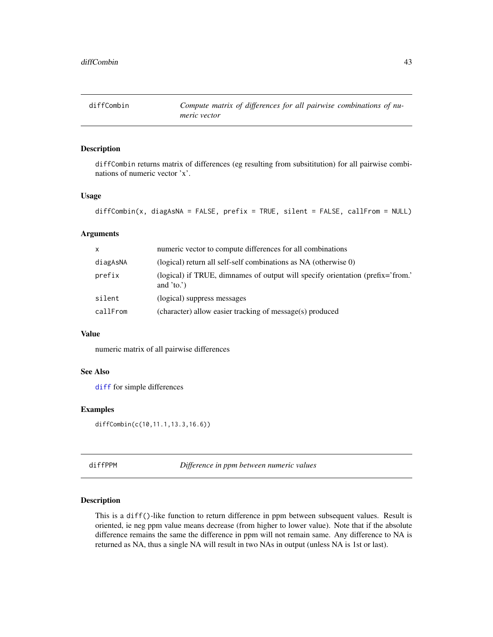diffCombin returns matrix of differences (eg resulting from subsititution) for all pairwise combinations of numeric vector 'x'.

# Usage

```
diffCombin(x, diagAsNA = FALSE, prefix = TRUE, silent = FALSE, callFrom = NULL)
```
# Arguments

| $\mathsf{x}$ | numeric vector to compute differences for all combinations                                    |
|--------------|-----------------------------------------------------------------------------------------------|
| diagAsNA     | (logical) return all self-self combinations as NA (otherwise 0)                               |
| prefix       | (logical) if TRUE, dimnames of output will specify orientation (prefix='from.'<br>and $'to.'$ |
| silent       | (logical) suppress messages                                                                   |
| callFrom     | (character) allow easier tracking of message(s) produced                                      |

# Value

numeric matrix of all pairwise differences

## See Also

[diff](#page-0-0) for simple differences

## Examples

diffCombin(c(10,11.1,13.3,16.6))

diffPPM *Difference in ppm between numeric values*

## Description

This is a diff()-like function to return difference in ppm between subsequent values. Result is oriented, ie neg ppm value means decrease (from higher to lower value). Note that if the absolute difference remains the same the difference in ppm will not remain same. Any difference to NA is returned as NA, thus a single NA will result in two NAs in output (unless NA is 1st or last).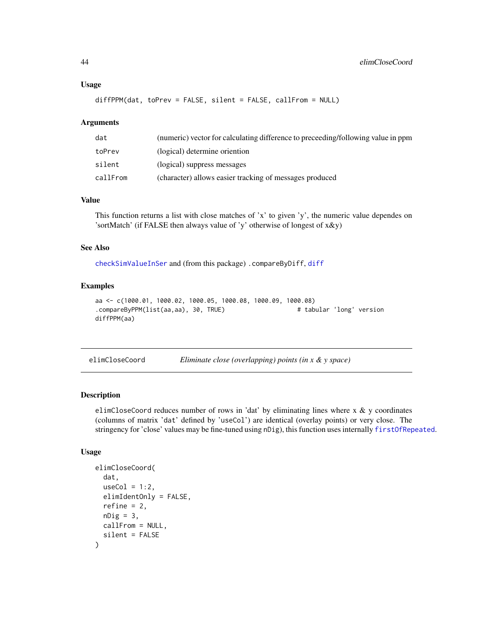#### Usage

```
diffPPM(dat, toPrev = FALSE, silent = FALSE, callFrom = NULL)
```
## **Arguments**

| dat      | (numeric) vector for calculating difference to preceeding/following value in ppm |
|----------|----------------------------------------------------------------------------------|
| toPrev   | (logical) determine oriention                                                    |
| silent   | (logical) suppress messages                                                      |
| callFrom | (character) allows easier tracking of messages produced                          |

# Value

This function returns a list with close matches of 'x' to given 'y', the numeric value dependes on 'sortMatch' (if FALSE then always value of 'y' otherwise of longest of x&y)

# See Also

[checkSimValueInSer](#page-14-0) and (from this package) .compareByDiff, [diff](#page-0-0)

## Examples

```
aa <- c(1000.01, 1000.02, 1000.05, 1000.08, 1000.09, 1000.08)
.compareByPPM(list(aa,aa), 30, TRUE) # tabular 'long' version
diffPPM(aa)
```

| elimCloseCoord | Eliminate close (overlapping) points (in $x \& y \space space$ ) |  |  |  |
|----------------|------------------------------------------------------------------|--|--|--|
|----------------|------------------------------------------------------------------|--|--|--|

## Description

elimCloseCoord reduces number of rows in 'dat' by eliminating lines where x & y coordinates (columns of matrix 'dat' defined by 'useCol') are identical (overlay points) or very close. The stringency for 'close' values may be fine-tuned using nDig), this function uses internally [firstOfRepeated](#page-63-0).

## Usage

```
elimCloseCoord(
  dat,
  useCol = 1:2,
  elimIdentOnly = FALSE,
  refine = 2,
  nDig = 3,
 callFrom = NULL,
  silent = FALSE
)
```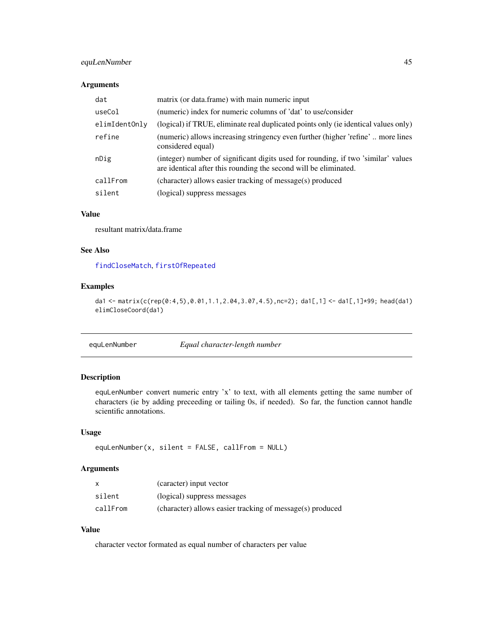# equLenNumber 45

## Arguments

| dat           | matrix (or data.frame) with main numeric input                                                                                                        |
|---------------|-------------------------------------------------------------------------------------------------------------------------------------------------------|
| useCol        | (numeric) index for numeric columns of 'dat' to use/consider                                                                                          |
| elimIdentOnly | (logical) if TRUE, eliminate real duplicated points only (ie identical values only)                                                                   |
| refine        | (numeric) allows increasing stringency even further (higher 'refine' more lines<br>considered equal)                                                  |
| nDig          | (integer) number of significant digits used for rounding, if two 'similar' values<br>are identical after this rounding the second will be eliminated. |
| callFrom      | (character) allows easier tracking of message(s) produced                                                                                             |
| silent        | (logical) suppress messages                                                                                                                           |

## Value

resultant matrix/data.frame

# See Also

[findCloseMatch](#page-58-0), [firstOfRepeated](#page-63-0)

## Examples

da1 <- matrix(c(rep(0:4,5),0.01,1.1,2.04,3.07,4.5),nc=2); da1[,1] <- da1[,1]\*99; head(da1) elimCloseCoord(da1)

equLenNumber *Equal character-length number*

# Description

equLenNumber convert numeric entry 'x' to text, with all elements getting the same number of characters (ie by adding preceeding or tailing 0s, if needed). So far, the function cannot handle scientific annotations.

#### Usage

equLenNumber(x, silent = FALSE, callFrom = NULL)

# Arguments

|          | (caracter) input vector                                   |
|----------|-----------------------------------------------------------|
| silent   | (logical) suppress messages                               |
| callFrom | (character) allows easier tracking of message(s) produced |

# Value

character vector formated as equal number of characters per value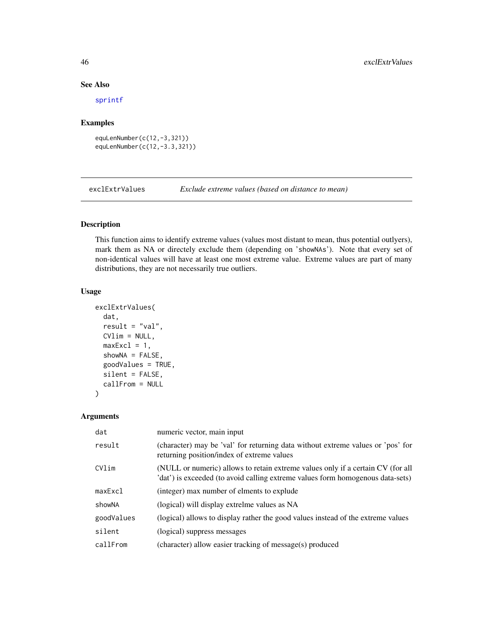# See Also

[sprintf](#page-0-0)

#### Examples

```
equLenNumber(c(12,-3,321))
equLenNumber(c(12,-3.3,321))
```
exclExtrValues *Exclude extreme values (based on distance to mean)*

# Description

This function aims to identify extreme values (values most distant to mean, thus potential outlyers), mark them as NA or directely exclude them (depending on 'showNAs'). Note that every set of non-identical values will have at least one most extreme value. Extreme values are part of many distributions, they are not necessarily true outliers.

# Usage

```
exclExtrValues(
  dat,
  result = "val",CVlim = NULL,
  maxExc1 = 1,
  showNA = FALSE,
  goodValues = TRUE,
  silent = FALSE,
  callFrom = NULL
\mathcal{E}
```
# Arguments

| dat        | numeric vector, main input                                                                                                                                        |
|------------|-------------------------------------------------------------------------------------------------------------------------------------------------------------------|
| result     | (character) may be 'val' for returning data without extreme values or 'pos' for<br>returning position/index of extreme values                                     |
| CVlim      | (NULL or numeric) allows to retain extreme values only if a certain CV (for all<br>'dat') is exceeded (to avoid calling extreme values form homogenous data-sets) |
| maxExc1    | (integer) max number of elments to explude                                                                                                                        |
| showNA     | (logical) will display extrelme values as NA                                                                                                                      |
| goodValues | (logical) allows to display rather the good values instead of the extreme values                                                                                  |
| silent     | (logical) suppress messages                                                                                                                                       |
| callFrom   | (character) allow easier tracking of message(s) produced                                                                                                          |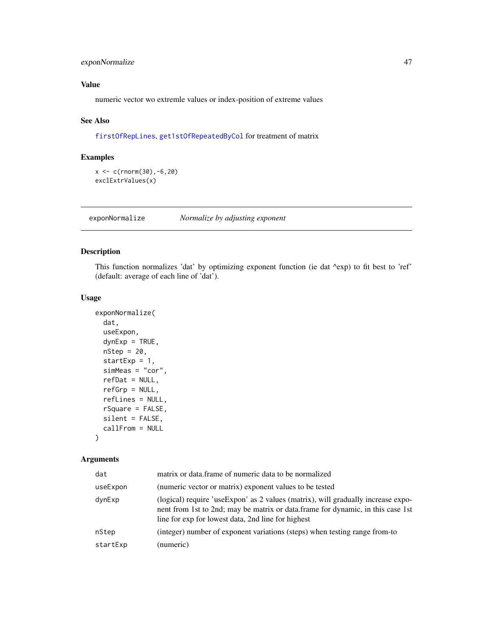# exponNormalize 47

# Value

numeric vector wo extremle values or index-position of extreme values

# See Also

[firstOfRepLines](#page-64-0), [get1stOfRepeatedByCol](#page-68-0) for treatment of matrix

## Examples

```
x <- c(rnorm(30),-6,20)
exclExtrValues(x)
```
exponNormalize *Normalize by adjusting exponent*

# Description

This function normalizes 'dat' by optimizing exponent function (ie dat ^exp) to fit best to 'ref' (default: average of each line of 'dat').

## Usage

```
exponNormalize(
  dat,
 useExpon,
 dynExp = TRUE,
 nStep = 20,startExp = 1,
  simMeas = "cor",
  refDat = NULL,
  refGrp = NULL,
  refLines = NULL,
 rSquare = FALSE,
 silent = FALSE,
  callFrom = NULL
)
```
## Arguments

| dat      | matrix or data.frame of numeric data to be normalized                                                                                                                                                                     |  |
|----------|---------------------------------------------------------------------------------------------------------------------------------------------------------------------------------------------------------------------------|--|
| useExpon | (numeric vector or matrix) exponent values to be tested                                                                                                                                                                   |  |
| dynExp   | (logical) require 'useExpon' as 2 values (matrix), will gradually increase expo-<br>nent from 1st to 2nd; may be matrix or data.frame for dynamic, in this case 1st<br>line for exp for lowest data, 2nd line for highest |  |
| nStep    | (integer) number of exponent variations (steps) when testing range from-to                                                                                                                                                |  |
| startExp | (numeric)                                                                                                                                                                                                                 |  |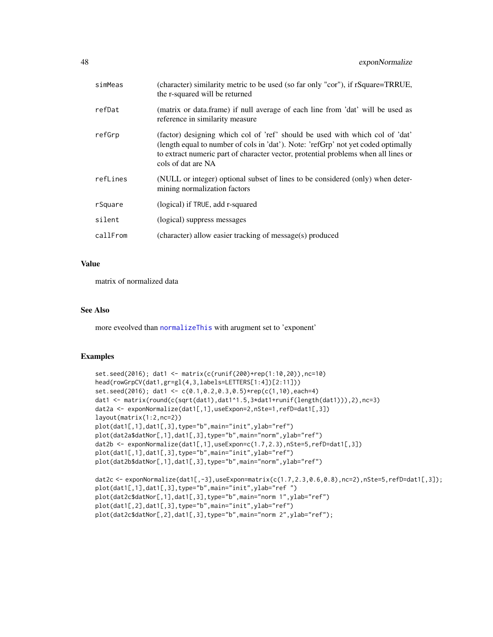| simMeas  | (character) similarity metric to be used (so far only "cor"), if rSquare=TRRUE,<br>the r-squared will be returned                                                                                                                                                             |
|----------|-------------------------------------------------------------------------------------------------------------------------------------------------------------------------------------------------------------------------------------------------------------------------------|
| refDat   | (matrix or data.frame) if null average of each line from 'dat' will be used as<br>reference in similarity measure                                                                                                                                                             |
| refGrp   | (factor) designing which col of 'ref' should be used with which col of 'dat'<br>(length equal to number of cols in 'dat'). Note: 'refGrp' not yet coded optimally<br>to extract numeric part of character vector, protential problems when all lines or<br>cols of dat are NA |
| refLines | (NULL or integer) optional subset of lines to be considered (only) when deter-<br>mining normalization factors                                                                                                                                                                |
| rSquare  | (logical) if TRUE, add r-squared                                                                                                                                                                                                                                              |
| silent   | (logical) suppress messages                                                                                                                                                                                                                                                   |
| callFrom | (character) allow easier tracking of message(s) produced                                                                                                                                                                                                                      |

# Value

matrix of normalized data

# See Also

more eveolved than [normalizeThis](#page-103-0) with arugment set to 'exponent'

```
set.seed(2016); dat1 <- matrix(c(runif(200)+rep(1:10,20)),nc=10)
head(rowGrpCV(dat1,gr=gl(4,3,labels=LETTERS[1:4])[2:11]))
set.seed(2016); dat1 <- c(0.1,0.2,0.3,0.5)*rep(c(1,10),each=4)
dat1 <- matrix(round(c(sqrt(dat1),dat1^1.5,3*dat1+runif(length(dat1))),2),nc=3)
dat2a <- exponNormalize(dat1[,1],useExpon=2,nSte=1,refD=dat1[,3])
layout(matrix(1:2,nc=2))
plot(dat1[,1],dat1[,3],type="b",main="init",ylab="ref")
plot(dat2a$datNor[,1],dat1[,3],type="b",main="norm",ylab="ref")
dat2b <- exponNormalize(dat1[,1],useExpon=c(1.7,2.3),nSte=5,refD=dat1[,3])
plot(dat1[,1],dat1[,3],type="b",main="init",ylab="ref")
plot(dat2b$datNor[,1],dat1[,3],type="b",main="norm",ylab="ref")
```

```
dat2c <- exponNormalize(dat1[,-3],useExpon=matrix(c(1.7,2.3,0.6,0.8),nc=2),nSte=5,refD=dat1[,3]);
plot(dat1[,1],dat1[,3],type="b",main="init",ylab="ref ")
plot(dat2c$datNor[,1],dat1[,3],type="b",main="norm 1",ylab="ref")
plot(dat1[,2],dat1[,3],type="b",main="init",ylab="ref")
plot(dat2c$datNor[,2],dat1[,3],type="b",main="norm 2",ylab="ref");
```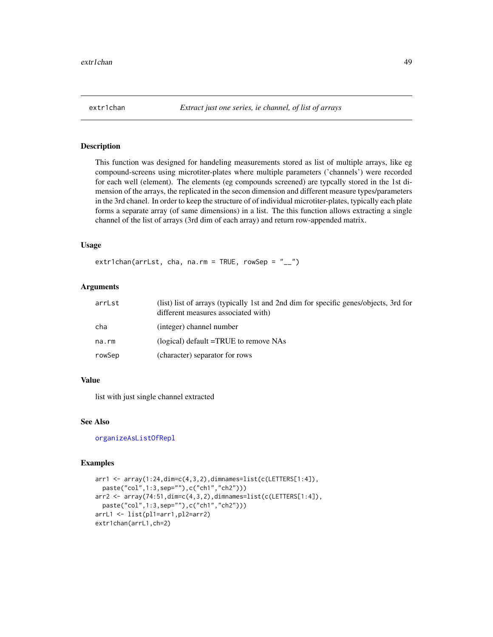This function was designed for handeling measurements stored as list of multiple arrays, like eg compound-screens using microtiter-plates where multiple parameters ('channels') were recorded for each well (element). The elements (eg compounds screened) are typcally stored in the 1st dimension of the arrays, the replicated in the secon dimension and different measure types/parameters in the 3rd chanel. In order to keep the structure of of individual microtiter-plates, typically each plate forms a separate array (of same dimensions) in a list. The this function allows extracting a single channel of the list of arrays (3rd dim of each array) and return row-appended matrix.

# Usage

extr1chan(arrLst, cha, na.rm = TRUE, rowSep =  $"_{--}"$ )

# Arguments

| arrLst | (list) list of arrays (typically 1st and 2nd dim for specific genes/objects, 3rd for<br>different measures associated with) |
|--------|-----------------------------------------------------------------------------------------------------------------------------|
| cha    | (integer) channel number                                                                                                    |
| na.rm  | (logical) default =TRUE to remove NAs                                                                                       |
| rowSep | (character) separator for rows                                                                                              |

# Value

list with just single channel extracted

#### See Also

[organizeAsListOfRepl](#page-106-0)

```
arr1 <- array(1:24,dim=c(4,3,2),dimnames=list(c(LETTERS[1:4]),
 paste("col",1:3,sep=""),c("ch1","ch2")))
arr2 <- array(74:51,dim=c(4,3,2),dimnames=list(c(LETTERS[1:4]),
 paste("col",1:3,sep=""),c("ch1","ch2")))
arrL1 <- list(pl1=arr1,pl2=arr2)
extr1chan(arrL1,ch=2)
```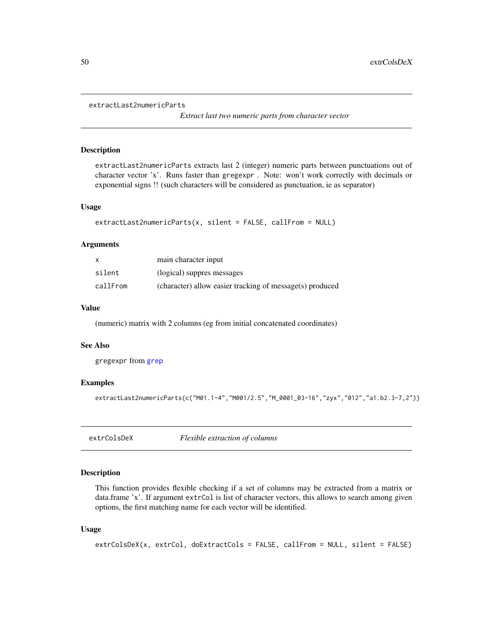```
extractLast2numericParts
```
*Extract last two numeric parts from character vector*

## Description

extractLast2numericParts extracts last 2 (integer) numeric parts between punctuations out of character vector 'x'. Runs faster than gregexpr . Note: won't work correctly with decimals or exponential signs !! (such characters will be considered as punctuation, ie as separator)

#### Usage

```
extractLast2numericParts(x, silent = FALSE, callFrom = NULL)
```
#### Arguments

| $\mathsf{x}$ | main character input                                     |
|--------------|----------------------------------------------------------|
| silent       | (logical) suppres messages                               |
| callFrom     | (character) allow easier tracking of message(s) produced |

## Value

(numeric) matrix with 2 columns (eg from initial concatenated coordinates)

## See Also

gregexpr from [grep](#page-0-0)

## Examples

extractLast2numericParts(c("M01.1-4","M001/2.5","M\_0001\_03-16","zyx","012","a1.b2.3-7,2"))

<span id="page-49-0"></span>extrColsDeX *Flexible extraction of columns*

# Description

This function provides flexible checking if a set of columns may be extracted from a matrix or data.frame 'x'. If argument extrCol is list of character vectors, this allows to search among given options, the first matching name for each vector will be identified.

## Usage

```
extrColsDeX(x, extrCol, doExtractCols = FALSE, callFrom = NULL, silent = FALSE)
```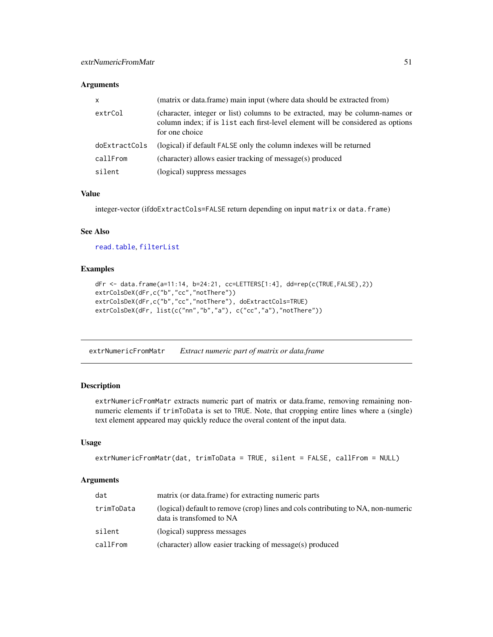# Arguments

| $\mathsf{x}$  | (matrix or data.frame) main input (where data should be extracted from)                                                                                                           |
|---------------|-----------------------------------------------------------------------------------------------------------------------------------------------------------------------------------|
| extrCol       | (character, integer or list) columns to be extracted, may be column-names or<br>column index; if is list each first-level element will be considered as options<br>for one choice |
| doExtractCols | (logical) if default FALSE only the column indexes will be returned                                                                                                               |
| callFrom      | (character) allows easier tracking of message(s) produced                                                                                                                         |
| silent        | (logical) suppress messages                                                                                                                                                       |

## Value

integer-vector (ifdoExtractCols=FALSE return depending on input matrix or data.frame)

## See Also

[read.table](#page-0-0), [filterList](#page-54-0)

## Examples

```
dFr <- data.frame(a=11:14, b=24:21, cc=LETTERS[1:4], dd=rep(c(TRUE,FALSE),2))
extrColsDeX(dFr,c("b","cc","notThere"))
extrColsDeX(dFr,c("b","cc","notThere"), doExtractCols=TRUE)
extrColsDeX(dFr, list(c("nn","b","a"), c("cc","a"),"notThere"))
```
extrNumericFromMatr *Extract numeric part of matrix or data.frame*

# Description

extrNumericFromMatr extracts numeric part of matrix or data.frame, removing remaining nonnumeric elements if trimToData is set to TRUE. Note, that cropping entire lines where a (single) text element appeared may quickly reduce the overal content of the input data.

# Usage

```
extrNumericFromMatr(dat, trimToData = TRUE, silent = FALSE, callFrom = NULL)
```
#### **Arguments**

| dat        | matrix (or data.frame) for extracting numeric parts                                                           |  |
|------------|---------------------------------------------------------------------------------------------------------------|--|
| trimToData | (logical) default to remove (crop) lines and cols contributing to NA, non-numeric<br>data is transfomed to NA |  |
| silent     | (logical) suppress messages                                                                                   |  |
| callFrom   | (character) allow easier tracking of message(s) produced                                                      |  |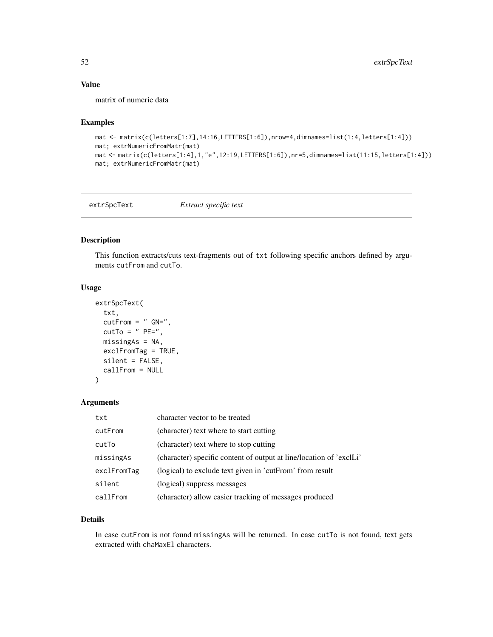# Value

matrix of numeric data

## Examples

```
mat <- matrix(c(letters[1:7],14:16,LETTERS[1:6]),nrow=4,dimnames=list(1:4,letters[1:4]))
mat; extrNumericFromMatr(mat)
mat <- matrix(c(letters[1:4],1,"e",12:19,LETTERS[1:6]),nr=5,dimnames=list(11:15,letters[1:4]))
mat; extrNumericFromMatr(mat)
```
extrSpcText *Extract specific text*

#### Description

This function extracts/cuts text-fragments out of txt following specific anchors defined by arguments cutFrom and cutTo.

# Usage

```
extrSpcText(
  txt,
  cutFrom = " GN=",
  cutTo = " PE=",
 missingAs = NA,
 exclFromTag = TRUE,
  silent = FALSE,
  callFrom = NULL
\lambda
```
# Arguments

| txt         | character vector to be treated                                      |
|-------------|---------------------------------------------------------------------|
| cutFrom     | (character) text where to start cutting                             |
| cutTo       | (character) text where to stop cutting                              |
| missingAs   | (character) specific content of output at line/location of 'exclLi' |
| exclFromTag | (logical) to exclude text given in 'cutFrom' from result            |
| silent      | (logical) suppress messages                                         |
| callFrom    | (character) allow easier tracking of messages produced              |

## Details

In case cutFrom is not found missingAs will be returned. In case cutTo is not found, text gets extracted with chaMaxEl characters.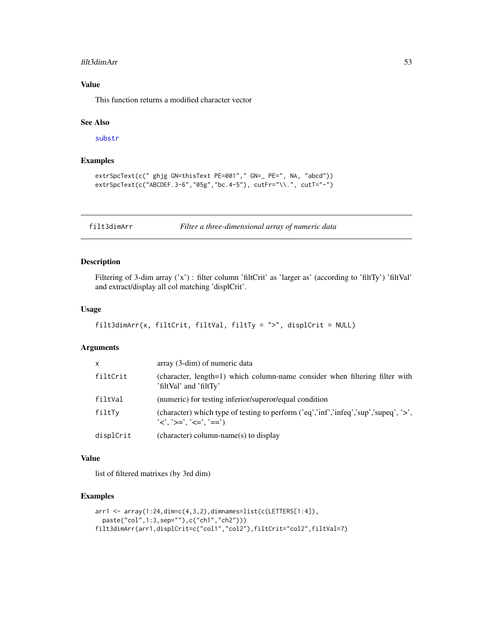#### filt3dimArr 53

# Value

This function returns a modified character vector

#### See Also

[substr](#page-0-0)

# Examples

```
extrSpcText(c(" ghjg GN=thisText PE=001"," GN=_ PE=", NA, "abcd"))
extrSpcText(c("ABCDEF.3-6","05g","bc.4-5"), cutFr="\\.", cutT="-")
```
filt3dimArr *Filter a three-dimensional array of numeric data*

# Description

Filtering of 3-dim array ('x') : filter column 'filtCrit' as 'larger as' (according to 'filtTy') 'filtVal' and extract/display all col matching 'displCrit'.

# Usage

```
filt3dimArr(x, filtCrit, filtVal, filtTy = ">", displCrit = NULL)
```
## Arguments

| x         | array (3-dim) of numeric data                                                                                                                                 |
|-----------|---------------------------------------------------------------------------------------------------------------------------------------------------------------|
| filtCrit  | (character, length=1) which column-name consider when filtering filter with<br>'filtVal' and 'filtTy'                                                         |
| filtVal   | (numeric) for testing inferior/superor/equal condition                                                                                                        |
| filtTv    | (character) which type of testing to perform $(\text{`eq'}, \text{`inf'}, \text{`infeq'}, \text{`sup'}, \text{`supeq'}, \text{`~})$<br>'<'. '>='. '<='. '==') |
| displCrit | (character) column-name(s) to display                                                                                                                         |

#### Value

list of filtered matrixes (by 3rd dim)

```
arr1 <- array(1:24,dim=c(4,3,2),dimnames=list(c(LETTERS[1:4]),
  paste("col",1:3,sep=""),c("ch1","ch2")))
filt3dimArr(arr1,displCrit=c("col1","col2"),filtCrit="col2",filtVal=7)
```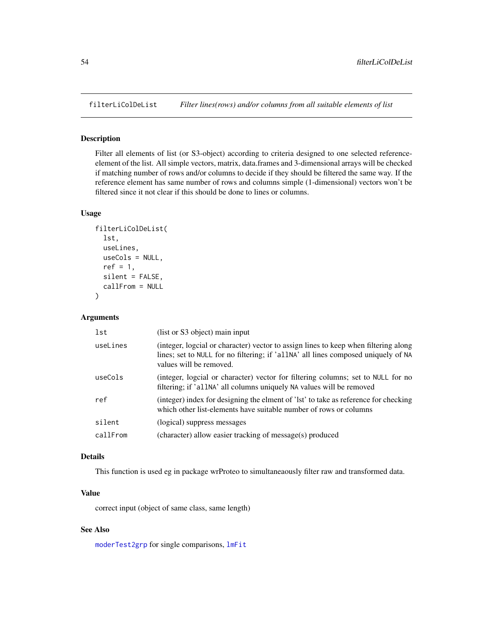Filter all elements of list (or S3-object) according to criteria designed to one selected referenceelement of the list. All simple vectors, matrix, data.frames and 3-dimensional arrays will be checked if matching number of rows and/or columns to decide if they should be filtered the same way. If the reference element has same number of rows and columns simple (1-dimensional) vectors won't be filtered since it not clear if this should be done to lines or columns.

# Usage

```
filterLiColDeList(
  lst,
  useLines,
  useCols = NULL,
  ref = 1,
  silent = FALSE,
  callFrom = NULL
\mathcal{E}
```
## Arguments

| lst      | (list or S3 object) main input                                                                                                                                                                      |
|----------|-----------------------------------------------------------------------------------------------------------------------------------------------------------------------------------------------------|
| useLines | (integer, logcial or character) vector to assign lines to keep when filtering along<br>lines; set to NULL for no filtering; if 'allNA' all lines composed uniquely of NA<br>values will be removed. |
| useCols  | (integer, logcial or character) vector for filtering columns; set to NULL for no<br>filtering; if 'allNA' all columns uniquely NA values will be removed                                            |
| ref      | (integer) index for designing the elment of 'lst' to take as reference for checking<br>which other list-elements have suitable number of rows or columns                                            |
| silent   | (logical) suppress messages                                                                                                                                                                         |
| callFrom | (character) allow easier tracking of message(s) produced                                                                                                                                            |

# Details

This function is used eg in package wrProteo to simultaneaously filter raw and transformed data.

# Value

correct input (object of same class, same length)

# See Also

[moderTest2grp](#page-92-0) for single comparisons, [lmFit](#page-0-0)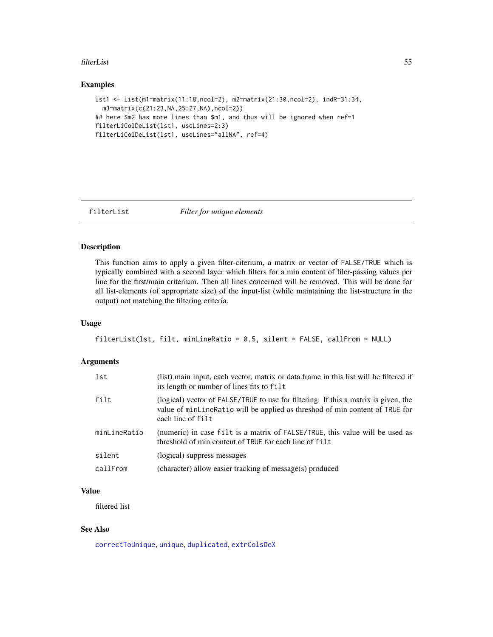#### filterList 55

# Examples

```
lst1 <- list(m1=matrix(11:18,ncol=2), m2=matrix(21:30,ncol=2), indR=31:34,
  m3=matrix(c(21:23,NA,25:27,NA),ncol=2))
## here $m2 has more lines than $m1, and thus will be ignored when ref=1
filterLiColDeList(lst1, useLines=2:3)
filterLiColDeList(lst1, useLines="allNA", ref=4)
```
<span id="page-54-0"></span>

```
filterList Filter for unique elements
```
# Description

This function aims to apply a given filter-citerium, a matrix or vector of FALSE/TRUE which is typically combined with a second layer which filters for a min content of filer-passing values per line for the first/main criterium. Then all lines concerned will be removed. This will be done for all list-elements (of appropriate size) of the input-list (while maintaining the list-structure in the output) not matching the filtering criteria.

# Usage

```
filterList(lst, filt, minLineRatio = 0.5, silent = FALSE, callFrom = NULL)
```
## Arguments

| lst<br>its length or number of lines fits to filt                      | (list) main input, each vector, matrix or data.frame in this list will be filtered if                                                                               |
|------------------------------------------------------------------------|---------------------------------------------------------------------------------------------------------------------------------------------------------------------|
| filt<br>each line of filt                                              | (logical) vector of FALSE/TRUE to use for filtering. If this a matrix is given, the<br>value of minLineRatio will be applied as threshod of min content of TRUE for |
| minLineRatio<br>threshold of min content of TRUE for each line of filt | (numeric) in case filt is a matrix of FALSE/TRUE, this value will be used as                                                                                        |
| silent<br>(logical) suppress messages                                  |                                                                                                                                                                     |
| callFrom<br>(character) allow easier tracking of message(s) produced   |                                                                                                                                                                     |

## Value

filtered list

## See Also

[correctToUnique](#page-36-0), [unique](#page-0-0), [duplicated](#page-0-0), [extrColsDeX](#page-49-0)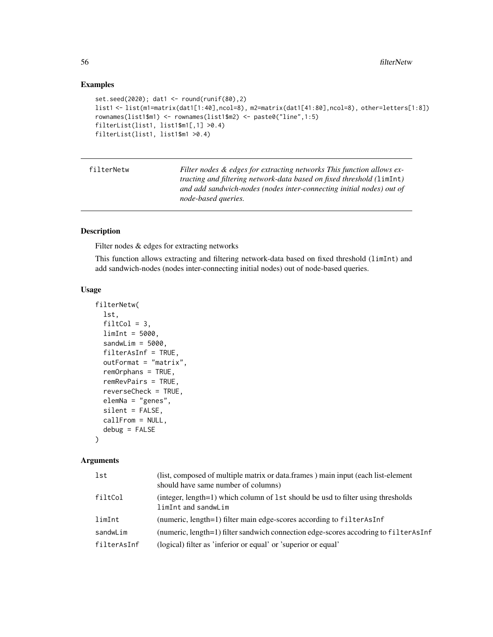# Examples

```
set.seed(2020); dat1 <- round(runif(80),2)
list1 <- list(m1=matrix(dat1[1:40],ncol=8), m2=matrix(dat1[41:80],ncol=8), other=letters[1:8])
rownames(list1$m1) <- rownames(list1$m2) <- paste0("line",1:5)
filterList(list1, list1$m1[,1] >0.4)
filterList(list1, list1$m1 >0.4)
```
filterNetw *Filter nodes & edges for extracting networks This function allows extracting and filtering network-data based on fixed threshold (*limInt*) and add sandwich-nodes (nodes inter-connecting initial nodes) out of node-based queries.*

# Description

Filter nodes & edges for extracting networks

This function allows extracting and filtering network-data based on fixed threshold (limInt) and add sandwich-nodes (nodes inter-connecting initial nodes) out of node-based queries.

#### Usage

```
filterNetw(
  lst,
  filtCol = 3,
  limit = 5000,sandwLim = 5000,
  filterAsInf = TRUE,
  outFormat = "matrix",
  remOrphans = TRUE,
  remRevPairs = TRUE,
  reverseCheck = TRUE,
  elemNa = "genes",
  silent = FALSE,
  callFrom = NULL,
  debug = FALSE
)
```
#### Arguments

| lst         | (list, composed of multiple matrix or data.frames) main input (each list-element<br>should have same number of columns) |
|-------------|-------------------------------------------------------------------------------------------------------------------------|
| filtCol     | (integer, length=1) which column of 1st should be usd to filter using thresholds<br>limInt and sandwLim                 |
| limInt      | (numeric, length=1) filter main edge-scores according to filterAsInf                                                    |
| sandwLim    | (numeric, length=1) filter sandwich connection edge-scores accodring to filterAsInf                                     |
| filterAsInf | (logical) filter as 'inferior or equal' or 'superior or equal'                                                          |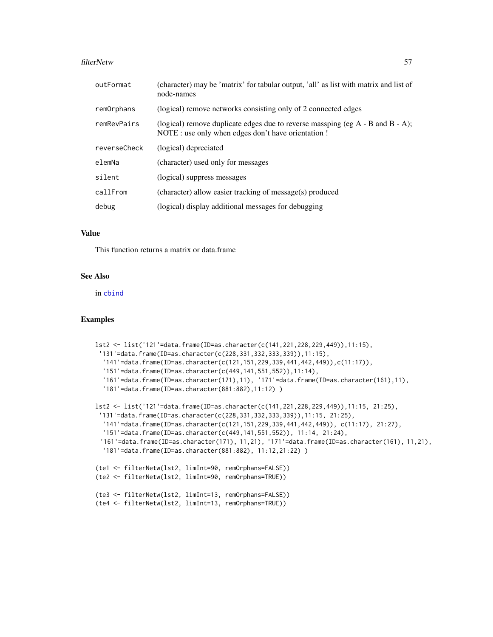#### filterNetw 57

| outFormat    | (character) may be 'matrix' for tabular output, 'all' as list with matrix and list of<br>node-names                                        |
|--------------|--------------------------------------------------------------------------------------------------------------------------------------------|
| remOrphans   | (logical) remove networks consisting only of 2 connected edges                                                                             |
| remRevPairs  | (logical) remove duplicate edges due to reverse massping (eg $A - B$ and $B - A$ );<br>NOTE : use only when edges don't have orientation ! |
| reverseCheck | (logical) depreciated                                                                                                                      |
| elemNa       | (character) used only for messages                                                                                                         |
| silent       | (logical) suppress messages                                                                                                                |
| callFrom     | (character) allow easier tracking of message(s) produced                                                                                   |
| debug        | (logical) display additional messages for debugging                                                                                        |

#### Value

This function returns a matrix or data.frame

## See Also

in [cbind](#page-0-0)

```
lst2 <- list('121'=data.frame(ID=as.character(c(141,221,228,229,449)),11:15),
 '131'=data.frame(ID=as.character(c(228,331,332,333,339)),11:15),
  '141'=data.frame(ID=as.character(c(121,151,229,339,441,442,449)),c(11:17)),
  '151'=data.frame(ID=as.character(c(449,141,551,552)),11:14),
  '161'=data.frame(ID=as.character(171),11), '171'=data.frame(ID=as.character(161),11),
  '181'=data.frame(ID=as.character(881:882),11:12) )
lst2 <- list('121'=data.frame(ID=as.character(c(141,221,228,229,449)),11:15, 21:25),
 '131'=data.frame(ID=as.character(c(228,331,332,333,339)),11:15, 21:25),
  '141'=data.frame(ID=as.character(c(121,151,229,339,441,442,449)), c(11:17), 21:27),
  '151'=data.frame(ID=as.character(c(449,141,551,552)), 11:14, 21:24),
 '161'=data.frame(ID=as.character(171), 11,21), '171'=data.frame(ID=as.character(161), 11,21),
  '181'=data.frame(ID=as.character(881:882), 11:12,21:22) )
(te1 <- filterNetw(lst2, limInt=90, remOrphans=FALSE))
(te2 <- filterNetw(lst2, limInt=90, remOrphans=TRUE))
(te3 <- filterNetw(lst2, limInt=13, remOrphans=FALSE))
(te4 <- filterNetw(lst2, limInt=13, remOrphans=TRUE))
```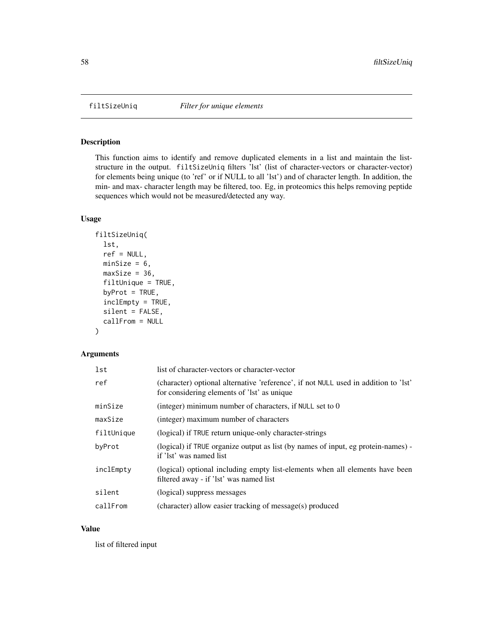<span id="page-57-0"></span>

This function aims to identify and remove duplicated elements in a list and maintain the liststructure in the output. filtSizeUniq filters 'lst' (list of character-vectors or character-vector) for elements being unique (to 'ref' or if NULL to all 'lst') and of character length. In addition, the min- and max- character length may be filtered, too. Eg, in proteomics this helps removing peptide sequences which would not be measured/detected any way.

#### Usage

```
filtSizeUniq(
  lst,
  ref = NULL,
 minSize = 6,
 maxSize = 36,
  filtUnique = TRUE,
  byProt = TRUE,
  inclEmpty = TRUE,
  silent = FALSE,
  callFrom = NULL
)
```
# Arguments

| lst        | list of character-vectors or character-vector                                                                                      |
|------------|------------------------------------------------------------------------------------------------------------------------------------|
| ref        | (character) optional alternative 'reference', if not NULL used in addition to 'lst'<br>for considering elements of 'lst' as unique |
| minSize    | (integer) minimum number of characters, if NULL set to 0                                                                           |
| maxSize    | (integer) maximum number of characters                                                                                             |
| filtUnique | (logical) if TRUE return unique-only character-strings                                                                             |
| byProt     | (logical) if TRUE organize output as list (by names of input, eg protein-names) -<br>if 'lst' was named list                       |
| inclEmpty  | (logical) optional including empty list-elements when all elements have been<br>filtered away - if 'lst' was named list            |
| silent     | (logical) suppress messages                                                                                                        |
| callFrom   | (character) allow easier tracking of message(s) produced                                                                           |

## Value

list of filtered input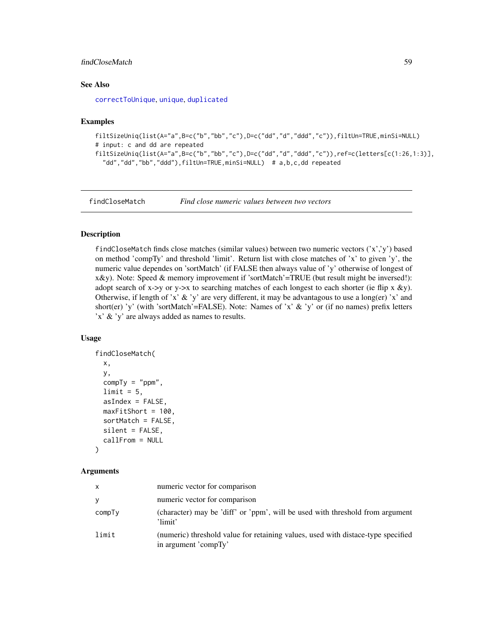# findCloseMatch 59

# See Also

[correctToUnique](#page-36-0), [unique](#page-0-0), [duplicated](#page-0-0)

## Examples

```
filtSizeUniq(list(A="a",B=c("b","bb","c"),D=c("dd","d","ddd","c")),filtUn=TRUE,minSi=NULL)
# input: c and dd are repeated
filtSizeUniq(list(A="a",B=c("b","bb","c"),D=c("dd","d","ddd","c")),ref=c(letters[c(1:26,1:3)],
  "dd","dd","bb","ddd"),filtUn=TRUE,minSi=NULL) # a,b,c,dd repeated
```
<span id="page-58-0"></span>findCloseMatch *Find close numeric values between two vectors*

# **Description**

findCloseMatch finds close matches (similar values) between two numeric vectors  $('x',y')$  based on method 'compTy' and threshold 'limit'. Return list with close matches of 'x' to given 'y', the numeric value dependes on 'sortMatch' (if FALSE then always value of 'y' otherwise of longest of x&y). Note: Speed & memory improvement if 'sortMatch'=TRUE (but result might be inversed!): adopt search of x->y or y->x to searching matches of each longest to each shorter (ie flip x &y). Otherwise, if length of 'x' & 'y' are very different, it may be advantagous to use a long(er) 'x' and short(er) 'y' (with 'sortMatch'=FALSE). Note: Names of 'x'  $\&$  'y' or (if no names) prefix letters 'x' & 'y' are always added as names to results.

## Usage

```
findCloseMatch(
  x,
 y,
  compTy = "ppm",
  limit = 5,
  asIndex = FALSE,maxFitShort = 100,
  sortMatch = FALSE,
  silent = FALSE,
  callFrom = NULL
```
)

#### Arguments

| X      | numeric vector for comparison                                                                            |
|--------|----------------------------------------------------------------------------------------------------------|
| y      | numeric vector for comparison                                                                            |
| compTy | (character) may be 'diff' or 'ppm', will be used with threshold from argument<br>'limit'                 |
| limit  | (numeric) threshold value for retaining values, used with distace-type specified<br>in argument 'compTy' |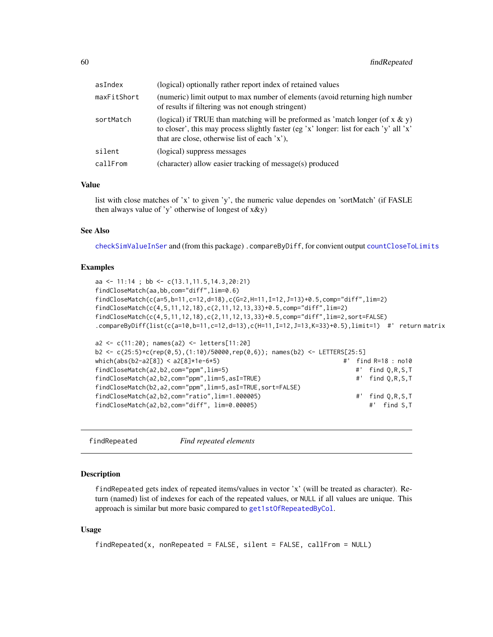| (numeric) limit output to max number of elements (avoid returning high number<br>of results if filtering was not enough stringent)<br>(logical) if TRUE than matching will be preformed as 'match longer (of $x \& y$ )<br>to closer', this may process slightly faster (eg 'x' longer: list for each 'y' all 'x'<br>that are close, otherwise list of each 'x').<br>(logical) suppress messages<br>(character) allow easier tracking of message(s) produced | asIndex     | (logical) optionally rather report index of retained values |
|--------------------------------------------------------------------------------------------------------------------------------------------------------------------------------------------------------------------------------------------------------------------------------------------------------------------------------------------------------------------------------------------------------------------------------------------------------------|-------------|-------------------------------------------------------------|
|                                                                                                                                                                                                                                                                                                                                                                                                                                                              | maxFitShort |                                                             |
|                                                                                                                                                                                                                                                                                                                                                                                                                                                              | sortMatch   |                                                             |
|                                                                                                                                                                                                                                                                                                                                                                                                                                                              | silent      |                                                             |
|                                                                                                                                                                                                                                                                                                                                                                                                                                                              | callFrom    |                                                             |

# Value

list with close matches of 'x' to given 'y', the numeric value dependes on 'sortMatch' (if FASLE then always value of 'y' otherwise of longest of  $x \& y$ )

## See Also

[checkSimValueInSer](#page-14-0) and (from this package) .compareByDiff, for convient output [countCloseToLimits](#page-38-0)

#### Examples

```
aa <- 11:14 ; bb <- c(13.1,11.5,14.3,20:21)
findCloseMatch(aa,bb,com="diff",lim=0.6)
findCloseMatch(c(a=5,b=11,c=12,d=18),c(G=2,H=11,I=12,J=13)+0.5,comp="diff",lim=2)
findCloseMatch(c(4,5,11,12,18),c(2,11,12,13,33)+0.5,comp="diff",lim=2)
findCloseMatch(c(4,5,11,12,18),c(2,11,12,13,33)+0.5,comp="diff",lim=2,sort=FALSE)
.compareByDiff(list(c(a=10,b=11,c=12,d=13),c(H=11,I=12,J=13,K=33)+0.5),limit=1) #' return matrix
a2 <- c(11:20); names(a2) <- letters[11:20]
b2 <- c(25:5)+c(rep(0,5),(1:10)/50000,rep(0,6)); names(b2) <- LETTERS[25:5]
which(abs(b2-a2[8]) < a2[8]*1e-6*5) #' find R=18 : no10
findCloseMatch(a2,b2,com="ppm",lim=5) #' find Q,R,S,T
findCloseMatch(a2,b2,com="ppm",lim=5,asI=TRUE) #' find Q,R,S,T
findCloseMatch(b2,a2,com="ppm",lim=5,asI=TRUE,sort=FALSE)
findCloseMatch(a2,b2,com="ratio",lim=1.000005) #' find Q,R,S,T
findCloseMatch(a2,b2,com="diff", lim=0.00005) #' find S,T
```

```
findRepeated Find repeated elements
```
#### Description

findRepeated gets index of repeated items/values in vector 'x' (will be treated as character). Return (named) list of indexes for each of the repeated values, or NULL if all values are unique. This approach is similar but more basic compared to [get1stOfRepeatedByCol](#page-68-0).

#### Usage

```
findRepeated(x, nonRepeated = FALSE, silent = FALSE, callFrom = NULL)
```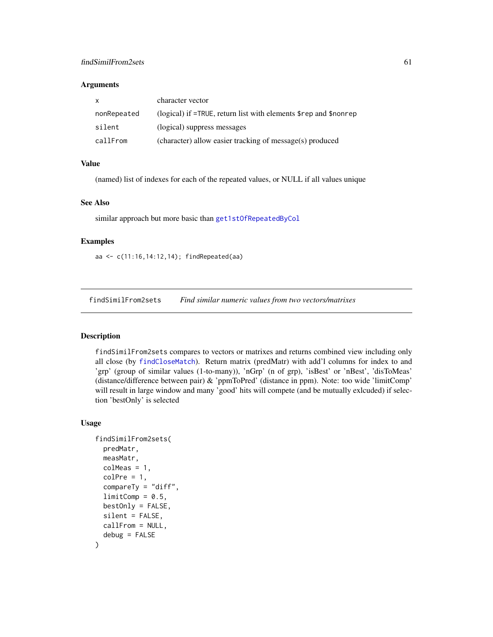#### **Arguments**

| X           | character vector                                                                      |
|-------------|---------------------------------------------------------------------------------------|
| nonRepeated | (logical) if $=$ TRUE, return list with elements $\epsilon$ rep and $\epsilon$ nonrep |
| silent      | (logical) suppress messages                                                           |
| callFrom    | (character) allow easier tracking of message(s) produced                              |

# Value

(named) list of indexes for each of the repeated values, or NULL if all values unique

#### See Also

similar approach but more basic than [get1stOfRepeatedByCol](#page-68-0)

## Examples

aa <- c(11:16,14:12,14); findRepeated(aa)

findSimilFrom2sets *Find similar numeric values from two vectors/matrixes*

# Description

findSimilFrom2sets compares to vectors or matrixes and returns combined view including only all close (by [findCloseMatch](#page-58-0)). Return matrix (predMatr) with add'l columns for index to and 'grp' (group of similar values (1-to-many)), 'nGrp' (n of grp), 'isBest' or 'nBest', 'disToMeas' (distance/difference between pair) & 'ppmToPred' (distance in ppm). Note: too wide 'limitComp' will result in large window and many 'good' hits will compete (and be mutually exlcuded) if selection 'bestOnly' is selected

#### Usage

```
findSimilFrom2sets(
 predMatr,
 measMatr,
 colMeas = 1,
  colPre = 1,
  compareTy = "diff",
  limitComp = 0.5,
 bestOnly = FALSE,
  silent = FALSE,
 callFrom = NULL,
  debug = FALSE
)
```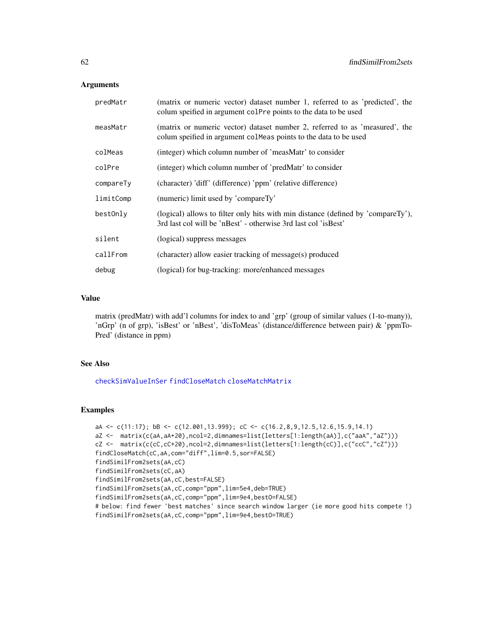## **Arguments**

| predMatr  | (matrix or numeric vector) dataset number 1, referred to as 'predicted', the<br>colum speified in argument colPre points to the data to be used    |
|-----------|----------------------------------------------------------------------------------------------------------------------------------------------------|
| measMatr  | (matrix or numeric vector) dataset number 2, referred to as 'measured', the<br>colum speified in argument colmeas points to the data to be used    |
| colMeas   | (integer) which column number of 'measMatr' to consider                                                                                            |
| colPre    | (integer) which column number of 'predMatr' to consider                                                                                            |
| compareTy | (character) 'diff' (difference) 'ppm' (relative difference)                                                                                        |
| limitComp | (numeric) limit used by 'compareTy'                                                                                                                |
| best0nly  | (logical) allows to filter only hits with min distance (defined by 'compareTy'),<br>3rd last col will be 'nBest' - otherwise 3rd last col 'isBest' |
| silent    | (logical) suppress messages                                                                                                                        |
| callFrom  | (character) allow easier tracking of message(s) produced                                                                                           |
| debug     | (logical) for bug-tracking: more/enhanced messages                                                                                                 |

# Value

matrix (predMatr) with add'l columns for index to and 'grp' (group of similar values (1-to-many)), 'nGrp' (n of grp), 'isBest' or 'nBest', 'disToMeas' (distance/difference between pair) & 'ppmTo-Pred' (distance in ppm)

# See Also

[checkSimValueInSer](#page-14-0) [findCloseMatch](#page-58-0) [closeMatchMatrix](#page-17-0)

```
aA <- c(11:17); bB <- c(12.001,13.999); cC <- c(16.2,8,9,12.5,12.6,15.9,14.1)
aZ <- matrix(c(aA,aA+20),ncol=2,dimnames=list(letters[1:length(aA)],c("aaA","aZ")))
cZ <- matrix(c(cC,cC+20),ncol=2,dimnames=list(letters[1:length(cC)],c("ccC","cZ")))
findCloseMatch(cC,aA,com="diff",lim=0.5,sor=FALSE)
findSimilFrom2sets(aA,cC)
findSimilFrom2sets(cC,aA)
findSimilFrom2sets(aA,cC,best=FALSE)
findSimilFrom2sets(aA,cC,comp="ppm",lim=5e4,deb=TRUE)
findSimilFrom2sets(aA,cC,comp="ppm",lim=9e4,bestO=FALSE)
# below: find fewer 'best matches' since search window larger (ie more good hits compete !)
findSimilFrom2sets(aA,cC,comp="ppm",lim=9e4,bestO=TRUE)
```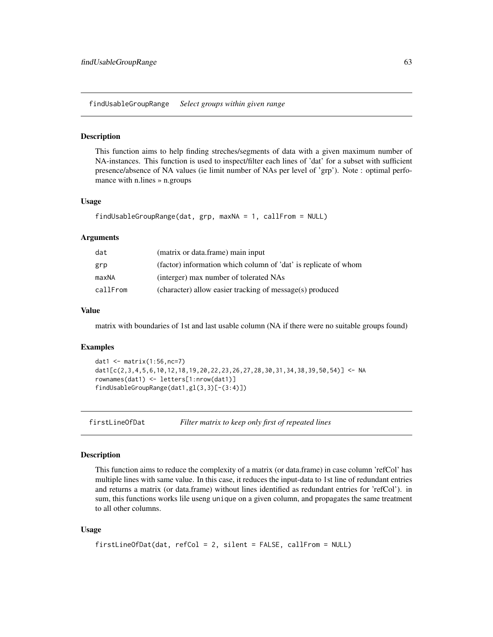findUsableGroupRange *Select groups within given range*

#### Description

This function aims to help finding streches/segments of data with a given maximum number of NA-instances. This function is used to inspect/filter each lines of 'dat' for a subset with sufficient presence/absence of NA values (ie limit number of NAs per level of 'grp'). Note : optimal perfomance with n.lines » n.groups

#### Usage

```
findUsableGroupRange(dat, grp, maxNA = 1, callFrom = NULL)
```
#### Arguments

| dat      | (matrix or data.frame) main input                               |
|----------|-----------------------------------------------------------------|
| grp      | (factor) information which column of 'dat' is replicate of whom |
| maxNA    | (interger) max number of tolerated NAs                          |
| callFrom | (character) allow easier tracking of message(s) produced        |

# Value

matrix with boundaries of 1st and last usable column (NA if there were no suitable groups found)

#### Examples

```
dat1 <- matrix(1:56, nc=7)dat1[c(2,3,4,5,6,10,12,18,19,20,22,23,26,27,28,30,31,34,38,39,50,54)] <- NA
rownames(dat1) <- letters[1:nrow(dat1)]
findUsableGroupRange(dat1,gl(3,3)[-(3:4)])
```
firstLineOfDat *Filter matrix to keep only first of repeated lines*

## Description

This function aims to reduce the complexity of a matrix (or data.frame) in case column 'refCol' has multiple lines with same value. In this case, it reduces the input-data to 1st line of redundant entries and returns a matrix (or data.frame) without lines identified as redundant entries for 'refCol'). in sum, this functions works lile useng unique on a given column, and propagates the same treatment to all other columns.

#### Usage

```
firstLineOfDat(dat, refCol = 2, silent = FALSE, callFrom = NULL)
```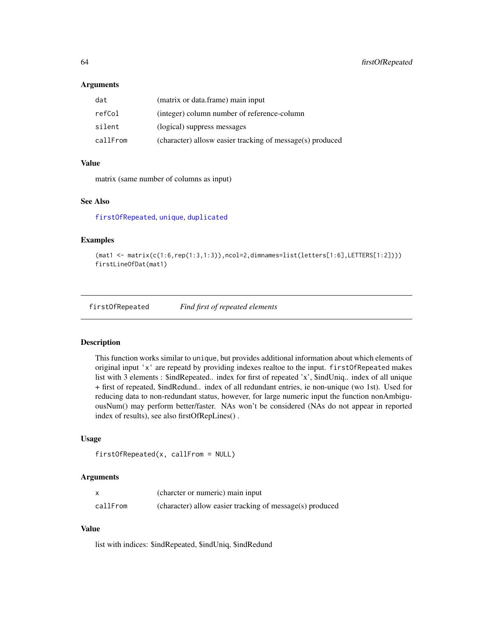#### **Arguments**

| dat      | (matrix or data.frame) main input                         |
|----------|-----------------------------------------------------------|
| refCol   | (integer) column number of reference-column               |
| silent   | (logical) suppress messages                               |
| callFrom | (character) allosw easier tracking of message(s) produced |

#### Value

matrix (same number of columns as input)

#### See Also

[firstOfRepeated](#page-63-0), [unique](#page-0-0), [duplicated](#page-0-0)

#### Examples

```
(\text{mat1} \leq \text{matrix}(c(1:6, \text{rep}(1:3, 1:3)), \text{ncol}=2, \text{dimnames=list}(\text{letters}[1:6], \text{LETTER}[1:2]))))firstLineOfDat(mat1)
```
<span id="page-63-0"></span>firstOfRepeated *Find first of repeated elements*

#### Description

This function works similar to unique, but provides additional information about which elements of original input 'x' are repeatd by providing indexes realtoe to the input. firstOfRepeated makes list with 3 elements : \$indRepeated.. index for first of repeated 'x', \$indUniq.. index of all unique + first of repeated, \$indRedund.. index of all redundant entries, ie non-unique (wo 1st). Used for reducing data to non-redundant status, however, for large numeric input the function nonAmbiguousNum() may perform better/faster. NAs won't be considered (NAs do not appear in reported index of results), see also firstOfRepLines() .

## Usage

```
firstOfRepeated(x, callFrom = NULL)
```
#### Arguments

|          | (charcter or numeric) main input                         |
|----------|----------------------------------------------------------|
| callFrom | (character) allow easier tracking of message(s) produced |

## Value

list with indices: \$indRepeated, \$indUniq, \$indRedund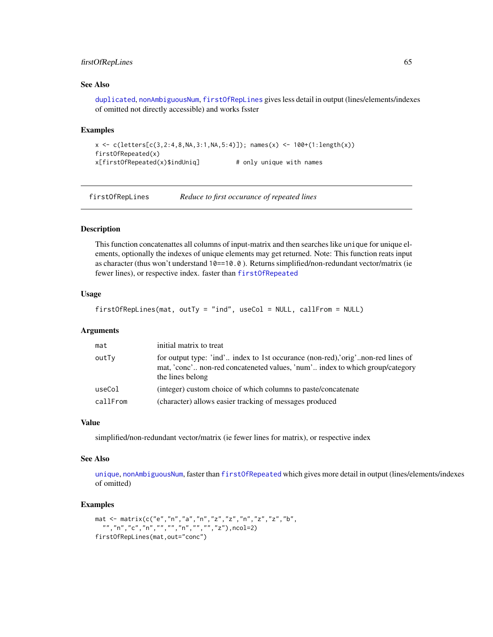# firstOfRepLines 65

# See Also

[duplicated](#page-0-0), [nonAmbiguousNum](#page-101-0), [firstOfRepLines](#page-64-0) gives less detail in output (lines/elements/indexes of omitted not directly accessible) and works fsster

## Examples

```
x <- c(letters[c(3,2:4,8,NA,3:1,NA,5:4)]); names(x) <- 100+(1:length(x))
firstOfRepeated(x)
x[firstOfRepeated(x)$indUniq] # only unique with names
```
<span id="page-64-0"></span>firstOfRepLines *Reduce to first occurance of repeated lines*

#### Description

This function concatenattes all columns of input-matrix and then searches like unique for unique elements, optionally the indexes of unique elements may get returned. Note: This function reats input as character (thus won't understand 10==10.0 ). Returns simplified/non-redundant vector/matrix (ie fewer lines), or respective index. faster than [firstOfRepeated](#page-63-0)

#### Usage

```
firstOfRepLines(mat, outTy = "ind", useCol = NULL, callFrom = NULL)
```
#### Arguments

| mat      | initial matrix to treat                                                                                                                                                            |
|----------|------------------------------------------------------------------------------------------------------------------------------------------------------------------------------------|
| outTy    | for output type: 'ind' index to 1st occurance (non-red), orig'non-red lines of<br>mat, 'conc' non-red concateneted values, 'num' index to which group/category<br>the lines belong |
| useCol   | (integer) custom choice of which columns to paste/concatenate                                                                                                                      |
| callFrom | (character) allows easier tracking of messages produced                                                                                                                            |

#### Value

simplified/non-redundant vector/matrix (ie fewer lines for matrix), or respective index

#### See Also

[unique](#page-0-0), [nonAmbiguousNum](#page-101-0), faster than [firstOfRepeated](#page-63-0) which gives more detail in output (lines/elements/indexes of omitted)

```
mat <- matrix(c("e","n","a","n","z","z","n","z","z","b",
 "","n","c","n","","","n","","","z"),ncol=2)
firstOfRepLines(mat,out="conc")
```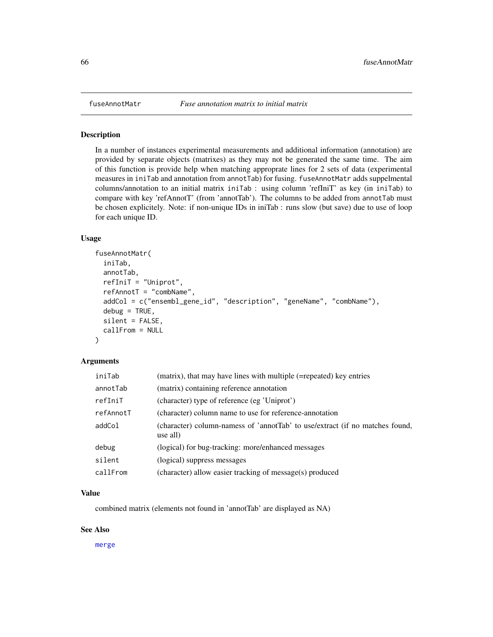In a number of instances experimental measurements and additional information (annotation) are provided by separate objects (matrixes) as they may not be generated the same time. The aim of this function is provide help when matching approprate lines for 2 sets of data (experimental measures in iniTab and annotation from annotTab) for fusing. fuseAnnotMatr adds suppelmental columns/annotation to an initial matrix iniTab : using column 'refIniT' as key (in iniTab) to compare with key 'refAnnotT' (from 'annotTab'). The columns to be added from annotTab must be chosen explicitely. Note: if non-unique IDs in iniTab : runs slow (but save) due to use of loop for each unique ID.

# Usage

```
fuseAnnotMatr(
  iniTab,
  annotTab,
  refIniT = "Uniprot",
  refAnnotT = "combName",addCol = c("ensembl_gene_id", "description", "geneName", "combName"),
  debug = TRUE,silent = FALSE,
  callFrom = NULL
)
```
#### Arguments

| iniTab    | (matrix), that may have lines with multiple (=repeated) key entries                      |
|-----------|------------------------------------------------------------------------------------------|
| annotTab  | (matrix) containing reference annotation                                                 |
| refIniT   | (character) type of reference (eg 'Uniprot')                                             |
| refAnnotT | (character) column name to use for reference-annotation                                  |
| addCol    | (character) column-namess of 'annotTab' to use/extract (if no matches found,<br>use all) |
| debug     | (logical) for bug-tracking: more/enhanced messages                                       |
| silent    | (logical) suppress messages                                                              |
| callFrom  | (character) allow easier tracking of message(s) produced                                 |

# Value

combined matrix (elements not found in 'annotTab' are displayed as NA)

## See Also

[merge](#page-0-0)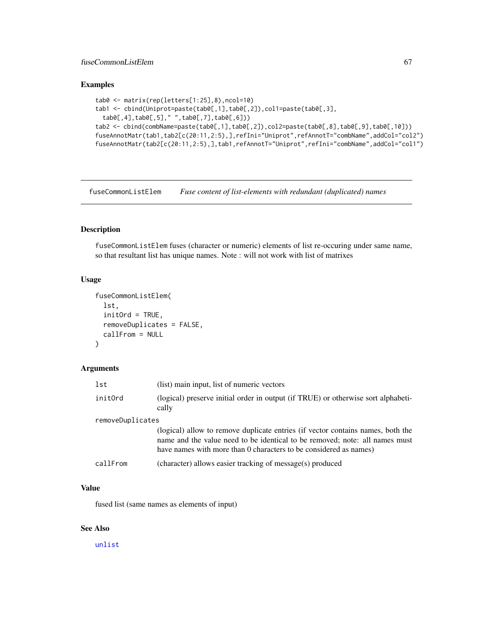# fuseCommonListElem 67

# Examples

```
tab0 <- matrix(rep(letters[1:25],8),ncol=10)
tab1 <- cbind(Uniprot=paste(tab0[,1],tab0[,2]),col1=paste(tab0[,3],
 tab0[,4],tab0[,5]," ",tab0[,7],tab0[,6]))
tab2 <- cbind(combName=paste(tab0[,1],tab0[,2]),col2=paste(tab0[,8],tab0[,9],tab0[,10]))
fuseAnnotMatr(tab1,tab2[c(20:11,2:5),],refIni="Uniprot",refAnnotT="combName",addCol="col2")
fuseAnnotMatr(tab2[c(20:11,2:5),],tab1,refAnnotT="Uniprot",refIni="combName",addCol="col1")
```
fuseCommonListElem *Fuse content of list-elements with redundant (duplicated) names*

# Description

fuseCommonListElem fuses (character or numeric) elements of list re-occuring under same name, so that resultant list has unique names. Note : will not work with list of matrixes

# Usage

```
fuseCommonListElem(
  lst,
  initOrd = TRUE,
  removeDuplicates = FALSE,
  callFrom = NULL
)
```
#### Arguments

| lst              | (list) main input, list of numeric vectors                                                                                                                                                                                          |  |
|------------------|-------------------------------------------------------------------------------------------------------------------------------------------------------------------------------------------------------------------------------------|--|
| initOrd          | (logical) preserve initial order in output (if TRUE) or otherwise sort alphabeti-<br>cally                                                                                                                                          |  |
| removeDuplicates |                                                                                                                                                                                                                                     |  |
|                  | (logical) allow to remove duplicate entries (if vector contains names, both the<br>name and the value need to be identical to be removed; note: all names must<br>have names with more than 0 characters to be considered as names) |  |
| callFrom         | (character) allows easier tracking of message(s) produced                                                                                                                                                                           |  |

## Value

fused list (same names as elements of input)

# See Also

[unlist](#page-0-0)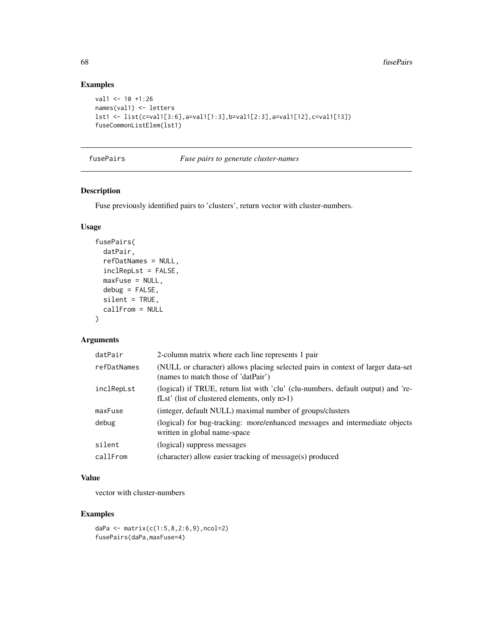# Examples

```
val1 <- 10 +1:26
names(val1) <- letters
lst1 <- list(c=val1[3:6],a=val1[1:3],b=val1[2:3],a=val1[12],c=val1[13])
fuseCommonListElem(lst1)
```
# fusePairs *Fuse pairs to generate cluster-names*

# Description

Fuse previously identified pairs to 'clusters', return vector with cluster-numbers.

# Usage

```
fusePairs(
  datPair,
  refDatNames = NULL,
  inclRepLst = FALSE,
 maxFuse = NULL,
 debug = FALSE,silent = TRUE,
  callFrom = NULL
)
```
# Arguments

| datPair     | 2-column matrix where each line represents 1 pair                                                                                   |
|-------------|-------------------------------------------------------------------------------------------------------------------------------------|
| refDatNames | (NULL or character) allows placing selected pairs in context of larger data-set<br>(names to match those of 'datPair')              |
| inclRepLst  | (logical) if TRUE, return list with 'clu' (clu-numbers, default output) and 're-<br>fLst' (list of clustered elements, only $n>1$ ) |
| maxFuse     | (integer, default NULL) maximal number of groups/clusters                                                                           |
| debug       | (logical) for bug-tracking: more/enhanced messages and intermediate objects<br>written in global name-space                         |
| silent      | (logical) suppress messages                                                                                                         |
| callFrom    | (character) allow easier tracking of message(s) produced                                                                            |

# Value

vector with cluster-numbers

```
daPa <- matrix(c(1:5,8,2:6,9),ncol=2)
fusePairs(daPa,maxFuse=4)
```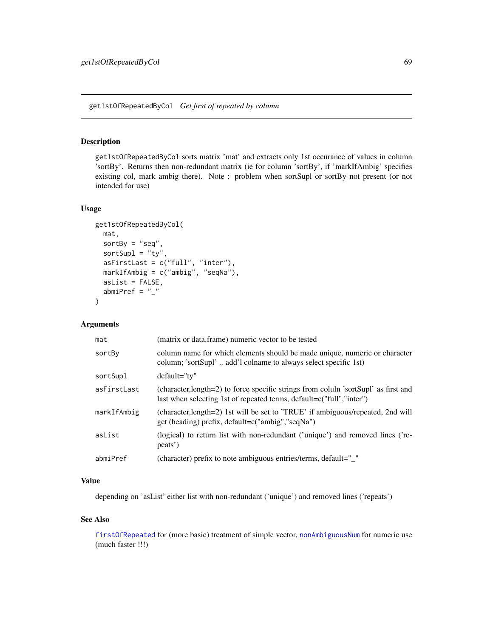<span id="page-68-0"></span>get1stOfRepeatedByCol *Get first of repeated by column*

# Description

get1stOfRepeatedByCol sorts matrix 'mat' and extracts only 1st occurance of values in column 'sortBy'. Returns then non-redundant matrix (ie for column 'sortBy', if 'markIfAmbig' specifies existing col, mark ambig there). Note : problem when sortSupl or sortBy not present (or not intended for use)

# Usage

```
get1stOfRepeatedByCol(
 mat,
 sortBy = "seq",sortSupl = "ty",asFirstLast = c("full", "inter"),markIfAmbig = c("ambig", "seqNa"),
 asList = FALSE,
 abmiPref = "_"
)
```
## Arguments

| mat         | (matrix or data.frame) numeric vector to be tested                                                                                                          |
|-------------|-------------------------------------------------------------------------------------------------------------------------------------------------------------|
| sortBy      | column name for which elements should be made unique, numeric or character<br>column; 'sortSupl' add'l colname to always select specific 1st)               |
| sortSupl    | default="ty"                                                                                                                                                |
| asFirstLast | (character, length=2) to force specific strings from coluln 'sortSupl' as first and<br>last when selecting 1st of repeated terms, default=c("full","inter") |
| markIfAmbig | (character, length=2) 1st will be set to 'TRUE' if ambiguous/repeated, 2nd will<br>get (heading) prefix, default=c("ambig","seqNa")                         |
| asList      | (logical) to return list with non-redundant ('unique') and removed lines ('re-<br>peats')                                                                   |
| abmiPref    | (character) prefix to note ambiguous entries/terms, default="_"                                                                                             |

# Value

depending on 'asList' either list with non-redundant ('unique') and removed lines ('repeats')

## See Also

[firstOfRepeated](#page-63-0) for (more basic) treatment of simple vector, [nonAmbiguousNum](#page-101-0) for numeric use (much faster !!!)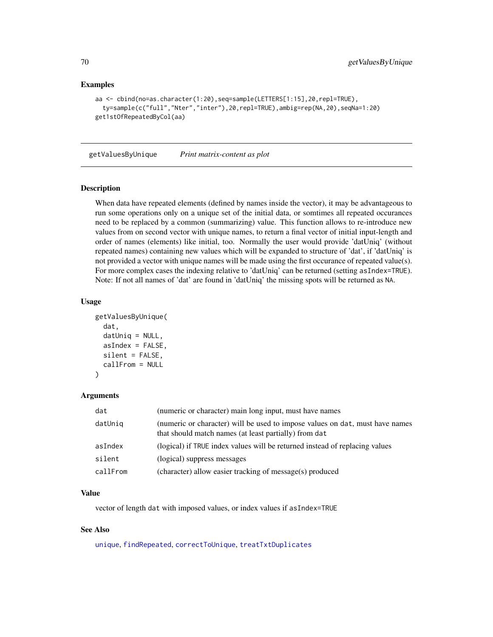## Examples

```
aa <- cbind(no=as.character(1:20),seq=sample(LETTERS[1:15],20,repl=TRUE),
 ty=sample(c("full","Nter","inter"),20,repl=TRUE),ambig=rep(NA,20),seqNa=1:20)
get1stOfRepeatedByCol(aa)
```
getValuesByUnique *Print matrix-content as plot*

#### Description

When data have repeated elements (defined by names inside the vector), it may be advantageous to run some operations only on a unique set of the initial data, or somtimes all repeated occurances need to be replaced by a common (summarizing) value. This function allows to re-introduce new values from on second vector with unique names, to return a final vector of initial input-length and order of names (elements) like initial, too. Normally the user would provide 'datUniq' (without repeated names) containing new values which will be expanded to structure of 'dat', if 'datUniq' is not provided a vector with unique names will be made using the first occurance of repeated value(s). For more complex cases the indexing relative to 'datUniq' can be returned (setting asIndex=TRUE). Note: If not all names of 'dat' are found in 'datUniq' the missing spots will be returned as NA.

#### Usage

```
getValuesByUnique(
  dat,
  datUniq = NULL,
  asIndex = FALSE,
  silent = FALSE,
  callFrom = NULL
)
```
#### Arguments

| dat      | (numeric or character) main long input, must have names                                                                               |
|----------|---------------------------------------------------------------------------------------------------------------------------------------|
| datUniq  | (numeric or character) will be used to impose values on dat, must have names<br>that should match names (at least partially) from dat |
| asIndex  | (logical) if TRUE index values will be returned instead of replacing values                                                           |
| silent   | (logical) suppress messages                                                                                                           |
| callFrom | (character) allow easier tracking of message(s) produced                                                                              |

# Value

vector of length dat with imposed values, or index values if asIndex=TRUE

## See Also

[unique](#page-0-0), [findRepeated](#page-59-0), [correctToUnique](#page-36-0), [treatTxtDuplicates](#page-158-0)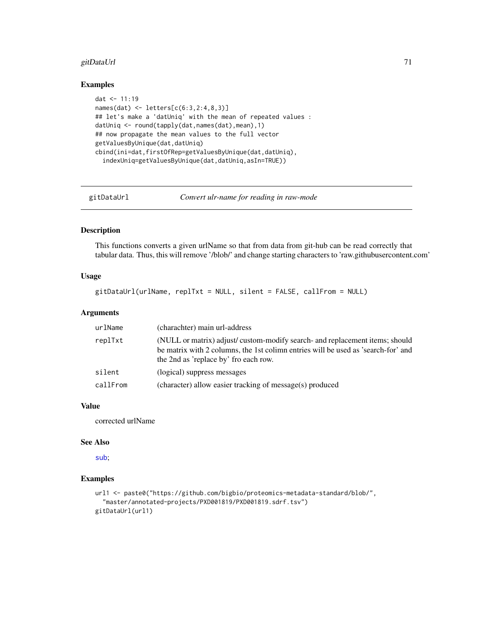## gitDataUrl 71

# Examples

```
dat <- 11:19
names(dat) <- letters[c(6:3,2:4,8,3)]
## let's make a 'datUniq' with the mean of repeated values :
datUniq <- round(tapply(dat,names(dat),mean),1)
## now propagate the mean values to the full vector
getValuesByUnique(dat,datUniq)
cbind(ini=dat,firstOfRep=getValuesByUnique(dat,datUniq),
  indexUniq=getValuesByUnique(dat,datUniq,asIn=TRUE))
```
gitDataUrl *Convert ulr-name for reading in raw-mode*

# Description

This functions converts a given urlName so that from data from git-hub can be read correctly that tabular data. Thus, this will remove '/blob/' and change starting characters to 'raw.githubusercontent.com'

## Usage

```
gitDataUrl(urlName, replTxt = NULL, silent = FALSE, callFrom = NULL)
```
#### Arguments

| urlName  | (charachter) main url-address                                                                                                                                                                             |
|----------|-----------------------------------------------------------------------------------------------------------------------------------------------------------------------------------------------------------|
| replTxt  | (NULL or matrix) adjust/custom-modify search- and replacement items; should<br>be matrix with 2 columns, the 1st colimn entries will be used as 'search-for' and<br>the 2nd as 'replace by' fro each row. |
| silent   | (logical) suppress messages                                                                                                                                                                               |
| callFrom | (character) allow easier tracking of message(s) produced                                                                                                                                                  |

# Value

corrected urlName

# See Also

[sub](#page-0-0);

```
url1 <- paste0("https://github.com/bigbio/proteomics-metadata-standard/blob/",
  "master/annotated-projects/PXD001819/PXD001819.sdrf.tsv")
gitDataUrl(url1)
```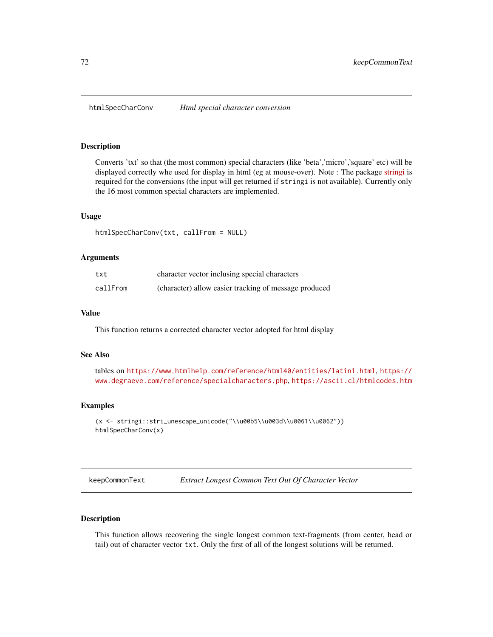Converts 'txt' so that (the most common) special characters (like 'beta','micro','square' etc) will be displayed correctly whe used for display in html (eg at mouse-over). Note : The package [stringi](https://CRAN.R-project.org/package=stringi) is required for the conversions (the input will get returned if stringi is not available). Currently only the 16 most common special characters are implemented.

## Usage

```
htmlSpecCharConv(txt, callFrom = NULL)
```
#### Arguments

| txt      | character vector inclusing special characters         |
|----------|-------------------------------------------------------|
| callFrom | (character) allow easier tracking of message produced |

## Value

This function returns a corrected character vector adopted for html display

#### See Also

```
tables on https://www.htmlhelp.com/reference/html40/entities/latin1.html, https://
www.degraeve.com/reference/specialcharacters.php, https://ascii.cl/htmlcodes.htm
```
#### Examples

```
(x <- stringi::stri_unescape_unicode("\\u00b5\\u003d\\u0061\\u0062"))
htmlSpecCharConv(x)
```
keepCommonText *Extract Longest Common Text Out Of Character Vector*

# Description

This function allows recovering the single longest common text-fragments (from center, head or tail) out of character vector txt. Only the first of all of the longest solutions will be returned.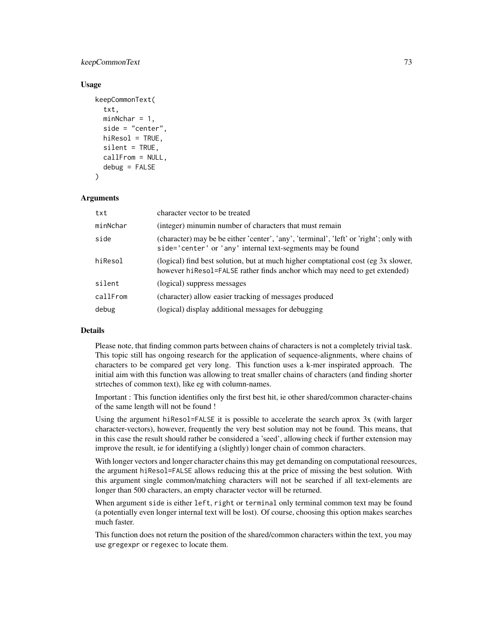# keepCommonText 73

## Usage

```
keepCommonText(
  txt,
  minNchar = 1,
  side = "center",
  hiResol = TRUE,
  silent = TRUE,
  callFrom = NULL,
  debug = FALSE
)
```
## **Arguments**

| txt      | character vector to be treated                                                                                                                                 |
|----------|----------------------------------------------------------------------------------------------------------------------------------------------------------------|
| minNchar | (integer) minumin number of characters that must remain                                                                                                        |
| side     | (character) may be be either 'center', 'any', 'terminal', 'left' or 'right'; only with<br>side='center' or 'any' internal text-segments may be found           |
| hiResol  | (logical) find best solution, but at much higher comptational cost (eg 3x slower,<br>however hiresol=FALSE rather finds anchor which may need to get extended) |
| silent   | (logical) suppress messages                                                                                                                                    |
| callFrom | (character) allow easier tracking of messages produced                                                                                                         |
| debug    | (logical) display additional messages for debugging                                                                                                            |

## Details

Please note, that finding common parts between chains of characters is not a completely trivial task. This topic still has ongoing research for the application of sequence-alignments, where chains of characters to be compared get very long. This function uses a k-mer inspirated approach. The initial aim with this function was allowing to treat smaller chains of characters (and finding shorter strteches of common text), like eg with column-names.

Important : This function identifies only the first best hit, ie other shared/common character-chains of the same length will not be found !

Using the argument hiResol=FALSE it is possible to accelerate the search aprox 3x (with larger character-vectors), however, frequently the very best solution may not be found. This means, that in this case the result should rather be considered a 'seed', allowing check if further extension may improve the result, ie for identifying a (slightly) longer chain of common characters.

With longer vectors and longer character chains this may get demanding on computational reesources, the argument hiResol=FALSE allows reducing this at the price of missing the best solution. With this argument single common/matching characters will not be searched if all text-elements are longer than 500 characters, an empty character vector will be returned.

When argument side is either left, right or terminal only terminal common text may be found (a potentially even longer internal text will be lost). Of course, choosing this option makes searches much faster.

This function does not return the position of the shared/common characters within the text, you may use gregexpr or regexec to locate them.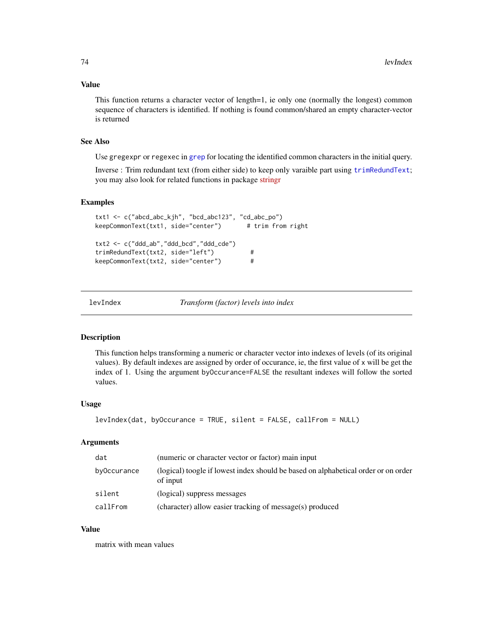## Value

This function returns a character vector of length=1, ie only one (normally the longest) common sequence of characters is identified. If nothing is found common/shared an empty character-vector is returned

# See Also

Use gregexpr or regexec in [grep](#page-0-0) for locating the identified common characters in the initial query.

Inverse : Trim redundant text (from either side) to keep only varaible part using [trimRedundText](#page-160-0); you may also look for related functions in package [stringr](https://CRAN.R-project.org/package=stringr)

#### Examples

```
txt1 <- c("abcd_abc_kjh", "bcd_abc123", "cd_abc_po")
keepCommonText(txt1, side="center") # trim from right
txt2 <- c("ddd_ab","ddd_bcd","ddd_cde")
trimRedundText(txt2, side="left") #
keepCommonText(txt2, side="center") #
```
levIndex *Transform (factor) levels into index*

#### Description

This function helps transforming a numeric or character vector into indexes of levels (of its original values). By default indexes are assigned by order of occurance, ie, the first value of x will be get the index of 1. Using the argument byOccurance=FALSE the resultant indexes will follow the sorted values.

#### Usage

```
levIndex(dat, byOccurance = TRUE, silent = FALSE, callFrom = NULL)
```
# Arguments

| dat         | (numeric or character vector or factor) main input                                             |
|-------------|------------------------------------------------------------------------------------------------|
| byOccurance | (logical) toogle if lowest index should be based on alphabetical order or on order<br>of input |
| silent      | (logical) suppress messages                                                                    |
| callFrom    | (character) allow easier tracking of message(s) produced                                       |

# Value

matrix with mean values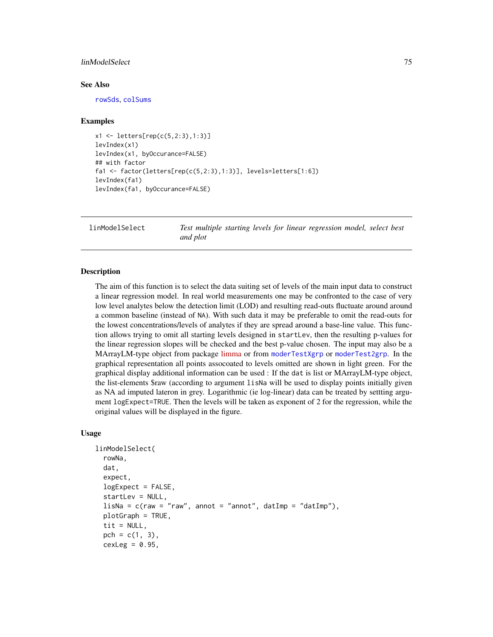## linModelSelect 75

#### See Also

[rowSds](#page-140-0), [colSums](#page-0-0)

## Examples

```
x1 <- letters[rep(c(5,2:3),1:3)]
levIndex(x1)
levIndex(x1, byOccurance=FALSE)
## with factor
fa1 <- factor(letters[rep(c(5,2:3),1:3)], levels=letters[1:6])
levIndex(fa1)
levIndex(fa1, byOccurance=FALSE)
```
linModelSelect *Test multiple starting levels for linear regression model, select best and plot*

#### **Description**

The aim of this function is to select the data suiting set of levels of the main input data to construct a linear regression model. In real world measurements one may be confronted to the case of very low level analytes below the detection limit (LOD) and resulting read-outs fluctuate around around a common baseline (instead of NA). With such data it may be preferable to omit the read-outs for the lowest concentrations/levels of analytes if they are spread around a base-line value. This function allows trying to omit all starting levels designed in startLev, then the resulting p-values for the linear regression slopes will be checked and the best p-value chosen. The input may also be a MArrayLM-type object from package [limma](https://bioconductor.org/packages/release/bioc/html/limma.html) or from [moderTestXgrp](#page-93-0) or [moderTest2grp](#page-92-0). In the graphical representation all points assocoated to levels omitted are shown in light green. For the graphical display additional information can be used : If the dat is list or MArrayLM-type object, the list-elements \$raw (according to argument lisNa will be used to display points initially given as NA ad imputed lateron in grey. Logarithmic (ie log-linear) data can be treated by settting argument logExpect=TRUE. Then the levels will be taken as exponent of 2 for the regression, while the original values will be displayed in the figure.

## Usage

```
linModelSelect(
  rowNa,
  dat,
  expect,
  logExpect = FALSE,
  startLev = NULL,
  lisha = c(raw = "raw", annot = "annot", datImp = "datImp"),plotGraph = TRUE,
  tit = NULL,pch = c(1, 3),cexLeg = 0.95,
```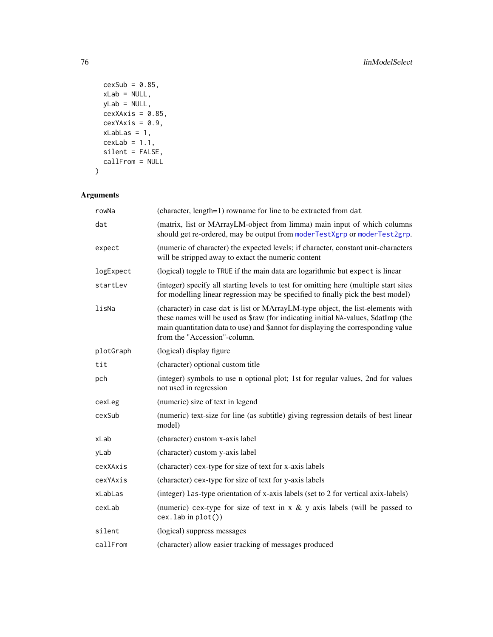```
cexSub = 0.85,
  xLab = NULL,yLab = NULL,
  cexXAxis = 0.85,cexYAxis = 0.9,xLab\text{Las} = 1,
  cexLab = 1.1,silent = FALSE,
  callFrom = NULL
\sum
```

| rowNa     | (character, length=1) rowname for line to be extracted from dat                                                                                                                                                                                                                            |
|-----------|--------------------------------------------------------------------------------------------------------------------------------------------------------------------------------------------------------------------------------------------------------------------------------------------|
| dat       | (matrix, list or MArrayLM-object from limma) main input of which columns<br>should get re-ordered, may be output from moderTestXgrp or moderTest2grp.                                                                                                                                      |
| expect    | (numeric of character) the expected levels; if character, constant unit-characters<br>will be stripped away to extact the numeric content                                                                                                                                                  |
| logExpect | (logical) toggle to TRUE if the main data are logarithmic but expect is linear                                                                                                                                                                                                             |
| startLev  | (integer) specify all starting levels to test for omitting here (multiple start sites<br>for modelling linear regression may be specified to finally pick the best model)                                                                                                                  |
| lisNa     | (character) in case dat is list or MArrayLM-type object, the list-elements with<br>these names will be used as \$raw (for indicating initial NA-values, \$datImp (the<br>main quantitation data to use) and \$annot for displaying the corresponding value<br>from the "Accession"-column. |
| plotGraph | (logical) display figure                                                                                                                                                                                                                                                                   |
| tit       | (character) optional custom title                                                                                                                                                                                                                                                          |
| pch       | (integer) symbols to use n optional plot; 1st for regular values, 2nd for values<br>not used in regression                                                                                                                                                                                 |
| cexLeg    | (numeric) size of text in legend                                                                                                                                                                                                                                                           |
| cexSub    | (numeric) text-size for line (as subtitle) giving regression details of best linear<br>model)                                                                                                                                                                                              |
| xLab      | (character) custom x-axis label                                                                                                                                                                                                                                                            |
| yLab      | (character) custom y-axis label                                                                                                                                                                                                                                                            |
| cexXAxis  | (character) cex-type for size of text for x-axis labels                                                                                                                                                                                                                                    |
| cexYAxis  | (character) cex-type for size of text for y-axis labels                                                                                                                                                                                                                                    |
| xLabLas   | (integer) las-type orientation of x-axis labels (set to 2 for vertical axix-labels)                                                                                                                                                                                                        |
| cexLab    | (numeric) cex-type for size of text in $x \& y$ axis labels (will be passed to<br>$cex.$ lab in $plot()$                                                                                                                                                                                   |
| silent    | (logical) suppress messages                                                                                                                                                                                                                                                                |
| callFrom  | (character) allow easier tracking of messages produced                                                                                                                                                                                                                                     |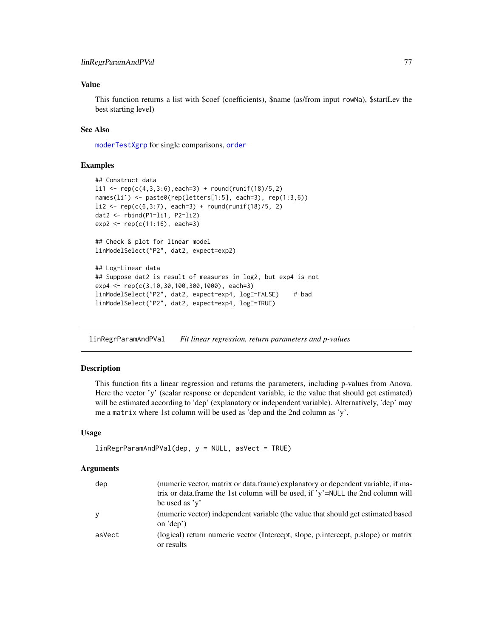# Value

This function returns a list with \$coef (coefficients), \$name (as/from input rowNa), \$startLev the best starting level)

## See Also

[moderTestXgrp](#page-93-0) for single comparisons, [order](#page-0-0)

## Examples

```
## Construct data
li1 < - rep(c(4,3,3:6), each=3) + round(runif(18)/5,2)names(li1) <- paste0(rep(letters[1:5], each=3), rep(1:3,6))
li2 \leq rep(c(6,3:7), each=3) + round(runif(18)/5, 2)dat2 <- rbind(P1=li1, P2=li2)
exp2 <- rep(c(11:16), each=3)
## Check & plot for linear model
linModelSelect("P2", dat2, expect=exp2)
## Log-Linear data
## Suppose dat2 is result of measures in log2, but exp4 is not
exp4 <- rep(c(3,10,30,100,300,1000), each=3)
linModelSelect("P2", dat2, expect=exp4, logE=FALSE) # bad
linModelSelect("P2", dat2, expect=exp4, logE=TRUE)
```
linRegrParamAndPVal *Fit linear regression, return parameters and p-values*

## Description

This function fits a linear regression and returns the parameters, including p-values from Anova. Here the vector 'y' (scalar response or dependent variable, ie the value that should get estimated) will be estimated according to 'dep' (explanatory or independent variable). Alternatively, 'dep' may me a matrix where 1st column will be used as 'dep and the 2nd column as 'y'.

#### Usage

```
linRegrParamAndPVal(dep, y = NULL, asVect = TRUE)
```

| dep    | (numeric vector, matrix or data.frame) explanatory or dependent variable, if ma-<br>trix or data. frame the 1st column will be used, if 'y'=NULL the 2nd column will<br>be used as $y'$ |
|--------|-----------------------------------------------------------------------------------------------------------------------------------------------------------------------------------------|
| У      | (numeric vector) independent variable (the value that should get estimated based<br>on $\text{def}$ )                                                                                   |
| asVect | (logical) return numeric vector (Intercept, slope, p.intercept, p.slope) or matrix<br>or results                                                                                        |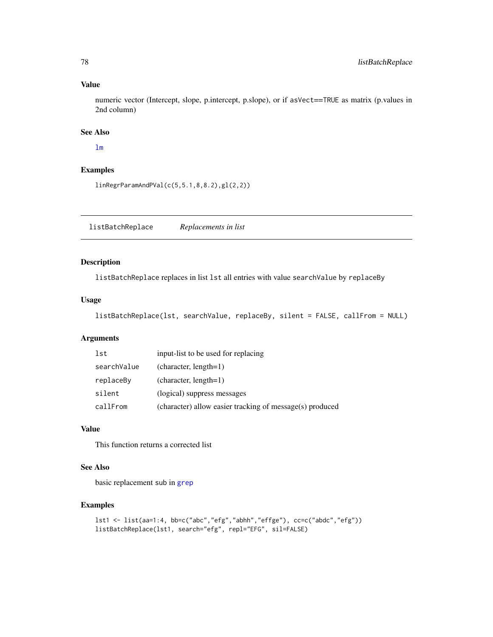## Value

numeric vector (Intercept, slope, p.intercept, p.slope), or if asVect==TRUE as matrix (p.values in 2nd column)

# See Also

# [lm](#page-0-0)

## Examples

linRegrParamAndPVal(c(5,5.1,8,8.2),gl(2,2))

listBatchReplace *Replacements in list*

# Description

listBatchReplace replaces in list lst all entries with value searchValue by replaceBy

# Usage

```
listBatchReplace(lst, searchValue, replaceBy, silent = FALSE, callFrom = NULL)
```
# Arguments

| lst         | input-list to be used for replacing                      |
|-------------|----------------------------------------------------------|
| searchValue | $(character, length=1)$                                  |
| replaceBy   | $(character, length=1)$                                  |
| silent      | (logical) suppress messages                              |
| callFrom    | (character) allow easier tracking of message(s) produced |

# Value

This function returns a corrected list

## See Also

basic replacement sub in [grep](#page-0-0)

```
lst1 <- list(aa=1:4, bb=c("abc","efg","abhh","effge"), cc=c("abdc","efg"))
listBatchReplace(lst1, search="efg", repl="EFG", sil=FALSE)
```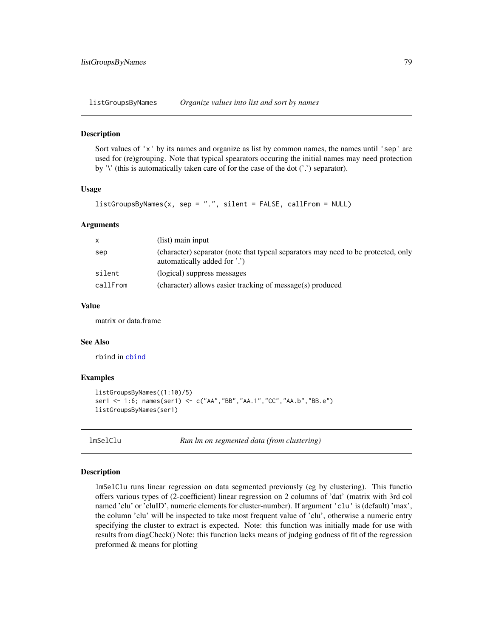listGroupsByNames *Organize values into list and sort by names*

#### **Description**

Sort values of 'x' by its names and organize as list by common names, the names until 'sep' are used for (re)grouping. Note that typical spearators occuring the initial names may need protection by '\' (this is automatically taken care of for the case of the dot ('.') separator).

## Usage

```
listGroupsByNames(x, sep = "." , silent = FALSE, callFrom = NULL)
```
#### Arguments

| $\mathsf{x}$ | (list) main input                                                                                                 |
|--------------|-------------------------------------------------------------------------------------------------------------------|
| sep          | (character) separator (note that typcal separators may need to be protected, only<br>automatically added for '.') |
| silent       | (logical) suppress messages                                                                                       |
| callFrom     | (character) allows easier tracking of message(s) produced                                                         |

## Value

matrix or data.frame

#### See Also

rbind in [cbind](#page-0-0)

#### Examples

```
listGroupsByNames((1:10)/5)
ser1 <- 1:6; names(ser1) <- c("AA","BB","AA.1","CC","AA.b","BB.e")
listGroupsByNames(ser1)
```
lmSelClu *Run lm on segmented data (from clustering)*

#### Description

lmSelClu runs linear regression on data segmented previously (eg by clustering). This functio offers various types of (2-coefficient) linear regression on 2 columns of 'dat' (matrix with 3rd col named 'clu' or 'cluID', numeric elements for cluster-number). If argument 'clu' is (default) 'max', the column 'clu' will be inspected to take most frequent value of 'clu', otherwise a numeric entry specifying the cluster to extract is expected. Note: this function was initially made for use with results from diagCheck() Note: this function lacks means of judging godness of fit of the regression preformed & means for plotting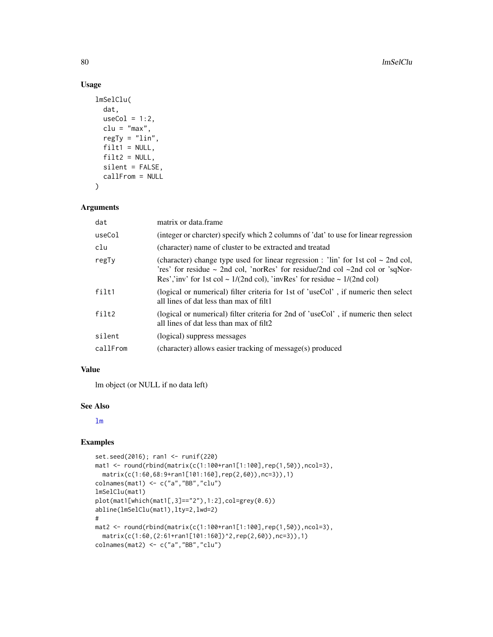# Usage

```
lmSelClu(
 dat,
 useCol = 1:2,clu = "max",regTy = "lin",filt1 = NULL,filt2 = NULL,silent = FALSE,
 callFrom = NULL
)
```
# Arguments

| dat      | matrix or data.frame                                                                                                                                                                                                                                                                |
|----------|-------------------------------------------------------------------------------------------------------------------------------------------------------------------------------------------------------------------------------------------------------------------------------------|
| useCol   | (integer or charcter) specify which 2 columns of 'dat' to use for linear regression                                                                                                                                                                                                 |
| clu      | (character) name of cluster to be extracted and treatad                                                                                                                                                                                                                             |
| regTy    | (character) change type used for linear regression : 'lin' for 1st col $\sim$ 2nd col,<br>'res' for residue $\sim$ 2nd col, 'norRes' for residue/2nd col $\sim$ 2nd col or 'sqNor-<br>Res','inv' for 1st col ~ $1/(2nd \text{ col})$ , 'invRes' for residue ~ $1/(2nd \text{ col})$ |
| filt1    | (logical or numerical) filter criteria for 1st of 'useCol', if numeric then select<br>all lines of dat less than max of filt1                                                                                                                                                       |
| filt2    | (logical or numerical) filter criteria for 2nd of 'useCol', if numeric then select<br>all lines of dat less than max of filt2                                                                                                                                                       |
| silent   | (logical) suppress messages                                                                                                                                                                                                                                                         |
| callFrom | (character) allows easier tracking of message(s) produced                                                                                                                                                                                                                           |

## Value

lm object (or NULL if no data left)

#### See Also

[lm](#page-0-0)

```
set.seed(2016); ran1 <- runif(220)
mat1 <- round(rbind(matrix(c(1:100+ran1[1:100],rep(1,50)),ncol=3),
  matrix(c(1:60,68:9+ran1[101:160],rep(2,60)),nc=3)),1)
colnames(mat1) <- c("a","BB","clu")
lmSelClu(mat1)
plot(mat1[which(mat1[,3]=="2"),1:2],col=grey(0.6))
abline(lmSelClu(mat1),lty=2,lwd=2)
#
mat2 <- round(rbind(matrix(c(1:100+ran1[1:100],rep(1,50)),ncol=3),
  matrix(c(1:60,(2:61+ran1[101:160])^2,rep(2,60)),nc=3)),1)
colnames(mat2) <- c("a","BB","clu")
```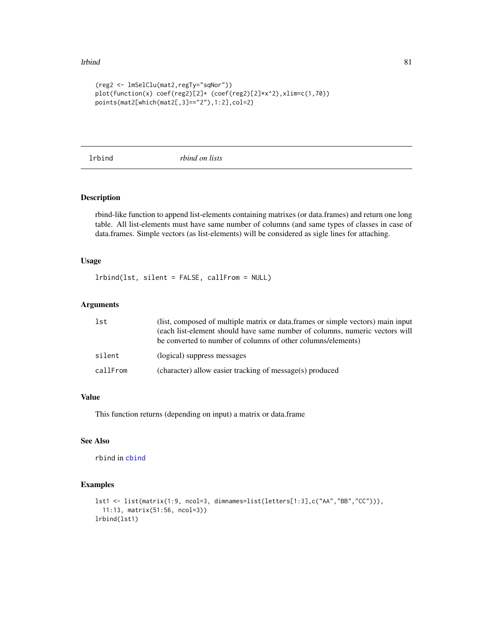#### lrbind 81

```
(reg2 <- lmSelClu(mat2,regTy="sqNor"))
plot(function(x) coef(reg2)[2]+ (coef(reg2)[2]*x^2),xlim=c(1,70))
points(mat2[which(mat2[,3]=="2"),1:2],col=2)
```
lrbind *rbind on lists*

# Description

rbind-like function to append list-elements containing matrixes (or data.frames) and return one long table. All list-elements must have same number of columns (and same types of classes in case of data.frames. Simple vectors (as list-elements) will be considered as sigle lines for attaching.

# Usage

lrbind(lst, silent = FALSE, callFrom = NULL)

# Arguments

| lst      | (list, composed of multiple matrix or data.frames or simple vectors) main input<br>(each list-element should have same number of columns, numeric vectors will<br>be converted to number of columns of other columns/elements) |
|----------|--------------------------------------------------------------------------------------------------------------------------------------------------------------------------------------------------------------------------------|
| silent   | (logical) suppress messages                                                                                                                                                                                                    |
| callFrom | (character) allow easier tracking of message(s) produced                                                                                                                                                                       |

# Value

This function returns (depending on input) a matrix or data.frame

# See Also

rbind in [cbind](#page-0-0)

```
lst1 <- list(matrix(1:9, ncol=3, dimnames=list(letters[1:3],c("AA","BB","CC"))),
  11:13, matrix(51:56, ncol=3))
lrbind(lst1)
```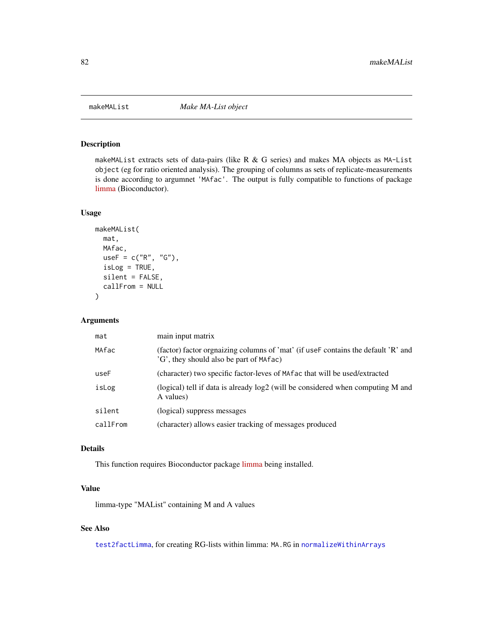# Description

makeMAList extracts sets of data-pairs (like R  $\&$  G series) and makes MA objects as MA-List object (eg for ratio oriented analysis). The grouping of columns as sets of replicate-measurements is done according to argumnet 'MAfac'. The output is fully compatible to functions of package [limma](https://bioconductor.org/packages/release/bioc/html/limma.html) (Bioconductor).

## Usage

```
makeMAList(
  mat,
  MAfac,
  useF = c("R", "G"),
  isLog = TRUE,
  silent = FALSE,
  callFrom = NULL
\mathcal{L}
```
#### Arguments

| mat      | main input matrix                                                                                                             |
|----------|-------------------------------------------------------------------------------------------------------------------------------|
| MAfac    | (factor) factor orgnaizing columns of 'mat' (if use F contains the default 'R' and<br>'G', they should also be part of MAfac) |
| useF     | (character) two specific factor-leves of MA fac that will be used/extracted                                                   |
| isLog    | (logical) tell if data is already log2 (will be considered when computing M and<br>A values)                                  |
| silent   | (logical) suppress messages                                                                                                   |
| callFrom | (character) allows easier tracking of messages produced                                                                       |

## Details

This function requires Bioconductor package [limma](https://bioconductor.org/packages/release/bioc/html/limma.html) being installed.

## Value

limma-type "MAList" containing M and A values

## See Also

[test2factLimma](#page-156-0), for creating RG-lists within limma: MA.RG in [normalizeWithinArrays](#page-0-0)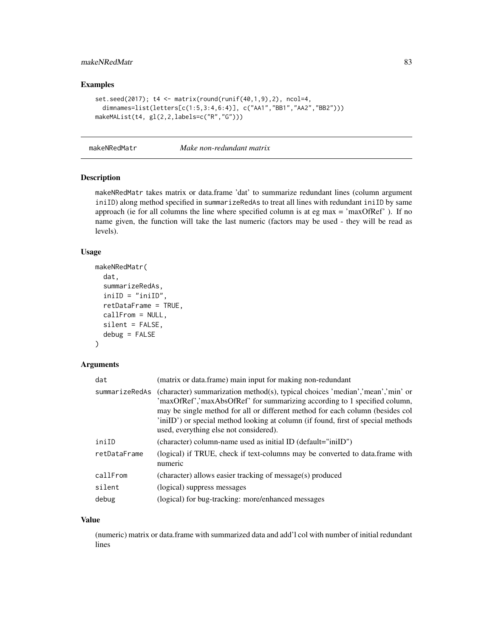# makeNRedMatr 83

# Examples

```
set.seed(2017); t4 <- matrix(round(runif(40,1,9),2), ncol=4,
 dimnames=list(letters[c(1:5,3:4,6:4)], c("AA1","BB1","AA2","BB2")))
makeMAList(t4, gl(2,2,labels=c("R","G")))
```
makeNRedMatr *Make non-redundant matrix*

# Description

makeNRedMatr takes matrix or data.frame 'dat' to summarize redundant lines (column argument iniID) along method specified in summarizeRedAs to treat all lines with redundant iniID by same approach (ie for all columns the line where specified column is at eg max  $=$  'maxOfRef' ). If no name given, the function will take the last numeric (factors may be used - they will be read as levels).

## Usage

```
makeNRedMatr(
  dat,
  summarizeRedAs,
  iniID = "iniID",
  retDataFrame = TRUE,
 callFrom = NULL,
 silent = FALSE,
  debug = FALSE
\lambda
```
## Arguments

| dat            | (matrix or data.frame) main input for making non-redundant                                                                                                                                                                                                                                                                                                                |
|----------------|---------------------------------------------------------------------------------------------------------------------------------------------------------------------------------------------------------------------------------------------------------------------------------------------------------------------------------------------------------------------------|
| summarizeRedAs | (character) summarization method(s), typical choices 'median','mean','min' or<br>'maxOfRef','maxAbsOfRef' for summarizing according to 1 specified column,<br>may be single method for all or different method for each column (besides col<br>'iniID') or special method looking at column (if found, first of special methods<br>used, everything else not considered). |
| iniID          | (character) column-name used as initial ID (default="iniID")                                                                                                                                                                                                                                                                                                              |
| retDataFrame   | (logical) if TRUE, check if text-columns may be converted to data.frame with<br>numeric                                                                                                                                                                                                                                                                                   |
| callFrom       | (character) allows easier tracking of message(s) produced                                                                                                                                                                                                                                                                                                                 |
| silent         | (logical) suppress messages                                                                                                                                                                                                                                                                                                                                               |
| debug          | (logical) for bug-tracking: more/enhanced messages                                                                                                                                                                                                                                                                                                                        |

#### Value

(numeric) matrix or data.frame with summarized data and add'l col with number of initial redundant lines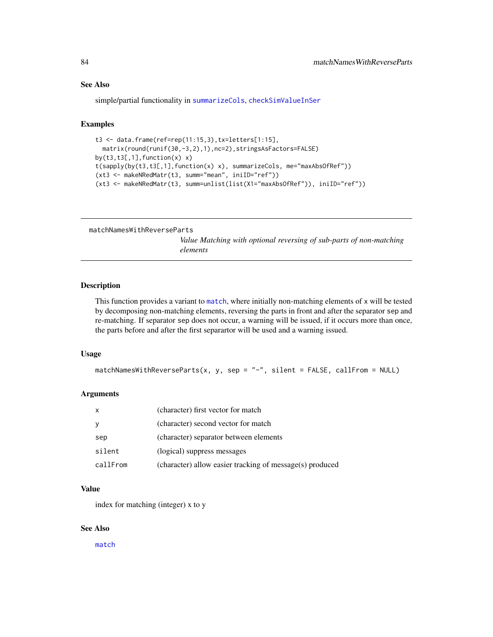#### See Also

simple/partial functionality in [summarizeCols](#page-152-0), [checkSimValueInSer](#page-14-0)

# Examples

```
t3 <- data.frame(ref=rep(11:15,3),tx=letters[1:15],
 matrix(round(runif(30,-3,2),1),nc=2),stringsAsFactors=FALSE)
by(t3,t3[,1], function(x) x)t(sapply(by(t3,t3[,1],function(x) x), summarizeCols, me="maxAbsOfRef"))
(xt3 <- makeNRedMatr(t3, summ="mean", iniID="ref"))
(xt3 <- makeNRedMatr(t3, summ=unlist(list(X1="maxAbsOfRef")), iniID="ref"))
```

```
matchNamesWithReverseParts
```
*Value Matching with optional reversing of sub-parts of non-matching elements*

## Description

This function provides a variant to [match](#page-0-0), where initially non-matching elements of x will be tested by decomposing non-matching elements, reversing the parts in front and after the separator sep and re-matching. If separator sep does not occur, a warning will be issued, if it occurs more than once, the parts before and after the first separartor will be used and a warning issued.

#### Usage

 $matchNamesWithReverseParts(x, y, sep = "-'", silent = FALSE, callFrom = NULL)$ 

#### Arguments

| X        | (character) first vector for match                       |
|----------|----------------------------------------------------------|
| y        | (character) second vector for match                      |
| sep      | (character) separator between elements                   |
| silent   | (logical) suppress messages                              |
| callFrom | (character) allow easier tracking of message(s) produced |

#### Value

index for matching (integer) x to y

## See Also

[match](#page-0-0)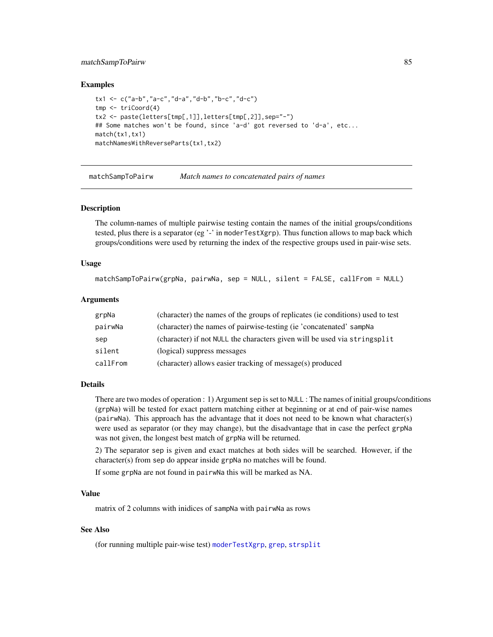#### matchSampToPairw 85

## Examples

```
tx1 <- c("a-b","a-c","d-a","d-b","b-c","d-c")
tmp <- triCoord(4)
tx2 <- paste(letters[tmp[,1]],letters[tmp[,2]],sep="-")
## Some matches won't be found, since 'a-d' got reversed to 'd-a', etc...
match(tx1,tx1)
matchNamesWithReverseParts(tx1,tx2)
```
matchSampToPairw *Match names to concatenated pairs of names*

## Description

The column-names of multiple pairwise testing contain the names of the initial groups/conditions tested, plus there is a separator (eg  $\cdot$ -' in moderTestXgrp). Thus function allows to map back which groups/conditions were used by returning the index of the respective groups used in pair-wise sets.

## Usage

```
matchSampToPairw(grpNa, pairwNa, sep = NULL, silent = FALSE, callFrom = NULL)
```
## Arguments

| grpNa    | (character) the names of the groups of replicates (ie conditions) used to test |
|----------|--------------------------------------------------------------------------------|
| pairwNa  | (character) the names of pairwise-testing (ie 'concatenated' sampNa            |
| sep      | (character) if not NULL the characters given will be used via stringsplit      |
| silent   | (logical) suppress messages                                                    |
| callFrom | (character) allows easier tracking of message(s) produced                      |

#### Details

There are two modes of operation : 1) Argument sep is set to NULL : The names of initial groups/conditions (grpNa) will be tested for exact pattern matching either at beginning or at end of pair-wise names (pairwNa). This approach has the advantage that it does not need to be known what character(s) were used as separator (or they may change), but the disadvantage that in case the perfect grpNa was not given, the longest best match of grpNa will be returned.

2) The separator sep is given and exact matches at both sides will be searched. However, if the character(s) from sep do appear inside grpNa no matches will be found.

If some grpNa are not found in pairwNa this will be marked as NA.

## Value

matrix of 2 columns with inidices of sampNa with pairwNa as rows

## See Also

(for running multiple pair-wise test) [moderTestXgrp](#page-93-0), [grep](#page-0-0), [strsplit](#page-0-0)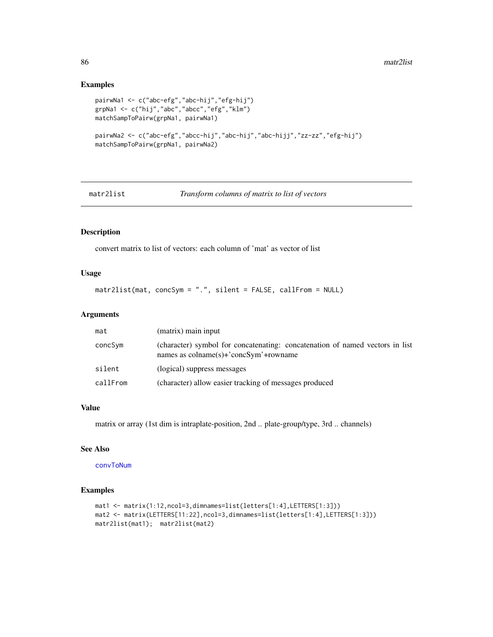## Examples

```
pairwNa1 <- c("abc-efg","abc-hij","efg-hij")
grpNa1 <- c("hij","abc","abcc","efg","klm")
matchSampToPairw(grpNa1, pairwNa1)
pairwNa2 <- c("abc-efg","abcc-hij","abc-hij","abc-hijj","zz-zz","efg-hij")
matchSampToPairw(grpNa1, pairwNa2)
```
matr2list *Transform columns of matrix to list of vectors*

# Description

convert matrix to list of vectors: each column of 'mat' as vector of list

## Usage

```
matr2list(mat, concSym = ".", silent = FALSE, callFrom = NULL)
```
# Arguments

| mat      | (matrix) main input                                                                                                                        |
|----------|--------------------------------------------------------------------------------------------------------------------------------------------|
| concSym  | (character) symbol for concatenating: concatenation of named vectors in list<br>names as $\text{colname}(s)$ +' $\text{concSym'}$ +rowname |
| silent   | (logical) suppress messages                                                                                                                |
| callFrom | (character) allow easier tracking of messages produced                                                                                     |

# Value

matrix or array (1st dim is intraplate-position, 2nd .. plate-group/type, 3rd .. channels)

# See Also

[convToNum](#page-33-0)

```
mat1 <- matrix(1:12,ncol=3,dimnames=list(letters[1:4],LETTERS[1:3]))
mat2 <- matrix(LETTERS[11:22],ncol=3,dimnames=list(letters[1:4],LETTERS[1:3]))
matr2list(mat1); matr2list(mat2)
```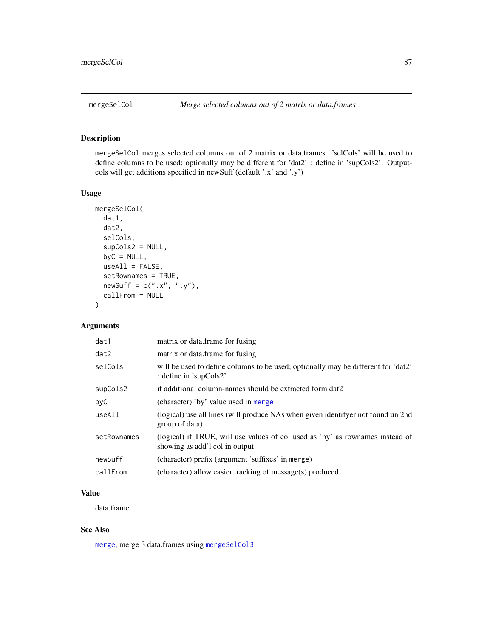# <span id="page-86-0"></span>Description

mergeSelCol merges selected columns out of 2 matrix or data.frames. 'selCols' will be used to define columns to be used; optionally may be different for 'dat2' : define in 'supCols2'. Outputcols will get additions specified in newSuff (default '.x' and '.y')

## Usage

```
mergeSelCol(
  dat1,
  dat2,
  selCols,
  supCols2 = NULL,
 byC = NULL,useAll = FALSE,setRownames = TRUE,
  newSuff = c(".x", ".y"),
  callFrom = NULL
)
```
# Arguments

| dat1        | matrix or data.frame for fusing                                                                                 |
|-------------|-----------------------------------------------------------------------------------------------------------------|
| dat2        | matrix or data.frame for fusing                                                                                 |
| selCols     | will be used to define columns to be used; optionally may be different for 'dat2'<br>: define in 'supCols2'     |
| supCols2    | if additional column-names should be extracted form dat2                                                        |
| byC         | (character) 'by' value used in merge                                                                            |
| useAll      | (logical) use all lines (will produce NAs when given identifyer not found un 2nd<br>group of data)              |
| setRownames | (logical) if TRUE, will use values of col used as 'by' as rownames instead of<br>showing as add'l col in output |
| newSuff     | (character) prefix (argument 'suffixes' in merge)                                                               |
| callFrom    | (character) allow easier tracking of message(s) produced                                                        |

# Value

data.frame

# See Also

[merge](#page-0-0), merge 3 data.frames using [mergeSelCol3](#page-87-0)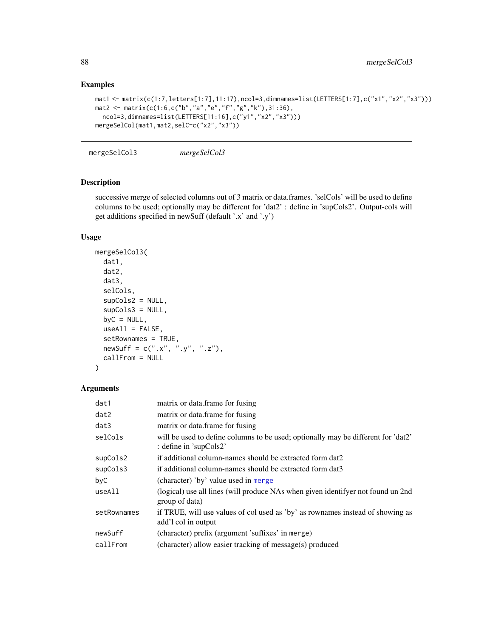# Examples

```
mat1 <- matrix(c(1:7,letters[1:7],11:17),ncol=3,dimnames=list(LETTERS[1:7],c("x1","x2","x3")))
mat2 <- matrix(c(1:6,c("b","a","e","f","g","k"),31:36),
  ncol=3,dimnames=list(LETTERS[11:16],c("y1","x2","x3")))
mergeSelCol(mat1,mat2,selC=c("x2","x3"))
```
<span id="page-87-0"></span>mergeSelCol3 *mergeSelCol3*

## Description

successive merge of selected columns out of 3 matrix or data.frames. 'selCols' will be used to define columns to be used; optionally may be different for 'dat2' : define in 'supCols2'. Output-cols will get additions specified in newSuff (default '.x' and '.y')

# Usage

```
mergeSelCol3(
 dat1,
  dat2,
 dat3,
  selCols,
  supCols2 = NULL,
  supCols3 = NULL,byC = NULL,
 useAll = FALSE,setRownames = TRUE,
 newSuff = c("x", "y", "z",callFrom = NULL
)
```

| dat1        | matrix or data.frame for fusing                                                                             |
|-------------|-------------------------------------------------------------------------------------------------------------|
| dat2        | matrix or data.frame for fusing                                                                             |
| dat3        | matrix or data.frame for fusing                                                                             |
| selCols     | will be used to define columns to be used; optionally may be different for 'dat2'<br>: define in 'supCols2' |
| supCols2    | if additional column-names should be extracted form dat2                                                    |
| supCols3    | if additional column-names should be extracted form dat3                                                    |
| byC         | (character) 'by' value used in merge                                                                        |
| useAll      | (logical) use all lines (will produce NAs when given identifyer not found un 2nd<br>group of data)          |
| setRownames | if TRUE, will use values of col used as 'by' as rownames instead of showing as<br>add'l col in output       |
| newSuff     | (character) prefix (argument 'suffixes' in merge)                                                           |
| callFrom    | (character) allow easier tracking of message(s) produced                                                    |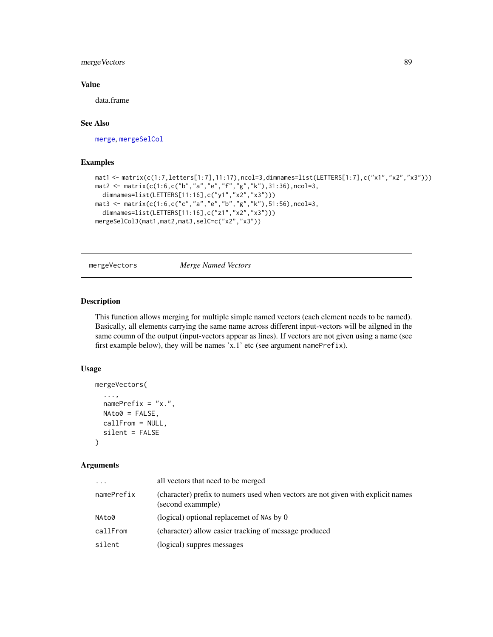# mergeVectors 89

## Value

data.frame

# See Also

[merge](#page-0-0), [mergeSelCol](#page-86-0)

## Examples

```
mat1 <- matrix(c(1:7,letters[1:7],11:17),ncol=3,dimnames=list(LETTERS[1:7],c("x1","x2","x3")))
mat2 <- matrix(c(1:6,c("b","a","e","f","g","k"),31:36),ncol=3,
  dimnames=list(LETTERS[11:16],c("y1","x2","x3")))
mat3 <- matrix(c(1:6,c("c","a","e","b","g","k"),51:56),ncol=3,
  dimnames=list(LETTERS[11:16],c("z1","x2","x3")))
mergeSelCol3(mat1,mat2,mat3,selC=c("x2","x3"))
```
mergeVectors *Merge Named Vectors*

# Description

This function allows merging for multiple simple named vectors (each element needs to be named). Basically, all elements carrying the same name across different input-vectors will be ailgned in the same coumn of the output (input-vectors appear as lines). If vectors are not given using a name (see first example below), they will be names 'x.1' etc (see argument namePrefix).

## Usage

```
mergeVectors(
  ...,
  namePrefix = "x."NAto0 = FALSE,
  callFrom = NULL,
  silent = FALSE
\mathcal{L}
```

| .          | all vectors that need to be merged                                                                    |
|------------|-------------------------------------------------------------------------------------------------------|
| namePrefix | (character) prefix to numers used when vectors are not given with explicit names<br>(second exammple) |
| NAto0      | (logical) optional replacemet of NAs by 0                                                             |
| callFrom   | (character) allow easier tracking of message produced                                                 |
| silent     | (logical) suppres messages                                                                            |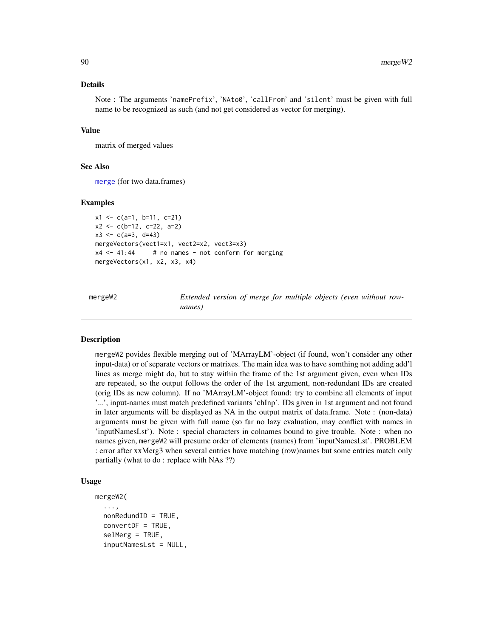#### Details

Note : The arguments 'namePrefix', 'NAto0', 'callFrom' and 'silent' must be given with full name to be recognized as such (and not get considered as vector for merging).

#### Value

matrix of merged values

## See Also

[merge](#page-0-0) (for two data.frames)

#### Examples

```
x1 \leftarrow c(a=1, b=11, c=21)x2 <- c(b=12, c=22, a=2)
x3 \leq c(a=3, d=43)mergeVectors(vect1=x1, vect2=x2, vect3=x3)
x4 \le -41:44 # no names - not conform for merging
mergeVectors(x1, x2, x3, x4)
```
mergeW2 *Extended version of merge for multiple objects (even without rownames)*

## Description

mergeW2 povides flexible merging out of 'MArrayLM'-object (if found, won't consider any other input-data) or of separate vectors or matrixes. The main idea was to have somthing not adding add'l lines as merge might do, but to stay within the frame of the 1st argument given, even when IDs are repeated, so the output follows the order of the 1st argument, non-redundant IDs are created (orig IDs as new column). If no 'MArrayLM'-object found: try to combine all elements of input '...', input-names must match predefined variants 'chInp'. IDs given in 1st argument and not found in later arguments will be displayed as NA in the output matrix of data.frame. Note : (non-data) arguments must be given with full name (so far no lazy evaluation, may conflict with names in 'inputNamesLst'). Note : special characters in colnames bound to give trouble. Note : when no names given, mergeW2 will presume order of elements (names) from 'inputNamesLst'. PROBLEM : error after xxMerg3 when several entries have matching (row)names but some entries match only partially (what to do : replace with NAs ??)

# Usage

```
mergeW2(
  ...,
  nonRedundID = TRUE,
  convertDF = TRUE,
  selMerg = TRUE,
  inputNamesLst = NULL,
```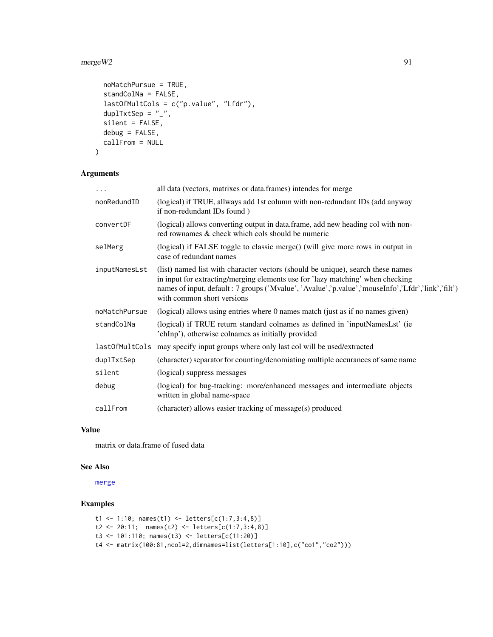#### $mergeW2$  91

```
noMatchPursue = TRUE,
  standColNa = FALSE,
  lastOfMultCols = c("p.value", "Lfdr"),
 duplTxtSep = "_",
  silent = FALSE,
 debug = FALSE,
 callFrom = NULL
\mathcal{L}
```
# Arguments

| $\cdots$       | all data (vectors, matrixes or data frames) intendes for merge                                                                                                                                                                                                                                          |
|----------------|---------------------------------------------------------------------------------------------------------------------------------------------------------------------------------------------------------------------------------------------------------------------------------------------------------|
| nonRedundID    | (logical) if TRUE, allways add 1st column with non-redundant IDs (add anyway)<br>if non-redundant IDs found)                                                                                                                                                                                            |
| convertDF      | (logical) allows converting output in data.frame, add new heading col with non-<br>red rownames & check which cols should be numeric                                                                                                                                                                    |
| selMerg        | (logical) if FALSE toggle to classic merge() (will give more rows in output in<br>case of redundant names                                                                                                                                                                                               |
| inputNamesLst  | (list) named list with character vectors (should be unique), search these names<br>in input for extracting/merging elements use for 'lazy matching' when checking<br>names of input, default : 7 groups ('Mvalue', 'Avalue', 'p.value', 'mouseInfo','Lfdr','link','filt')<br>with common short versions |
| noMatchPursue  | (logical) allows using entries where 0 names match (just as if no names given)                                                                                                                                                                                                                          |
| standColNa     | (logical) if TRUE return standard colnames as defined in 'inputNamesLst' (ie<br>'chInp'), otherwise colnames as initially provided                                                                                                                                                                      |
| last0fMultCols | may specify input groups where only last col will be used/extracted                                                                                                                                                                                                                                     |
| duplTxtSep     | (character) separator for counting/denomiating multiple occurances of same name                                                                                                                                                                                                                         |
| silent         | (logical) suppress messages                                                                                                                                                                                                                                                                             |
| debug          | (logical) for bug-tracking: more/enhanced messages and intermediate objects<br>written in global name-space                                                                                                                                                                                             |
| callFrom       | (character) allows easier tracking of message(s) produced                                                                                                                                                                                                                                               |

# Value

matrix or data.frame of fused data

#### See Also

[merge](#page-0-0)

```
t1 <- 1:10; names(t1) <- letters[c(1:7,3:4,8)]
t2 <- 20:11; names(t2) <- letters[c(1:7,3:4,8)]
t3 <- 101:110; names(t3) <- letters[c(11:20)]
t4 <- matrix(100:81,ncol=2,dimnames=list(letters[1:10],c("co1","co2")))
```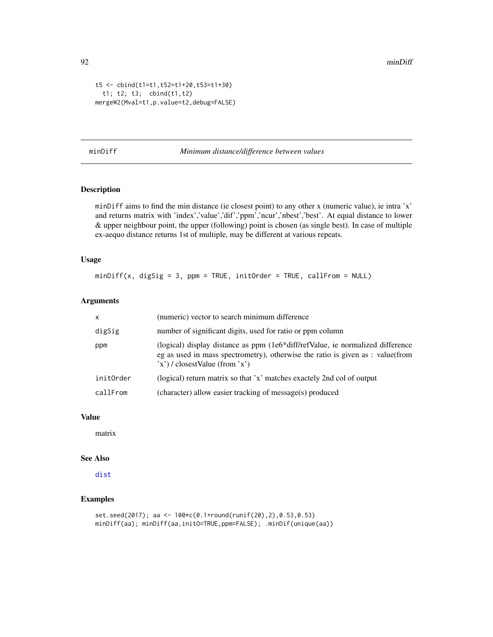92 minDiff

```
t5 <- cbind(t1=t1,t52=t1+20,t53=t1+30)
  t1; t2; t3; cbind(t1,t2)
mergeW2(Mval=t1,p.value=t2,debug=FALSE)
```
## minDiff *Minimum distance/difference between values*

# Description

minDiff aims to find the min distance (ie closest point) to any other x (numeric value), ie intra 'x' and returns matrix with 'index','value','dif','ppm','ncur','nbest','best'. At equal distance to lower & upper neighbour point, the upper (following) point is chosen (as single best). In case of multiple ex-aequo distance returns 1st of multiple, may be different at various repeats.

#### Usage

 $minDiff(x, digSig = 3, ppm = TRUE, initOrder = TRUE, callFrom = NULL)$ 

# Arguments

| $\mathsf{x}$ | (numeric) vector to search minimum difference                                                                                                                                                                |
|--------------|--------------------------------------------------------------------------------------------------------------------------------------------------------------------------------------------------------------|
| digSig       | number of significant digits, used for ratio or ppm column                                                                                                                                                   |
| ppm          | (logical) display distance as $ppm$ (1e6 $*$ diff/refValue, ie normalized difference<br>eg as used in mass spectrometry), otherwise the ratio is given as : value(from<br>$x'$ ) / closestValue (from $x'$ ) |
| initOrder    | (logical) return matrix so that 'x' matches exactely 2nd col of output                                                                                                                                       |
| callFrom     | (character) allow easier tracking of message(s) produced                                                                                                                                                     |

## Value

matrix

#### See Also

[dist](#page-0-0)

```
set.seed(2017); aa <- 100*c(0.1+round(runif(20),2),0.53,0.53)
minDiff(aa); minDiff(aa,initO=TRUE,ppm=FALSE); .minDif(unique(aa))
```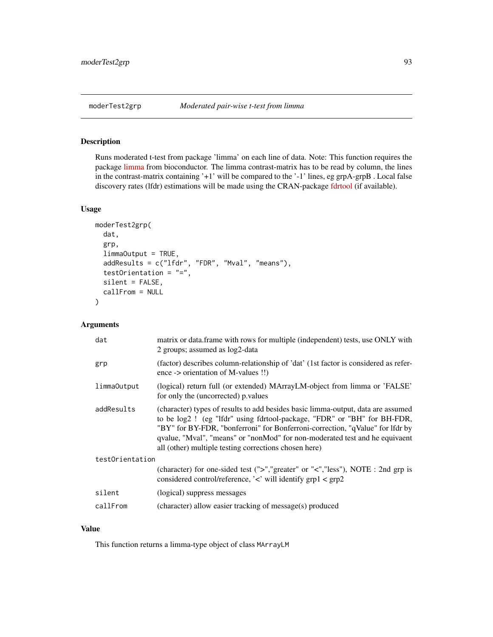# <span id="page-92-0"></span>Description

Runs moderated t-test from package 'limma' on each line of data. Note: This function requires the package [limma](https://bioconductor.org/packages/release/bioc/html/limma.html) from bioconductor. The limma contrast-matrix has to be read by column, the lines in the contrast-matrix containing '+1' will be compared to the '-1' lines, eg grpA-grpB . Local false discovery rates (lfdr) estimations will be made using the CRAN-package [fdrtool](https://CRAN.R-project.org/package=fdrtool) (if available).

## Usage

```
moderTest2grp(
  dat,
  grp,
  limmaOutput = TRUE,
  addResults = c("lfdr", "FDR", "Mval", "means"),
  testOrientation = "=",
  silent = FALSE,
  callFrom = NULL
)
```
## Arguments

| dat             | matrix or data.frame with rows for multiple (independent) tests, use ONLY with<br>2 groups; assumed as log2-data                                                                                                                                                                                                                                                                     |  |  |
|-----------------|--------------------------------------------------------------------------------------------------------------------------------------------------------------------------------------------------------------------------------------------------------------------------------------------------------------------------------------------------------------------------------------|--|--|
| grp             | (factor) describes column-relationship of 'dat' (1st factor is considered as refer-<br>ence -> orientation of M-values !!)                                                                                                                                                                                                                                                           |  |  |
| limma0utput     | (logical) return full (or extended) MArrayLM-object from limma or 'FALSE'<br>for only the (uncorrected) p. values                                                                                                                                                                                                                                                                    |  |  |
| addResults      | (character) types of results to add besides basic limma-output, data are assumed<br>to be log2! (eg "lfdr" using fdrtool-package, "FDR" or "BH" for BH-FDR,<br>"BY" for BY-FDR, "bonferroni" for Bonferroni-correction, "qValue" for lfdr by<br>qvalue, "Mval", "means" or "nonMod" for non-moderated test and he equivaent<br>all (other) multiple testing corrections chosen here) |  |  |
| testOrientation |                                                                                                                                                                                                                                                                                                                                                                                      |  |  |
|                 | (character) for one-sided test (">","greater" or "<","less"), NOTE : 2nd grp is<br>considered control/reference, ' $\lt'$ will identify grp1 $\lt$ grp2                                                                                                                                                                                                                              |  |  |
| silent          | (logical) suppress messages                                                                                                                                                                                                                                                                                                                                                          |  |  |
| callFrom        | (character) allow easier tracking of message(s) produced                                                                                                                                                                                                                                                                                                                             |  |  |

#### Value

This function returns a limma-type object of class MArrayLM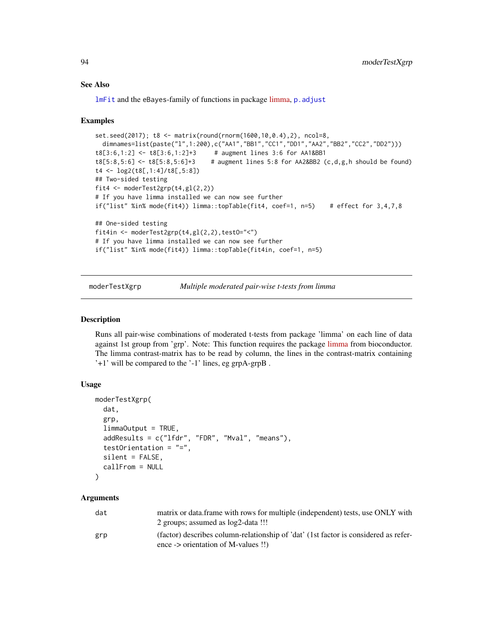## See Also

[lmFit](#page-0-0) and the eBayes-family of functions in package [limma,](https://bioconductor.org/packages/release/bioc/html/limma.html) [p.adjust](#page-0-0)

#### Examples

```
set.seed(2017); t8 <- matrix(round(rnorm(1600,10,0.4),2), ncol=8,
  dimnames=list(paste("l",1:200),c("AA1","BB1","CC1","DD1","AA2","BB2","CC2","DD2")))
t8[3:6,1:2] <- t8[3:6,1:2]+3 # augment lines 3:6 for AA1&BB1
t8[5:8,5:6] <- t8[5:8,5:6]+3 # augment lines 5:8 for AA2&BB2 (c,d,g,h should be found)
t4 <- log2(t8[,1:4]/t8[,5:8])
## Two-sided testing
fit4 \leq moderTest2grp(t4,gl(2,2))
# If you have limma installed we can now see further
if("list" %in% mode(fit4)) limma::topTable(fit4, coef=1, n=5) # effect for 3,4,7,8
## One-sided testing
fit4in <- moderTest2grp(t4,gl(2,2),testO="<")
# If you have limma installed we can now see further
if("list" %in% mode(fit4)) limma::topTable(fit4in, coef=1, n=5)
```
<span id="page-93-0"></span>moderTestXgrp *Multiple moderated pair-wise t-tests from limma*

#### Description

Runs all pair-wise combinations of moderated t-tests from package 'limma' on each line of data against 1st group from 'grp'. Note: This function requires the package [limma](https://bioconductor.org/packages/release/bioc/html/limma.html) from bioconductor. The limma contrast-matrix has to be read by column, the lines in the contrast-matrix containing '+1' will be compared to the '-1' lines, eg grpA-grpB .

## Usage

```
moderTestXgrp(
  dat,
  grp,
  limmaOutput = TRUE,
  addResults = c("lfdr", "FDR", "Mval", "means"),
  testOrientation = "=",
  silent = FALSE,
  callFrom = NULL
)
```

| dat | matrix or data. frame with rows for multiple (independent) tests, use ONLY with<br>2 groups; assumed as log2-data !!!               |
|-----|-------------------------------------------------------------------------------------------------------------------------------------|
| grp | (factor) describes column-relationship of 'dat' (1st factor is considered as refer-<br>ence -> orientation of M-values $\dddot{ }}$ |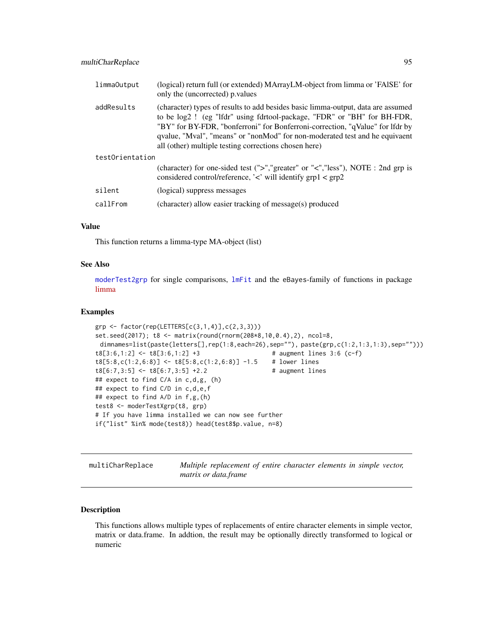| limma0utput     | (logical) return full (or extended) MArrayLM-object from limma or 'FAISE' for<br>only the (uncorrected) p.values                                                                                                                                                                                                                                                                     |
|-----------------|--------------------------------------------------------------------------------------------------------------------------------------------------------------------------------------------------------------------------------------------------------------------------------------------------------------------------------------------------------------------------------------|
| addResults      | (character) types of results to add besides basic limma-output, data are assumed<br>to be log2! (eg "lfdr" using fdrtool-package, "FDR" or "BH" for BH-FDR,<br>"BY" for BY-FDR, "bonferroni" for Bonferroni-correction, "qValue" for lfdr by<br>qvalue, "Mval", "means" or "nonMod" for non-moderated test and he equivaent<br>all (other) multiple testing corrections chosen here) |
| testOrientation |                                                                                                                                                                                                                                                                                                                                                                                      |
|                 | (character) for one-sided test (">","greater" or "<","less"), NOTE : 2nd grp is<br>considered control/reference, $\langle \cdot \rangle$ will identify grp1 $\langle$ grp2                                                                                                                                                                                                           |
| silent          | (logical) suppress messages                                                                                                                                                                                                                                                                                                                                                          |
| callFrom        | (character) allow easier tracking of message(s) produced                                                                                                                                                                                                                                                                                                                             |

# Value

This function returns a limma-type MA-object (list)

# See Also

[moderTest2grp](#page-92-0) for single comparisons, [lmFit](#page-0-0) and the eBayes-family of functions in package [limma](https://bioconductor.org/packages/release/bioc/html/limma.html)

#### Examples

```
grp <- factor(rep(LETTERS[c(3,1,4)],c(2,3,3)))
set.seed(2017); t8 <- matrix(round(rnorm(208*8,10,0.4),2), ncol=8,
 dimnames=list(paste(letters[],rep(1:8,each=26),sep=""), paste(grp,c(1:2,1:3,1:3),sep="")))
t8[3:6,1:2] <- t8[3:6,1:2] +3 # augment lines 3:6 (c-f)
t8[5:8,c(1:2,6:8)] <- t8[5:8,c(1:2,6:8)] -1.5 # lower lines
t8[6:7,3:5] <- t8[6:7,3:5] +2.2 # augment lines
## expect to find C/A in c,d,g, (h)
## expect to find C/D in c,d,e,f
## expect to find A/D in f,g,(h)
test8 <- moderTestXgrp(t8, grp)
# If you have limma installed we can now see further
if("list" %in% mode(test8)) head(test8$p.value, n=8)
```

| multiCharReplace | Multiple replacement of entire character elements in simple vector, |  |  |  |  |
|------------------|---------------------------------------------------------------------|--|--|--|--|
|                  | matrix or data.frame                                                |  |  |  |  |

## Description

This functions allows multiple types of replacements of entire character elements in simple vector, matrix or data.frame. In addtion, the result may be optionally directly transformed to logical or numeric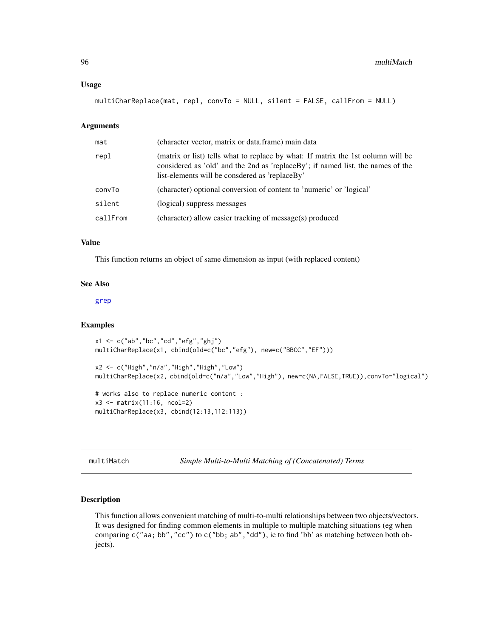#### Usage

multiCharReplace(mat, repl, convTo = NULL, silent = FALSE, callFrom = NULL)

#### Arguments

| mat      | (character vector, matrix or data.frame) main data                                                                                                                                                                    |
|----------|-----------------------------------------------------------------------------------------------------------------------------------------------------------------------------------------------------------------------|
| repl     | (matrix or list) tells what to replace by what: If matrix the 1st oolumn will be<br>considered as 'old' and the 2nd as 'replaceBy'; if named list, the names of the<br>list-elements will be consdered as 'replaceBy' |
| convTo   | (character) optional conversion of content to 'numeric' or 'logical'                                                                                                                                                  |
| silent   | (logical) suppress messages                                                                                                                                                                                           |
| callFrom | (character) allow easier tracking of message(s) produced                                                                                                                                                              |
|          |                                                                                                                                                                                                                       |

# Value

This function returns an object of same dimension as input (with replaced content)

#### See Also

[grep](#page-0-0)

## Examples

```
x1 <- c("ab","bc","cd","efg","ghj")
multiCharReplace(x1, cbind(old=c("bc","efg"), new=c("BBCC","EF")))
x2 <- c("High","n/a","High","High","Low")
multiCharReplace(x2, cbind(old=c("n/a","Low","High"), new=c(NA,FALSE,TRUE)),convTo="logical")
# works also to replace numeric content :
x3 <- matrix(11:16, ncol=2)
multiCharReplace(x3, cbind(12:13,112:113))
```
multiMatch *Simple Multi-to-Multi Matching of (Concatenated) Terms*

# Description

This function allows convenient matching of multi-to-multi relationships between two objects/vectors. It was designed for finding common elements in multiple to multiple matching situations (eg when comparing c("aa; bb","cc") to c("bb; ab","dd"), ie to find 'bb' as matching between both objects).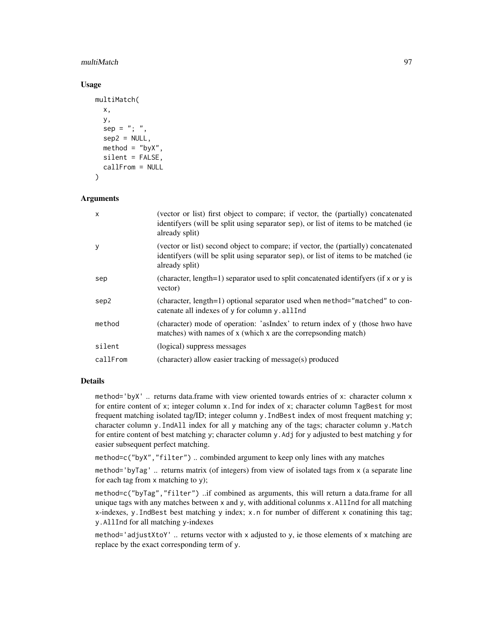## multiMatch 97

#### Usage

```
multiMatch(
  x,
  y,
  sep = "; "sep2 = NULL,\text{method} = "byX",silent = FALSE,
  callFrom = NULL
)
```
# Arguments

| (vector or list) first object to compare; if vector, the (partially) concatenated<br>identifyers (will be split using separator sep), or list of items to be matched (ie<br>already split)  |
|---------------------------------------------------------------------------------------------------------------------------------------------------------------------------------------------|
| (vector or list) second object to compare; if vector, the (partially) concatenated<br>identifyers (will be split using separator sep), or list of items to be matched (ie<br>already split) |
| (character, length=1) separator used to split concatenated identifyers (if x or y is<br>vector)                                                                                             |
| (character, length=1) optional separator used when method="matched" to con-<br>catenate all indexes of y for column y, all Ind                                                              |
| (character) mode of operation: 'asIndex' to return index of y (those hwo have<br>matches) with names of x (which x are the correpsonding match)                                             |
| (logical) suppress messages                                                                                                                                                                 |
| (character) allow easier tracking of message(s) produced                                                                                                                                    |
|                                                                                                                                                                                             |

# Details

method='byX' .. returns data.frame with view oriented towards entries of x: character column x for entire content of x; integer column  $x$ . Ind for index of x; character column TagBest for most frequent matching isolated tag/ID; integer column y.IndBest index of most frequent matching y; character column y.IndAll index for all y matching any of the tags; character column y.Match for entire content of best matching y; character column y. Adj for y adjusted to best matching y for easier subsequent perfect matching.

method=c("byX","filter") .. combinded argument to keep only lines with any matches

method='byTag' .. returns matrix (of integers) from view of isolated tags from x (a separate line for each tag from  $x$  matching to  $y$ ;

method=c("byTag","filter") ..if combined as arguments, this will return a data.frame for all unique tags with any matches between  $x$  and  $y$ , with additional colunms  $x$ . AllInd for all matching x-indexes, y.IndBest best matching y index; x.n for number of different x conatining this tag; y.AllInd for all matching y-indexes

method='adjustXtoY' .. returns vector with x adjusted to y, ie those elements of x matching are replace by the exact corresponding term of y.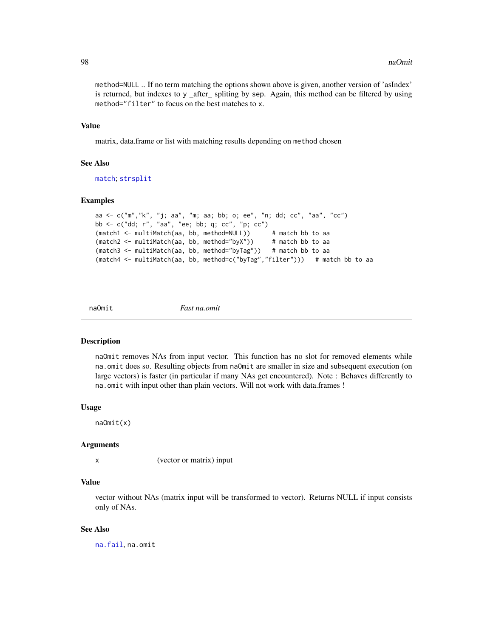method=NULL .. If no term matching the options shown above is given, another version of 'asIndex' is returned, but indexes to y \_after\_ spliting by sep. Again, this method can be filtered by using method="filter" to focus on the best matches to x.

## Value

matrix, data.frame or list with matching results depending on method chosen

#### See Also

[match](#page-0-0); [strsplit](#page-0-0)

#### Examples

```
aa <- c("m","k", "j; aa", "m; aa; bb; o; ee", "n; dd; cc", "aa", "cc")
bb <- c("dd; r", "aa", "ee; bb; q; cc", "p; cc")
(match1 <- multiMatch(aa, bb, method=NULL)) # match bb to aa
(match2 <- multiMatch(aa, bb, method="byX")) # match bb to aa
(match3 <- multiMatch(aa, bb, method="byTag")) # match bb to aa
(match4 <- multiMatch(aa, bb, method=c("byTag","filter"))) # match bb to aa
```
naOmit *Fast na.omit*

#### Description

naOmit removes NAs from input vector. This function has no slot for removed elements while na.omit does so. Resulting objects from naOmit are smaller in size and subsequent execution (on large vectors) is faster (in particular if many NAs get encountered). Note : Behaves differently to na.omit with input other than plain vectors. Will not work with data.frames !

#### Usage

naOmit(x)

#### Arguments

x (vector or matrix) input

## Value

vector without NAs (matrix input will be transformed to vector). Returns NULL if input consists only of NAs.

#### See Also

[na.fail](#page-0-0), na.omit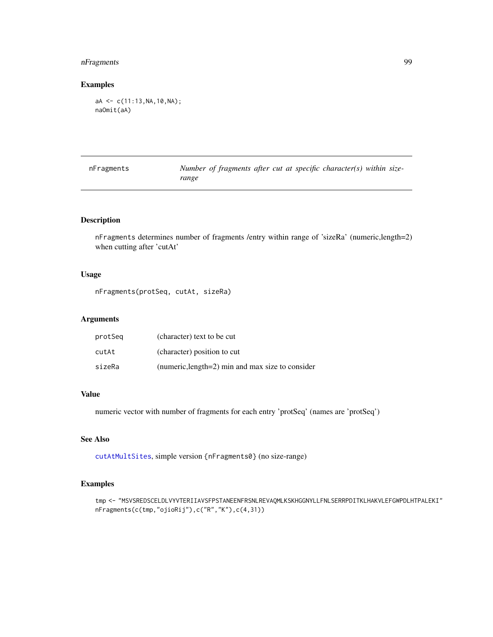# nFragments 99

# Examples

```
aA <- c(11:13,NA,10,NA);
naOmit(aA)
```

| nFragments | Number of fragments after cut at specific character(s) within size- |
|------------|---------------------------------------------------------------------|
|            | range                                                               |

# Description

nFragments determines number of fragments /entry within range of 'sizeRa' (numeric,length=2) when cutting after 'cutAt'

# Usage

nFragments(protSeq, cutAt, sizeRa)

## Arguments

| protSeg | (character) text to be cut                       |
|---------|--------------------------------------------------|
| cutAt   | (character) position to cut                      |
| sizeRa  | (numeric, length=2) min and max size to consider |

# Value

numeric vector with number of fragments for each entry 'protSeq' (names are 'protSeq')

# See Also

[cutAtMultSites](#page-40-0), simple version {nFragments0} (no size-range)

```
tmp <- "MSVSREDSCELDLVYVTERIIAVSFPSTANEENFRSNLREVAQMLKSKHGGNYLLFNLSERRPDITKLHAKVLEFGWPDLHTPALEKI"
nFragments(c(tmp,"ojioRij"),c("R","K"),c(4,31))
```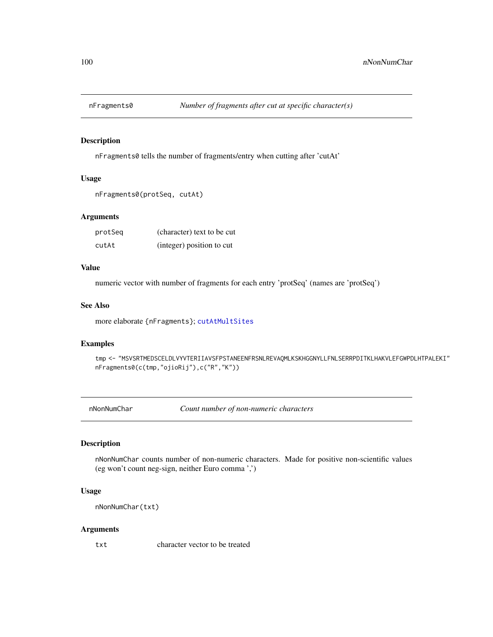# Description

nFragments0 tells the number of fragments/entry when cutting after 'cutAt'

# Usage

```
nFragments0(protSeq, cutAt)
```
# Arguments

| protSeg | (character) text to be cut |
|---------|----------------------------|
| cutAt   | (integer) position to cut  |

#### Value

numeric vector with number of fragments for each entry 'protSeq' (names are 'protSeq')

#### See Also

more elaborate {nFragments}; [cutAtMultSites](#page-40-0)

#### Examples

tmp <- "MSVSRTMEDSCELDLVYVTERIIAVSFPSTANEENFRSNLREVAQMLKSKHGGNYLLFNLSERRPDITKLHAKVLEFGWPDLHTPALEKI" nFragments0(c(tmp,"ojioRij"),c("R","K"))

nNonNumChar *Count number of non-numeric characters*

# Description

nNonNumChar counts number of non-numeric characters. Made for positive non-scientific values (eg won't count neg-sign, neither Euro comma ',')

# Usage

```
nNonNumChar(txt)
```
#### Arguments

txt character vector to be treated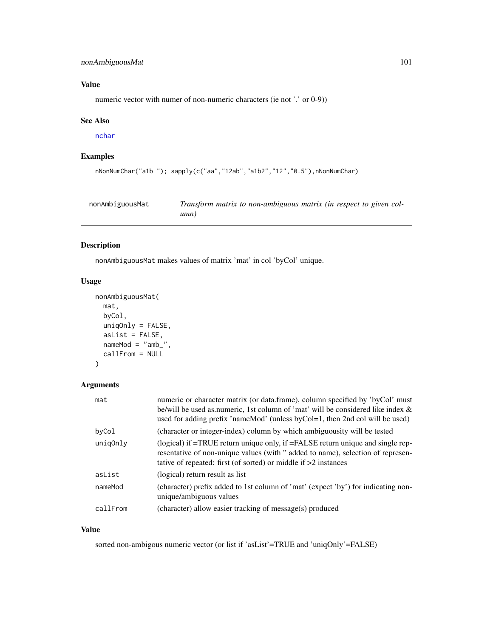# nonAmbiguousMat 101

# Value

numeric vector with numer of non-numeric characters (ie not '.' or 0-9))

## See Also

[nchar](#page-0-0)

# Examples

```
nNonNumChar("a1b "); sapply(c("aa","12ab","a1b2","12","0.5"),nNonNumChar)
```

| nonAmbiguousMat | Transform matrix to non-ambiguous matrix (in respect to given col- |
|-----------------|--------------------------------------------------------------------|
|                 | umn)                                                               |

# Description

nonAmbiguousMat makes values of matrix 'mat' in col 'byCol' unique.

# Usage

```
nonAmbiguousMat(
  mat,
  byCol,
  uniqOnly = FALSE,
  asList = FALSE,nameMod = "amb",
  callFrom = NULL
\mathcal{L}
```
# Arguments

| mat      | numeric or character matrix (or data.frame), column specified by 'byCol' must<br>be/will be used as numeric, 1st column of 'mat' will be considered like index &<br>used for adding prefix 'nameMod' (unless byCol=1, then 2nd col will be used) |
|----------|--------------------------------------------------------------------------------------------------------------------------------------------------------------------------------------------------------------------------------------------------|
| byCol    | (character or integer-index) column by which ambiguousity will be tested                                                                                                                                                                         |
| unig0nly | (logical) if $=$ TRUE return unique only, if $=$ FALSE return unique and single rep-<br>resentative of non-unique values (with " added to name), selection of represen-<br>tative of repeated: first (of sorted) or middle if $>2$ instances     |
| asList   | (logical) return result as list                                                                                                                                                                                                                  |
| nameMod  | (character) prefix added to 1st column of 'mat' (expect 'by') for indicating non-<br>unique/ambiguous values                                                                                                                                     |
| callFrom | (character) allow easier tracking of message(s) produced                                                                                                                                                                                         |

## Value

sorted non-ambigous numeric vector (or list if 'asList'=TRUE and 'uniqOnly'=FALSE)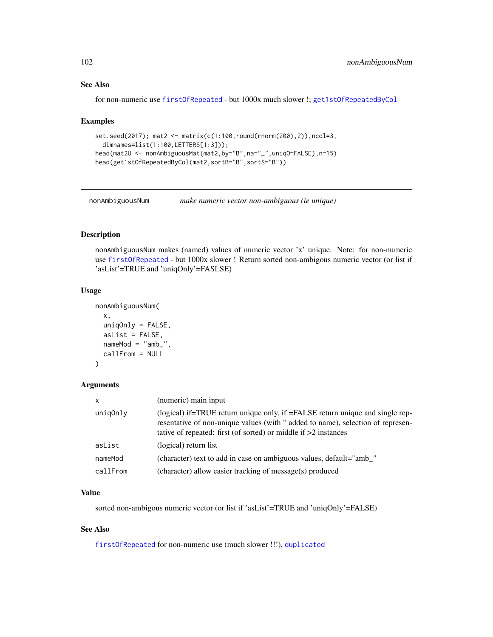# See Also

for non-numeric use [firstOfRepeated](#page-63-0) - but 1000x much slower !; [get1stOfRepeatedByCol](#page-68-0)

#### Examples

```
set.seed(2017); mat2 <- matrix(c(1:100,round(rnorm(200),2)),ncol=3,
  dimnames=list(1:100,LETTERS[1:3]));
head(mat2U <- nonAmbiguousMat(mat2,by="B",na="_",uniqO=FALSE),n=15)
head(get1stOfRepeatedByCol(mat2,sortB="B",sortS="B"))
```
nonAmbiguousNum *make numeric vector non-ambiguous (ie unique)*

# Description

nonAmbiguousNum makes (named) values of numeric vector 'x' unique. Note: for non-numeric use [firstOfRepeated](#page-63-0) - but 1000x slower ! Return sorted non-ambigous numeric vector (or list if 'asList'=TRUE and 'uniqOnly'=FASLSE)

#### Usage

```
nonAmbiguousNum(
  x,
 uniqOnly = FALSE,
  asList = FALSE,nameMod = "amb",
 callFrom = NULL
)
```
## Arguments

| $\mathsf{x}$ | (numeric) main input                                                                                                                                                                                                                  |
|--------------|---------------------------------------------------------------------------------------------------------------------------------------------------------------------------------------------------------------------------------------|
| unig0nly     | (logical) if=TRUE return unique only, if =FALSE return unique and single rep-<br>resentative of non-unique values (with " added to name), selection of represen-<br>tative of repeated: first (of sorted) or middle if $>2$ instances |
| asList       | (logical) return list                                                                                                                                                                                                                 |
| nameMod      | (character) text to add in case on ambiguous values, default="amb_"                                                                                                                                                                   |
| callFrom     | (character) allow easier tracking of message(s) produced                                                                                                                                                                              |

## Value

sorted non-ambigous numeric vector (or list if 'asList'=TRUE and 'uniqOnly'=FALSE)

# See Also

[firstOfRepeated](#page-63-0) for non-numeric use (much slower !!!), [duplicated](#page-0-0)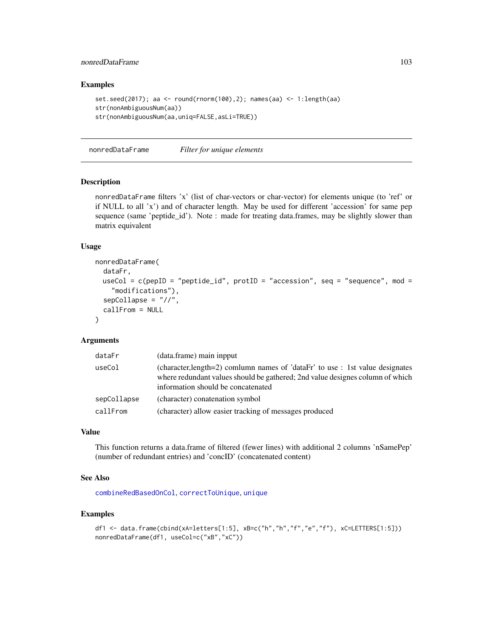# nonredDataFrame 103

## Examples

```
set.seed(2017); aa <- round(rnorm(100),2); names(aa) <- 1:length(aa)
str(nonAmbiguousNum(aa))
str(nonAmbiguousNum(aa,uniq=FALSE,asLi=TRUE))
```
nonredDataFrame *Filter for unique elements*

# Description

nonredDataFrame filters 'x' (list of char-vectors or char-vector) for elements unique (to 'ref' or if NULL to all 'x') and of character length. May be used for different 'accession' for same pep sequence (same 'peptide\_id'). Note : made for treating data.frames, may be slightly slower than matrix equivalent

#### Usage

```
nonredDataFrame(
  dataFr,
 useCol = c(pepID = "peptide_id", protID = "accession", seq = "sequence", mod =
    "modifications"),
  sepCollapse = "//",
  callFrom = NULL
)
```
## Arguments

| dataFr      | (data.frame) main inpput                                                                                                                                                                             |
|-------------|------------------------------------------------------------------------------------------------------------------------------------------------------------------------------------------------------|
| useCol      | (character, length=2) comlumn names of 'dataFr' to use : 1st value designates<br>where redundant values should be gathered; 2nd value designes column of which<br>information should be concatenated |
| sepCollapse | (character) conatenation symbol                                                                                                                                                                      |
| callFrom    | (character) allow easier tracking of messages produced                                                                                                                                               |

# Value

This function returns a data.frame of filtered (fewer lines) with additional 2 columns 'nSamePep' (number of redundant entries) and 'concID' (concatenated content)

## See Also

[combineRedBasedOnCol](#page-26-0), [correctToUnique](#page-36-0), [unique](#page-0-0)

```
df1 <- data.frame(cbind(xA=letters[1:5], xB=c("h","h","f","e","f"), xC=LETTERS[1:5]))
nonredDataFrame(df1, useCol=c("xB","xC"))
```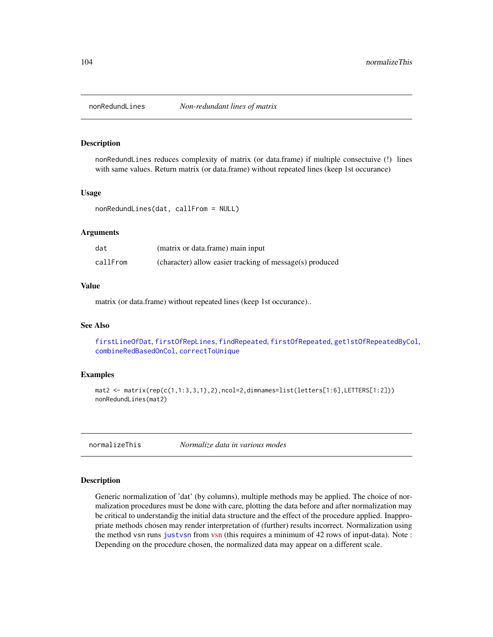#### Description

nonRedundLines reduces complexity of matrix (or data.frame) if multiple consectuive (!) lines with same values. Return matrix (or data.frame) without repeated lines (keep 1st occurance)

#### Usage

nonRedundLines(dat, callFrom = NULL)

## Arguments

| dat      | (matrix or data.frame) main input                        |
|----------|----------------------------------------------------------|
| callFrom | (character) allow easier tracking of message(s) produced |

#### Value

matrix (or data.frame) without repeated lines (keep 1st occurance)..

## See Also

[firstLineOfDat](#page-62-0), [firstOfRepLines](#page-64-0), [findRepeated](#page-59-0), [firstOfRepeated](#page-63-0), [get1stOfRepeatedByCol](#page-68-0), [combineRedBasedOnCol](#page-26-0), [correctToUnique](#page-36-0)

## Examples

```
mat2 <- matrix(rep(c(1,1:3,3,1),2),ncol=2,dimnames=list(letters[1:6],LETTERS[1:2]))
nonRedundLines(mat2)
```
normalizeThis *Normalize data in various modes*

## Description

Generic normalization of 'dat' (by columns), multiple methods may be applied. The choice of normalization procedures must be done with care, plotting the data before and after normalization may be critical to understandig the initial data structure and the effect of the procedure applied. Inappropriate methods chosen may render interpretation of (further) results incorrect. Normalization using the method vsn runs [justvsn](#page-0-0) from [vsn](https://bioconductor.org/packages/release/bioc/html/vsn.html) (this requires a minimum of 42 rows of input-data). Note : Depending on the procedure chosen, the normalized data may appear on a different scale.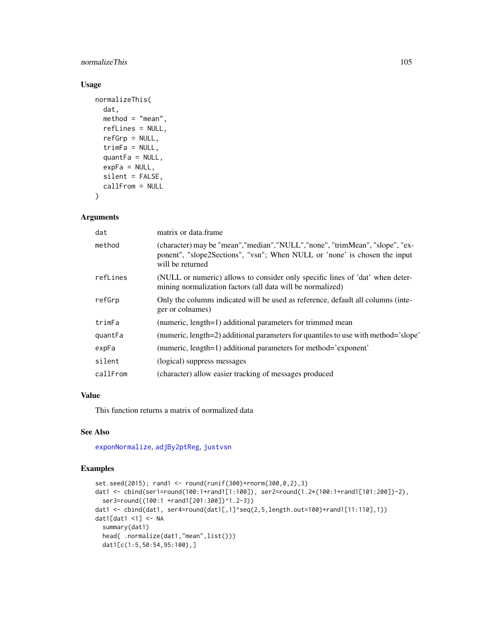## normalizeThis 105

# Usage

```
normalizeThis(
  dat,
  method = "mean",
  refLines = NULL,
  refGrp = NULL,
  trimFa = NULL,
  quantFa = NULL,expFa = NULL,silent = FALSE,
  callFrom = NULL
\lambda
```
## Arguments

| dat      | matrix or data.frame                                                                                                                                                            |
|----------|---------------------------------------------------------------------------------------------------------------------------------------------------------------------------------|
| method   | (character) may be "mean", "median", "NULL", "none", "trimMean", "slope", "ex-<br>ponent", "slope2Sections", "vsn"; When NULL or 'none' is chosen the input<br>will be returned |
| refLines | (NULL or numeric) allows to consider only specific lines of 'dat' when deter-<br>mining normalization factors (all data will be normalized)                                     |
| refGrp   | Only the columns indicated will be used as reference, default all columns (inte-<br>ger or colnames)                                                                            |
| trimFa   | (numeric, length=1) additional parameters for trimmed mean                                                                                                                      |
| quantFa  | (numeric, length=2) additional parameters for quantiles to use with method='slope'                                                                                              |
| expFa    | (numeric, length=1) additional parameters for method='exponent'                                                                                                                 |
| silent   | (logical) suppress messages                                                                                                                                                     |
| callFrom | (character) allow easier tracking of messages produced                                                                                                                          |

# Value

This function returns a matrix of normalized data

## See Also

[exponNormalize](#page-46-0), [adjBy2ptReg](#page-5-0), [justvsn](#page-0-0)

```
set.seed(2015); rand1 <- round(runif(300)+rnorm(300,0,2),3)
dat1 <- cbind(ser1=round(100:1+rand1[1:100]), ser2=round(1.2*(100:1+rand1[101:200])-2),
  ser3=round((100:1 +rand1[201:300])^1.2-3))
dat1 <- cbind(dat1, ser4=round(dat1[,1]^seq(2,5,length.out=100)+rand1[11:110],1))
dat1[dat1 <1] <- NA
  summary(dat1)
  head( .normalize(dat1,"mean",list()))
  dat1[c(1:5,50:54,95:100),]
```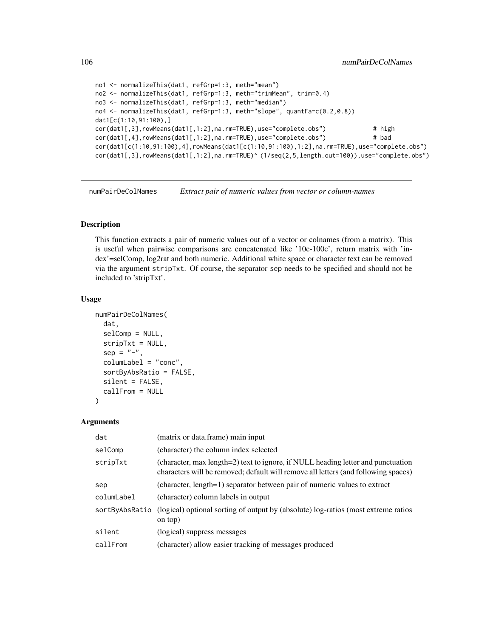```
no1 <- normalizeThis(dat1, refGrp=1:3, meth="mean")
no2 <- normalizeThis(dat1, refGrp=1:3, meth="trimMean", trim=0.4)
no3 <- normalizeThis(dat1, refGrp=1:3, meth="median")
no4 <- normalizeThis(dat1, refGrp=1:3, meth="slope", quantFa=c(0.2,0.8))
dat1[c(1:10,91:100),]
cor(dat1[,3],rowMeans(dat1[,1:2],na.rm=TRUE),use="complete.obs") # high
cor(dat1[,4],rowMeans(dat1[,1:2],na.rm=TRUE),use="complete.obs") # bad
cor(dat1[c(1:10,91:100),4],rowMeans(dat1[c(1:10,91:100),1:2],na.rm=TRUE),use="complete.obs")
cor(dat1[,3],rowMeans(dat1[,1:2],na.rm=TRUE)^ (1/seq(2,5,length.out=100)),use="complete.obs")
```
numPairDeColNames *Extract pair of numeric values from vector or column-names*

# Description

This function extracts a pair of numeric values out of a vector or colnames (from a matrix). This is useful when pairwise comparisons are concatenated like '10c-100c', return matrix with 'index'=selComp, log2rat and both numeric. Additional white space or character text can be removed via the argument stripTxt. Of course, the separator sep needs to be specified and should not be included to 'stripTxt'.

#### Usage

```
numPairDeColNames(
  dat,
  selComp = NULL,
  stripTxt = NULL,
  sep = "-",
  columLabel = "conc",
  sortByAbsRatio = FALSE,
  silent = FALSE,callFrom = NULL
)
```

| dat            | (matrix or data.frame) main input                                                                                                                                      |
|----------------|------------------------------------------------------------------------------------------------------------------------------------------------------------------------|
| selComp        | (character) the column index selected                                                                                                                                  |
| stripTxt       | (character, max length=2) text to ignore, if NULL heading letter and punctuation<br>characters will be removed; default will remove all letters (and following spaces) |
| sep            | (character, length=1) separator between pair of numeric values to extract                                                                                              |
| columLabel     | (character) column labels in output                                                                                                                                    |
| sortByAbsRatio | (logical) optional sorting of output by (absolute) log-ratios (most extreme ratios<br>on top)                                                                          |
| silent         | (logical) suppress messages                                                                                                                                            |
| callFrom       | (character) allow easier tracking of messages produced                                                                                                                 |
|                |                                                                                                                                                                        |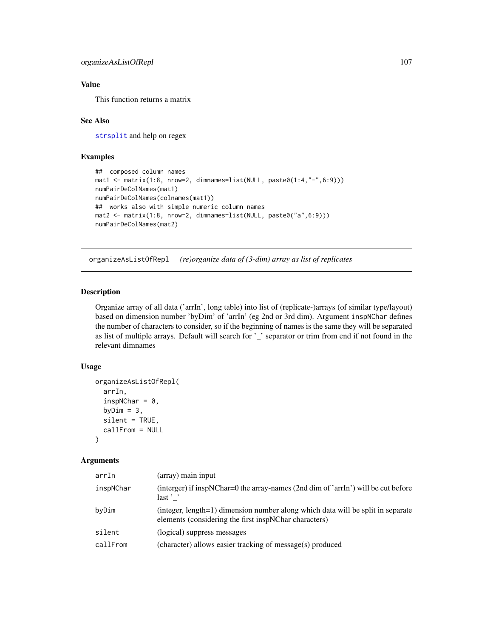# Value

This function returns a matrix

## See Also

[strsplit](#page-0-0) and help on regex

# Examples

```
## composed column names
mat1 <- matrix(1:8, nrow=2, dimnames=list(NULL, paste0(1:4,"-",6:9)))
numPairDeColNames(mat1)
numPairDeColNames(colnames(mat1))
## works also with simple numeric column names
mat2 <- matrix(1:8, nrow=2, dimnames=list(NULL, paste0("a",6:9)))
numPairDeColNames(mat2)
```
organizeAsListOfRepl *(re)organize data of (3-dim) array as list of replicates*

# Description

Organize array of all data ('arrIn', long table) into list of (replicate-)arrays (of similar type/layout) based on dimension number 'byDim' of 'arrIn' (eg 2nd or 3rd dim). Argument inspNChar defines the number of characters to consider, so if the beginning of names is the same they will be separated as list of multiple arrays. Default will search for '\_' separator or trim from end if not found in the relevant dimnames

# Usage

```
organizeAsListOfRepl(
  arrIn,
  inspNChar = 0,
  byDim = 3,
  silent = TRUE,
  callFrom = NULL
\mathcal{L}
```

| arrIn     | (array) main input                                                                                                                       |
|-----------|------------------------------------------------------------------------------------------------------------------------------------------|
| inspNChar | (interger) if inspNChar=0 the array-names (2nd dim of 'arrIn') will be cut before<br>$last$ $\cdot$                                      |
| byDim     | (integer, length=1) dimension number along which data will be split in separate<br>elements (considering the first inspNChar characters) |
| silent    | (logical) suppress messages                                                                                                              |
| callFrom  | (character) allows easier tracking of message(s) produced                                                                                |
|           |                                                                                                                                          |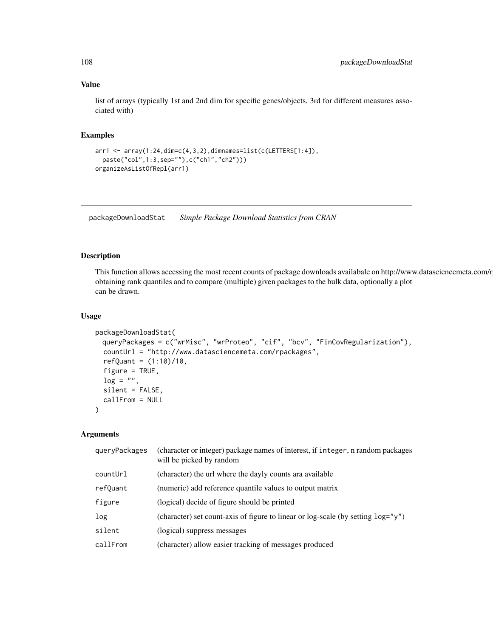## Value

list of arrays (typically 1st and 2nd dim for specific genes/objects, 3rd for different measures associated with)

# Examples

```
arr1 <- array(1:24,dim=c(4,3,2),dimnames=list(c(LETTERS[1:4]),
 paste("col",1:3,sep=""),c("ch1","ch2")))
organizeAsListOfRepl(arr1)
```
packageDownloadStat *Simple Package Download Statistics from CRAN*

# Description

This function allows accessing the most recent counts of package downloads availabale on http://www.datasciencemeta.com/r obtaining rank quantiles and to compare (multiple) given packages to the bulk data, optionally a plot can be drawn.

#### Usage

```
packageDownloadStat(
 queryPackages = c("wrMisc", "wrProteo", "cif", "bcv", "FinCovRegularization"),
 countUrl = "http://www.datasciencemeta.com/rpackages",
 refQuant = (1:10)/10,figure = TRUE,
 log = "".silent = FALSE,
 callFrom = NULL
)
```

| queryPackages | (character or integer) package names of interest, if integer, n random packages<br>will be picked by random |
|---------------|-------------------------------------------------------------------------------------------------------------|
| countUrl      | (character) the url where the dayly counts ara available                                                    |
| refQuant      | (numeric) add reference quantile values to output matrix                                                    |
| figure        | (logical) decide of figure should be printed                                                                |
| log           | (character) set count-axis of figure to linear or log-scale (by setting $log="' y"$ )                       |
| silent        | (logical) suppress messages                                                                                 |
| callFrom      | (character) allow easier tracking of messages produced                                                      |
|               |                                                                                                             |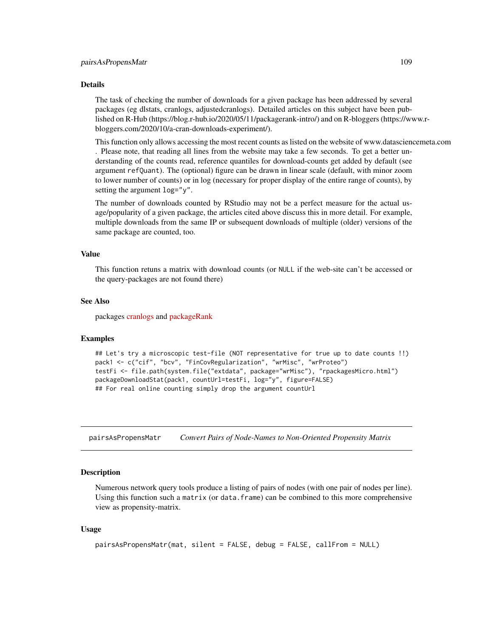#### Details

The task of checking the number of downloads for a given package has been addressed by several packages (eg dlstats, cranlogs, adjustedcranlogs). Detailed articles on this subject have been published on R-Hub (https://blog.r-hub.io/2020/05/11/packagerank-intro/) and on R-bloggers (https://www.rbloggers.com/2020/10/a-cran-downloads-experiment/).

This function only allows accessing the most recent counts as listed on the website of www.datasciencemeta.com . Please note, that reading all lines from the website may take a few seconds. To get a better understanding of the counts read, reference quantiles for download-counts get added by default (see argument refQuant). The (optional) figure can be drawn in linear scale (default, with minor zoom to lower number of counts) or in log (necessary for proper display of the entire range of counts), by setting the argument log="y".

The number of downloads counted by RStudio may not be a perfect measure for the actual usage/popularity of a given package, the articles cited above discuss this in more detail. For example, multiple downloads from the same IP or subsequent downloads of multiple (older) versions of the same package are counted, too.

#### Value

This function retuns a matrix with download counts (or NULL if the web-site can't be accessed or the query-packages are not found there)

#### See Also

packages [cranlogs](https://CRAN.R-project.org/package=cranlogs) and [packageRank](https://CRAN.R-project.org/package=packageRank)

#### Examples

```
## Let's try a microscopic test-file (NOT representative for true up to date counts !!)
pack1 <- c("cif", "bcv", "FinCovRegularization", "wrMisc", "wrProteo")
testFi <- file.path(system.file("extdata", package="wrMisc"), "rpackagesMicro.html")
packageDownloadStat(pack1, countUrl=testFi, log="y", figure=FALSE)
## For real online counting simply drop the argument countUrl
```
pairsAsPropensMatr *Convert Pairs of Node-Names to Non-Oriented Propensity Matrix*

#### Description

Numerous network query tools produce a listing of pairs of nodes (with one pair of nodes per line). Using this function such a matrix (or data.frame) can be combined to this more comprehensive view as propensity-matrix.

#### Usage

```
pairsAsPropensMatr(mat, silent = FALSE, debug = FALSE, callFrom = NULL)
```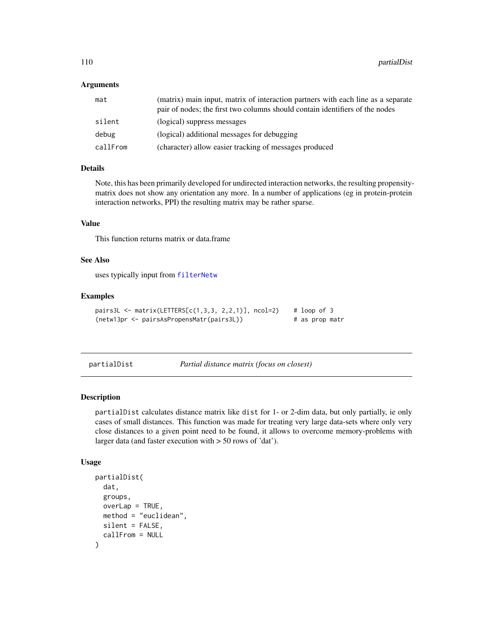## Arguments

| mat      | (matrix) main input, matrix of interaction partners with each line as a separate<br>pair of nodes; the first two columns should contain identifiers of the nodes |
|----------|------------------------------------------------------------------------------------------------------------------------------------------------------------------|
| silent   | (logical) suppress messages                                                                                                                                      |
| debug    | (logical) additional messages for debugging                                                                                                                      |
| callFrom | (character) allow easier tracking of messages produced                                                                                                           |

# Details

Note, this has been primarily developed for undirected interaction networks, the resulting propensitymatrix does not show any orientation any more. In a number of applications (eg in protein-protein interaction networks, PPI) the resulting matrix may be rather sparse.

# Value

This function returns matrix or data.frame

# See Also

uses typically input from [filterNetw](#page-55-0)

## Examples

```
pairs3L <- matrix(LETTERS[c(1,3,3, 2,2,1)], ncol=2) \# loop of 3
(netw13pr <- pairsAsPropensMatr(pairs3L)) # as prop matr
```
partialDist *Partial distance matrix (focus on closest)*

## Description

partialDist calculates distance matrix like dist for 1- or 2-dim data, but only partially, ie only cases of small distances. This function was made for treating very large data-sets where only very close distances to a given point need to be found, it allows to overcome memory-problems with larger data (and faster execution with > 50 rows of 'dat').

#### Usage

```
partialDist(
  dat,
  groups,
  overLap = TRUE,
  method = "euclidean",
  silent = FALSE,
  callFrom = NULL
)
```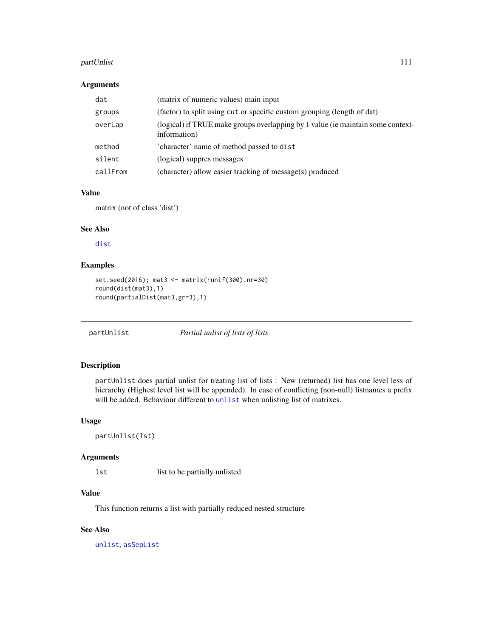#### partUnlist 111

## Arguments

| dat      | (matrix of numeric values) main input                                                           |
|----------|-------------------------------------------------------------------------------------------------|
| groups   | (factor) to split using cut or specific custom grouping (length of dat)                         |
| overLap  | (logical) if TRUE make groups overlapping by 1 value (ie maintain some context-<br>information) |
| method   | 'character' name of method passed to dist                                                       |
| silent   | (logical) suppres messages                                                                      |
| callFrom | (character) allow easier tracking of message(s) produced                                        |

# Value

matrix (not of class 'dist')

#### See Also

[dist](#page-0-0)

# Examples

```
set.seed(2016); mat3 <- matrix(runif(300),nr=30)
round(dist(mat3),1)
round(partialDist(mat3,gr=3),1)
```
partUnlist *Partial unlist of lists of lists*

## Description

partUnlist does partial unlist for treating list of lists : New (returned) list has one level less of hierarchy (Highest level list will be appended). In case of conflicting (non-null) listnames a prefix will be added. Behaviour different to [unlist](#page-0-0) when unlisting list of matrixes.

# Usage

partUnlist(lst)

# Arguments

lst list to be partially unlisted

# Value

This function returns a list with partially reduced nested structure

# See Also

[unlist](#page-0-0), [asSepList](#page-7-0)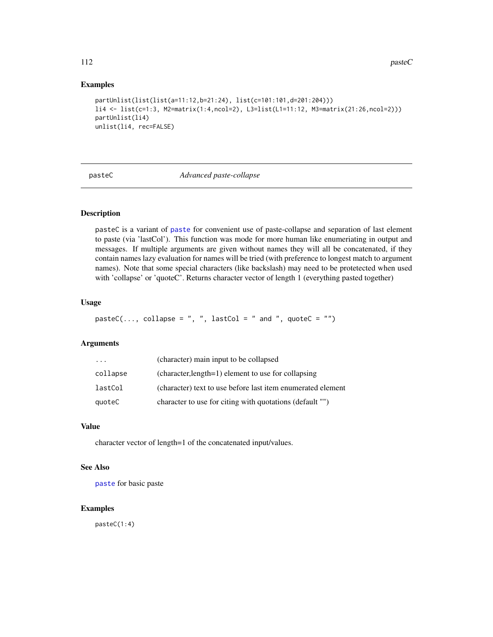#### Examples

```
partUnlist(list(list(a=11:12,b=21:24), list(c=101:101,d=201:204)))
li4 <- list(c=1:3, M2=matrix(1:4,ncol=2), L3=list(L1=11:12, M3=matrix(21:26,ncol=2)))
partUnlist(li4)
unlist(li4, rec=FALSE)
```
pasteC *Advanced paste-collapse*

## Description

pasteC is a variant of [paste](#page-0-0) for convenient use of paste-collapse and separation of last element to paste (via 'lastCol'). This function was mode for more human like enumeriating in output and messages. If multiple arguments are given without names they will all be concatenated, if they contain names lazy evaluation for names will be tried (with preference to longest match to argument names). Note that some special characters (like backslash) may need to be protetected when used with 'collapse' or 'quoteC'. Returns character vector of length 1 (everything pasted together)

#### Usage

```
pasteC(..., collapse = ", ", lastCol = " and ", quoteC = "")
```
#### Arguments

| $\cdots$ | (character) main input to be collapsed                      |
|----------|-------------------------------------------------------------|
| collapse | (character, length=1) element to use for collapsing         |
| lastCol  | (character) text to use before last item enumerated element |
| quoteC   | character to use for citing with quotations (default "")    |

#### Value

character vector of length=1 of the concatenated input/values.

## See Also

[paste](#page-0-0) for basic paste

## Examples

pasteC(1:4)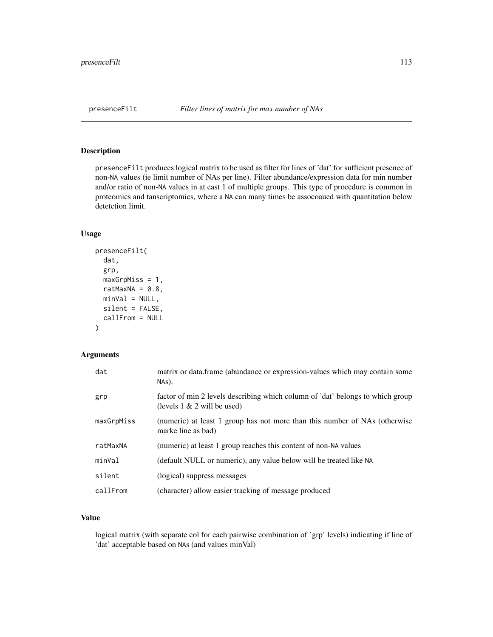presenceFilt produces logical matrix to be used as filter for lines of 'dat' for sufficient presence of non-NA values (ie limit number of NAs per line). Filter abundance/expression data for min number and/or ratio of non-NA values in at east 1 of multiple groups. This type of procedure is common in proteomics and tanscriptomics, where a NA can many times be assocoaued with quantitation below detetction limit.

#### Usage

```
presenceFilt(
  dat,
  grp,
 maxGrpMiss = 1,
  ratMaxNA = 0.8,
 minVal = NULL,silent = FALSE,
  callFrom = NULL
)
```
## Arguments

| dat        | matrix or data.frame (abundance or expression-values which may contain some<br>$NAs$ ).                          |
|------------|------------------------------------------------------------------------------------------------------------------|
| grp        | factor of min 2 levels describing which column of 'dat' belongs to which group<br>(levels $1 \& 2$ will be used) |
| maxGrpMiss | (numeric) at least 1 group has not more than this number of NAs (otherwise<br>marke line as bad)                 |
| ratMaxNA   | (numeric) at least 1 group reaches this content of non-NA values                                                 |
| minVal     | (default NULL or numeric), any value below will be treated like NA                                               |
| silent     | (logical) suppress messages                                                                                      |
| callFrom   | (character) allow easier tracking of message produced                                                            |

# Value

logical matrix (with separate col for each pairwise combination of 'grp' levels) indicating if line of 'dat' acceptable based on NAs (and values minVal)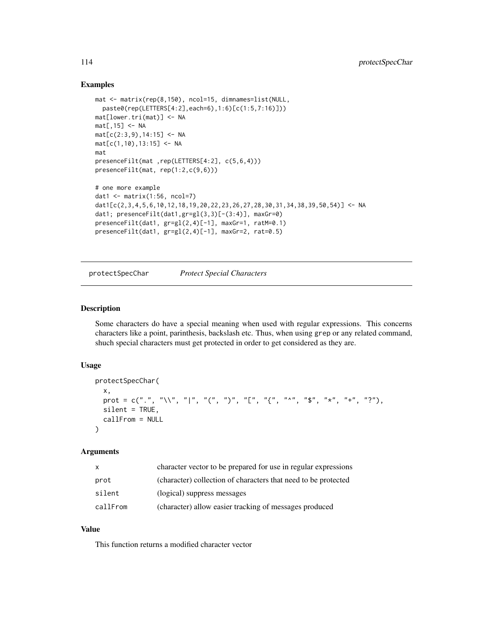## Examples

```
mat <- matrix(rep(8,150), ncol=15, dimnames=list(NULL,
  paste0(rep(LETTERS[4:2],each=6),1:6)[c(1:5,7:16)]))
mat[lower.tri(mat)] <- NA
mat[,15] <- NA
mat[c(2:3,9),14:15] < -NAmat[c(1,10),13:15] <- NA
mat
presenceFilt(mat ,rep(LETTERS[4:2], c(5,6,4)))
presenceFilt(mat, rep(1:2,c(9,6)))
# one more example
dat1 \leftarrow matrix(1:56, ncol=7)
dat1[c(2,3,4,5,6,10,12,18,19,20,22,23,26,27,28,30,31,34,38,39,50,54)] <- NA
dat1; presenceFilt(data1, gr=g1(3,3)[-(3:4)], maxGr=0)presenceFilt(dat1, gr=gl(2,4)[-1], maxGr=1, ratM=0.1)
presenceFilt(dat1, gr=gl(2,4)[-1], maxGr=2, rat=0.5)
```

```
protectSpecChar Protect Special Characters
```
#### Description

Some characters do have a special meaning when used with regular expressions. This concerns characters like a point, parinthesis, backslash etc. Thus, when using grep or any related command, shuch special characters must get protected in order to get considered as they are.

#### Usage

```
protectSpecChar(
  x,
  prot = c(".", "\\", "|", "(", ")", "[", "{", "^", "$", "*", "+", "?"),
 silent = TRUE,
  callFrom = NULL
)
```
## Arguments

| x        | character vector to be prepared for use in regular expressions |
|----------|----------------------------------------------------------------|
| prot     | (character) collection of characters that need to be protected |
| silent   | (logical) suppress messages                                    |
| callFrom | (character) allow easier tracking of messages produced         |

# Value

This function returns a modified character vector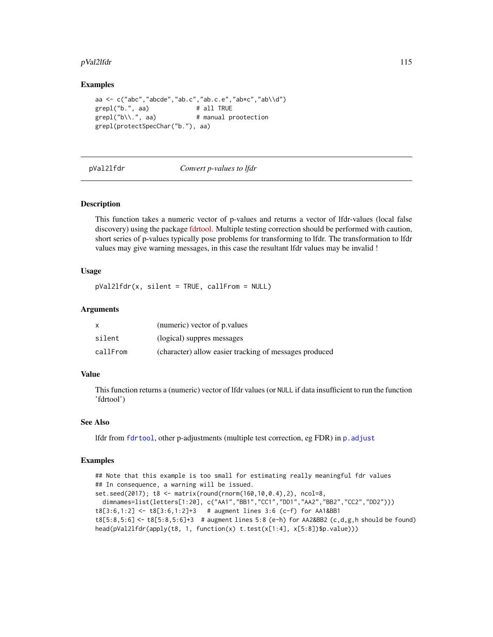#### pVal2lfdr 115

## Examples

```
aa <- c("abc","abcde","ab.c","ab.c.e","ab*c","ab\\d")
grepl("b.", aa) # all TRUE
grepl("b\\.", aa) # manual prootection
grepl(protectSpecChar("b."), aa)
```
pVal2lfdr *Convert p-values to lfdr*

#### Description

This function takes a numeric vector of p-values and returns a vector of lfdr-values (local false discovery) using the package [fdrtool.](https://CRAN.R-project.org/package=fdrtool) Multiple testing correction should be performed with caution, short series of p-values typically pose problems for transforming to lfdr. The transformation to lfdr values may give warning messages, in this case the resultant lfdr values may be invalid !

#### Usage

pVal2lfdr(x, silent = TRUE, callFrom = NULL)

#### Arguments

|          | (numeric) vector of p. values                          |
|----------|--------------------------------------------------------|
| silent   | (logical) suppres messages                             |
| callFrom | (character) allow easier tracking of messages produced |

### Value

This function returns a (numeric) vector of lfdr values (or NULL if data insufficient to run the function 'fdrtool')

#### See Also

lfdr from [fdrtool](#page-0-0), other p-adjustments (multiple test correction, eg FDR) in [p.adjust](#page-0-0)

```
## Note that this example is too small for estimating really meaningful fdr values
## In consequence, a warning will be issued.
set.seed(2017); t8 <- matrix(round(rnorm(160,10,0.4),2), ncol=8,
 dimnames=list(letters[1:20], c("AA1","BB1","CC1","DD1","AA2","BB2","CC2","DD2")))
t8[3:6,1:2] <- t8[3:6,1:2]+3 # augment lines 3:6 (c-f) for AA1&BB1
t8[5:8,5:6] <- t8[5:8,5:6]+3 # augment lines 5:8 (e-h) for AA2&BB2 (c,d,g,h should be found)
head(pVal2lfdr(apply(t8, 1, function(x) t.test(x[1:4], x[5:8])$p.value)))
```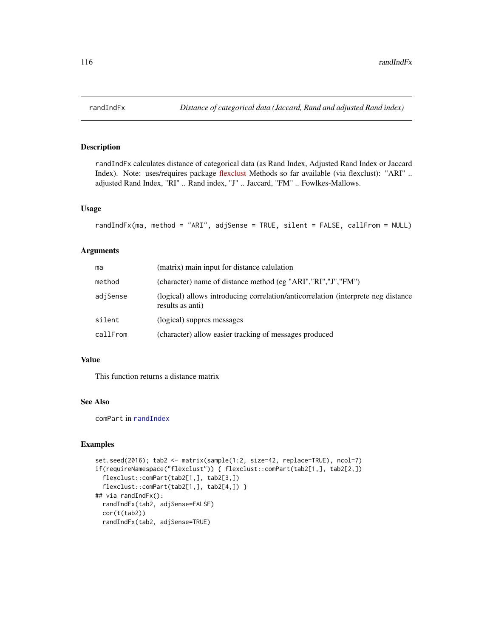randIndFx calculates distance of categorical data (as Rand Index, Adjusted Rand Index or Jaccard Index). Note: uses/requires package [flexclust](https://CRAN.R-project.org/package=flexclust) Methods so far available (via flexclust): "ARI" .. adjusted Rand Index, "RI" .. Rand index, "J" .. Jaccard, "FM" .. Fowlkes-Mallows.

## Usage

```
randIndFx(ma, method = "ARI", adjSense = TRUE, silent = FALSE, callFrom = NULL)
```
#### Arguments

| ma       | (matrix) main input for distance calulation                                                           |
|----------|-------------------------------------------------------------------------------------------------------|
| method   | (character) name of distance method (eg "ARI", "RI", "J", "FM")                                       |
| adjSense | (logical) allows introducing correlation/anticorrelation (interprete neg distance<br>results as anti) |
| silent   | (logical) suppres messages                                                                            |
| callFrom | (character) allow easier tracking of messages produced                                                |

## Value

This function returns a distance matrix

#### See Also

comPart in [randIndex](#page-0-0)

```
set.seed(2016); tab2 <- matrix(sample(1:2, size=42, replace=TRUE), ncol=7)
if(requireNamespace("flexclust")) { flexclust::comPart(tab2[1,], tab2[2,])
 flexclust::comPart(tab2[1,], tab2[3,])
 flexclust::comPart(tab2[1,], tab2[4,]) }
## via randIndFx():
 randIndFx(tab2, adjSense=FALSE)
 cor(t(tab2))
 randIndFx(tab2, adjSense=TRUE)
```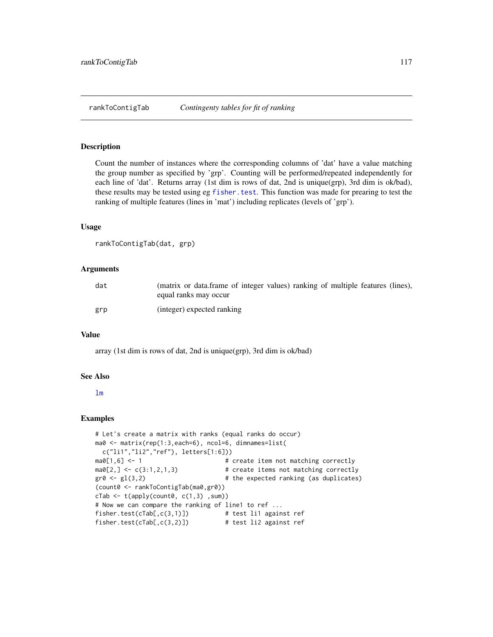Count the number of instances where the corresponding columns of 'dat' have a value matching the group number as specified by 'grp'. Counting will be performed/repeated independently for each line of 'dat'. Returns array (1st dim is rows of dat, 2nd is unique(grp), 3rd dim is ok/bad), these results may be tested using eg [fisher.test](#page-0-0). This function was made for prearing to test the ranking of multiple features (lines in 'mat') including replicates (levels of 'grp').

#### Usage

```
rankToContigTab(dat, grp)
```
#### Arguments

| dat | (matrix or data.frame of integer values) ranking of multiple features (lines),<br>equal ranks may occur |
|-----|---------------------------------------------------------------------------------------------------------|
| grp | (integer) expected ranking                                                                              |

#### Value

array (1st dim is rows of dat, 2nd is unique(grp), 3rd dim is ok/bad)

#### See Also

#### [lm](#page-0-0)

```
# Let's create a matrix with ranks (equal ranks do occur)
ma0 <- matrix(rep(1:3,each=6), ncol=6, dimnames=list(
 c("li1","li2","ref"), letters[1:6]))
ma0[1,6] <- 1 \qquad # create item not matching correctly
ma0[2, ] \leftarrow c(3:1,2,1,3) # create items not matching correctly
gr0 \leftarrow gl(3,2) # the expected ranking (as duplicates)
(count0 <- rankToContigTab(ma0,gr0))
cTab \leftarrow t(apoly(count0, c(1,3), sum))# Now we can compare the ranking of line1 to ref ...
fisher.test(cTab[,c(3,1)]) # test li1 against ref
fisher.test(cTab[,c(3,2)]) # test li2 against ref
```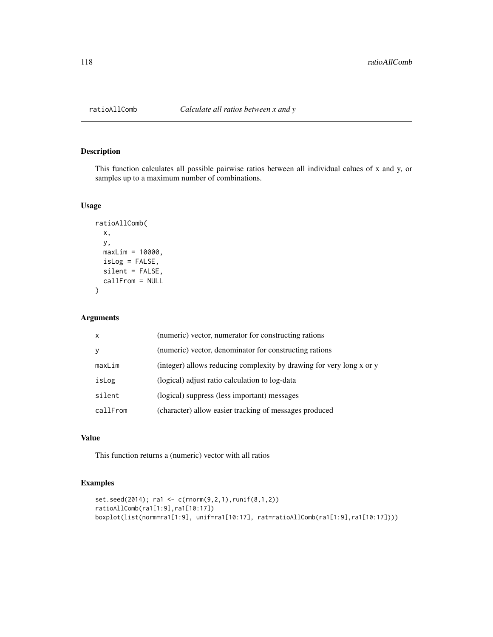This function calculates all possible pairwise ratios between all individual calues of x and y, or samples up to a maximum number of combinations.

#### Usage

```
ratioAllComb(
  x,
 y,
 maxLim = 10000,
 isLog = FALSE,
 silent = FALSE,
 callFrom = NULL
)
```
Arguments

| $\mathsf{x}$ | (numeric) vector, numerator for constructing rations                 |
|--------------|----------------------------------------------------------------------|
| v            | (numeric) vector, denominator for constructing rations               |
| maxLim       | (integer) allows reducing complexity by drawing for very long x or y |
| isLog        | (logical) adjust ratio calculation to log-data                       |
| silent       | (logical) suppress (less important) messages                         |
| callFrom     | (character) allow easier tracking of messages produced               |

# Value

This function returns a (numeric) vector with all ratios

```
set.seed(2014); ra1 <- c(rnorm(9,2,1),runif(8,1,2))
ratioAllComb(ra1[1:9],ra1[10:17])
boxplot(list(norm=ra1[1:9], unif=ra1[10:17], rat=ratioAllComb(ra1[1:9],ra1[10:17])))
```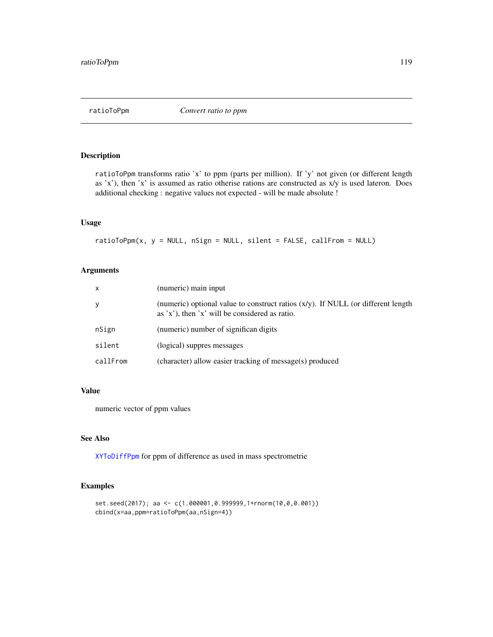ratioToPpm transforms ratio 'x' to ppm (parts per million). If 'y' not given (or different length as 'x'), then 'x' is assumed as ratio otherise rations are constructed as x/y is used lateron. Does additional checking : negative values not expected - will be made absolute !

# Usage

 $ratioToppm(x, y = NULL, nSign = NULL, silent = FALSE, callFrom = NULL)$ 

# Arguments

| X        | (numeric) main input                                                                                                                    |
|----------|-----------------------------------------------------------------------------------------------------------------------------------------|
| y        | (numeric) optional value to construct ratios $(x/y)$ . If NULL (or different length<br>as $x'$ , then $x'$ will be considered as ratio. |
| nSign    | (numeric) number of significan digits                                                                                                   |
| silent   | (logical) suppres messages                                                                                                              |
| callFrom | (character) allow easier tracking of message(s) produced                                                                                |

## Value

numeric vector of ppm values

# See Also

[XYToDiffPpm](#page-166-0) for ppm of difference as used in mass spectrometrie

```
set.seed(2017); aa <- c(1.000001,0.999999,1+rnorm(10,0,0.001))
cbind(x=aa,ppm=ratioToPpm(aa,nSign=4))
```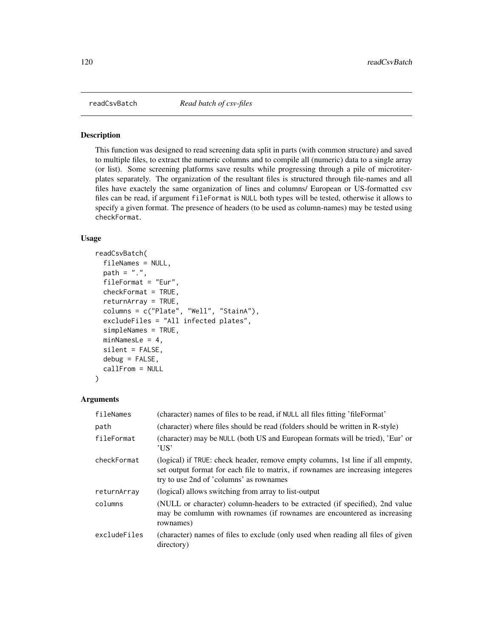<span id="page-119-0"></span>

This function was designed to read screening data split in parts (with common structure) and saved to multiple files, to extract the numeric columns and to compile all (numeric) data to a single array (or list). Some screening platforms save results while progressing through a pile of microtiterplates separately. The organization of the resultant files is structured through file-names and all files have exactely the same organization of lines and columns/ European or US-formatted csv files can be read, if argument fileFormat is NULL both types will be tested, otherwise it allows to specify a given format. The presence of headers (to be used as column-names) may be tested using checkFormat.

# Usage

```
readCsvBatch(
  fileNames = NULL,
  path = ".".fileFormat = "Eur",
  checkFormat = TRUE,
  returnArray = TRUE,
  columns = c("Plate", "Well", "StainA"),
  excludeFiles = "All infected plates",
  simpleNames = TRUE,
 minNamesLe = 4,
  silent = FALSE,
  debug = FALSE,callFrom = NULL
)
```
#### **Arguments**

| fileNames    | (character) names of files to be read, if NULL all files fitting 'fileFormat'                                                                                                                                |
|--------------|--------------------------------------------------------------------------------------------------------------------------------------------------------------------------------------------------------------|
| path         | (character) where files should be read (folders should be written in R-style)                                                                                                                                |
| fileFormat   | (character) may be NULL (both US and European formats will be tried), 'Eur' or<br>'US'                                                                                                                       |
| checkFormat  | (logical) if TRUE: check header, remove empty columns, 1st line if all empmty,<br>set output format for each file to matrix, if rownames are increasing integeres<br>try to use 2nd of 'columns' as rownames |
| returnArray  | (logical) allows switching from array to list-output                                                                                                                                                         |
| columns      | (NULL or character) column-headers to be extracted (if specified), 2nd value<br>may be comlumn with rownames (if rownames are encountered as increasing<br>rownames)                                         |
| excludeFiles | (character) names of files to exclude (only used when reading all files of given<br>directory)                                                                                                               |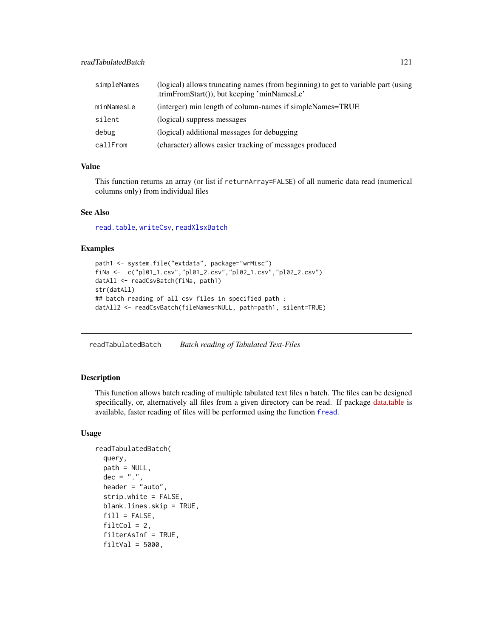| simpleNames | (logical) allows truncating names (from beginning) to get to variable part (using<br>.trimFromStart()), but keeping 'minNamesLe' |
|-------------|----------------------------------------------------------------------------------------------------------------------------------|
| minNamesLe  | (interger) min length of column-names if simpleNames=TRUE                                                                        |
| silent      | (logical) suppress messages                                                                                                      |
| debug       | (logical) additional messages for debugging                                                                                      |
| callFrom    | (character) allows easier tracking of messages produced                                                                          |

# Value

This function returns an array (or list if returnArray=FALSE) of all numeric data read (numerical columns only) from individual files

#### See Also

[read.table](#page-0-0), [writeCsv](#page-164-0), [readXlsxBatch](#page-123-0)

## Examples

```
path1 <- system.file("extdata", package="wrMisc")
fiNa <- c("pl01_1.csv","pl01_2.csv","pl02_1.csv","pl02_2.csv")
datAll <- readCsvBatch(fiNa, path1)
str(datAll)
## batch reading of all csv files in specified path :
datAll2 <- readCsvBatch(fileNames=NULL, path=path1, silent=TRUE)
```
readTabulatedBatch *Batch reading of Tabulated Text-Files*

## Description

This function allows batch reading of multiple tabulated text files n batch. The files can be designed specifically, or, alternatively all files from a given directory can be read. If package [data.table](https://CRAN.R-project.org/package=data.table) is available, faster reading of files will be performed using the function [fread](#page-0-0).

## Usage

```
readTabulatedBatch(
  query,
  path = NULL,
  dec = "."header = "auto",strip.white = FALSE,
  blank.lines.skip = TRUE,
  fill = FALSE,
  $filtCol = 2,
  filterAsInf = TRUE,
  filter = 5000,
```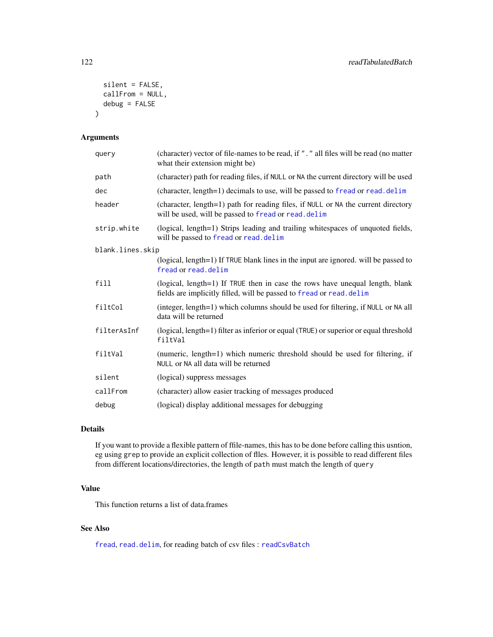```
silent = FALSE,
  callFrom = NULL,
  debug = FALSE
\mathcal{L}
```
# Arguments

| query            | (character) vector of file-names to be read, if ". " all files will be read (no matter<br>what their extension might be)                             |
|------------------|------------------------------------------------------------------------------------------------------------------------------------------------------|
| path             | (character) path for reading files, if NULL or NA the current directory will be used                                                                 |
| dec              | (character, length=1) decimals to use, will be passed to fread or read. delim                                                                        |
| header           | (character, length=1) path for reading files, if NULL or NA the current directory<br>will be used, will be passed to fread or read. delim            |
| strip.white      | (logical, length=1) Strips leading and trailing whitespaces of unquoted fields,<br>will be passed to fread or read. delim                            |
| blank.lines.skip |                                                                                                                                                      |
|                  | (logical, length=1) If TRUE blank lines in the input are ignored. will be passed to<br>fread or read.delim                                           |
| fill             | (logical, length=1) If TRUE then in case the rows have unequal length, blank<br>fields are implicitly filled, will be passed to fread or read. delim |
| filtCol          | (integer, length=1) which columns should be used for filtering, if NULL or NA all<br>data will be returned                                           |
| filterAsInf      | (logical, length=1) filter as inferior or equal (TRUE) or superior or equal threshold<br>filtVal                                                     |
| filtVal          | (numeric, length=1) which numeric threshold should be used for filtering, if<br>NULL or NA all data will be returned                                 |
| silent           | (logical) suppress messages                                                                                                                          |
| callFrom         | (character) allow easier tracking of messages produced                                                                                               |
| debug            | (logical) display additional messages for debugging                                                                                                  |

# Details

If you want to provide a flexible pattern of ffile-names, this has to be done before calling this usntion, eg using grep to provide an explicit collection of flles. However, it is possible to read different files from different locations/directories, the length of path must match the length of query

# Value

This function returns a list of data.frames

## See Also

[fread](#page-0-0), [read.delim](#page-0-0), for reading batch of csv files : [readCsvBatch](#page-119-0)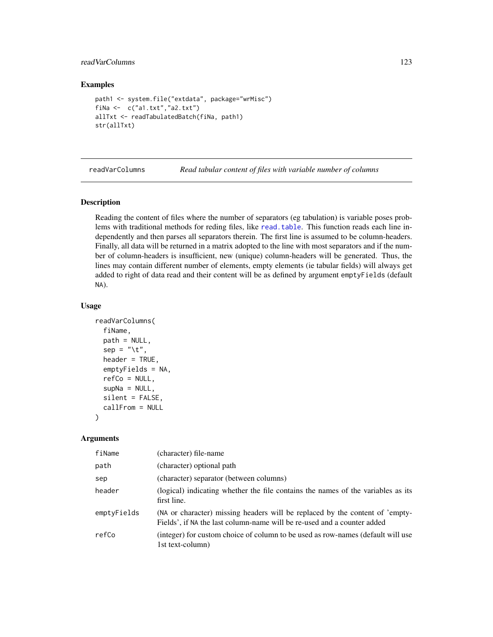# readVarColumns 123

## Examples

```
path1 <- system.file("extdata", package="wrMisc")
fiNa <- c("a1.txt","a2.txt")
allTxt <- readTabulatedBatch(fiNa, path1)
str(allTxt)
```
readVarColumns *Read tabular content of files with variable number of columns*

#### Description

Reading the content of files where the number of separators (eg tabulation) is variable poses problems with traditional methods for reding files, like [read.table](#page-0-0). This function reads each line independently and then parses all separators therein. The first line is assumed to be column-headers. Finally, all data will be returned in a matrix adopted to the line with most separators and if the number of column-headers is insufficient, new (unique) column-headers will be generated. Thus, the lines may contain different number of elements, empty elements (ie tabular fields) will always get added to right of data read and their content will be as defined by argument emptyFields (default NA).

#### Usage

```
readVarColumns(
  fiName,
  path = NULL,
  sep = "\t",
  header = TRUE,emptyFields = NA,
  refCo = NULL,
  supNa = NULL,silent = FALSE,
  callFrom = NULL
)
```
## Arguments

| fiName      | (character) file-name                                                                                                                                   |
|-------------|---------------------------------------------------------------------------------------------------------------------------------------------------------|
| path        | (character) optional path                                                                                                                               |
| sep         | (character) separator (between columns)                                                                                                                 |
| header      | (logical) indicating whether the file contains the names of the variables as its<br>first line.                                                         |
| emptyFields | (NA or character) missing headers will be replaced by the content of 'empty-<br>Fields', if NA the last column-name will be re-used and a counter added |
| refCo       | (integer) for custom choice of column to be used as row-names (default will use<br>1st text-column)                                                     |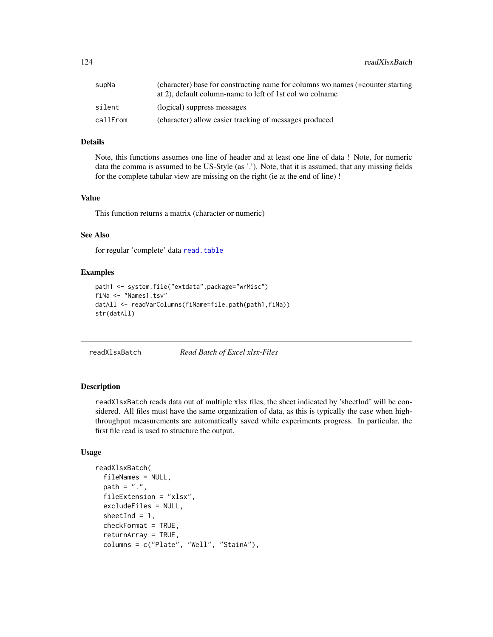124 readXlsxBatch

# Details

Note, this functions assumes one line of header and at least one line of data ! Note, for numeric data the comma is assumed to be US-Style (as '.'). Note, that it is assumed, that any missing fields for the complete tabular view are missing on the right (ie at the end of line) !

## Value

This function returns a matrix (character or numeric)

## See Also

for regular 'complete' data [read.table](#page-0-0)

#### Examples

```
path1 <- system.file("extdata",package="wrMisc")
fiNa <- "Names1.tsv"
datAll <- readVarColumns(fiName=file.path(path1,fiNa))
str(datAll)
```
<span id="page-123-0"></span>readXlsxBatch *Read Batch of Excel xlsx-Files*

#### **Description**

readXlsxBatch reads data out of multiple xlsx files, the sheet indicated by 'sheetInd' will be considered. All files must have the same organization of data, as this is typically the case when highthroughput measurements are automatically saved while experiments progress. In particular, the first file read is used to structure the output.

## Usage

```
readXlsxBatch(
  fileNames = NULL,
  path = ".''.fileExtension = "xlsx",
  excludeFiles = NULL,
  sheetInd = 1,
  checkFormat = TRUE,
  returnArray = TRUE,
  columns = c("Plate", "Well", "StainA"),
```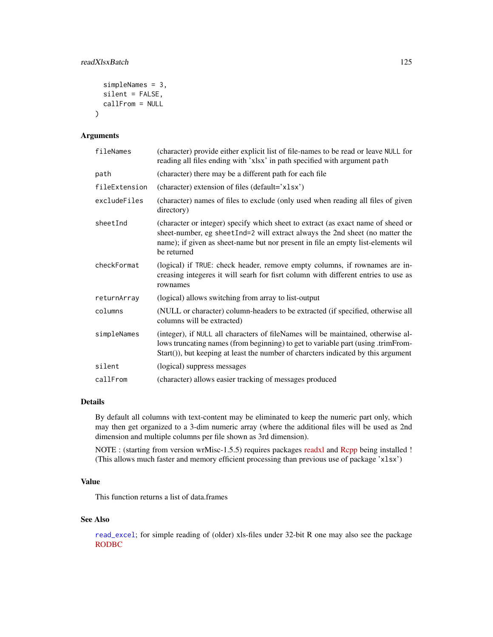## readXlsxBatch 125

```
simpleNames = 3,
  silent = FALSE,
  callFrom = NULL
\mathcal{L}
```
#### Arguments

| fileNames     | (character) provide either explicit list of file-names to be read or leave NULL for<br>reading all files ending with 'xlsx' in path specified with argument path                                                                                                    |
|---------------|---------------------------------------------------------------------------------------------------------------------------------------------------------------------------------------------------------------------------------------------------------------------|
| path          | (character) there may be a different path for each file                                                                                                                                                                                                             |
| fileExtension | (character) extension of files (default='x1sx')                                                                                                                                                                                                                     |
| excludeFiles  | (character) names of files to exclude (only used when reading all files of given<br>directory)                                                                                                                                                                      |
| sheetInd      | (character or integer) specify which sheet to extract (as exact name of sheed or<br>sheet-number, eg sheetInd=2 will extract always the 2nd sheet (no matter the<br>name); if given as sheet-name but nor present in file an empty list-elements wil<br>be returned |
| checkFormat   | (logical) if TRUE: check header, remove empty columns, if rownames are in-<br>creasing integeres it will searh for fisrt column with different entries to use as<br>rownames                                                                                        |
| returnArray   | (logical) allows switching from array to list-output                                                                                                                                                                                                                |
| columns       | (NULL or character) column-headers to be extracted (if specified, otherwise all<br>columns will be extracted)                                                                                                                                                       |
| simpleNames   | (integer), if NULL all characters of fileNames will be maintained, otherwise al-<br>lows truncating names (from beginning) to get to variable part (using .trimFrom-<br>Start()), but keeping at least the number of charcters indicated by this argument           |
| silent        | (logical) suppress messages                                                                                                                                                                                                                                         |
| callFrom      | (character) allows easier tracking of messages produced                                                                                                                                                                                                             |

# Details

By default all columns with text-content may be eliminated to keep the numeric part only, which may then get organized to a 3-dim numeric array (where the additional files will be used as 2nd dimension and multiple columns per file shown as 3rd dimension).

NOTE : (starting from version wrMisc-1.5.5) requires packages [readxl](https://CRAN.R-project.org/package=readxl) and [Rcpp](https://CRAN.R-project.org/package=Rcpp) being installed ! (This allows much faster and memory efficient processing than previous use of package 'xlsx')

# Value

This function returns a list of data.frames

#### See Also

[read\\_excel](#page-0-0); for simple reading of (older) xls-files under 32-bit R one may also see the package [RODBC](https://CRAN.R-project.org/package=RODBC)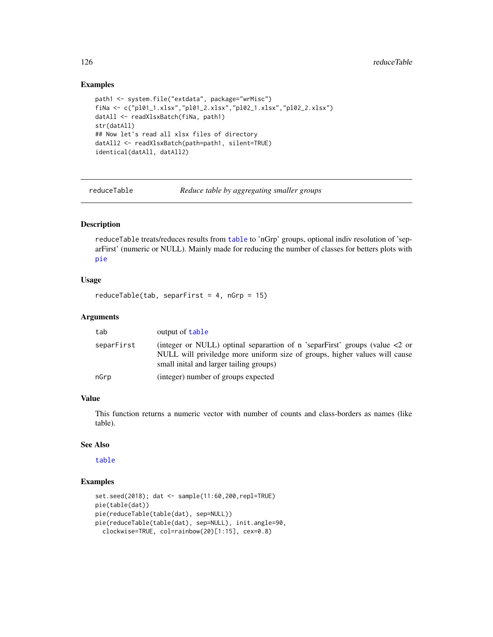## Examples

```
path1 <- system.file("extdata", package="wrMisc")
fiNa <- c("pl01_1.xlsx","pl01_2.xlsx","pl02_1.xlsx","pl02_2.xlsx")
datAll <- readXlsxBatch(fiNa, path1)
str(datAll)
## Now let's read all xlsx files of directory
datAll2 <- readXlsxBatch(path=path1, silent=TRUE)
identical(datAll, datAll2)
```
reduceTable *Reduce table by aggregating smaller groups*

#### Description

reduceTable treats/reduces results from [table](#page-0-0) to 'nGrp' groups, optional indiv resolution of 'separFirst' (numeric or NULL). Mainly made for reducing the number of classes for betters plots with [pie](#page-0-0)

## Usage

```
reduceTable(tab, separFirst = 4, nGrp = 15)
```
#### Arguments

| tab        | output of table                                                                                                                                                                                           |
|------------|-----------------------------------------------------------------------------------------------------------------------------------------------------------------------------------------------------------|
| separFirst | (integer or NULL) optinal separation of n 'separFirst' groups (value $\lt 2$ or<br>NULL will priviledge more uniform size of groups, higher values will cause<br>small initial and larger tailing groups) |
| nGrp       | (integer) number of groups expected                                                                                                                                                                       |

# Value

This function returns a numeric vector with number of counts and class-borders as names (like table).

# See Also

[table](#page-0-0)

```
set.seed(2018); dat <- sample(11:60,200,repl=TRUE)
pie(table(dat))
pie(reduceTable(table(dat), sep=NULL))
pie(reduceTable(table(dat), sep=NULL), init.angle=90,
  clockwise=TRUE, col=rainbow(20)[1:15], cex=0.8)
```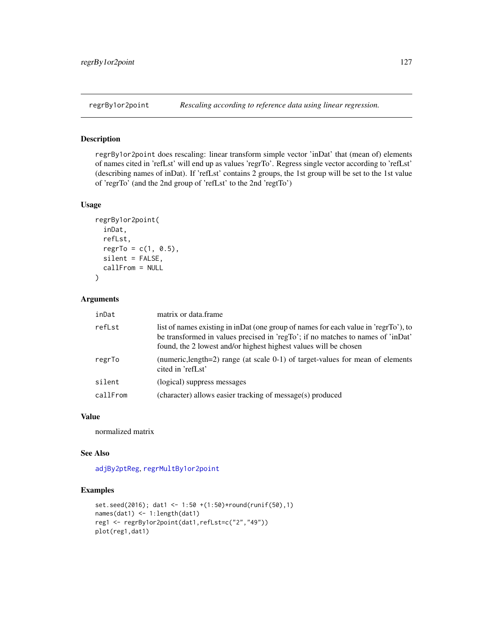<span id="page-126-0"></span>

regrBy1or2point does rescaling: linear transform simple vector 'inDat' that (mean of) elements of names cited in 'refLst' will end up as values 'regrTo'. Regress single vector according to 'refLst' (describing names of inDat). If 'refLst' contains 2 groups, the 1st group will be set to the 1st value of 'regrTo' (and the 2nd group of 'refLst' to the 2nd 'regtTo')

#### Usage

```
regrBy1or2point(
  inDat,
 refLst,
 regrTo = c(1, 0.5),
 silent = FALSE,
  callFrom = NULL
)
```
## Arguments

| inDat    | matrix or data.frame                                                                                                                                                                                                                       |
|----------|--------------------------------------------------------------------------------------------------------------------------------------------------------------------------------------------------------------------------------------------|
| refLst   | list of names existing in inDat (one group of names for each value in 'regrTo'), to<br>be transformed in values precised in 'regTo'; if no matches to names of 'inDat'<br>found, the 2 lowest and/or highest highest values will be chosen |
| regrTo   | (numeric, length=2) range (at scale $0-1$ ) of target-values for mean of elements<br>cited in 'refLst'                                                                                                                                     |
| silent   | (logical) suppress messages                                                                                                                                                                                                                |
| callFrom | (character) allows easier tracking of message(s) produced                                                                                                                                                                                  |

# Value

normalized matrix

## See Also

[adjBy2ptReg](#page-5-0), [regrMultBy1or2point](#page-127-0)

```
set.seed(2016); dat1 <- 1:50 +(1:50)*round(runif(50),1)
names(dat1) <- 1:length(dat1)
reg1 <- regrBy1or2point(dat1,refLst=c("2","49"))
plot(reg1,dat1)
```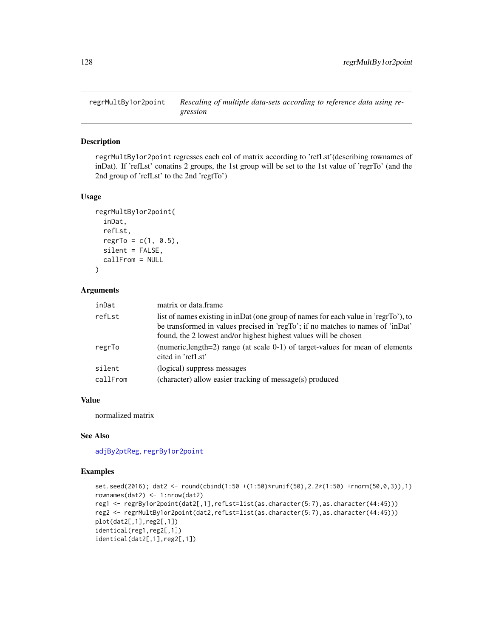<span id="page-127-0"></span>

regrMultBy1or2point regresses each col of matrix according to 'refLst'(describing rownames of inDat). If 'refLst' conatins 2 groups, the 1st group will be set to the 1st value of 'regrTo' (and the 2nd group of 'refLst' to the 2nd 'regtTo')

# Usage

```
regrMultBy1or2point(
  inDat,
  refLst,
 regrTo = c(1, 0.5),silent = FALSE,
 callFrom = NULL
\lambda
```
# Arguments

| inDat    | matrix or data frame                                                                                                                                                                                                                       |
|----------|--------------------------------------------------------------------------------------------------------------------------------------------------------------------------------------------------------------------------------------------|
| refLst   | list of names existing in inDat (one group of names for each value in 'regrTo'), to<br>be transformed in values precised in 'regTo'; if no matches to names of 'inDat'<br>found, the 2 lowest and/or highest highest values will be chosen |
| regrTo   | (numeric, length=2) range (at scale 0-1) of target-values for mean of elements<br>cited in 'refLst'                                                                                                                                        |
| silent   | (logical) suppress messages                                                                                                                                                                                                                |
| callFrom | (character) allow easier tracking of message(s) produced                                                                                                                                                                                   |

# Value

normalized matrix

# See Also

[adjBy2ptReg](#page-5-0), [regrBy1or2point](#page-126-0)

```
set.seed(2016); dat2 <- round(cbind(1:50 +(1:50)*runif(50),2.2*(1:50) +rnorm(50,0,3)),1)
rownames(dat2) <- 1:nrow(dat2)
reg1 <- regrBy1or2point(dat2[,1],refLst=list(as.character(5:7),as.character(44:45)))
reg2 <- regrMultBy1or2point(dat2,refLst=list(as.character(5:7),as.character(44:45)))
plot(dat2[,1],reg2[,1])
identical(reg1,reg2[,1])
identical(dat2[,1],reg2[,1])
```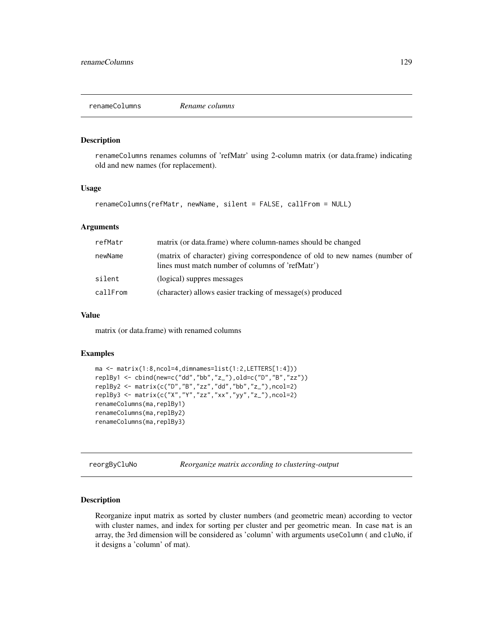renameColumns renames columns of 'refMatr' using 2-column matrix (or data.frame) indicating old and new names (for replacement).

#### Usage

```
renameColumns(refMatr, newName, silent = FALSE, callFrom = NULL)
```
#### Arguments

| refMatr  | matrix (or data.frame) where column-names should be changed                                                                    |
|----------|--------------------------------------------------------------------------------------------------------------------------------|
| newName  | (matrix of character) giving correspondence of old to new names (number of<br>lines must match number of columns of 'refMatr') |
| silent   | (logical) suppres messages                                                                                                     |
| callFrom | (character) allows easier tracking of message(s) produced                                                                      |

## Value

matrix (or data.frame) with renamed columns

## Examples

```
ma <- matrix(1:8,ncol=4,dimnames=list(1:2,LETTERS[1:4]))
replBy1 <- cbind(new=c("dd","bb","z_"),old=c("D","B","zz"))
replBy2 <- matrix(c("D","B","zz","dd","bb","z_"),ncol=2)
replBy3 <- matrix(c("X","Y","zz","xx","yy","z_"),ncol=2)
renameColumns(ma,replBy1)
renameColumns(ma,replBy2)
renameColumns(ma,replBy3)
```
reorgByCluNo *Reorganize matrix according to clustering-output*

## Description

Reorganize input matrix as sorted by cluster numbers (and geometric mean) according to vector with cluster names, and index for sorting per cluster and per geometric mean. In case mat is an array, the 3rd dimension will be considered as 'column' with arguments useColumn ( and cluNo, if it designs a 'column' of mat).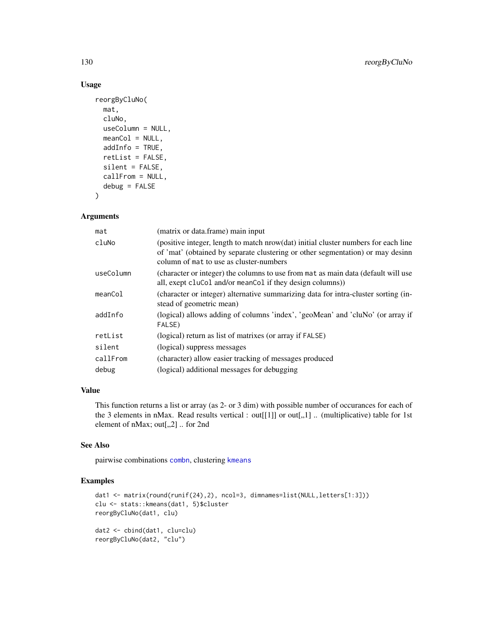# Usage

```
reorgByCluNo(
 mat,
  cluNo,
 useColumn = NULL,
 meanCol = NULL,addInfo = TRUE,
  retList = FALSE,
  silent = FALSE,
 callFrom = NULL,
  debug = FALSE
)
```
## Arguments

| mat       | (matrix or data.frame) main input                                                                                                                                                                               |
|-----------|-----------------------------------------------------------------------------------------------------------------------------------------------------------------------------------------------------------------|
| cluNo     | (positive integer, length to match nrow(dat) initial cluster numbers for each line<br>of 'mat' (obtained by separate clustering or other segmentation) or may desinn<br>column of mat to use as cluster-numbers |
| useColumn | (character or integer) the columns to use from mat as main data (default will use<br>all, exept clucol and/or mean Col if they design columns)                                                                  |
| meanCol   | (character or integer) alternative summarizing data for intra-cluster sorting (in-<br>stead of geometric mean)                                                                                                  |
| addInfo   | (logical) allows adding of columns 'index', 'geoMean' and 'cluNo' (or array if<br>FALSE)                                                                                                                        |
| retList   | (logical) return as list of matrixes (or array if FALSE)                                                                                                                                                        |
| silent    | (logical) suppress messages                                                                                                                                                                                     |
| callFrom  | (character) allow easier tracking of messages produced                                                                                                                                                          |
| debug     | (logical) additional messages for debugging                                                                                                                                                                     |
|           |                                                                                                                                                                                                                 |

# Value

This function returns a list or array (as 2- or 3 dim) with possible number of occurances for each of the 3 elements in nMax. Read results vertical : out[[1]] or out[,,1] .. (multiplicative) table for 1st element of nMax; out[,,2] .. for 2nd

# See Also

pairwise combinations [combn](#page-0-0), clustering [kmeans](#page-0-0)

```
dat1 <- matrix(round(runif(24),2), ncol=3, dimnames=list(NULL,letters[1:3]))
clu <- stats::kmeans(dat1, 5)$cluster
reorgByCluNo(dat1, clu)
dat2 <- cbind(dat1, clu=clu)
reorgByCluNo(dat2, "clu")
```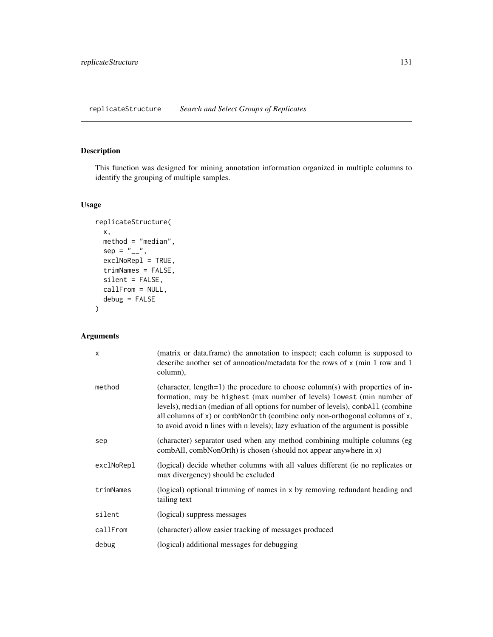This function was designed for mining annotation information organized in multiple columns to identify the grouping of multiple samples.

# Usage

```
replicateStructure(
 x,
 method = "median",
 sep = "_{--}",
 exclNoRepl = TRUE,
  trimNames = FALSE,
  silent = FALSE,
 callFrom = NULL,
 debug = FALSE
)
```
# Arguments

| $\times$   | (matrix or data.frame) the annotation to inspect; each column is supposed to<br>describe another set of annoation/metadata for the rows of x (min 1 row and 1)<br>column),                                                                                                                                                                                                                                     |
|------------|----------------------------------------------------------------------------------------------------------------------------------------------------------------------------------------------------------------------------------------------------------------------------------------------------------------------------------------------------------------------------------------------------------------|
| method     | (character, length=1) the procedure to choose column(s) with properties of in-<br>formation, may be highest (max number of levels) lowest (min number of<br>levels), median (median of all options for number of levels), comball (combine<br>all columns of x) or combNon0rth (combine only non-orthogonal columns of x,<br>to avoid avoid n lines with n levels); lazy evluation of the argument is possible |
| sep        | (character) separator used when any method combining multiple columns (eg<br>combAll, combNonOrth) is chosen (should not appear anywhere in x)                                                                                                                                                                                                                                                                 |
| exclNoRepl | (logical) decide whether columns with all values different (ie no replicates or<br>max divergency) should be excluded                                                                                                                                                                                                                                                                                          |
| trimNames  | (logical) optional trimming of names in x by removing redundant heading and<br>tailing text                                                                                                                                                                                                                                                                                                                    |
| silent     | (logical) suppress messages                                                                                                                                                                                                                                                                                                                                                                                    |
| callFrom   | (character) allow easier tracking of messages produced                                                                                                                                                                                                                                                                                                                                                         |
| debug      | (logical) additional messages for debugging                                                                                                                                                                                                                                                                                                                                                                    |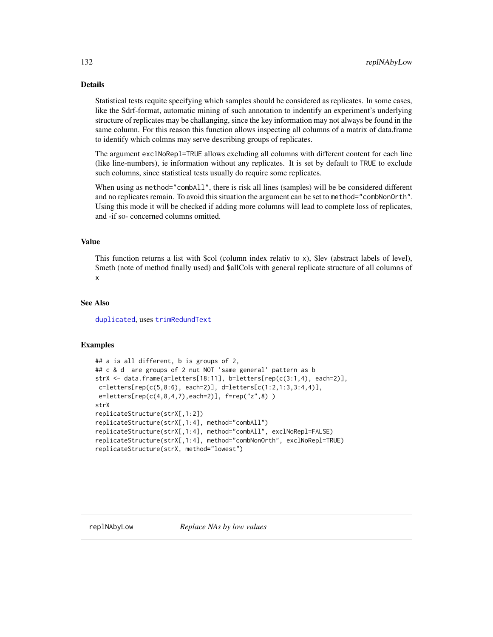# Details

Statistical tests requite specifying which samples should be considered as replicates. In some cases, like the Sdrf-format, automatic mining of such annotation to indentify an experiment's underlying structure of replicates may be challanging, since the key information may not always be found in the same column. For this reason this function allows inspecting all columns of a matrix of data.frame to identify which colmns may serve describing groups of replicates.

The argument exclNoRepl=TRUE allows excluding all columns with different content for each line (like line-numbers), ie information without any replicates. It is set by default to TRUE to exclude such columns, since statistical tests usually do require some replicates.

When using as method="combAll", there is risk all lines (samples) will be be considered different and no replicates remain. To avoid this situation the argument can be set to method="combNonOrth". Using this mode it will be checked if adding more columns will lead to complete loss of replicates, and -if so- concerned columns omitted.

## Value

This function returns a list with \$col (column index relativ to x), \$lev (abstract labels of level), \$meth (note of method finally used) and \$allCols with general replicate structure of all columns of x

## See Also

[duplicated](#page-0-0), uses [trimRedundText](#page-160-0)

```
## a is all different, b is groups of 2,
## c & d are groups of 2 nut NOT 'same general' pattern as b
strX <- data.frame(a=letters[18:11], b=letters[rep(c(3:1,4), each=2)],
c=letters[rep(c(5,8:6), each=2)], deleters[c(1:2,1:3,3:4,4)],e=letters[rep(c(4,8,4,7),each=2)], f=rep("z",8) )
strX
replicateStructure(strX[,1:2])
replicateStructure(strX[,1:4], method="combAll")
replicateStructure(strX[,1:4], method="combAll", exclNoRepl=FALSE)
replicateStructure(strX[,1:4], method="combNonOrth", exclNoRepl=TRUE)
replicateStructure(strX, method="lowest")
```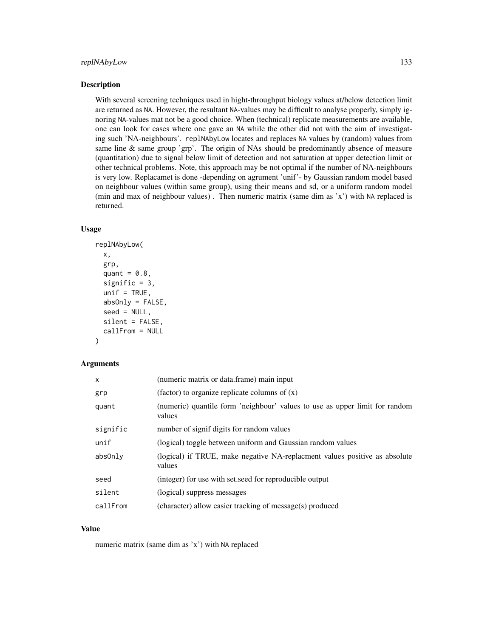With several screening techniques used in hight-throughput biology values at/below detection limit are returned as NA. However, the resultant NA-values may be difficult to analyse properly, simply ignoring NA-values mat not be a good choice. When (technical) replicate measurements are available, one can look for cases where one gave an NA while the other did not with the aim of investigating such 'NA-neighbours'. replNAbyLow locates and replaces NA values by (random) values from same line & same group 'grp'. The origin of NAs should be predominantly absence of measure (quantitation) due to signal below limit of detection and not saturation at upper detection limit or other technical problems. Note, this approach may be not optimal if the number of NA-neighbours is very low. Replacamet is done -depending on agrument 'unif'- by Gaussian random model based on neighbour values (within same group), using their means and sd, or a uniform random model (min and max of neighbour values) . Then numeric matrix (same dim as 'x') with NA replaced is returned.

## Usage

```
replNAbyLow(
  x,
  grp,
  quant = 0.8,
  signific = 3,
  unif = TRUE,absOnly = FALSE,
  seed = NULL,silent = FALSE,
  callFrom = NULL
)
```
## Arguments

| $\times$ | (numeric matrix or data, frame) main input                                            |
|----------|---------------------------------------------------------------------------------------|
| grp      | (factor) to organize replicate columns of $(x)$                                       |
| quant    | (numeric) quantile form 'neighbour' values to use as upper limit for random<br>values |
| signific | number of signif digits for random values                                             |
| unif     | (logical) toggle between uniform and Gaussian random values                           |
| absOnly  | (logical) if TRUE, make negative NA-replacment values positive as absolute<br>values  |
| seed     | (integer) for use with set seed for reproducible output                               |
| silent   | (logical) suppress messages                                                           |
| callFrom | (character) allow easier tracking of message(s) produced                              |

#### Value

numeric matrix (same dim as 'x') with NA replaced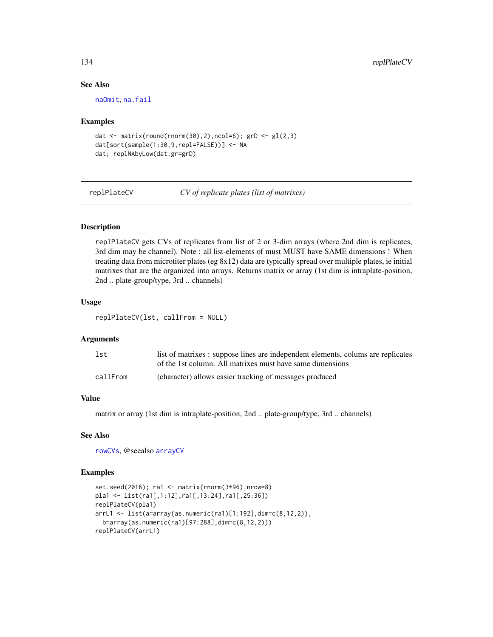# See Also

[naOmit](#page-97-0), [na.fail](#page-0-0)

## Examples

```
dat \leq matrix(round(rnorm(30),2),ncol=6); grD \leq gl(2,3)
dat[sort(sample(1:30,9,repl=FALSE))] <- NA
dat; replNAbyLow(dat,gr=grD)
```
<span id="page-133-0"></span>replPlateCV *CV of replicate plates (list of matrixes)*

# Description

replPlateCV gets CVs of replicates from list of 2 or 3-dim arrays (where 2nd dim is replicates, 3rd dim may be channel). Note : all list-elements of must MUST have SAME dimensions ! When treating data from microtiter plates (eg 8x12) data are typically spread over multiple plates, ie initial matrixes that are the organized into arrays. Returns matrix or array (1st dim is intraplate-position, 2nd .. plate-group/type, 3rd .. channels)

#### Usage

replPlateCV(lst, callFrom = NULL)

## Arguments

| 1st      | list of matrixes : suppose lines are independent elements, colums are replicates |
|----------|----------------------------------------------------------------------------------|
|          | of the 1st column. All matrixes must have same dimensions                        |
| callFrom | (character) allows easier tracking of messages produced                          |

# Value

matrix or array (1st dim is intraplate-position, 2nd .. plate-group/type, 3rd .. channels)

## See Also

[rowCVs](#page-136-0), @seealso [arrayCV](#page-7-1)

```
set.seed(2016); ra1 <- matrix(rnorm(3*96),nrow=8)
pla1 <- list(ra1[,1:12],ra1[,13:24],ra1[,25:36])
replPlateCV(pla1)
arrL1 <- list(a=array(as.numeric(ra1)[1:192],dim=c(8,12,2)),
 b=array(as.numeric(ra1)[97:288],dim=c(8,12,2)))
replPlateCV(arrL1)
```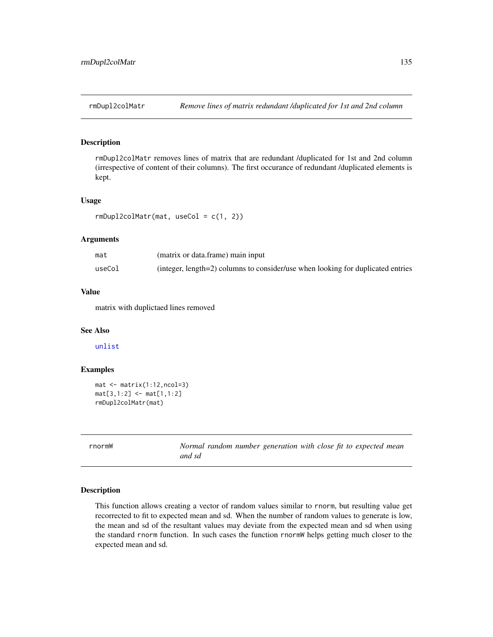rmDupl2colMatr removes lines of matrix that are redundant /duplicated for 1st and 2nd column (irrespective of content of their columns). The first occurance of redundant /duplicated elements is kept.

#### Usage

```
rmDup12colMatrix(mat, useCol = c(1, 2))
```
#### Arguments

| mat    | (matrix or data.frame) main input                                               |
|--------|---------------------------------------------------------------------------------|
| useCol | (integer, length=2) columns to consider/use when looking for duplicated entries |

# Value

matrix with duplictaed lines removed

# See Also

[unlist](#page-0-0)

#### Examples

```
mat <- matrix(1:12,ncol=3)
mat[3,1:2] <- mat[1,1:2]
rmDupl2colMatr(mat)
```
rnormW *Normal random number generation with close fit to expected mean and sd*

## **Description**

This function allows creating a vector of random values similar to rnorm, but resulting value get recorrected to fit to expected mean and sd. When the number of random values to generate is low, the mean and sd of the resultant values may deviate from the expected mean and sd when using the standard rnorm function. In such cases the function rnormW helps getting much closer to the expected mean and sd.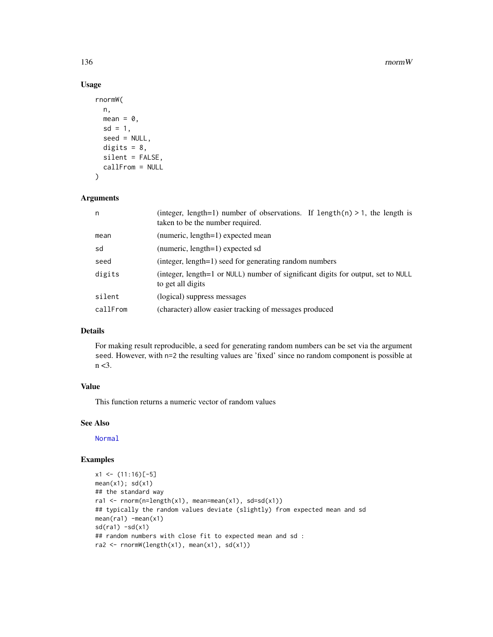#### 136 rnormW

# Usage

```
rnormW(
 n,
 mean = 0,
 sd = 1,
 seed = NULL,
 digits = 8,
 silent = FALSE,
 callFrom = NULL
)
```
# Arguments

| n        | (integer, length=1) number of observations. If length(n) > 1, the length is<br>taken to be the number required. |  |
|----------|-----------------------------------------------------------------------------------------------------------------|--|
| mean     | (numeric, length=1) expected mean                                                                               |  |
| sd       | (numeric, length=1) expected sd                                                                                 |  |
| seed     | (integer, length=1) seed for generating random numbers                                                          |  |
| digits   | (integer, length=1 or NULL) number of significant digits for output, set to NULL<br>to get all digits           |  |
| silent   | (logical) suppress messages                                                                                     |  |
| callFrom | (character) allow easier tracking of messages produced                                                          |  |

## Details

For making result reproducible, a seed for generating random numbers can be set via the argument seed. However, with n=2 the resulting values are 'fixed' since no random component is possible at n <3.

#### Value

This function returns a numeric vector of random values

# See Also

[Normal](#page-0-0)

```
x1 \leftarrow (11:16)[-5]mean(x1); sd(x1)## the standard way
ra1 <- rnorm(n=length(x1), mean=mean(x1), sd=sd(x1))
## typically the random values deviate (slightly) from expected mean and sd
mean(ra1) -mean(x1)
sd(ra1) - sd(x1)## random numbers with close fit to expected mean and sd :
ra2 <- rnormW(length(x1), mean(x1), sd(x1))
```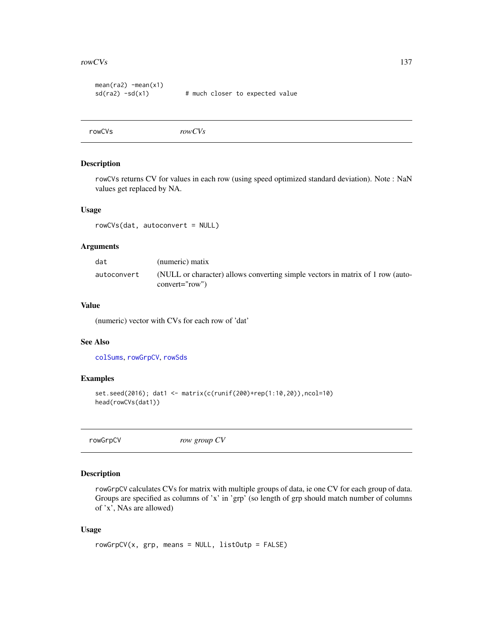#### $r_{\text{rowCVs}}$  137

```
mean(ra2) -mean(x1)sd(ra2) - sd(x1) # much closer to expected value
```
<span id="page-136-0"></span>rowCVs *rowCVs*

# Description

rowCVs returns CV for values in each row (using speed optimized standard deviation). Note : NaN values get replaced by NA.

#### Usage

rowCVs(dat, autoconvert = NULL)

## Arguments

| dat         | (numeric) matix                                                                                    |
|-------------|----------------------------------------------------------------------------------------------------|
| autoconvert | (NULL or character) allows converting simple vectors in matrix of 1 row (auto-<br>$convert="row")$ |

# Value

(numeric) vector with CVs for each row of 'dat'

## See Also

[colSums](#page-0-0), [rowGrpCV](#page-136-1), [rowSds](#page-140-0)

# Examples

```
set.seed(2016); dat1 <- matrix(c(runif(200)+rep(1:10,20)),ncol=10)
head(rowCVs(dat1))
```
<span id="page-136-1"></span>rowGrpCV *row group CV*

## Description

rowGrpCV calculates CVs for matrix with multiple groups of data, ie one CV for each group of data. Groups are specified as columns of 'x' in 'grp' (so length of grp should match number of columns of 'x', NAs are allowed)

#### Usage

```
rowGrpCV(x, grp, means = NULL, listOutput = FALSE)
```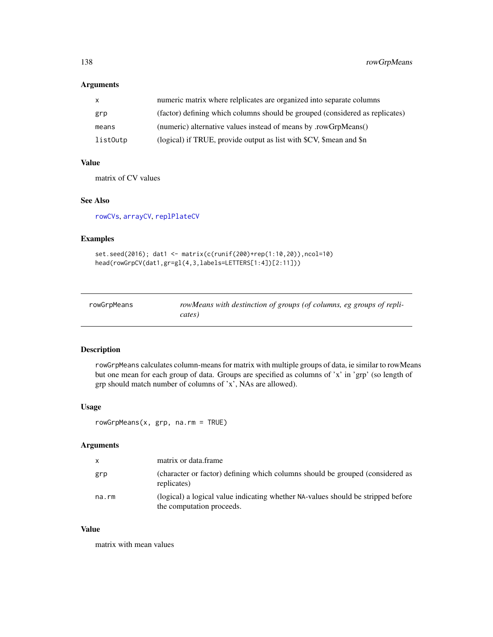# Arguments

| $\mathbf{x}$ | numeric matrix where relplicates are organized into separate columns         |
|--------------|------------------------------------------------------------------------------|
| grp          | (factor) defining which columns should be grouped (considered as replicates) |
| means        | (numeric) alternative values instead of means by .rowGrpMeans()              |
| listOutp     | (logical) if TRUE, provide output as list with \$CV, \$mean and \$n          |

# Value

matrix of CV values

# See Also

[rowCVs](#page-136-0), [arrayCV](#page-7-1), [replPlateCV](#page-133-0)

# Examples

```
set.seed(2016); dat1 <- matrix(c(runif(200)+rep(1:10,20)),ncol=10)
head(rowGrpCV(dat1,gr=gl(4,3,labels=LETTERS[1:4])[2:11]))
```
<span id="page-137-0"></span>

| rowGrpMeans | rowMeans with destinction of groups (of columns, eg groups of repli- |
|-------------|----------------------------------------------------------------------|
|             | cates)                                                               |

# Description

rowGrpMeans calculates column-means for matrix with multiple groups of data, ie similar to rowMeans but one mean for each group of data. Groups are specified as columns of 'x' in 'grp' (so length of grp should match number of columns of 'x', NAs are allowed).

# Usage

rowGrpMeans(x, grp, na.rm = TRUE)

## Arguments

| $\mathsf{X}$ | matrix or data frame                                                                                          |
|--------------|---------------------------------------------------------------------------------------------------------------|
| grp          | (character or factor) defining which columns should be grouped (considered as<br>replicates)                  |
| na.rm        | (logical) a logical value indicating whether NA-values should be stripped before<br>the computation proceeds. |

#### Value

matrix with mean values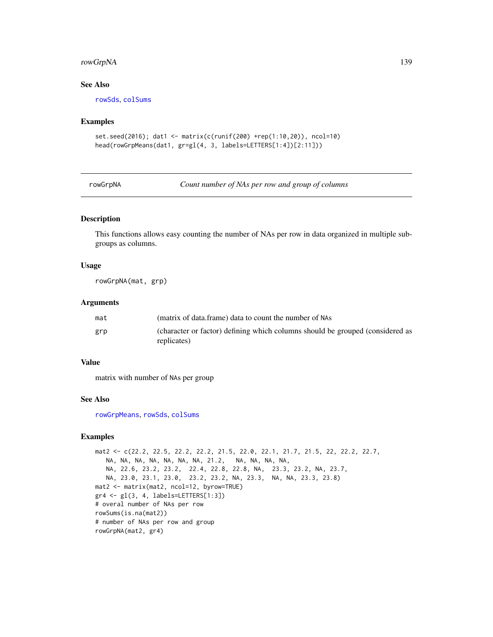#### rowGrpNA 139

# See Also

[rowSds](#page-140-0), [colSums](#page-0-0)

#### Examples

```
set.seed(2016); dat1 <- matrix(c(runif(200) +rep(1:10,20)), ncol=10)
head(rowGrpMeans(dat1, gr=gl(4, 3, labels=LETTERS[1:4])[2:11]))
```
rowGrpNA *Count number of NAs per row and group of columns*

## Description

This functions allows easy counting the number of NAs per row in data organized in multiple subgroups as columns.

## Usage

rowGrpNA(mat, grp)

#### Arguments

| mat | (matrix of data.frame) data to count the number of NAs                                       |
|-----|----------------------------------------------------------------------------------------------|
| grp | (character or factor) defining which columns should be grouped (considered as<br>replicates) |

#### Value

matrix with number of NAs per group

#### See Also

[rowGrpMeans](#page-137-0), [rowSds](#page-140-0), [colSums](#page-0-0)

```
mat2 <- c(22.2, 22.5, 22.2, 22.2, 21.5, 22.0, 22.1, 21.7, 21.5, 22, 22.2, 22.7,
  NA, NA, NA, NA, NA, NA, NA, 21.2, NA, NA, NA, NA,
  NA, 22.6, 23.2, 23.2, 22.4, 22.8, 22.8, NA, 23.3, 23.2, NA, 23.7,
  NA, 23.0, 23.1, 23.0, 23.2, 23.2, NA, 23.3, NA, NA, 23.3, 23.8)
mat2 <- matrix(mat2, ncol=12, byrow=TRUE)
gr4 <- gl(3, 4, labels=LETTERS[1:3])
# overal number of NAs per row
rowSums(is.na(mat2))
# number of NAs per row and group
rowGrpNA(mat2, gr4)
```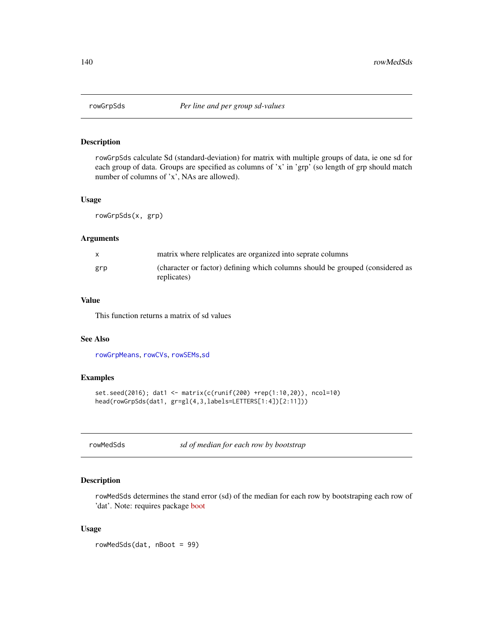rowGrpSds calculate Sd (standard-deviation) for matrix with multiple groups of data, ie one sd for each group of data. Groups are specified as columns of 'x' in 'grp' (so length of grp should match number of columns of 'x', NAs are allowed).

# Usage

rowGrpSds(x, grp)

# Arguments

|     | matrix where relplicates are organized into seprate columns                                  |
|-----|----------------------------------------------------------------------------------------------|
| grp | (character or factor) defining which columns should be grouped (considered as<br>replicates) |

## Value

This function returns a matrix of sd values

# See Also

[rowGrpMeans](#page-137-0), [rowCVs](#page-136-0), [rowSEMs](#page-141-0),[sd](#page-0-0)

#### Examples

```
set.seed(2016); dat1 <- matrix(c(runif(200) +rep(1:10,20)), ncol=10)
head(rowGrpSds(dat1, gr=gl(4,3,labels=LETTERS[1:4])[2:11]))
```
rowMedSds *sd of median for each row by bootstrap*

## Description

rowMedSds determines the stand error (sd) of the median for each row by bootstraping each row of 'dat'. Note: requires package [boot](https://CRAN.R-project.org/package=boot)

#### Usage

rowMedSds(dat, nBoot = 99)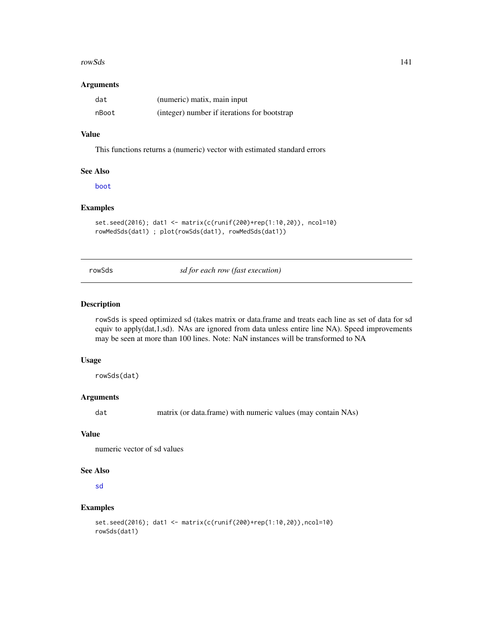#### rowSds and the state of the state of the state of the state of the state of the state of the state of the state of the state of the state of the state of the state of the state of the state of the state of the state of the

#### Arguments

| dat   | (numeric) matix, main input                  |
|-------|----------------------------------------------|
| nBoot | (integer) number if iterations for bootstrap |

# Value

This functions returns a (numeric) vector with estimated standard errors

#### See Also

[boot](#page-0-0)

# Examples

```
set.seed(2016); dat1 <- matrix(c(runif(200)+rep(1:10,20)), ncol=10)
rowMedSds(dat1) ; plot(rowSds(dat1), rowMedSds(dat1))
```
<span id="page-140-0"></span>rowSds *sd for each row (fast execution)*

# Description

rowSds is speed optimized sd (takes matrix or data.frame and treats each line as set of data for sd equiv to apply(dat,1,sd). NAs are ignored from data unless entire line NA). Speed improvements may be seen at more than 100 lines. Note: NaN instances will be transformed to NA

#### Usage

rowSds(dat)

# Arguments

dat matrix (or data.frame) with numeric values (may contain NAs)

# Value

numeric vector of sd values

#### See Also

[sd](#page-0-0)

```
set.seed(2016); dat1 <- matrix(c(runif(200)+rep(1:10,20)),ncol=10)
rowSds(dat1)
```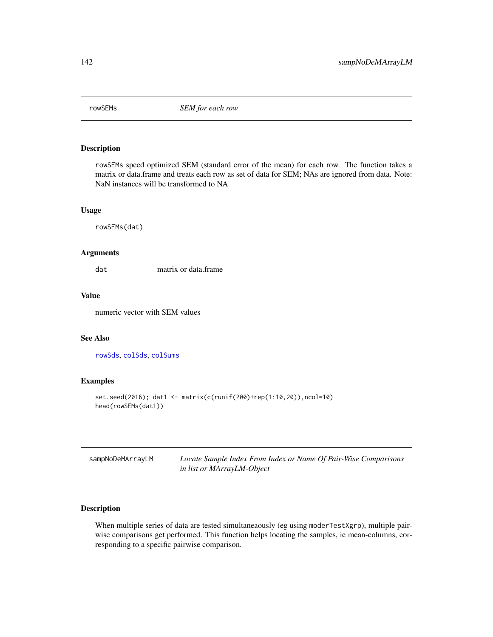<span id="page-141-0"></span>

rowSEMs speed optimized SEM (standard error of the mean) for each row. The function takes a matrix or data.frame and treats each row as set of data for SEM; NAs are ignored from data. Note: NaN instances will be transformed to NA

#### Usage

rowSEMs(dat)

## Arguments

dat matrix or data.frame

## Value

numeric vector with SEM values

# See Also

[rowSds](#page-140-0), [colSds](#page-22-0), [colSums](#page-0-0)

# Examples

```
set.seed(2016); dat1 <- matrix(c(runif(200)+rep(1:10,20)),ncol=10)
head(rowSEMs(dat1))
```

| sampNoDeMArrayLM | Locate Sample Index From Index or Name Of Pair-Wise Comparisons |
|------------------|-----------------------------------------------------------------|
|                  | in list or MArrayLM-Object                                      |

# Description

When multiple series of data are tested simultaneaously (eg using moderTestXgrp), multiple pairwise comparisons get performed. This function helps locating the samples, ie mean-columns, corresponding to a specific pairwise comparison.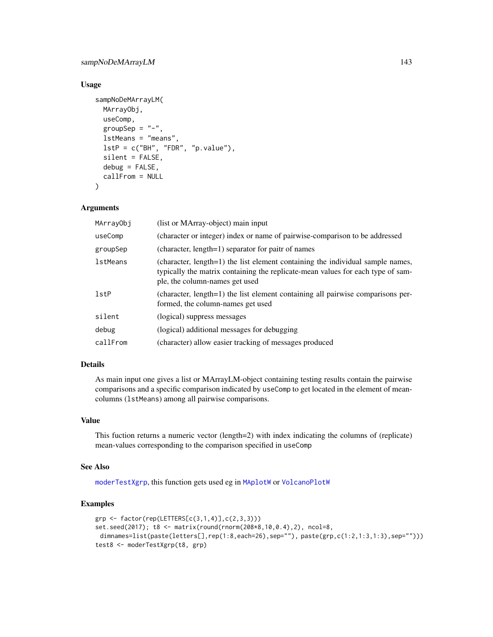# sampNoDeMArrayLM 143

# Usage

```
sampNoDeMArrayLM(
 MArrayObj,
 useComp,
 groupSep = "-",
 lstMeans = "means",
 lstP = c("BH", "FDR", "p.value"),silent = FALSE,
 debug = FALSE,callFrom = NULL
)
```
#### Arguments

| MArrayObj  | (list or MArray-object) main input                                                                                                                                                                  |
|------------|-----------------------------------------------------------------------------------------------------------------------------------------------------------------------------------------------------|
| useComp    | (character or integer) index or name of pairwise-comparison to be addressed                                                                                                                         |
| groupSep   | (character, length=1) separator for paitr of names                                                                                                                                                  |
| lstMeans   | (character, length=1) the list element containing the individual sample names,<br>typically the matrix containing the replicate-mean values for each type of sam-<br>ple, the column-names get used |
| $1$ st $P$ | (character, length=1) the list element containing all pairwise comparisons per-<br>formed, the column-names get used                                                                                |
| silent     | (logical) suppress messages                                                                                                                                                                         |
| debug      | (logical) additional messages for debugging                                                                                                                                                         |
| callFrom   | (character) allow easier tracking of messages produced                                                                                                                                              |

# Details

As main input one gives a list or MArrayLM-object containing testing results contain the pairwise comparisons and a specific comparison indicated by useComp to get located in the element of meancolumns (lstMeans) among all pairwise comparisons.

# Value

This fuction returns a numeric vector (length=2) with index indicating the columns of (replicate) mean-values corresponding to the comparison specified in useComp

## See Also

[moderTestXgrp](#page-93-0), this function gets used eg in [MAplotW](#page-0-0) or [VolcanoPlotW](#page-0-0)

```
grp <- factor(rep(LETTERS[c(3,1,4)],c(2,3,3)))
set.seed(2017); t8 <- matrix(round(rnorm(208*8,10,0.4),2), ncol=8,
 dimnames=list(paste(letters[],rep(1:8,each=26),sep=""), paste(grp,c(1:2,1:3,1:3),sep="")))
test8 <- moderTestXgrp(t8, grp)
```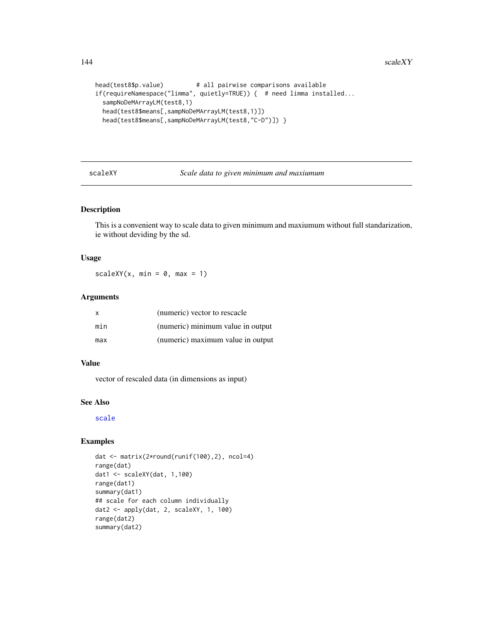```
head(test8$p.value) # all pairwise comparisons available
if(requireNamespace("limma", quietly=TRUE)) { # need limma installed...
 sampNoDeMArrayLM(test8,1)
 head(test8$means[,sampNoDeMArrayLM(test8,1)])
 head(test8$means[,sampNoDeMArrayLM(test8,"C-D")]) }
```
scaleXY *Scale data to given minimum and maxiumum*

## Description

This is a convenient way to scale data to given minimum and maxiumum without full standarization, ie without deviding by the sd.

## Usage

 $scaleXY(x, min = 0, max = 1)$ 

# Arguments

| $\mathsf{x}$ | (numeric) vector to rescacle      |
|--------------|-----------------------------------|
| min          | (numeric) minimum value in output |
| max          | (numeric) maximum value in output |

## Value

vector of rescaled data (in dimensions as input)

#### See Also

#### [scale](#page-0-0)

```
dat <- matrix(2*round(runif(100),2), ncol=4)
range(dat)
dat1 <- scaleXY(dat, 1,100)
range(dat1)
summary(dat1)
## scale for each column individually
dat2 <- apply(dat, 2, scaleXY, 1, 100)
range(dat2)
summary(dat2)
```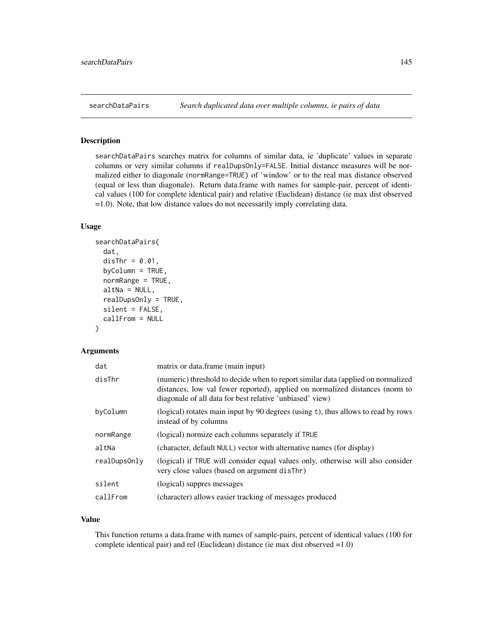<span id="page-144-0"></span>

#### Description

searchDataPairs searches matrix for columns of similar data, ie 'duplicate' values in separate columns or very similar columns if realDupsOnly=FALSE. Initial distance measures will be normalized either to diagonale (normRange=TRUE) of 'window' or to the real max distance observed (equal or less than diagonale). Return data.frame with names for sample-pair, percent of identical values (100 for complete identical pair) and relative (Euclidean) distance (ie max dist observed =1.0). Note, that low distance values do not necessarily imply correlating data.

#### Usage

```
searchDataPairs(
  dat,
  disThr = 0.01,
 byColumn = TRUE,
  normRange = TRUE,
  altNa = NULL,realDupsOnly = TRUE,
  silent = FALSE,
  callFrom = NULL
)
```
## Arguments

| dat          | matrix or data.frame (main input)                                                                                                                                                                                            |
|--------------|------------------------------------------------------------------------------------------------------------------------------------------------------------------------------------------------------------------------------|
| disThr       | (numeric) threshold to decide when to report similar data (applied on normalized<br>distances, low val fewer reported), applied on normalized distances (norm to<br>diagonale of all data for best relative 'unbiased' view) |
| byColumn     | (logical) rotates main input by 90 degrees (using $t$ ), thus allows to read by rows<br>instead of by columns                                                                                                                |
| normRange    | (logical) normize each columns separately if TRUE                                                                                                                                                                            |
| altNa        | (character, default NULL) vector with alternative names (for display)                                                                                                                                                        |
| realDupsOnly | (logical) if TRUE will consider equal values only, otherwise will also consider<br>very close values (based on argument disThr)                                                                                              |
| silent       | (logical) suppres messages                                                                                                                                                                                                   |
| callFrom     | (character) allows easier tracking of messages produced                                                                                                                                                                      |

## Value

This function returns a data.frame with names of sample-pairs, percent of identical values (100 for complete identical pair) and rel (Euclidean) distance (ie max dist observed =1.0)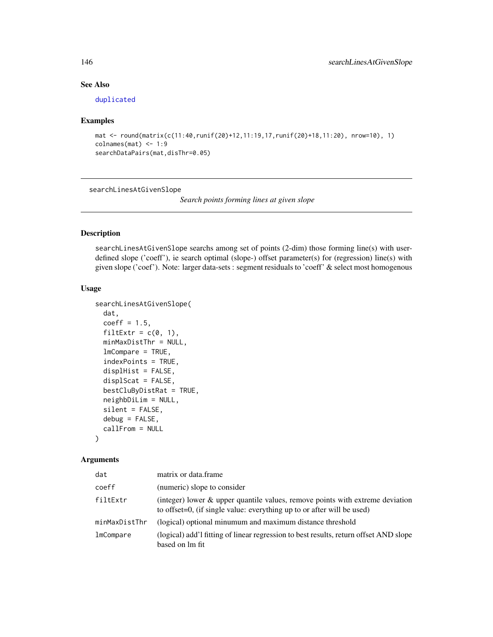# See Also

[duplicated](#page-0-0)

#### Examples

```
mat <- round(matrix(c(11:40,runif(20)+12,11:19,17,runif(20)+18,11:20), nrow=10), 1)
colnames(mat) < -1:9searchDataPairs(mat,disThr=0.05)
```
searchLinesAtGivenSlope

*Search points forming lines at given slope*

#### Description

searchLinesAtGivenSlope searchs among set of points (2-dim) those forming line(s) with userdefined slope ('coeff'), ie search optimal (slope-) offset parameter(s) for (regression) line(s) with given slope ('coef'). Note: larger data-sets : segment residuals to 'coeff' & select most homogenous

#### Usage

```
searchLinesAtGivenSlope(
  dat,
  coeff = 1.5,
 filtExtr = c(0, 1),
 minMaxDistThr = NULL,
  lmCompare = TRUE,
  indexPoints = TRUE,
  displHist = FALSE,
  displScat = FALSE,
 bestCluByDistRat = TRUE,
 neighbDiLim = NULL,
  silent = FALSE,
 debug = FALSE,callFrom = NULL
)
```
#### Arguments

| dat           | matrix or data.frame                                                                                                                                    |
|---------------|---------------------------------------------------------------------------------------------------------------------------------------------------------|
| coeff         | (numeric) slope to consider                                                                                                                             |
| filtExtr      | (integer) lower & upper quantile values, remove points with extreme deviation<br>to offset=0, (if single value: everything up to or after will be used) |
| minMaxDistThr | (logical) optional minumum and maximum distance threshold                                                                                               |
| lmCompare     | (logical) add'1 fitting of linear regression to best results, return offset AND slope<br>based on lm fit                                                |

<span id="page-145-0"></span>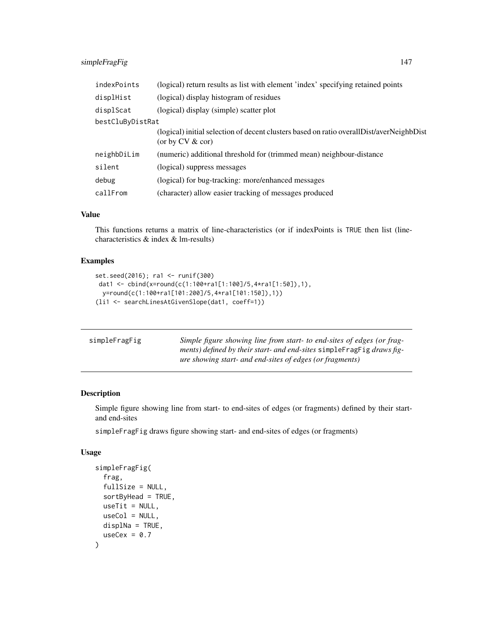# <span id="page-146-0"></span>simpleFragFig 147

| indexPoints      | (logical) return results as list with element 'index' specifying retained points                                 |
|------------------|------------------------------------------------------------------------------------------------------------------|
| displHist        | (logical) display histogram of residues                                                                          |
| displScat        | (logical) display (simple) scatter plot                                                                          |
| bestCluByDistRat |                                                                                                                  |
|                  | (logical) initial selection of decent clusters based on ratio overall Dist/averNeighbDist<br>(or by $CV & cor$ ) |
| neighbDiLim      | (numeric) additional threshold for (trimmed mean) neighbour-distance                                             |
| silent           | (logical) suppress messages                                                                                      |
| debug            | (logical) for bug-tracking: more/enhanced messages                                                               |
| callFrom         | (character) allow easier tracking of messages produced                                                           |

#### Value

This functions returns a matrix of line-characteristics (or if indexPoints is TRUE then list (linecharacteristics & index & lm-results)

# Examples

```
set.seed(2016); ra1 <- runif(300)
dat1 <- cbind(x=round(c(1:100+ra1[1:100]/5,4*ra1[1:50]),1),
 y=round(c(1:100+ra1[101:200]/5,4*ra1[101:150]),1))
(li1 <- searchLinesAtGivenSlope(dat1, coeff=1))
```

| simpleFragFig | Simple figure showing line from start- to end-sites of edges (or frag-<br>ments) defined by their start- and end-sites simple Frag Fig draws fig-<br><i>ure showing start- and end-sites of edges (or fragments)</i> |
|---------------|----------------------------------------------------------------------------------------------------------------------------------------------------------------------------------------------------------------------|
|               |                                                                                                                                                                                                                      |

# Description

Simple figure showing line from start- to end-sites of edges (or fragments) defined by their startand end-sites

simpleFragFig draws figure showing start- and end-sites of edges (or fragments)

#### Usage

```
simpleFragFig(
  frag,
  fullSize = NULL,
  sortByHead = TRUE,
 useTit = NULL,useCol = NULL,displNa = TRUE,
 useCex = 0.7)
```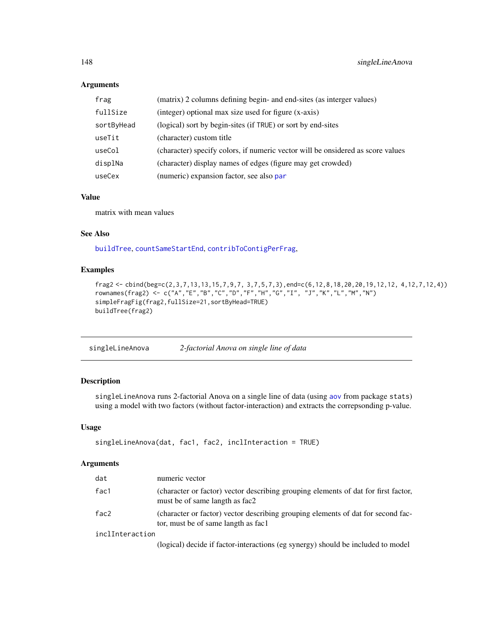# Arguments

| frag       | (matrix) 2 columns defining begin- and end-sites (as interger values)           |
|------------|---------------------------------------------------------------------------------|
| fullSize   | (integer) optional max size used for figure (x-axis)                            |
| sortByHead | (logical) sort by begin-sites (if TRUE) or sort by end-sites                    |
| useTit     | (character) custom title                                                        |
| useCol     | (character) specify colors, if numeric vector will be onsidered as score values |
| displNa    | (character) display names of edges (figure may get crowded)                     |
| useCex     | (numeric) expansion factor, see also par                                        |

#### Value

matrix with mean values

# See Also

[buildTree](#page-9-0), [countSameStartEnd](#page-39-0), [contribToContigPerFrag](#page-29-0),

# Examples

```
frag2 <- cbind(beg=c(2,3,7,13,13,15,7,9,7, 3,7,5,7,3),end=c(6,12,8,18,20,20,19,12,12, 4,12,7,12,4))
rownames(frag2) <- c("A","E","B","C","D","F","H","G","I", "J","K","L","M","N")
simpleFragFig(frag2,fullSize=21,sortByHead=TRUE)
buildTree(frag2)
```

| singleLineAnova | 2-factorial Anova on single line of data |  |
|-----------------|------------------------------------------|--|
|                 |                                          |  |

# Description

singleLineAnova runs 2-factorial Anova on a single line of data (using [aov](#page-0-0) from package stats) using a model with two factors (without factor-interaction) and extracts the correpsonding p-value.

#### Usage

```
singleLineAnova(dat, fac1, fac2, inclInteraction = TRUE)
```
# Arguments

| dat             | numeric vector                                                                                                          |
|-----------------|-------------------------------------------------------------------------------------------------------------------------|
| fac1            | (character or factor) vector describing grouping elements of dat for first factor,<br>must be of same langth as fac2    |
| fac2            | (character or factor) vector describing grouping elements of dat for second fac-<br>tor, must be of same langth as fac1 |
| inclInteraction |                                                                                                                         |
|                 | (logical) decide if factor interactions (eq syneray) should be included to model                                        |

(logical) decide if factor-interactions (eg synergy) should be included to model

<span id="page-147-0"></span>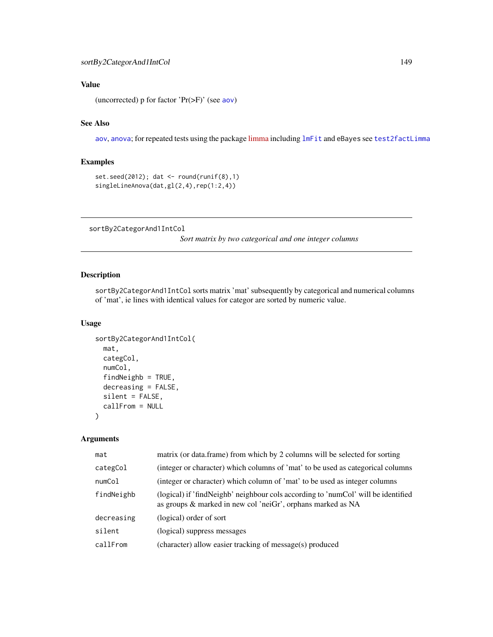# <span id="page-148-0"></span>Value

(uncorrected) p for factor 'Pr(>F)' (see [aov](#page-0-0))

#### See Also

[aov](#page-0-0), [anova](#page-0-0); for repeated tests using the package [limma](https://bioconductor.org/packages/release/bioc/html/limma.html) including [lmFit](#page-0-0) and eBayes see [test2factLimma](#page-156-0)

# Examples

```
set.seed(2012); dat <- round(runif(8),1)
singleLineAnova(dat,gl(2,4),rep(1:2,4))
```
sortBy2CategorAnd1IntCol

*Sort matrix by two categorical and one integer columns*

# Description

sortBy2CategorAnd1IntCol sorts matrix 'mat' subsequently by categorical and numerical columns of 'mat', ie lines with identical values for categor are sorted by numeric value.

# Usage

```
sortBy2CategorAnd1IntCol(
 mat,
 categCol,
 numCol,
  findNeighb = TRUE,
 decreasing = FALSE,
  silent = FALSE,
  callFrom = NULL
)
```
#### Arguments

| mat        | matrix (or data.frame) from which by 2 columns will be selected for sorting                                                                      |
|------------|--------------------------------------------------------------------------------------------------------------------------------------------------|
| categCol   | (integer or character) which columns of 'mat' to be used as categorical columns                                                                  |
| numCol     | (integer or character) which column of 'mat' to be used as integer columns                                                                       |
| findNeighb | (logical) if 'findNeighb' neighbour cols according to 'numCol' will be identified<br>as groups & marked in new col 'neiGr', orphans marked as NA |
| decreasing | (logical) order of sort                                                                                                                          |
| silent     | (logical) suppress messages                                                                                                                      |
| callFrom   | (character) allow easier tracking of message(s) produced                                                                                         |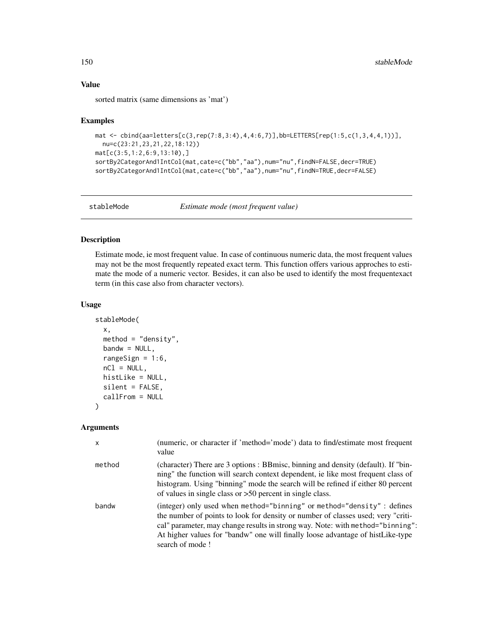## Value

sorted matrix (same dimensions as 'mat')

#### Examples

```
mat <- cbind(aa=letters[c(3,rep(7:8,3:4),4,4:6,7)],bb=LETTERS[rep(1:5,c(1,3,4,4,1))],
  nu=c(23:21,23,21,22,18:12))
mat[c(3:5,1:2,6:9,13:10),]
sortBy2CategorAnd1IntCol(mat,cate=c("bb","aa"),num="nu",findN=FALSE,decr=TRUE)
sortBy2CategorAnd1IntCol(mat,cate=c("bb","aa"),num="nu",findN=TRUE,decr=FALSE)
```
stableMode *Estimate mode (most frequent value)*

# Description

Estimate mode, ie most frequent value. In case of continuous numeric data, the most frequent values may not be the most frequently repeated exact term. This function offers various approches to estimate the mode of a numeric vector. Besides, it can also be used to identify the most frequentexact term (in this case also from character vectors).

# Usage

```
stableMode(
 x,
 method = "density",
 bandw = NULL,rangeSign = 1:6,
 nCl = NULL,histLike = NULL,
  silent = FALSE,
  callFrom = NULL
)
```
#### Arguments

| x      | (numeric, or character if 'method='mode') data to find/estimate most frequent<br>value                                                                                                                                                                                                                                                             |
|--------|----------------------------------------------------------------------------------------------------------------------------------------------------------------------------------------------------------------------------------------------------------------------------------------------------------------------------------------------------|
| method | (character) There are 3 options : BBmisc, binning and density (default). If "bin-<br>ning" the function will search context dependent, ie like most frequent class of<br>histogram. Using "binning" mode the search will be refined if either 80 percent<br>of values in single class or $>50$ percent in single class.                            |
| bandw  | (integer) only used when method="binning" or method="density" : defines<br>the number of points to look for density or number of classes used; very "criti-<br>cal" parameter, may change results in strong way. Note: with method="binning":<br>At higher values for "bandw" one will finally loose advantage of histLike-type<br>search of mode! |

<span id="page-149-0"></span>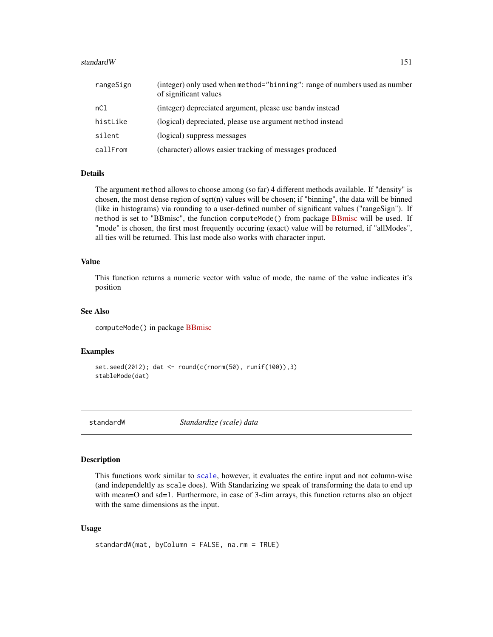#### <span id="page-150-0"></span>standard W 151

| rangeSign | (integer) only used when method="binning": range of numbers used as number<br>of significant values |
|-----------|-----------------------------------------------------------------------------------------------------|
| nCl       | (integer) depreciated argument, please use bandw instead                                            |
| histLike  | (logical) depreciated, please use argument method instead                                           |
| silent    | (logical) suppress messages                                                                         |
| callFrom  | (character) allows easier tracking of messages produced                                             |

# Details

The argument method allows to choose among (so far) 4 different methods available. If "density" is chosen, the most dense region of sqrt(n) values will be chosen; if "binning", the data will be binned (like in histograms) via rounding to a user-defined number of significant values ("rangeSign"). If method is set to "[BBmisc](https://CRAN.R-project.org/package=BBmisc)", the function computeMode() from package BBmisc will be used. If "mode" is chosen, the first most frequently occuring (exact) value will be returned, if "allModes", all ties will be returned. This last mode also works with character input.

## Value

This function returns a numeric vector with value of mode, the name of the value indicates it's position

#### See Also

computeMode() in package [BBmisc](https://CRAN.R-project.org/package=BBmisc)

#### Examples

```
set.seed(2012); dat <- round(c(rnorm(50), runif(100)),3)
stableMode(dat)
```
standardW *Standardize (scale) data*

# Description

This functions work similar to [scale](#page-0-0), however, it evaluates the entire input and not column-wise (and independeltly as scale does). With Standarizing we speak of transforming the data to end up with mean=O and sd=1. Furthermore, in case of 3-dim arrays, this function returns also an object with the same dimensions as the input.

#### Usage

```
standardW(mat, byColumn = FALSE, na.rm = TRUE)
```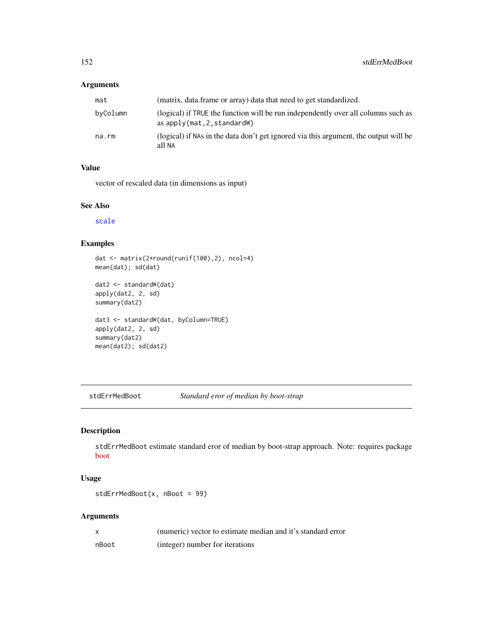# <span id="page-151-0"></span>Arguments

| mat      | (matrix, data.frame or array) data that need to get standardized.                                                  |
|----------|--------------------------------------------------------------------------------------------------------------------|
| byColumn | (logical) if TRUE the function will be run independently over all columns such as<br>as $apply(mat, 2, standardW)$ |
| na.rm    | (logical) if NAs in the data don't get ignored via this argument, the output will be<br>all NA                     |

# Value

vector of rescaled data (in dimensions as input)

# See Also

[scale](#page-0-0)

# Examples

```
dat <- matrix(2*round(runif(100),2), ncol=4)
mean(dat); sd(dat)
```

```
dat2 <- standardW(dat)
apply(dat2, 2, sd)
summary(dat2)
dat3 <- standardW(dat, byColumn=TRUE)
apply(dat2, 2, sd)
summary(dat2)
```
mean(dat2); sd(dat2)

stdErrMedBoot *Standard eror of median by boot-strap*

# Description

stdErrMedBoot estimate standard eror of median by boot-strap approach. Note: requires package [boot](https://CRAN.R-project.org/package=boot)

# Usage

```
stdErrMedBoot(x, nBoot = 99)
```
# Arguments

|       | (numeric) vector to estimate median and it's standard error |
|-------|-------------------------------------------------------------|
| nBoot | (integer) number for iterations                             |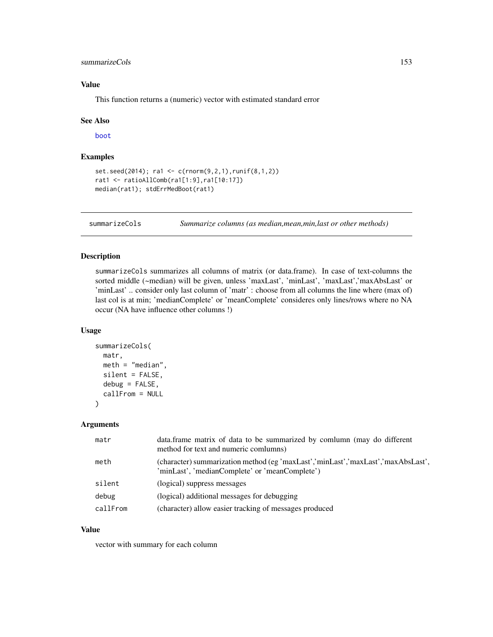## <span id="page-152-0"></span>summarizeCols 153

# Value

This function returns a (numeric) vector with estimated standard error

#### See Also

[boot](#page-0-0)

# Examples

```
set.seed(2014); ra1 <- c(rnorm(9,2,1),runif(8,1,2))
rat1 <- ratioAllComb(ra1[1:9],ra1[10:17])
median(rat1); stdErrMedBoot(rat1)
```
summarizeCols *Summarize columns (as median,mean,min,last or other methods)*

# Description

summarizeCols summarizes all columns of matrix (or data.frame). In case of text-columns the sorted middle (~median) will be given, unless 'maxLast', 'minLast', 'maxLast','maxAbsLast' or 'minLast' .. consider only last column of 'matr' : choose from all columns the line where (max of) last col is at min; 'medianComplete' or 'meanComplete' consideres only lines/rows where no NA occur (NA have influence other columns !)

## Usage

```
summarizeCols(
 matr,
 meth = "median".silent = FALSE,
  debug = FALSE,callFrom = NULL
\lambda
```
#### Arguments

| matr     | data. frame matrix of data to be summarized by comlumn (may do different<br>method for text and numeric comlumns)                  |
|----------|------------------------------------------------------------------------------------------------------------------------------------|
| meth     | (character) summarization method (eg 'maxLast','minLast','maxLast','maxAbsLast',<br>'minLast', 'medianComplete' or 'meanComplete') |
| silent   | (logical) suppress messages                                                                                                        |
| debug    | (logical) additional messages for debugging                                                                                        |
| callFrom | (character) allow easier tracking of messages produced                                                                             |

## Value

vector with summary for each column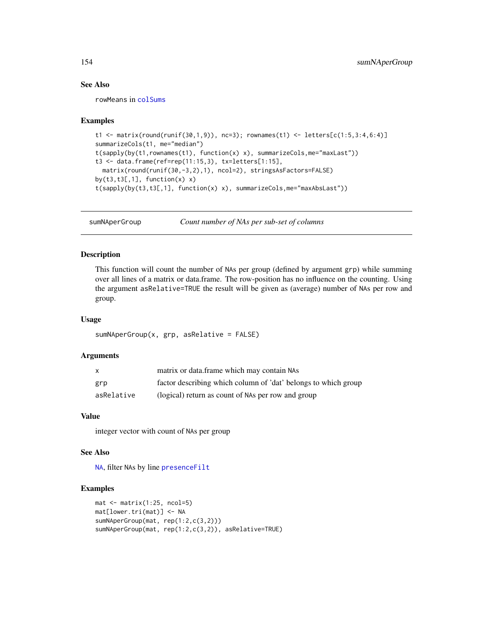# See Also

rowMeans in [colSums](#page-0-0)

#### Examples

```
t1 <- matrix(round(runif(30,1,9)), nc=3); rownames(t1) <- letters[c(1:5,3:4,6:4)]
summarizeCols(t1, me="median")
t(sapply(by(t1,rownames(t1), function(x) x), summarizeCols,me="maxLast"))
t3 <- data.frame(ref=rep(11:15,3), tx=letters[1:15],
 matrix(round(runif(30,-3,2),1), ncol=2), stringsAsFactors=FALSE)
by(t3, t3[, 1], function(x) x)
t(sapply(by(t3,t3[,1], function(x) x), summarizeCols,me="maxAbsLast"))
```
sumNAperGroup *Count number of NAs per sub-set of columns*

#### Description

This function will count the number of NAs per group (defined by argument grp) while summing over all lines of a matrix or data.frame. The row-position has no influence on the counting. Using the argument asRelative=TRUE the result will be given as (average) number of NAs per row and group.

#### Usage

```
sumNAperGroup(x, grp, asRelative = FALSE)
```
#### Arguments

| $\mathsf{x}$ | matrix or data.frame which may contain NAs                     |
|--------------|----------------------------------------------------------------|
| grp          | factor describing which column of 'dat' belongs to which group |
| asRelative   | (logical) return as count of NAs per row and group             |

# Value

integer vector with count of NAs per group

#### See Also

[NA](#page-0-0), filter NAs by line [presenceFilt](#page-112-0)

#### Examples

```
mat < -matrix(1:25, node=5)mat[lower.tri(mat)] <- NA
sumNAperGroup(mat, rep(1:2,c(3,2)))
sumNAperGroup(mat, rep(1:2,c(3,2)), asRelative=TRUE)
```
<span id="page-153-0"></span>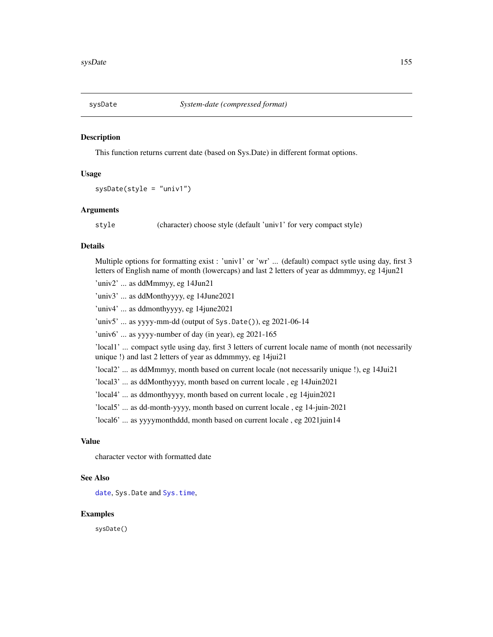<span id="page-154-0"></span>

## Description

This function returns current date (based on Sys.Date) in different format options.

#### Usage

```
sysDate(style = "univ1")
```
#### Arguments

style (character) choose style (default 'univ1' for very compact style)

#### Details

Multiple options for formatting exist : 'univ1' or 'wr' ... (default) compact sytle using day, first 3 letters of English name of month (lowercaps) and last 2 letters of year as ddmmmyy, eg 14jun21

'univ2' ... as ddMmmyy, eg 14Jun21

'univ3' ... as ddMonthyyyy, eg 14June2021

'univ4' ... as ddmonthyyyy, eg 14june2021

'univ5' ... as yyyy-mm-dd (output of Sys.Date()), eg 2021-06-14

'univ6' ... as yyyy-number of day (in year), eg 2021-165

'local1' ... compact sytle using day, first 3 letters of current locale name of month (not necessarily unique !) and last 2 letters of year as ddmmmyy, eg 14jui21

'local2' ... as ddMmmyy, month based on current locale (not necessarily unique !), eg 14Jui21

'local3' ... as ddMonthyyyy, month based on current locale , eg 14Juin2021

'local4' ... as ddmonthyyyy, month based on current locale , eg 14juin2021

'local5' ... as dd-month-yyyy, month based on current locale , eg 14-juin-2021

'local6' ... as yyyymonthddd, month based on current locale , eg 2021juin14

# Value

character vector with formatted date

#### See Also

[date](#page-0-0), Sys.Date and [Sys.time](#page-0-0),

#### Examples

sysDate()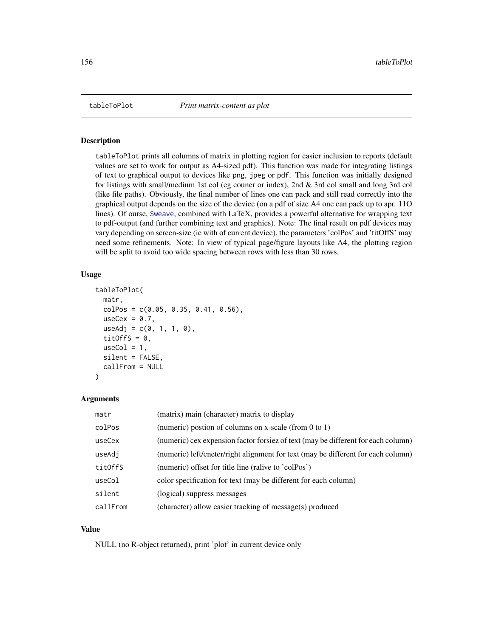<span id="page-155-0"></span>

#### Description

tableToPlot prints all columns of matrix in plotting region for easier inclusion to reports (default values are set to work for output as A4-sized pdf). This function was made for integrating listings of text to graphical output to devices like png, jpeg or pdf. This function was initially designed for listings with small/medium 1st col (eg couner or index), 2nd & 3rd col small and long 3rd col (like file paths). Obviously, the final number of lines one can pack and still read correctly into the graphical output depends on the size of the device (on a pdf of size A4 one can pack up to apr. 11O lines). Of ourse, [Sweave](#page-0-0), combined with LaTeX, provides a powerful alternative for wrapping text to pdf-output (and further combining text and graphics). Note: The final result on pdf devices may vary depending on screen-size (ie with of current device), the parameters 'colPos' and 'titOffS' may need some refinements. Note: In view of typical page/figure layouts like A4, the plotting region will be split to avoid too wide spacing between rows with less than 30 rows.

#### Usage

```
tableToPlot(
 matr,
  colPos = c(0.05, 0.35, 0.41, 0.56),
  useCex = 0.7,
  useAdj = c(0, 1, 1, 0),
  titOffS = 0,
  useCol = 1,
  silent = FALSE,
  callFrom = NULL
)
```
#### Arguments

| matr     | (matrix) main (character) matrix to display                                       |
|----------|-----------------------------------------------------------------------------------|
| colPos   | (numeric) postion of columns on x-scale (from 0 to 1)                             |
| useCex   | (numeric) cex expension factor forsiez of text (may be different for each column) |
| useAdj   | (numeric) left/cneter/right alignment for text (may be different for each column) |
| titOffS  | (numeric) offset for title line (ralive to 'colPos')                              |
| useCol   | color specification for text (may be different for each column)                   |
| silent   | (logical) suppress messages                                                       |
| callFrom | (character) allow easier tracking of message(s) produced                          |

## Value

NULL (no R-object returned), print 'plot' in current device only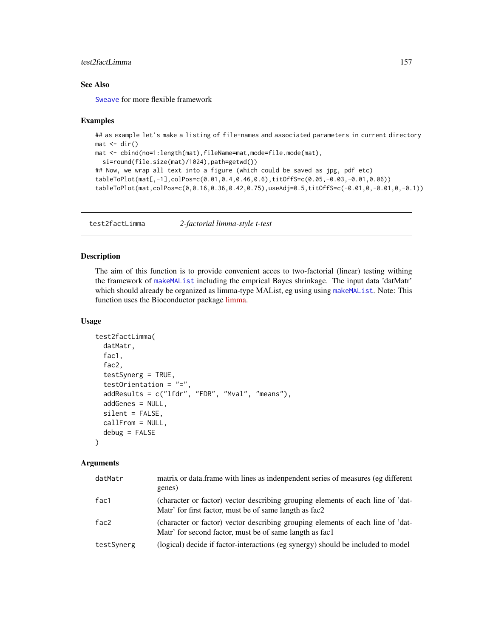# <span id="page-156-1"></span>test2factLimma 157

# See Also

[Sweave](#page-0-0) for more flexible framework

#### Examples

```
## as example let's make a listing of file-names and associated parameters in current directory
mat < -dir()mat <- cbind(no=1:length(mat),fileName=mat,mode=file.mode(mat),
  si=round(file.size(mat)/1024),path=getwd())
## Now, we wrap all text into a figure (which could be saved as jpg, pdf etc)
tableToPlot(mat[,-1],colPos=c(0.01,0.4,0.46,0.6),titOffS=c(0.05,-0.03,-0.01,0.06))
tableToPlot(mat,colPos=c(0,0.16,0.36,0.42,0.75),useAdj=0.5,titOffS=c(-0.01,0,-0.01,0,-0.1))
```
<span id="page-156-0"></span>test2factLimma *2-factorial limma-style t-test*

# Description

The aim of this function is to provide convenient acces to two-factorial (linear) testing withing the framework of [makeMAList](#page-81-0) including the emprical Bayes shrinkage. The input data 'datMatr' which should already be organized as limma-type MAList, eg using using [makeMAList](#page-81-0). Note: This function uses the Bioconductor package [limma.](https://bioconductor.org/packages/release/bioc/html/limma.html)

#### Usage

```
test2factLimma(
  datMatr,
  fac1,
  fac2,
  testSynerg = TRUE,
  testOrientation = "=",
  addResults = c("lfdr", "FDR", "Mval", "means"),
  addGenes = NULL,
  silent = FALSE,
  callFrom = NULL,
  debug = FALSE
)
```
#### **Arguments**

| datMatr    | matrix or data frame with lines as indenpendent series of measures (eg different<br>genes)                                                 |
|------------|--------------------------------------------------------------------------------------------------------------------------------------------|
| fac1       | (character or factor) vector describing grouping elements of each line of 'dat-<br>Matr' for first factor, must be of same langth as fac2  |
| fac2       | (character or factor) vector describing grouping elements of each line of 'dat-<br>Matr' for second factor, must be of same langth as fac1 |
| testSynerg | (logical) decide if factor-interactions (eg synergy) should be included to model                                                           |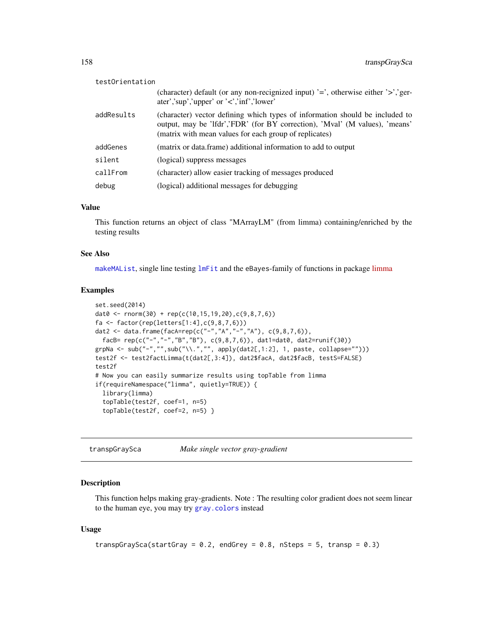<span id="page-157-0"></span>

| testOrientation |                                                                                                                                                                                                                       |
|-----------------|-----------------------------------------------------------------------------------------------------------------------------------------------------------------------------------------------------------------------|
|                 | (character) default (or any non-recignized input) $\equiv$ , otherwise either $\geq$ , ger-<br>ater','sup','upper' or ' $\lt$ ','inf','lower'                                                                         |
| addResults      | (character) vector defining which types of information should be included to<br>output, may be 'lfdr','FDR' (for BY correction), 'Mval' (M values), 'means'<br>(matrix with mean values for each group of replicates) |
| addGenes        | (matrix or data.frame) additional information to add to output                                                                                                                                                        |
| silent          | (logical) suppress messages                                                                                                                                                                                           |
| callFrom        | (character) allow easier tracking of messages produced                                                                                                                                                                |
| debug           | (logical) additional messages for debugging                                                                                                                                                                           |

#### Value

This function returns an object of class "MArrayLM" (from limma) containing/enriched by the testing results

#### See Also

[makeMAList](#page-81-0), single line testing [lmFit](#page-0-0) and the eBayes-family of functions in package [limma](https://bioconductor.org/packages/release/bioc/html/limma.html)

#### Examples

```
set.seed(2014)
dat0 <- rnorm(30) + rep(c(10, 15, 19, 20), c(9, 8, 7, 6))fa <- factor(rep(letters[1:4],c(9,8,7,6)))
dat2 <- data.frame(facA=rep(c("-","A","-","A"), c(9,8,7,6)),
  facB= rep(c("-","-","B","B"), c(9,8,7,6)), dat1=dat0, dat2=runif(30))
grpNa <- sub("-","",sub("\\.","", apply(dat2[,1:2], 1, paste, collapse="")))
test2f <- test2factLimma(t(dat2[,3:4]), dat2$facA, dat2$facB, testS=FALSE)
test2f
# Now you can easily summarize results using topTable from limma
if(requireNamespace("limma", quietly=TRUE)) {
  library(limma)
  topTable(test2f, coef=1, n=5)
  topTable(test2f, coef=2, n=5) }
```
transpGraySca *Make single vector gray-gradient*

# Description

This function helps making gray-gradients. Note : The resulting color gradient does not seem linear to the human eye, you may try [gray.colors](#page-0-0) instead

#### Usage

```
transpGraySca(startGray = 0.2, endGrey = 0.8, nSteps = 5, transp = 0.3)
```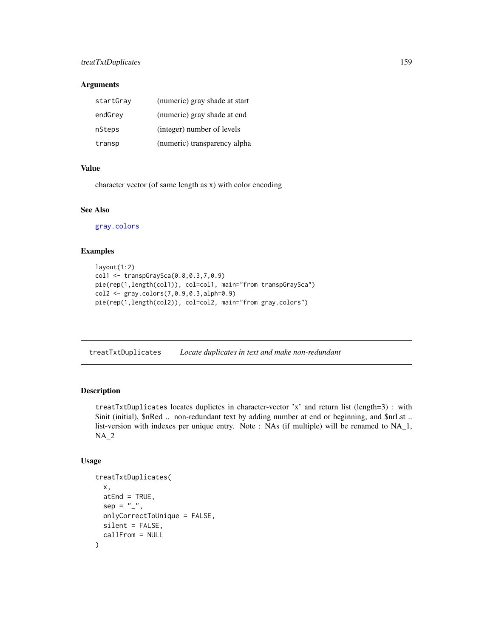# <span id="page-158-0"></span>treatTxtDuplicates 159

# Arguments

| startGray | (numeric) gray shade at start |
|-----------|-------------------------------|
| endGrey   | (numeric) gray shade at end   |
| nSteps    | (integer) number of levels    |
| transp    | (numeric) transparency alpha  |

# Value

character vector (of same length as x) with color encoding

# See Also

[gray.colors](#page-0-0)

# Examples

```
layout(1:2)col1 <- transpGraySca(0.8,0.3,7,0.9)
pie(rep(1,length(col1)), col=col1, main="from transpGraySca")
col2 <- gray.colors(7,0.9,0.3,alph=0.9)
pie(rep(1,length(col2)), col=col2, main="from gray.colors")
```
treatTxtDuplicates *Locate duplicates in text and make non-redundant*

# Description

treatTxtDuplicates locates duplictes in character-vector 'x' and return list (length=3) : with \$init (initial), \$nRed .. non-redundant text by adding number at end or beginning, and \$nrLst .. list-version with indexes per unique entry. Note : NAs (if multiple) will be renamed to NA\_1, NA\_2

#### Usage

```
treatTxtDuplicates(
 x,
 atEnd = TRUE,sep = ",
 onlyCorrectToUnique = FALSE,
 silent = FALSE,
  callFrom = NULL
)
```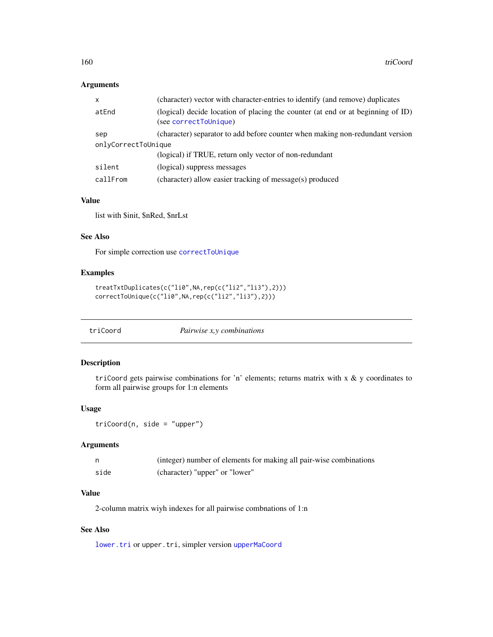# <span id="page-159-1"></span>Arguments

| x                   | (character) vector with character-entries to identify (and remove) duplicates                            |  |
|---------------------|----------------------------------------------------------------------------------------------------------|--|
| atEnd               | (logical) decide location of placing the counter (at end or at beginning of ID)<br>(see correctToUnique) |  |
| sep                 | (character) separator to add before counter when making non-redundant version                            |  |
| onlyCorrectToUnique |                                                                                                          |  |
|                     | (logical) if TRUE, return only vector of non-redundant                                                   |  |
| silent              | (logical) suppress messages                                                                              |  |
| callFrom            | (character) allow easier tracking of message(s) produced                                                 |  |

# Value

list with \$init, \$nRed, \$nrLst

# See Also

For simple correction use [correctToUnique](#page-36-0)

#### Examples

```
treatTxtDuplicates(c("li0",NA,rep(c("li2","li3"),2)))
correctToUnique(c("li0",NA,rep(c("li2","li3"),2)))
```
<span id="page-159-0"></span>triCoord *Pairwise x,y combinations*

# Description

triCoord gets pairwise combinations for 'n' elements; returns matrix with x & y coordinates to form all pairwise groups for 1:n elements

# Usage

```
triCoord(n, side = "upper")
```
# Arguments

|      | (integer) number of elements for making all pair-wise combinations |
|------|--------------------------------------------------------------------|
| side | (character) "upper" or "lower"                                     |

# Value

2-column matrix wiyh indexes for all pairwise combnations of 1:n

# See Also

[lower.tri](#page-0-0) or upper.tri, simpler version [upperMaCoord](#page-163-0)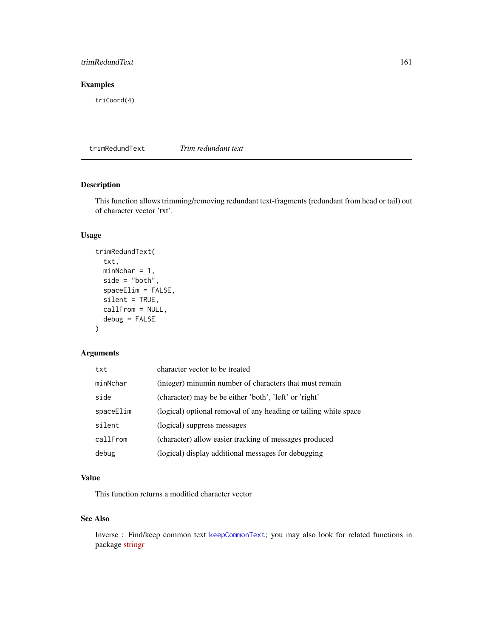# <span id="page-160-0"></span>trimRedundText 161

# Examples

triCoord(4)

trimRedundText *Trim redundant text*

# Description

This function allows trimming/removing redundant text-fragments (redundant from head or tail) out of character vector 'txt'.

# Usage

```
trimRedundText(
  txt,
 minNchar = 1,
  side = "both",
  spaceElim = FALSE,
  silent = TRUE,
  callFrom = NULL,
  debug = FALSE
)
```
# Arguments

| txt       | character vector to be treated                                   |
|-----------|------------------------------------------------------------------|
| minNchar  | (integer) minumin number of characters that must remain          |
| side      | (character) may be be either 'both', 'left' or 'right'           |
| spaceElim | (logical) optional removal of any heading or tailing white space |
| silent    | (logical) suppress messages                                      |
| callFrom  | (character) allow easier tracking of messages produced           |
| debug     | (logical) display additional messages for debugging              |

# Value

This function returns a modified character vector

# See Also

Inverse : Find/keep common text [keepCommonText](#page-71-0); you may also look for related functions in package [stringr](https://CRAN.R-project.org/package=stringr)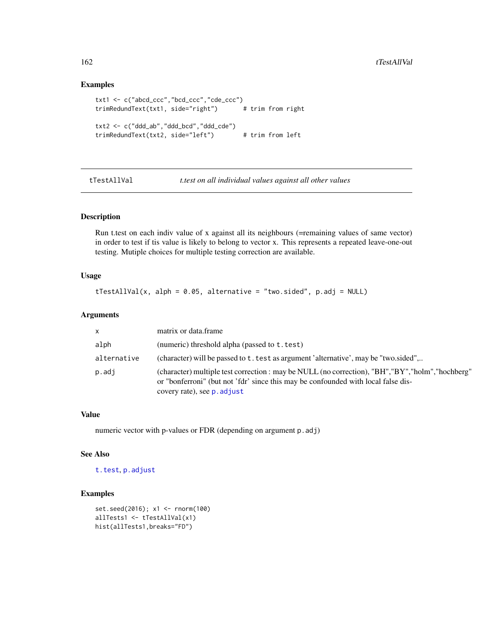#### Examples

```
txt1 <- c("abcd_ccc","bcd_ccc","cde_ccc")
trimRedundText(txt1, side="right") # trim from right
txt2 <- c("ddd_ab","ddd_bcd","ddd_cde")
trimRedundText(txt2, side="left") # trim from left
```
tTestAllVal *t.test on all individual values against all other values*

# Description

Run t.test on each indiv value of x against all its neighbours (=remaining values of same vector) in order to test if tis value is likely to belong to vector x. This represents a repeated leave-one-out testing. Mutiple choices for multiple testing correction are available.

#### Usage

tTestAllVal(x, alph =  $0.05$ , alternative = "two.sided", p.adj = NULL)

# Arguments

| $\mathsf{x}$ | matrix or data frame                                                                                                                                                                                                   |
|--------------|------------------------------------------------------------------------------------------------------------------------------------------------------------------------------------------------------------------------|
| alph         | (numeric) threshold alpha (passed to t. test)                                                                                                                                                                          |
| alternative  | (character) will be passed to t. test as argument 'alternative', may be "two.sided",                                                                                                                                   |
| p.adj        | (character) multiple test correction : may be NULL (no correction), "BH", "BY", "holm", "hochberg"<br>or "bonferroni" (but not 'fdr' since this may be confounded with local false dis-<br>covery rate), see p. adjust |

# Value

numeric vector with p-values or FDR (depending on argument p.adj)

#### See Also

[t.test](#page-0-0), [p.adjust](#page-0-0)

# Examples

```
set.seed(2016); x1 <- rnorm(100)
allTests1 <- tTestAllVal(x1)
hist(allTests1,breaks="FD")
```
<span id="page-161-0"></span>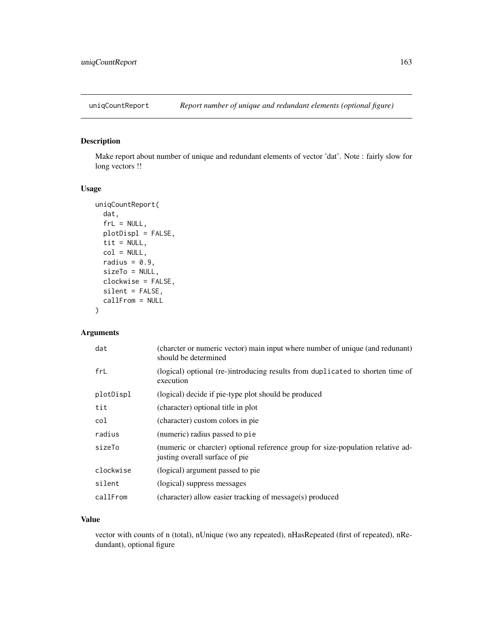<span id="page-162-0"></span>

# Description

Make report about number of unique and redundant elements of vector 'dat'. Note : fairly slow for long vectors !!

#### Usage

```
uniqCountReport(
  dat,
  frL = NULL,plotDispl = FALSE,
  tit = NULL,col = NULL,radius = 0.9,
  sizeTo = NULL,
 clockwise = FALSE,
 silent = FALSE,
  callFrom = NULL
\mathcal{L}
```
# Arguments

| dat       | (charcter or numeric vector) main input where number of unique (and redunant)<br>should be determined             |
|-----------|-------------------------------------------------------------------------------------------------------------------|
| frL       | (logical) optional (re-)introducing results from duplicated to shorten time of<br>execution                       |
| plotDispl | (logical) decide if pie-type plot should be produced                                                              |
| tit       | (character) optional title in plot                                                                                |
| col       | (character) custom colors in pie                                                                                  |
| radius    | (numeric) radius passed to pie                                                                                    |
| sizeTo    | (numeric or charcter) optional reference group for size-population relative ad-<br>justing overall surface of pie |
| clockwise | (logical) argument passed to pie                                                                                  |
| silent    | (logical) suppress messages                                                                                       |
| callFrom  | (character) allow easier tracking of message(s) produced                                                          |

# Value

vector with counts of n (total), nUnique (wo any repeated), nHasRepeated (first of repeated), nRedundant), optional figure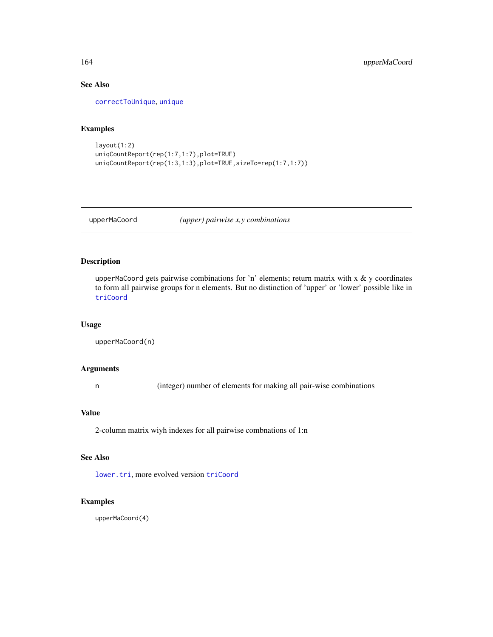# See Also

[correctToUnique](#page-36-0), [unique](#page-0-0)

# Examples

```
layout(1:2)
uniqCountReport(rep(1:7,1:7),plot=TRUE)
uniqCountReport(rep(1:3,1:3),plot=TRUE,sizeTo=rep(1:7,1:7))
```
<span id="page-163-0"></span>upperMaCoord *(upper) pairwise x,y combinations*

# Description

upperMaCoord gets pairwise combinations for 'n' elements; return matrix with  $x \& y$  coordinates to form all pairwise groups for n elements. But no distinction of 'upper' or 'lower' possible like in [triCoord](#page-159-0)

#### Usage

```
upperMaCoord(n)
```
#### Arguments

n (integer) number of elements for making all pair-wise combinations

# Value

2-column matrix wiyh indexes for all pairwise combnations of 1:n

#### See Also

[lower.tri](#page-0-0), more evolved version [triCoord](#page-159-0)

# Examples

upperMaCoord(4)

<span id="page-163-1"></span>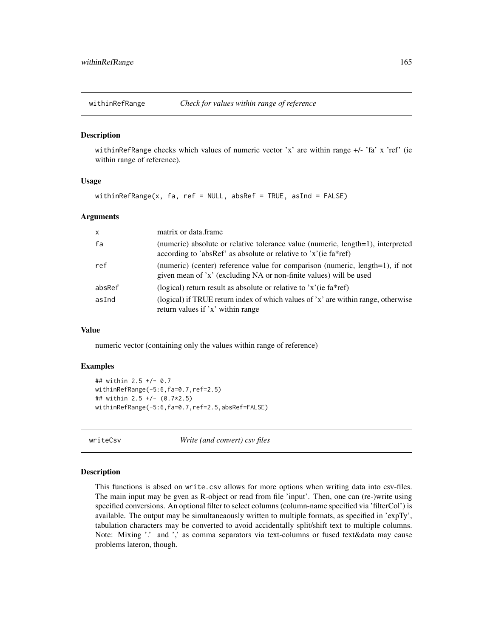<span id="page-164-0"></span>

#### Description

withinRefRange checks which values of numeric vector 'x' are within range +/- 'fa' x 'ref' (ie within range of reference).

# Usage

```
withinRefRange(x, fa, ref = NULL, absRef = TRUE, asInd = FALSE)
```
## Arguments

| $\times$ | matrix or data frame                                                                                                                                |
|----------|-----------------------------------------------------------------------------------------------------------------------------------------------------|
| fa       | (numeric) absolute or relative tolerance value (numeric, length=1), interpreted<br>according to 'absRef' as absolute or relative to 'x'(ie fa*ref)  |
| ref      | (numeric) (center) reference value for comparison (numeric, length=1), if not<br>given mean of 'x' (excluding NA or non-finite values) will be used |
| absRef   | (logical) return result as absolute or relative to $x'(i\epsilon)$ fa*ref)                                                                          |
| asInd    | (logical) if TRUE return index of which values of 'x' are within range, otherwise<br>return values if 'x' within range                              |

#### Value

numeric vector (containing only the values within range of reference)

#### Examples

```
## within 2.5 +/- 0.7
withinRefRange(-5:6,fa=0.7,ref=2.5)
## within 2.5 +/- (0.7*2.5)
withinRefRange(-5:6,fa=0.7,ref=2.5,absRef=FALSE)
```
writeCsv *Write (and convert) csv files*

#### Description

This functions is absed on write.csv allows for more options when writing data into csv-files. The main input may be gven as R-object or read from file 'input'. Then, one can (re-)write using specified conversions. An optional filter to select columns (column-name specified via 'filterCol') is available. The output may be simultaneaously written to multiple formats, as specified in 'expTy', tabulation characters may be converted to avoid accidentally split/shift text to multiple columns. Note: Mixing '.' and ',' as comma separators via text-columns or fused text&data may cause problems lateron, though.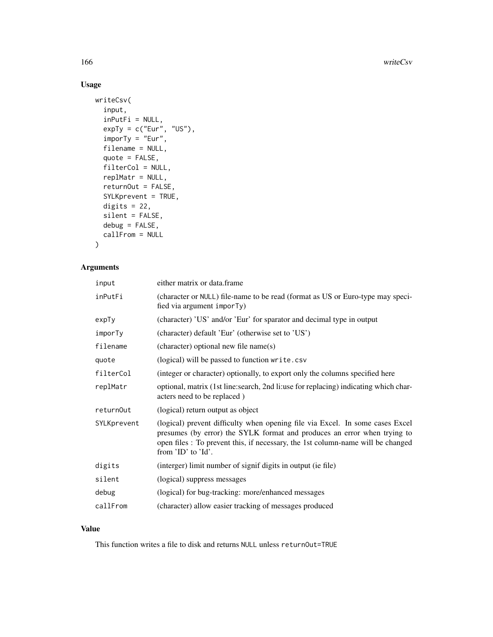# Usage

```
writeCsv(
  input,
  inPutFi = NULL,expTy = c("Eur", "US"),imporTy = "Eur",
  filename = NULL,
  quote = FALSE,
  filterCol = NULL,
  replMatr = NULL,
  returnOut = FALSE,
  SYLKprevent = TRUE,
 digits = 22,
  silent = FALSE,
 debug = FALSE,
  callFrom = NULL
)
```
# Arguments

| input       | either matrix or data.frame                                                                                                                                                                                                                                        |
|-------------|--------------------------------------------------------------------------------------------------------------------------------------------------------------------------------------------------------------------------------------------------------------------|
| inPutFi     | (character or NULL) file-name to be read (format as US or Euro-type may speci-<br>fied via argument imporTy)                                                                                                                                                       |
| ехрТу       | (character) 'US' and/or 'Eur' for sparator and decimal type in output                                                                                                                                                                                              |
| imporTy     | (character) default 'Eur' (otherwise set to 'US')                                                                                                                                                                                                                  |
| filename    | (character) optional new file name(s)                                                                                                                                                                                                                              |
| quote       | (logical) will be passed to function write.csv                                                                                                                                                                                                                     |
| filterCol   | (integer or character) optionally, to export only the columns specified here                                                                                                                                                                                       |
| replMatr    | optional, matrix (1st line: search, 2nd li: use for replacing) indicating which char-<br>acters need to be replaced)                                                                                                                                               |
| returnOut   | (logical) return output as object                                                                                                                                                                                                                                  |
| SYLKprevent | (logical) prevent difficulty when opening file via Excel. In some cases Excel<br>presumes (by error) the SYLK format and produces an error when trying to<br>open files : To prevent this, if necessary, the 1st column-name will be changed<br>from 'ID' to 'Id'. |
| digits      | (interger) limit number of signif digits in output (ie file)                                                                                                                                                                                                       |
| silent      | (logical) suppress messages                                                                                                                                                                                                                                        |
| debug       | (logical) for bug-tracking: more/enhanced messages                                                                                                                                                                                                                 |
| callFrom    | (character) allow easier tracking of messages produced                                                                                                                                                                                                             |

# Value

This function writes a file to disk and returns NULL unless returnOut=TRUE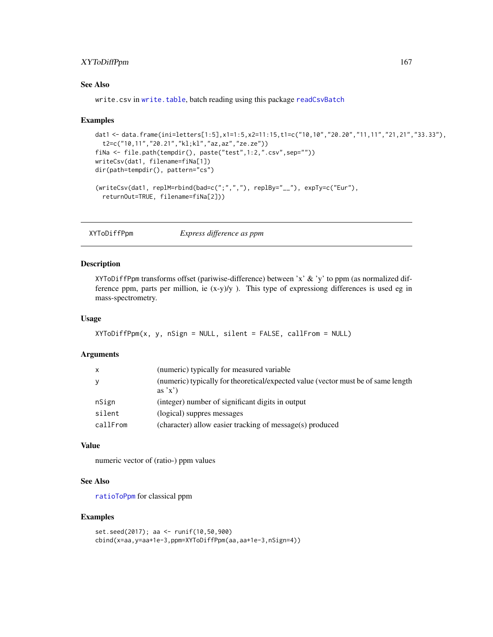# <span id="page-166-0"></span>XYToDiffPpm 167

# See Also

write.csv in [write.table](#page-0-0), batch reading using this package [readCsvBatch](#page-119-0)

#### Examples

```
dat1 <- data.frame(ini=letters[1:5],x1=1:5,x2=11:15,t1=c("10,10","20.20","11,11","21,21","33.33"),
  t2=c("10,11","20.21","kl;kl","az,az","ze.ze"))
fiNa <- file.path(tempdir(), paste("test",1:2,".csv",sep=""))
writeCsv(dat1, filename=fiNa[1])
dir(path=tempdir(), pattern="cs")
(writeCsv(dat1, replM=rbind(bad=c(";",","), replBy="__"), expTy=c("Eur"),
  returnOut=TRUE, filename=fiNa[2]))
```
XYToDiffPpm *Express difference as ppm*

#### Description

XYToDiffPpm transforms offset (pariwise-difference) between 'x' & 'y' to ppm (as normalized difference ppm, parts per million, ie  $(x-y)/y$ ). This type of expressiong differences is used eg in mass-spectrometry.

#### Usage

```
XYToDiffPpm(x, y, nSign = NULL, silent = FALSE, callFrom = NULL)
```
#### Arguments

| x        | (numeric) typically for measured variable                                                  |
|----------|--------------------------------------------------------------------------------------------|
| V        | (numeric) typically for theoretical/expected value (vector must be of same length<br>as'x' |
| nSign    | (integer) number of significant digits in output                                           |
| silent   | (logical) suppres messages                                                                 |
| callFrom | (character) allow easier tracking of message(s) produced                                   |

#### Value

numeric vector of (ratio-) ppm values

# See Also

[ratioToPpm](#page-118-0) for classical ppm

# Examples

```
set.seed(2017); aa <- runif(10,50,900)
cbind(x=aa,y=aa+1e-3,ppm=XYToDiffPpm(aa,aa+1e-3,nSign=4))
```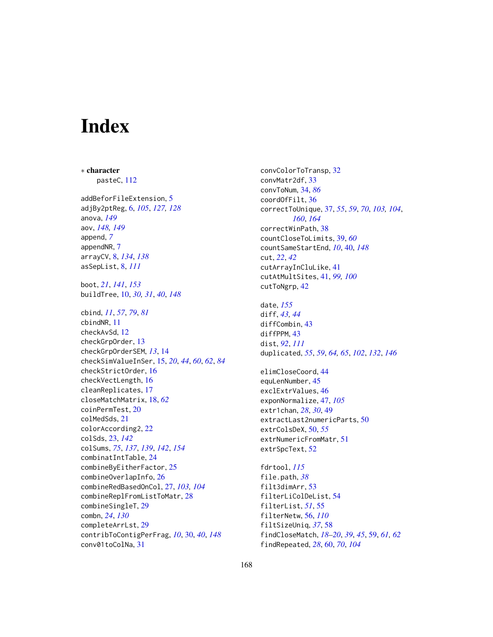# **Index**

∗ character pasteC, [112](#page-111-0) addBeforFileExtension, [5](#page-4-0) adjBy2ptReg, [6,](#page-5-0) *[105](#page-104-0)*, *[127,](#page-126-0) [128](#page-127-0)* anova, *[149](#page-148-0)* aov, *[148,](#page-147-0) [149](#page-148-0)* append, *[7](#page-6-0)* appendNR, [7](#page-6-0) arrayCV, [8,](#page-7-0) *[134](#page-133-0)*, *[138](#page-137-0)* asSepList, [8,](#page-7-0) *[111](#page-110-0)* boot, *[21](#page-20-0)*, *[141](#page-140-0)*, *[153](#page-152-0)* buildTree, [10,](#page-9-1) *[30,](#page-29-1) [31](#page-30-0)*, *[40](#page-39-1)*, *[148](#page-147-0)* cbind, *[11](#page-10-0)*, *[57](#page-56-0)*, *[79](#page-78-0)*, *[81](#page-80-0)* cbindNR, [11](#page-10-0) checkAvSd, [12](#page-11-0) checkGrpOrder, [13](#page-12-0) checkGrpOrderSEM, *[13](#page-12-0)*, [14](#page-13-0) checkSimValueInSer, [15,](#page-14-0) *[20](#page-19-0)*, *[44](#page-43-0)*, *[60](#page-59-0)*, *[62](#page-61-0)*, *[84](#page-83-0)* checkStrictOrder, [16](#page-15-0) checkVectLength, [16](#page-15-0) cleanReplicates, [17](#page-16-0) closeMatchMatrix, [18,](#page-17-0) *[62](#page-61-0)* coinPermTest, [20](#page-19-0) colMedSds, [21](#page-20-0) colorAccording2, [22](#page-21-0) colSds, [23,](#page-22-0) *[142](#page-141-0)* colSums, *[75](#page-74-0)*, *[137](#page-136-0)*, *[139](#page-138-0)*, *[142](#page-141-0)*, *[154](#page-153-0)* combinatIntTable, [24](#page-23-0) combineByEitherFactor, [25](#page-24-0) combineOverlapInfo, [26](#page-25-0) combineRedBasedOnCol, [27,](#page-26-0) *[103,](#page-102-0) [104](#page-103-0)* combineReplFromListToMatr, [28](#page-27-0) combineSingleT, [29](#page-28-0) combn, *[24](#page-23-0)*, *[130](#page-129-0)* completeArrLst, [29](#page-28-0) contribToContigPerFrag, *[10](#page-9-1)*, [30,](#page-29-1) *[40](#page-39-1)*, *[148](#page-147-0)* conv01toColNa, [31](#page-30-0)

convColorToTransp, [32](#page-31-0) convMatr2df, [33](#page-32-0) convToNum, [34,](#page-33-0) *[86](#page-85-0)* coordOfFilt, [36](#page-35-0) correctToUnique, [37,](#page-36-1) *[55](#page-54-0)*, *[59](#page-58-0)*, *[70](#page-69-0)*, *[103,](#page-102-0) [104](#page-103-0)*, *[160](#page-159-1)*, *[164](#page-163-1)* correctWinPath, [38](#page-37-0) countCloseToLimits, [39,](#page-38-0) *[60](#page-59-0)* countSameStartEnd, *[10](#page-9-1)*, [40,](#page-39-1) *[148](#page-147-0)* cut, *[22](#page-21-0)*, *[42](#page-41-0)* cutArrayInCluLike, [41](#page-40-0) cutAtMultSites, [41,](#page-40-0) *[99,](#page-98-0) [100](#page-99-0)* cutToNgrp, [42](#page-41-0) date, *[155](#page-154-0)* diff, *[43,](#page-42-0) [44](#page-43-0)* diffCombin, [43](#page-42-0) diffPPM, [43](#page-42-0) dist, *[92](#page-91-0)*, *[111](#page-110-0)* duplicated, *[55](#page-54-0)*, *[59](#page-58-0)*, *[64,](#page-63-0) [65](#page-64-0)*, *[102](#page-101-0)*, *[132](#page-131-0)*, *[146](#page-145-0)* elimCloseCoord, [44](#page-43-0) equLenNumber, [45](#page-44-0) exclExtrValues, [46](#page-45-0) exponNormalize, [47,](#page-46-0) *[105](#page-104-0)* extr1chan, *[28](#page-27-0)*, *[30](#page-29-1)*, [49](#page-48-0) extractLast2numericParts, [50](#page-49-0) extrColsDeX, [50,](#page-49-0) *[55](#page-54-0)* extrNumericFromMatr, [51](#page-50-0) extrSpcText, [52](#page-51-0) fdrtool, *[115](#page-114-0)* file.path, *[38](#page-37-0)* filt3dimArr, [53](#page-52-0) filterLiColDeList, [54](#page-53-0) filterList, *[51](#page-50-0)*, [55](#page-54-0) filterNetw, [56,](#page-55-0) *[110](#page-109-0)* filtSizeUniq, *[37](#page-36-1)*, [58](#page-57-0)

findCloseMatch, *[18](#page-17-0)[–20](#page-19-0)*, *[39](#page-38-0)*, *[45](#page-44-0)*, [59,](#page-58-0) *[61,](#page-60-0) [62](#page-61-0)*

findRepeated, *[28](#page-27-0)*, [60,](#page-59-0) *[70](#page-69-0)*, *[104](#page-103-0)*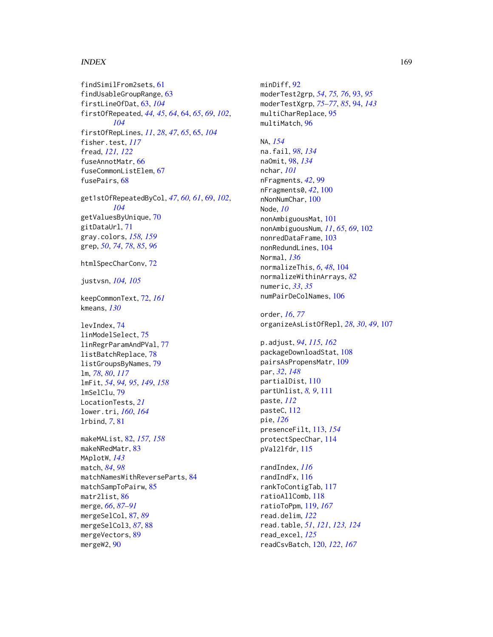#### INDEX  $169$

findSimilFrom2sets, [61](#page-60-0) findUsableGroupRange, [63](#page-62-0) firstLineOfDat, [63,](#page-62-0) *[104](#page-103-0)* firstOfRepeated, *[44,](#page-43-0) [45](#page-44-0)*, *[64](#page-63-0)*, [64,](#page-63-0) *[65](#page-64-0)*, *[69](#page-68-0)*, *[102](#page-101-0)*, *[104](#page-103-0)* firstOfRepLines, *[11](#page-10-0)*, *[28](#page-27-0)*, *[47](#page-46-0)*, *[65](#page-64-0)*, [65,](#page-64-0) *[104](#page-103-0)* fisher.test, *[117](#page-116-0)* fread, *[121,](#page-120-0) [122](#page-121-0)* fuseAnnotMatr, [66](#page-65-0) fuseCommonListElem, [67](#page-66-0) fusePairs, [68](#page-67-0)

get1stOfRepeatedByCol, *[47](#page-46-0)*, *[60,](#page-59-0) [61](#page-60-0)*, [69,](#page-68-0) *[102](#page-101-0)*, *[104](#page-103-0)* getValuesByUnique, [70](#page-69-0) gitDataUrl, [71](#page-70-0) gray.colors, *[158,](#page-157-0) [159](#page-158-0)* grep, *[50](#page-49-0)*, *[74](#page-73-0)*, *[78](#page-77-0)*, *[85](#page-84-0)*, *[96](#page-95-0)*

htmlSpecCharConv, [72](#page-71-1)

justvsn, *[104,](#page-103-0) [105](#page-104-0)*

keepCommonText, [72,](#page-71-1) *[161](#page-160-0)* kmeans, *[130](#page-129-0)*

levIndex, [74](#page-73-0) linModelSelect, [75](#page-74-0) linRegrParamAndPVal, [77](#page-76-0) listBatchReplace, [78](#page-77-0) listGroupsByNames, [79](#page-78-0) lm, *[78](#page-77-0)*, *[80](#page-79-0)*, *[117](#page-116-0)* lmFit, *[54](#page-53-0)*, *[94,](#page-93-0) [95](#page-94-0)*, *[149](#page-148-0)*, *[158](#page-157-0)* lmSelClu, [79](#page-78-0) LocationTests, *[21](#page-20-0)* lower.tri, *[160](#page-159-1)*, *[164](#page-163-1)* lrbind, *[7](#page-6-0)*, [81](#page-80-0)

makeMAList, [82,](#page-81-1) *[157,](#page-156-1) [158](#page-157-0)* makeNRedMatr, [83](#page-82-0) MAplotW, *[143](#page-142-0)* match, *[84](#page-83-0)*, *[98](#page-97-0)* matchNamesWithReverseParts, [84](#page-83-0) matchSampToPairw, [85](#page-84-0) matr2list, [86](#page-85-0) merge, *[66](#page-65-0)*, *[87](#page-86-0)[–91](#page-90-0)* mergeSelCol, [87,](#page-86-0) *[89](#page-88-0)* mergeSelCol3, *[87](#page-86-0)*, [88](#page-87-0) mergeVectors, [89](#page-88-0) mergeW2, [90](#page-89-0)

minDiff, [92](#page-91-0) moderTest2grp, *[54](#page-53-0)*, *[75,](#page-74-0) [76](#page-75-0)*, [93,](#page-92-0) *[95](#page-94-0)* moderTestXgrp, *[75](#page-74-0)[–77](#page-76-0)*, *[85](#page-84-0)*, [94,](#page-93-0) *[143](#page-142-0)* multiCharReplace, [95](#page-94-0) multiMatch, [96](#page-95-0) NA, *[154](#page-153-0)* na.fail, *[98](#page-97-0)*, *[134](#page-133-0)* naOmit, [98,](#page-97-0) *[134](#page-133-0)* nchar, *[101](#page-100-0)* nFragments, *[42](#page-41-0)*, [99](#page-98-0) nFragments0, *[42](#page-41-0)*, [100](#page-99-0) nNonNumChar, [100](#page-99-0) Node, *[10](#page-9-1)* nonAmbiguousMat, [101](#page-100-0) nonAmbiguousNum, *[11](#page-10-0)*, *[65](#page-64-0)*, *[69](#page-68-0)*, [102](#page-101-0)

nonredDataFrame, [103](#page-102-0) nonRedundLines, [104](#page-103-0) Normal, *[136](#page-135-0)* normalizeThis, *[6](#page-5-0)*, *[48](#page-47-0)*, [104](#page-103-0) normalizeWithinArrays, *[82](#page-81-1)* numeric, *[33](#page-32-0)*, *[35](#page-34-0)* numPairDeColNames, [106](#page-105-0)

order, *[16](#page-15-0)*, *[77](#page-76-0)* organizeAsListOfRepl, *[28](#page-27-0)*, *[30](#page-29-1)*, *[49](#page-48-0)*, [107](#page-106-0)

p.adjust, *[94](#page-93-0)*, *[115](#page-114-0)*, *[162](#page-161-0)* packageDownloadStat, [108](#page-107-0) pairsAsPropensMatr, [109](#page-108-0) par, *[32](#page-31-0)*, *[148](#page-147-0)* partialDist, [110](#page-109-0) partUnlist, *[8,](#page-7-0) [9](#page-8-0)*, [111](#page-110-0) paste, *[112](#page-111-0)* pasteC, [112](#page-111-0) pie, *[126](#page-125-0)* presenceFilt, [113,](#page-112-1) *[154](#page-153-0)* protectSpecChar, [114](#page-113-0) pVal2lfdr, [115](#page-114-0)

randIndex, *[116](#page-115-0)* randIndFx, [116](#page-115-0) rankToContigTab, [117](#page-116-0) ratioAllComb, [118](#page-117-0) ratioToPpm, [119,](#page-118-1) *[167](#page-166-0)* read.delim, *[122](#page-121-0)* read.table, *[51](#page-50-0)*, *[121](#page-120-0)*, *[123,](#page-122-0) [124](#page-123-0)* read\_excel, *[125](#page-124-0)* readCsvBatch, [120,](#page-119-1) *[122](#page-121-0)*, *[167](#page-166-0)*